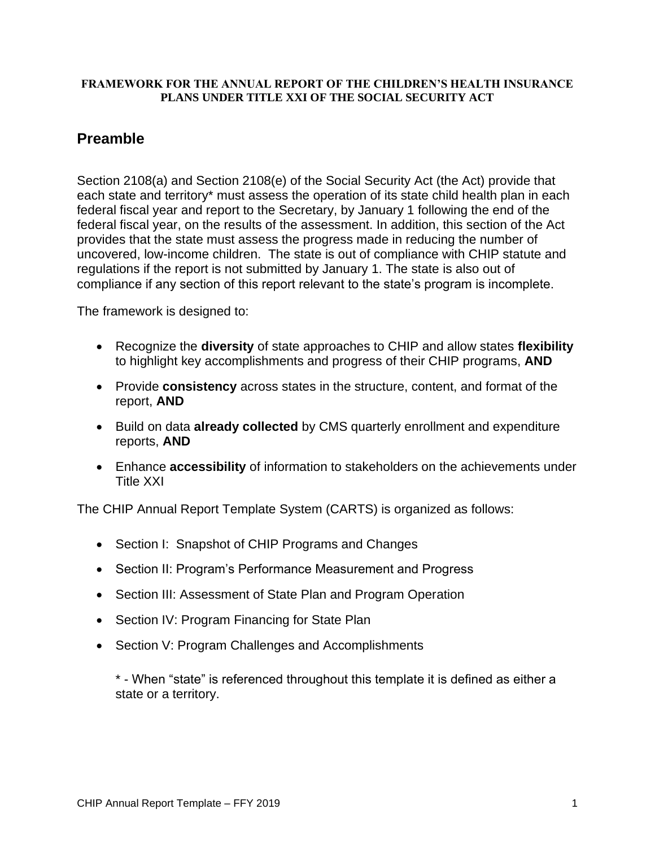### **FRAMEWORK FOR THE ANNUAL REPORT OF THE CHILDREN'S HEALTH INSURANCE PLANS UNDER TITLE XXI OF THE SOCIAL SECURITY ACT**

## **Preamble**

Section 2108(a) and Section 2108(e) of the Social Security Act (the Act) provide that each state and territory\* must assess the operation of its state child health plan in each federal fiscal year and report to the Secretary, by January 1 following the end of the federal fiscal year, on the results of the assessment. In addition, this section of the Act provides that the state must assess the progress made in reducing the number of uncovered, low-income children. The state is out of compliance with CHIP statute and regulations if the report is not submitted by January 1. The state is also out of compliance if any section of this report relevant to the state's program is incomplete.

The framework is designed to:

- Recognize the **diversity** of state approaches to CHIP and allow states **flexibility** to highlight key accomplishments and progress of their CHIP programs, **AND**
- Provide **consistency** across states in the structure, content, and format of the report, **AND**
- Build on data **already collected** by CMS quarterly enrollment and expenditure reports, **AND**
- Enhance **accessibility** of information to stakeholders on the achievements under Title XXI

The CHIP Annual Report Template System (CARTS) is organized as follows:

- Section I: Snapshot of CHIP Programs and Changes
- Section II: Program's Performance Measurement and Progress
- Section III: Assessment of State Plan and Program Operation
- Section IV: Program Financing for State Plan
- Section V: Program Challenges and Accomplishments

\* - When "state" is referenced throughout this template it is defined as either a state or a territory.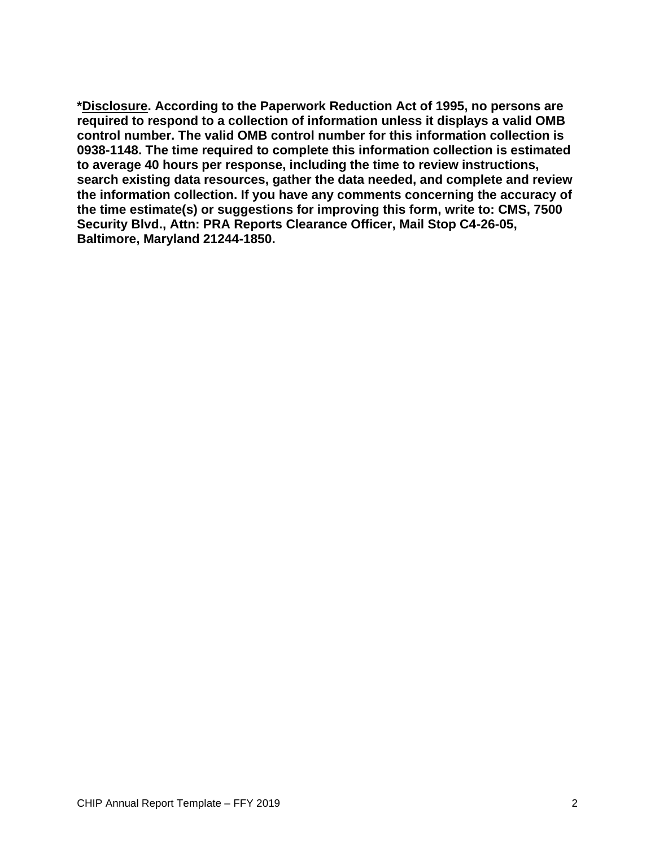**\*Disclosure. According to the Paperwork Reduction Act of 1995, no persons are required to respond to a collection of information unless it displays a valid OMB control number. The valid OMB control number for this information collection is 0938-1148. The time required to complete this information collection is estimated to average 40 hours per response, including the time to review instructions, search existing data resources, gather the data needed, and complete and review the information collection. If you have any comments concerning the accuracy of the time estimate(s) or suggestions for improving this form, write to: CMS, 7500 Security Blvd., Attn: PRA Reports Clearance Officer, Mail Stop C4-26-05, Baltimore, Maryland 21244-1850.**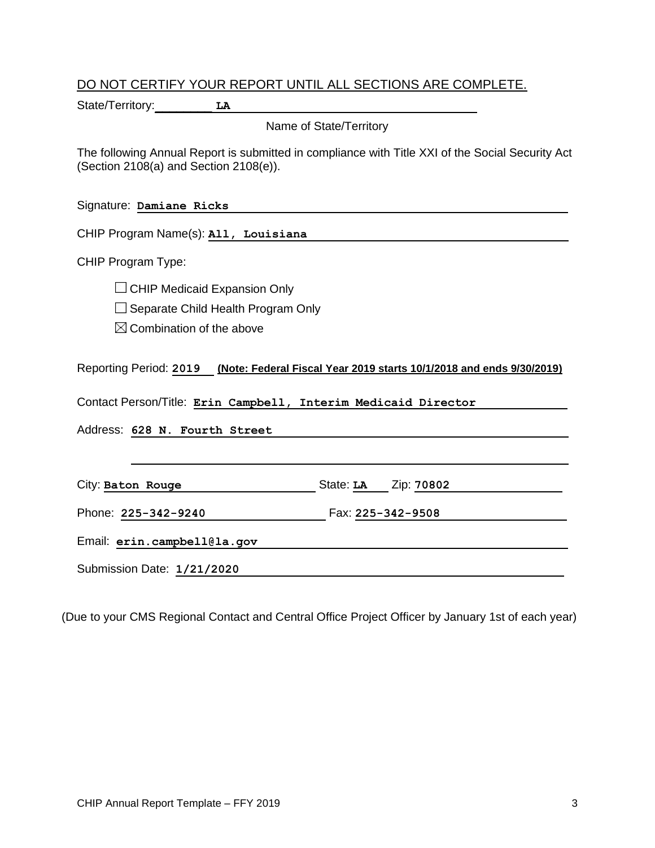### DO NOT CERTIFY YOUR REPORT UNTIL ALL SECTIONS ARE COMPLETE.

State/Territory: LA

Name of State/Territory

The following Annual Report is submitted in compliance with Title XXI of the Social Security Act (Section 2108(a) and Section 2108(e)).

Signature: **Damiane Ricks** 

CHIP Program Name(s): **All, Louisiana** 

CHIP Program Type:

CHIP Medicaid Expansion Only

Separate Child Health Program Only

 $\boxtimes$  Combination of the above

Reporting Period: **2019 (Note: Federal Fiscal Year 2019 starts 10/1/2018 and ends 9/30/2019)**

Contact Person/Title: **Erin Campbell, Interim Medicaid Director** 

Address: **628 N. Fourth Street** 

City: **Baton Rouge 1988** State: **LA Zip: 70802** 

Phone: **225-342-9240** Fax: **225-342-9508** 

Email: **erin.campbell@la.gov** 

Submission Date: **1/21/2020** 

(Due to your CMS Regional Contact and Central Office Project Officer by January 1st of each year)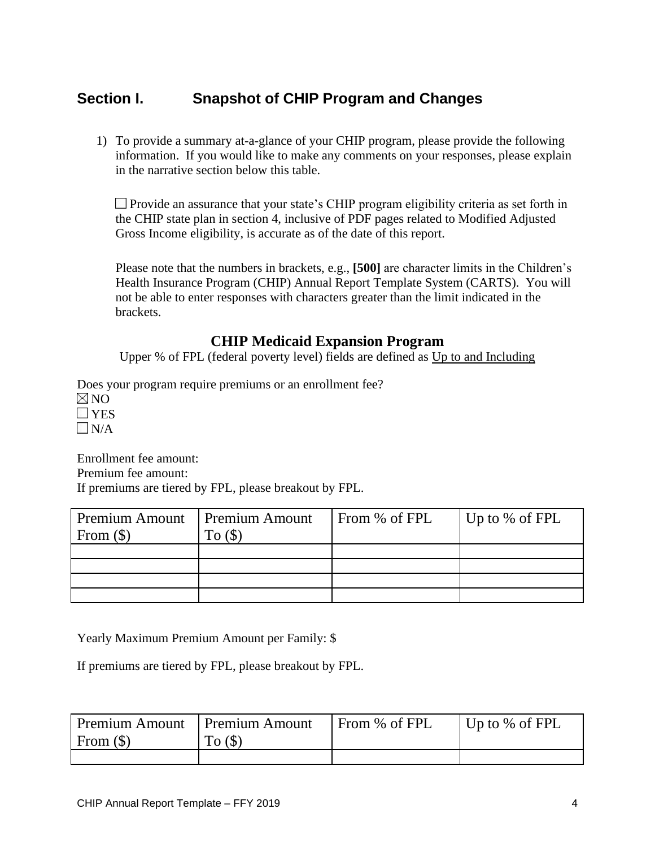## **Section I. Snapshot of CHIP Program and Changes**

1) To provide a summary at-a-glance of your CHIP program, please provide the following information. If you would like to make any comments on your responses, please explain in the narrative section below this table.

**Provide an assurance that your state's CHIP program eligibility criteria as set forth in** the CHIP state plan in section 4, inclusive of PDF pages related to Modified Adjusted Gross Income eligibility, is accurate as of the date of this report.

Please note that the numbers in brackets, e.g., **[500]** are character limits in the Children's Health Insurance Program (CHIP) Annual Report Template System (CARTS). You will not be able to enter responses with characters greater than the limit indicated in the brackets.

### **CHIP Medicaid Expansion Program**

Upper % of FPL (federal poverty level) fields are defined as Up to and Including

Does your program require premiums or an enrollment fee?  $\nabla$ NO **T**YES  $\nabla N/A$ 

Enrollment fee amount: Premium fee amount: If premiums are tiered by FPL, please breakout by FPL.

| Premium Amount<br>From $(\$)$ | <b>Premium Amount</b><br>To(S) | From % of FPL | Up to % of FPL |
|-------------------------------|--------------------------------|---------------|----------------|
|                               |                                |               |                |
|                               |                                |               |                |
|                               |                                |               |                |
|                               |                                |               |                |
|                               |                                |               |                |

Yearly Maximum Premium Amount per Family: \$

If premiums are tiered by FPL, please breakout by FPL.

| Premium Amount   Premium Amount |        | From % of FPL | $\vert$ Up to % of FPL |
|---------------------------------|--------|---------------|------------------------|
| From $(\$)$                     | To (S) |               |                        |
|                                 |        |               |                        |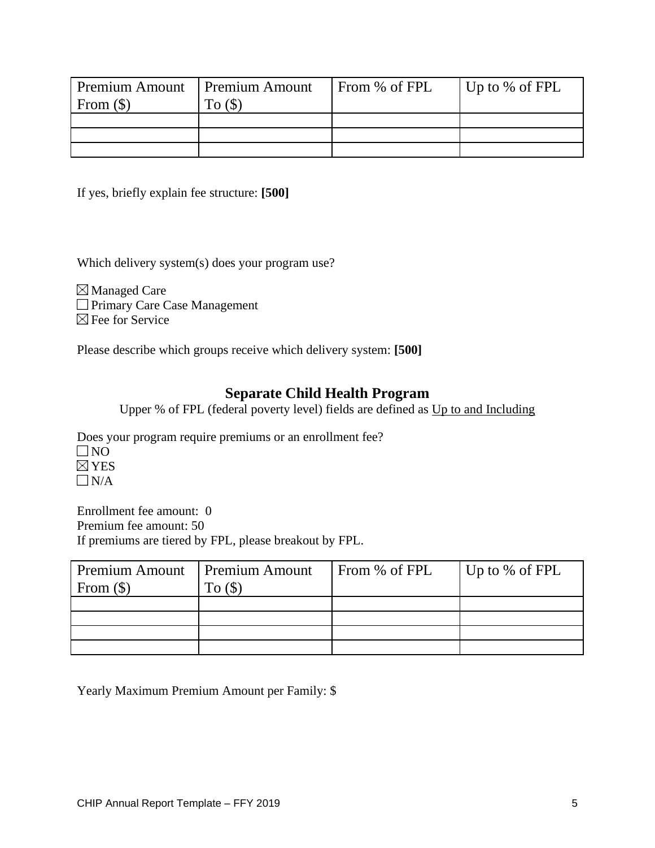| Premium Amount<br>From $(\$)$ | <b>Premium Amount</b> | From % of FPL | Up to % of FPL |
|-------------------------------|-----------------------|---------------|----------------|
|                               |                       |               |                |
|                               |                       |               |                |
|                               |                       |               |                |

If yes, briefly explain fee structure: **[500]**

Which delivery system(s) does your program use?

Managed Care **Primary Care Case Management**  $\boxtimes$  Fee for Service

Please describe which groups receive which delivery system: **[500]**

### **Separate Child Health Program**

Upper % of FPL (federal poverty level) fields are defined as Up to and Including

Does your program require premiums or an enrollment fee?

 $\square$  NO  $\boxtimes$  YES

 $\Box$ N/A

Enrollment fee amount: 0 Premium fee amount: 50 If premiums are tiered by FPL, please breakout by FPL.

| Premium Amount   Premium Amount |             | From % of FPL | $\vert$ Up to % of FPL |
|---------------------------------|-------------|---------------|------------------------|
| From $(\$)$                     | $T_{0}(\S)$ |               |                        |
|                                 |             |               |                        |
|                                 |             |               |                        |
|                                 |             |               |                        |
|                                 |             |               |                        |

Yearly Maximum Premium Amount per Family: \$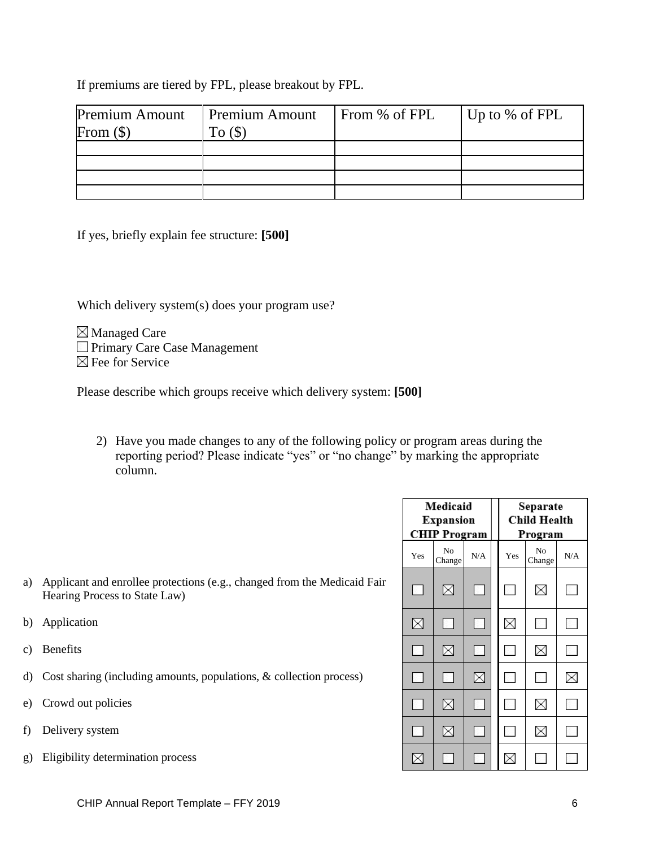If premiums are tiered by FPL, please breakout by FPL.

| <b>Premium Amount</b><br>From $(\$)$ | <b>Premium Amount</b><br>To $($ math) | From % of FPL | $\vert$ Up to % of FPL |
|--------------------------------------|---------------------------------------|---------------|------------------------|
|                                      |                                       |               |                        |
|                                      |                                       |               |                        |
|                                      |                                       |               |                        |
|                                      |                                       |               |                        |

If yes, briefly explain fee structure: **[500]**

Which delivery system(s) does your program use?

Managed Care **Primary Care Case Management**  $\boxtimes$  Fee for Service

Please describe which groups receive which delivery system: **[500]**

2) Have you made changes to any of the following policy or program areas during the reporting period? Please indicate "yes" or "no change" by marking the appropriate column.

| a) Applicant and enrollee protections (e.g., changed from the Medicaid Fair |
|-----------------------------------------------------------------------------|
| Hearing Process to State Law)                                               |

- b) Application
- c) Benefits
- d) Cost sharing (including amounts, populations, & collection process)
- e) Crowd out policies
- f) Delivery system
- g) Eligibility determination process

|                            | Medicaid<br><b>Expansion</b><br><b>CHIP Program</b> |     |  |     | Separate<br><b>Child Health</b><br>Program |     |
|----------------------------|-----------------------------------------------------|-----|--|-----|--------------------------------------------|-----|
| Yes                        | N <sub>0</sub><br>Change                            | N/A |  | Yes | No<br>Change                               | N/A |
| 8-                         | ⊠                                                   | g.  |  | 8.  | X                                          | g.  |
| ⊠                          | П                                                   | a.  |  | X   |                                            | g.  |
|                            | X                                                   |     |  |     | $\times$                                   |     |
| $\mathbb{R}^n$             | g.                                                  | X   |  |     |                                            | X   |
| $\mathcal{L}^{\text{max}}$ | X                                                   |     |  |     | X                                          |     |
|                            | X                                                   |     |  |     | ✕                                          |     |
|                            |                                                     |     |  |     |                                            |     |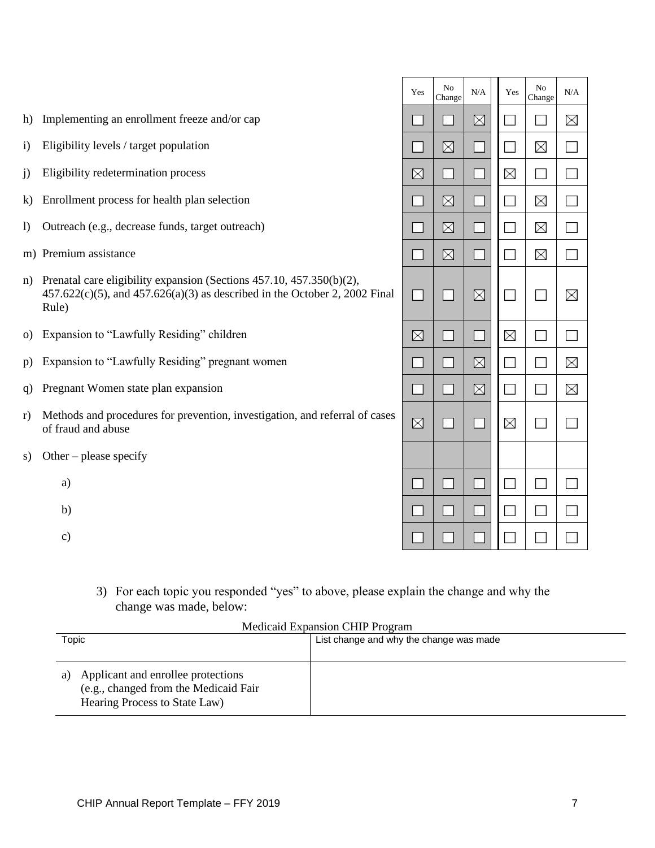| $\mathbf{i}$     | Eligibility levels / target population                                                                                                                                                                         |        | ⊠  |   |   | X |               |
|------------------|----------------------------------------------------------------------------------------------------------------------------------------------------------------------------------------------------------------|--------|----|---|---|---|---------------|
| j)               | Eligibility redetermination process                                                                                                                                                                            |        |    |   | X | ÷ | $\frac{1}{2}$ |
| k)               | Enrollment process for health plan selection                                                                                                                                                                   |        | ⊠  |   |   | X | s.            |
| $\left( \right)$ | Outreach (e.g., decrease funds, target outreach)                                                                                                                                                               |        | ⊠  |   |   | X | g.            |
|                  | m) Premium assistance                                                                                                                                                                                          | 81     | ⊠  |   |   | X |               |
| n)               | Prenatal care eligibility expansion (Sections 457.10, 457.350(b)(2),<br>$457.622(c)(5)$ , and $457.626(a)(3)$ as described in the October 2, 2002 Final<br>Rule)                                               |        |    | ⊠ |   |   | X             |
| O)               | Expansion to "Lawfully Residing" children                                                                                                                                                                      | ⊠      |    |   | X |   | ÷             |
| p)               | Expansion to "Lawfully Residing" pregnant women                                                                                                                                                                |        |    | ⊠ |   |   | X             |
| q)               | Pregnant Women state plan expansion                                                                                                                                                                            | 8-     | 81 | ⊠ |   | × | X             |
| r)               | Methods and procedures for prevention, investigation, and referral of cases<br>of fraud and abuse                                                                                                              |        |    |   | X |   |               |
| S)               | Other – please specify                                                                                                                                                                                         |        |    |   |   |   |               |
|                  | a)                                                                                                                                                                                                             | $\Box$ |    |   |   |   |               |
|                  | b)                                                                                                                                                                                                             |        |    |   |   |   |               |
|                  | $\mathbf{c})$                                                                                                                                                                                                  |        |    |   |   |   |               |
|                  | 3) For each topic you responded "yes" to above, please explain the change and why the<br>change was made, below:<br>Medicaid Expansion CHIP Program<br><b>Topic</b><br>List change and why the change was made |        |    |   |   |   |               |
|                  |                                                                                                                                                                                                                |        |    |   |   |   |               |

Yes

31

Program No Change

K.

Medicaid Expansion CHIP  $N/A$ 

 $\boxtimes$ 

Yes

 $\mathcal{L}_{\mathcal{L}}$ 

Program No Change

S.

 $N/A$ 

 $\times$ 

| a) Applicant and enrollee protections<br>(e.g., changed from the Medicaid Fair<br>Hearing Process to State Law) |  |
|-----------------------------------------------------------------------------------------------------------------|--|

h) Implementing an enrollment freeze and/or cap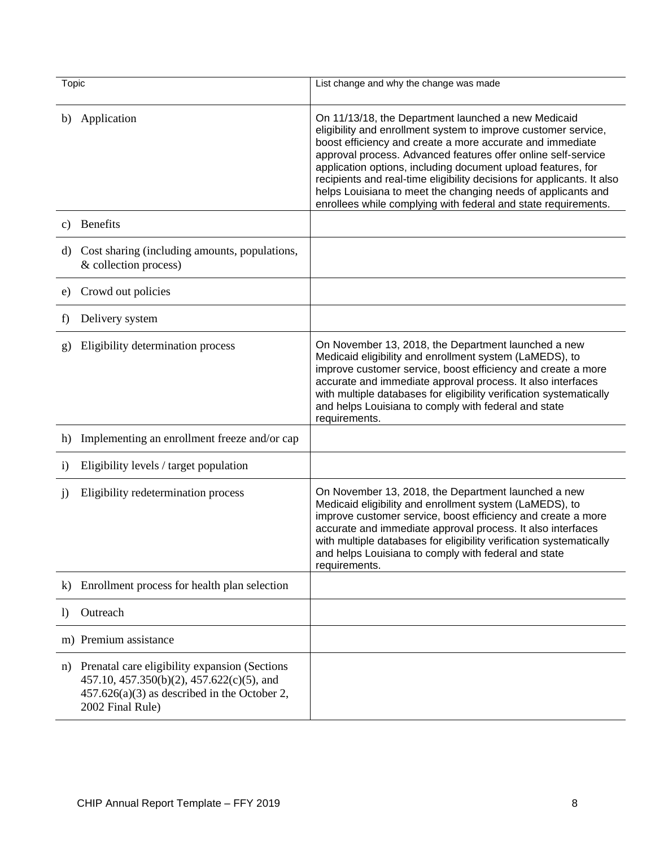| Topic            |                                                                                                                                                                   | List change and why the change was made                                                                                                                                                                                                                                                                                                                                                                                                                                                                                         |
|------------------|-------------------------------------------------------------------------------------------------------------------------------------------------------------------|---------------------------------------------------------------------------------------------------------------------------------------------------------------------------------------------------------------------------------------------------------------------------------------------------------------------------------------------------------------------------------------------------------------------------------------------------------------------------------------------------------------------------------|
| b)               | Application                                                                                                                                                       | On 11/13/18, the Department launched a new Medicaid<br>eligibility and enrollment system to improve customer service,<br>boost efficiency and create a more accurate and immediate<br>approval process. Advanced features offer online self-service<br>application options, including document upload features, for<br>recipients and real-time eligibility decisions for applicants. It also<br>helps Louisiana to meet the changing needs of applicants and<br>enrollees while complying with federal and state requirements. |
| c)               | <b>Benefits</b>                                                                                                                                                   |                                                                                                                                                                                                                                                                                                                                                                                                                                                                                                                                 |
| d)               | Cost sharing (including amounts, populations,<br>& collection process)                                                                                            |                                                                                                                                                                                                                                                                                                                                                                                                                                                                                                                                 |
| e)               | Crowd out policies                                                                                                                                                |                                                                                                                                                                                                                                                                                                                                                                                                                                                                                                                                 |
| f)               | Delivery system                                                                                                                                                   |                                                                                                                                                                                                                                                                                                                                                                                                                                                                                                                                 |
| g)               | Eligibility determination process                                                                                                                                 | On November 13, 2018, the Department launched a new<br>Medicaid eligibility and enrollment system (LaMEDS), to<br>improve customer service, boost efficiency and create a more<br>accurate and immediate approval process. It also interfaces<br>with multiple databases for eligibility verification systematically<br>and helps Louisiana to comply with federal and state<br>requirements.                                                                                                                                   |
| h)               | Implementing an enrollment freeze and/or cap                                                                                                                      |                                                                                                                                                                                                                                                                                                                                                                                                                                                                                                                                 |
| $\mathbf{i}$     | Eligibility levels / target population                                                                                                                            |                                                                                                                                                                                                                                                                                                                                                                                                                                                                                                                                 |
| $\mathbf{j}$     | Eligibility redetermination process                                                                                                                               | On November 13, 2018, the Department launched a new<br>Medicaid eligibility and enrollment system (LaMEDS), to<br>improve customer service, boost efficiency and create a more<br>accurate and immediate approval process. It also interfaces<br>with multiple databases for eligibility verification systematically<br>and helps Louisiana to comply with federal and state<br>requirements.                                                                                                                                   |
| $\bf{k}$         | Enrollment process for health plan selection                                                                                                                      |                                                                                                                                                                                                                                                                                                                                                                                                                                                                                                                                 |
| $\left  \right $ | Outreach                                                                                                                                                          |                                                                                                                                                                                                                                                                                                                                                                                                                                                                                                                                 |
|                  | m) Premium assistance                                                                                                                                             |                                                                                                                                                                                                                                                                                                                                                                                                                                                                                                                                 |
| n)               | Prenatal care eligibility expansion (Sections)<br>457.10, 457.350(b)(2), 457.622(c)(5), and<br>$457.626(a)(3)$ as described in the October 2,<br>2002 Final Rule) |                                                                                                                                                                                                                                                                                                                                                                                                                                                                                                                                 |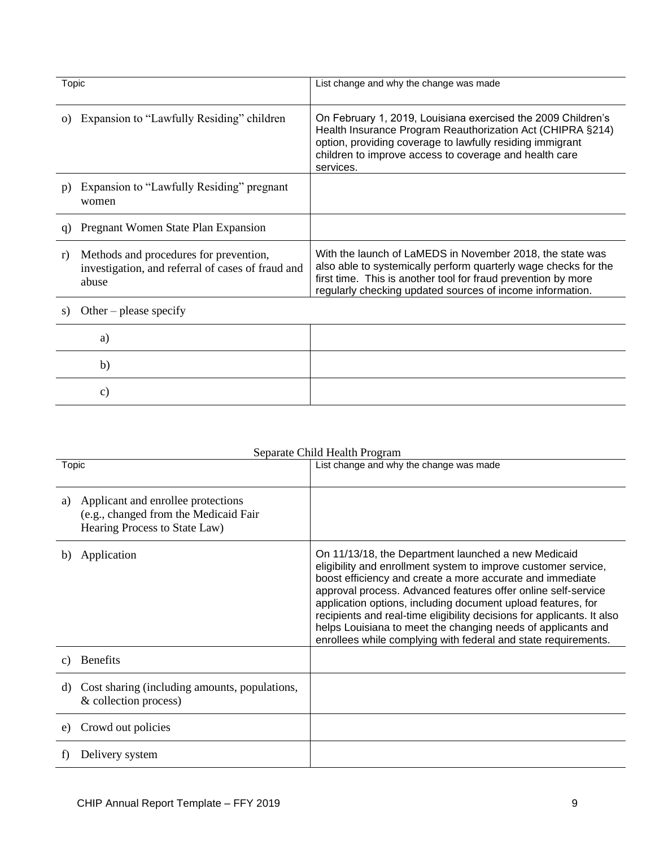| Topic    |                                                                                                      | List change and why the change was made                                                                                                                                                                                                                        |
|----------|------------------------------------------------------------------------------------------------------|----------------------------------------------------------------------------------------------------------------------------------------------------------------------------------------------------------------------------------------------------------------|
| $\Omega$ | Expansion to "Lawfully Residing" children                                                            | On February 1, 2019, Louisiana exercised the 2009 Children's<br>Health Insurance Program Reauthorization Act (CHIPRA §214)<br>option, providing coverage to lawfully residing immigrant<br>children to improve access to coverage and health care<br>services. |
| p)       | Expansion to "Lawfully Residing" pregnant<br>women                                                   |                                                                                                                                                                                                                                                                |
| G)       | Pregnant Women State Plan Expansion                                                                  |                                                                                                                                                                                                                                                                |
| r)       | Methods and procedures for prevention,<br>investigation, and referral of cases of fraud and<br>abuse | With the launch of LaMEDS in November 2018, the state was<br>also able to systemically perform quarterly wage checks for the<br>first time. This is another tool for fraud prevention by more<br>regularly checking updated sources of income information.     |

s) Other – please specify

| b |  |
|---|--|
|   |  |

### Separate Child Health Program

| Topic           |                                                                                                              | List change and why the change was made                                                                                                                                                                                                                                                                                                                                                                                                                                                                                         |
|-----------------|--------------------------------------------------------------------------------------------------------------|---------------------------------------------------------------------------------------------------------------------------------------------------------------------------------------------------------------------------------------------------------------------------------------------------------------------------------------------------------------------------------------------------------------------------------------------------------------------------------------------------------------------------------|
| a)              | Applicant and enrollee protections<br>(e.g., changed from the Medicaid Fair<br>Hearing Process to State Law) |                                                                                                                                                                                                                                                                                                                                                                                                                                                                                                                                 |
| b)              | Application                                                                                                  | On 11/13/18, the Department launched a new Medicaid<br>eligibility and enrollment system to improve customer service,<br>boost efficiency and create a more accurate and immediate<br>approval process. Advanced features offer online self-service<br>application options, including document upload features, for<br>recipients and real-time eligibility decisions for applicants. It also<br>helps Louisiana to meet the changing needs of applicants and<br>enrollees while complying with federal and state requirements. |
| $\mathcal{C}$ ) | <b>Benefits</b>                                                                                              |                                                                                                                                                                                                                                                                                                                                                                                                                                                                                                                                 |
| d)              | Cost sharing (including amounts, populations,<br>& collection process)                                       |                                                                                                                                                                                                                                                                                                                                                                                                                                                                                                                                 |
| e)              | Crowd out policies                                                                                           |                                                                                                                                                                                                                                                                                                                                                                                                                                                                                                                                 |
|                 | Delivery system                                                                                              |                                                                                                                                                                                                                                                                                                                                                                                                                                                                                                                                 |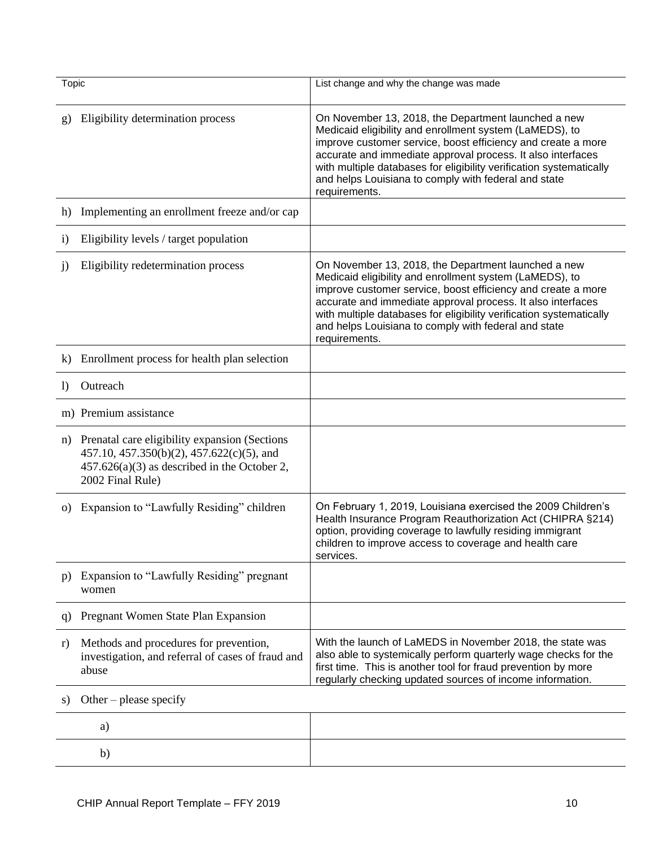| Topic        |                                                                                                                                                                  | List change and why the change was made                                                                                                                                                                                                                                                                                                                                                       |  |  |
|--------------|------------------------------------------------------------------------------------------------------------------------------------------------------------------|-----------------------------------------------------------------------------------------------------------------------------------------------------------------------------------------------------------------------------------------------------------------------------------------------------------------------------------------------------------------------------------------------|--|--|
|              |                                                                                                                                                                  |                                                                                                                                                                                                                                                                                                                                                                                               |  |  |
| g)           | Eligibility determination process                                                                                                                                | On November 13, 2018, the Department launched a new<br>Medicaid eligibility and enrollment system (LaMEDS), to<br>improve customer service, boost efficiency and create a more<br>accurate and immediate approval process. It also interfaces<br>with multiple databases for eligibility verification systematically<br>and helps Louisiana to comply with federal and state<br>requirements. |  |  |
| h)           | Implementing an enrollment freeze and/or cap                                                                                                                     |                                                                                                                                                                                                                                                                                                                                                                                               |  |  |
| $\mathbf{i}$ | Eligibility levels / target population                                                                                                                           |                                                                                                                                                                                                                                                                                                                                                                                               |  |  |
| j)           | Eligibility redetermination process                                                                                                                              | On November 13, 2018, the Department launched a new<br>Medicaid eligibility and enrollment system (LaMEDS), to<br>improve customer service, boost efficiency and create a more<br>accurate and immediate approval process. It also interfaces<br>with multiple databases for eligibility verification systematically<br>and helps Louisiana to comply with federal and state<br>requirements. |  |  |
| $\bf{k}$     | Enrollment process for health plan selection                                                                                                                     |                                                                                                                                                                                                                                                                                                                                                                                               |  |  |
| $\bf{D}$     | Outreach                                                                                                                                                         |                                                                                                                                                                                                                                                                                                                                                                                               |  |  |
|              | m) Premium assistance                                                                                                                                            |                                                                                                                                                                                                                                                                                                                                                                                               |  |  |
| n)           | Prenatal care eligibility expansion (Sections<br>457.10, 457.350(b)(2), 457.622(c)(5), and<br>$457.626(a)(3)$ as described in the October 2,<br>2002 Final Rule) |                                                                                                                                                                                                                                                                                                                                                                                               |  |  |
| O)           | Expansion to "Lawfully Residing" children                                                                                                                        | On February 1, 2019, Louisiana exercised the 2009 Children's<br>Health Insurance Program Reauthorization Act (CHIPRA §214)<br>option, providing coverage to lawfully residing immigrant<br>children to improve access to coverage and health care<br>services.                                                                                                                                |  |  |
| p)           | Expansion to "Lawfully Residing" pregnant<br>women                                                                                                               |                                                                                                                                                                                                                                                                                                                                                                                               |  |  |
| q            | Pregnant Women State Plan Expansion                                                                                                                              |                                                                                                                                                                                                                                                                                                                                                                                               |  |  |
| r)           | Methods and procedures for prevention,<br>investigation, and referral of cases of fraud and<br>abuse                                                             | With the launch of LaMEDS in November 2018, the state was<br>also able to systemically perform quarterly wage checks for the<br>first time. This is another tool for fraud prevention by more<br>regularly checking updated sources of income information.                                                                                                                                    |  |  |
| S)           | Other – please specify                                                                                                                                           |                                                                                                                                                                                                                                                                                                                                                                                               |  |  |
|              |                                                                                                                                                                  |                                                                                                                                                                                                                                                                                                                                                                                               |  |  |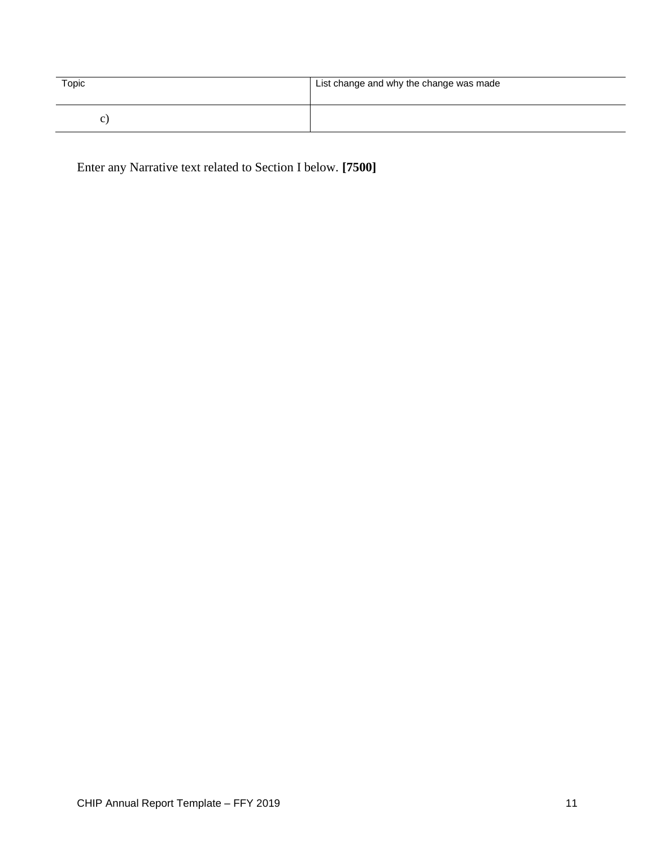| Topic | List change and why the change was made |
|-------|-----------------------------------------|
| ◡     |                                         |

Enter any Narrative text related to Section I below. **[7500]**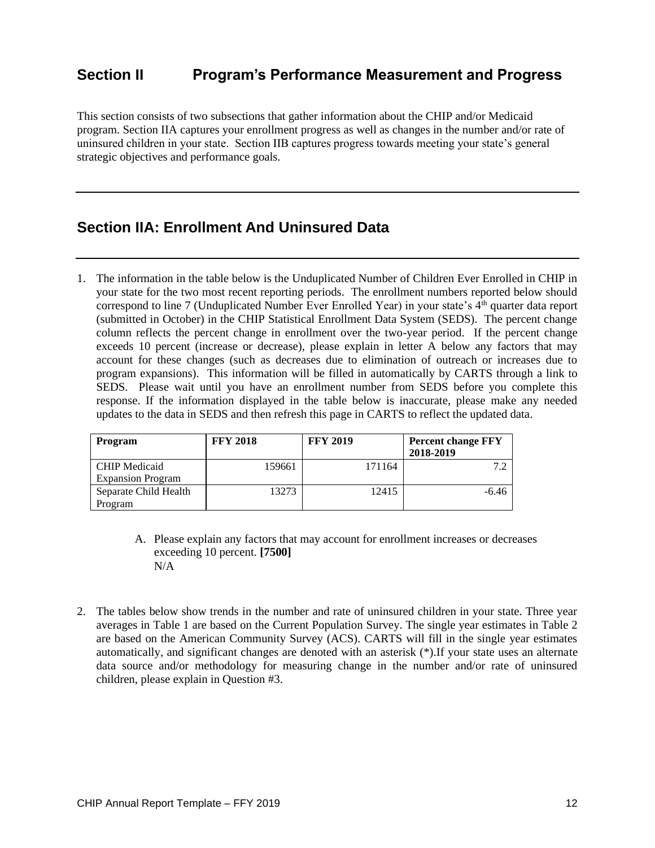## **Section II Program's Performance Measurement and Progress**

This section consists of two subsections that gather information about the CHIP and/or Medicaid program. Section IIA captures your enrollment progress as well as changes in the number and/or rate of uninsured children in your state. Section IIB captures progress towards meeting your state's general strategic objectives and performance goals.

### **Section IIA: Enrollment And Uninsured Data**

1. The information in the table below is the Unduplicated Number of Children Ever Enrolled in CHIP in your state for the two most recent reporting periods. The enrollment numbers reported below should correspond to line 7 (Unduplicated Number Ever Enrolled Year) in your state's 4<sup>th</sup> quarter data report (submitted in October) in the CHIP Statistical Enrollment Data System (SEDS). The percent change column reflects the percent change in enrollment over the two-year period. If the percent change exceeds 10 percent (increase or decrease), please explain in letter A below any factors that may account for these changes (such as decreases due to elimination of outreach or increases due to program expansions). This information will be filled in automatically by CARTS through a link to SEDS. Please wait until you have an enrollment number from SEDS before you complete this response. If the information displayed in the table below is inaccurate, please make any needed updates to the data in SEDS and then refresh this page in CARTS to reflect the updated data.

| <b>Program</b>                                   | <b>FFY 2018</b> | <b>FFY 2019</b> | <b>Percent change FFY</b><br>2018-2019 |
|--------------------------------------------------|-----------------|-----------------|----------------------------------------|
| <b>CHIP</b> Medicaid<br><b>Expansion Program</b> | 159661          | 171164          |                                        |
| Separate Child Health<br>Program                 | 13273           | 12415           | $-6.46$                                |

- A. Please explain any factors that may account for enrollment increases or decreases exceeding 10 percent. **[7500]** N/A
- 2. The tables below show trends in the number and rate of uninsured children in your state. Three year averages in Table 1 are based on the Current Population Survey. The single year estimates in Table 2 are based on the American Community Survey (ACS). CARTS will fill in the single year estimates automatically, and significant changes are denoted with an asterisk (\*).If your state uses an alternate data source and/or methodology for measuring change in the number and/or rate of uninsured children, please explain in Question #3.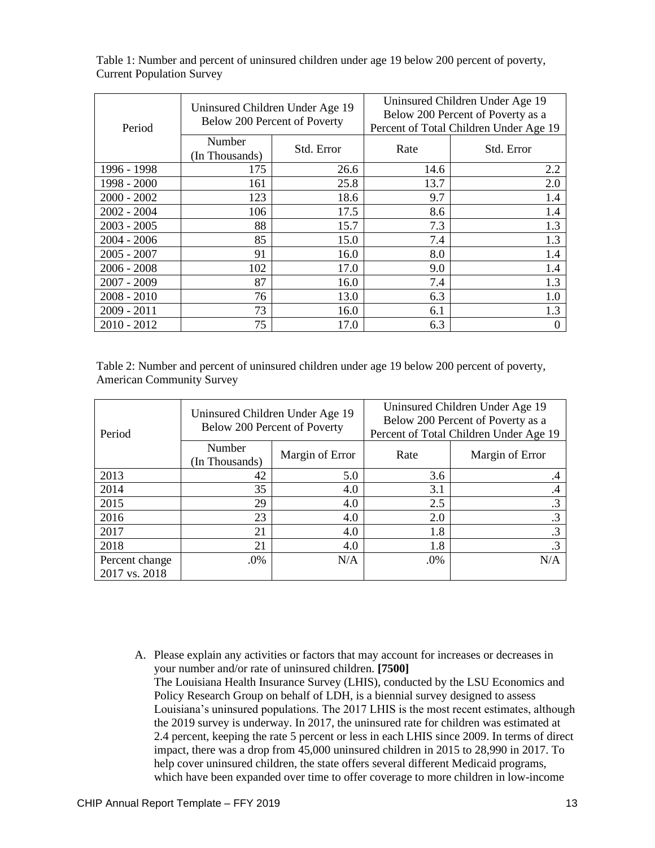| Period        | Uninsured Children Under Age 19<br>Below 200 Percent of Poverty |            | Uninsured Children Under Age 19<br>Below 200 Percent of Poverty as a<br>Percent of Total Children Under Age 19 |            |
|---------------|-----------------------------------------------------------------|------------|----------------------------------------------------------------------------------------------------------------|------------|
|               | Number<br>(In Thousands)                                        | Std. Error | Rate                                                                                                           | Std. Error |
| 1996 - 1998   | 175                                                             | 26.6       | 14.6                                                                                                           | 2.2        |
| 1998 - 2000   | 161                                                             | 25.8       | 13.7                                                                                                           | 2.0        |
| $2000 - 2002$ | 123                                                             | 18.6       | 9.7                                                                                                            | 1.4        |
| $2002 - 2004$ | 106                                                             | 17.5       | 8.6                                                                                                            | 1.4        |
| $2003 - 2005$ | 88                                                              | 15.7       | 7.3                                                                                                            | 1.3        |
| $2004 - 2006$ | 85                                                              | 15.0       | 7.4                                                                                                            | 1.3        |
| $2005 - 2007$ | 91                                                              | 16.0       | 8.0                                                                                                            | 1.4        |
| $2006 - 2008$ | 102                                                             | 17.0       | 9.0                                                                                                            | 1.4        |
| $2007 - 2009$ | 87                                                              | 16.0       | 7.4                                                                                                            | 1.3        |
| $2008 - 2010$ | 76                                                              | 13.0       | 6.3                                                                                                            | 1.0        |
| $2009 - 2011$ | 73                                                              | 16.0       | 6.1                                                                                                            | 1.3        |
| $2010 - 2012$ | 75                                                              | 17.0       | 6.3                                                                                                            | 0          |

Table 1: Number and percent of uninsured children under age 19 below 200 percent of poverty, Current Population Survey

Table 2: Number and percent of uninsured children under age 19 below 200 percent of poverty, American Community Survey

| Period                          | Uninsured Children Under Age 19<br>Below 200 Percent of Poverty |                 | Uninsured Children Under Age 19<br>Below 200 Percent of Poverty as a<br>Percent of Total Children Under Age 19 |                 |
|---------------------------------|-----------------------------------------------------------------|-----------------|----------------------------------------------------------------------------------------------------------------|-----------------|
|                                 | Number<br>(In Thousands)                                        | Margin of Error | Rate                                                                                                           | Margin of Error |
| 2013                            | 42                                                              | 5.0             | 3.6                                                                                                            |                 |
| 2014                            | 35                                                              | 4.0             | 3.1                                                                                                            | $\cdot$ 4       |
| 2015                            | 29                                                              | 4.0             | 2.5                                                                                                            | $\cdot$ 3       |
| 2016                            | 23                                                              | 4.0             | 2.0                                                                                                            | .3              |
| 2017                            | 21                                                              | 4.0             | 1.8                                                                                                            | .3              |
| 2018                            | 21                                                              | 4.0             | 1.8                                                                                                            | .3              |
| Percent change<br>2017 vs. 2018 | .0%                                                             | N/A             | .0%                                                                                                            | N/A             |

A. Please explain any activities or factors that may account for increases or decreases in your number and/or rate of uninsured children. **[7500]** The Louisiana Health Insurance Survey (LHIS), conducted by the LSU Economics and Policy Research Group on behalf of LDH, is a biennial survey designed to assess Louisiana's uninsured populations. The 2017 LHIS is the most recent estimates, although the 2019 survey is underway. In 2017, the uninsured rate for children was estimated at 2.4 percent, keeping the rate 5 percent or less in each LHIS since 2009. In terms of direct impact, there was a drop from 45,000 uninsured children in 2015 to 28,990 in 2017. To help cover uninsured children, the state offers several different Medicaid programs, which have been expanded over time to offer coverage to more children in low-income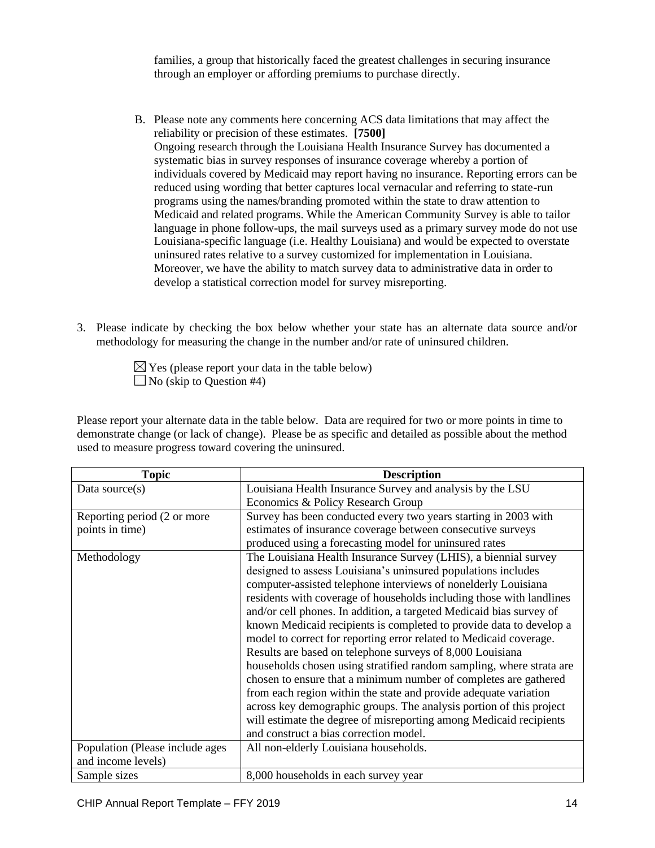families, a group that historically faced the greatest challenges in securing insurance through an employer or affording premiums to purchase directly.

- B. Please note any comments here concerning ACS data limitations that may affect the reliability or precision of these estimates. **[7500]** Ongoing research through the Louisiana Health Insurance Survey has documented a systematic bias in survey responses of insurance coverage whereby a portion of individuals covered by Medicaid may report having no insurance. Reporting errors can be reduced using wording that better captures local vernacular and referring to state-run programs using the names/branding promoted within the state to draw attention to Medicaid and related programs. While the American Community Survey is able to tailor language in phone follow-ups, the mail surveys used as a primary survey mode do not use Louisiana-specific language (i.e. Healthy Louisiana) and would be expected to overstate uninsured rates relative to a survey customized for implementation in Louisiana. Moreover, we have the ability to match survey data to administrative data in order to develop a statistical correction model for survey misreporting.
- 3. Please indicate by checking the box below whether your state has an alternate data source and/or methodology for measuring the change in the number and/or rate of uninsured children.

 $\boxtimes$  Yes (please report your data in the table below) No (skip to Question #4)

Please report your alternate data in the table below. Data are required for two or more points in time to demonstrate change (or lack of change). Please be as specific and detailed as possible about the method used to measure progress toward covering the uninsured.

| <b>Topic</b>                    | <b>Description</b>                                                   |  |
|---------------------------------|----------------------------------------------------------------------|--|
| Data source $(s)$               | Louisiana Health Insurance Survey and analysis by the LSU            |  |
|                                 | Economics & Policy Research Group                                    |  |
| Reporting period (2 or more     | Survey has been conducted every two years starting in 2003 with      |  |
| points in time)                 | estimates of insurance coverage between consecutive surveys          |  |
|                                 | produced using a forecasting model for uninsured rates               |  |
| Methodology                     | The Louisiana Health Insurance Survey (LHIS), a biennial survey      |  |
|                                 | designed to assess Louisiana's uninsured populations includes        |  |
|                                 | computer-assisted telephone interviews of nonelderly Louisiana       |  |
|                                 | residents with coverage of households including those with landlines |  |
|                                 | and/or cell phones. In addition, a targeted Medicaid bias survey of  |  |
|                                 | known Medicaid recipients is completed to provide data to develop a  |  |
|                                 | model to correct for reporting error related to Medicaid coverage.   |  |
|                                 | Results are based on telephone surveys of 8,000 Louisiana            |  |
|                                 | households chosen using stratified random sampling, where strata are |  |
|                                 | chosen to ensure that a minimum number of completes are gathered     |  |
|                                 | from each region within the state and provide adequate variation     |  |
|                                 | across key demographic groups. The analysis portion of this project  |  |
|                                 | will estimate the degree of misreporting among Medicaid recipients   |  |
|                                 | and construct a bias correction model.                               |  |
| Population (Please include ages | All non-elderly Louisiana households.                                |  |
| and income levels)              |                                                                      |  |
| Sample sizes                    | 8,000 households in each survey year                                 |  |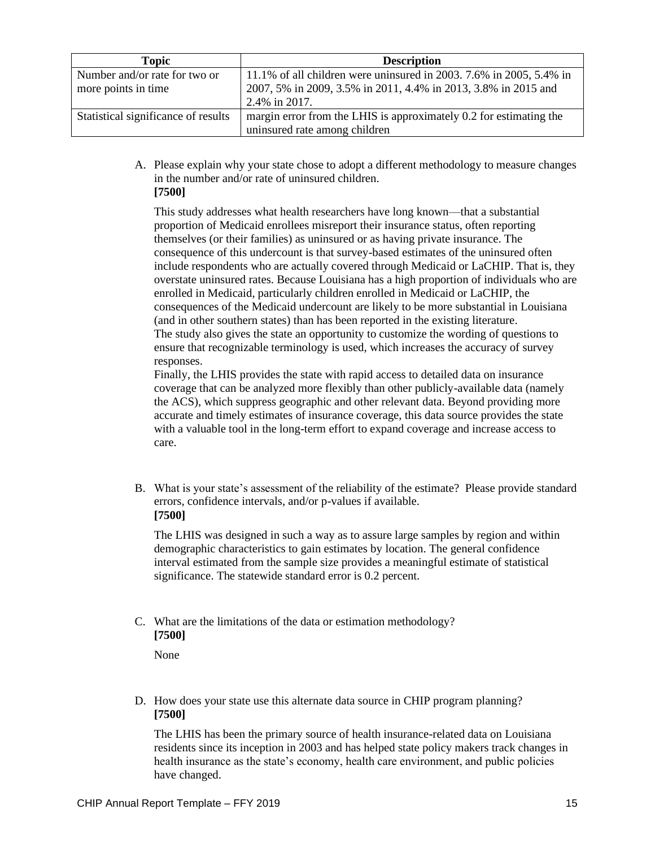| <b>Topic</b>                        | <b>Description</b>                                                  |  |
|-------------------------------------|---------------------------------------------------------------------|--|
| Number and/or rate for two or       | 11.1% of all children were uninsured in 2003. 7.6% in 2005, 5.4% in |  |
| more points in time                 | 2007, 5% in 2009, 3.5% in 2011, 4.4% in 2013, 3.8% in 2015 and      |  |
|                                     | 2.4% in 2017.                                                       |  |
| Statistical significance of results | margin error from the LHIS is approximately 0.2 for estimating the  |  |
|                                     | uninsured rate among children                                       |  |

A. Please explain why your state chose to adopt a different methodology to measure changes in the number and/or rate of uninsured children. **[7500]**

This study addresses what health researchers have long known—that a substantial proportion of Medicaid enrollees misreport their insurance status, often reporting themselves (or their families) as uninsured or as having private insurance. The consequence of this undercount is that survey-based estimates of the uninsured often include respondents who are actually covered through Medicaid or LaCHIP. That is, they overstate uninsured rates. Because Louisiana has a high proportion of individuals who are enrolled in Medicaid, particularly children enrolled in Medicaid or LaCHIP, the consequences of the Medicaid undercount are likely to be more substantial in Louisiana (and in other southern states) than has been reported in the existing literature. The study also gives the state an opportunity to customize the wording of questions to ensure that recognizable terminology is used, which increases the accuracy of survey responses.

Finally, the LHIS provides the state with rapid access to detailed data on insurance coverage that can be analyzed more flexibly than other publicly-available data (namely the ACS), which suppress geographic and other relevant data. Beyond providing more accurate and timely estimates of insurance coverage, this data source provides the state with a valuable tool in the long-term effort to expand coverage and increase access to care.

B. What is your state's assessment of the reliability of the estimate? Please provide standard errors, confidence intervals, and/or p-values if available. **[7500]**

The LHIS was designed in such a way as to assure large samples by region and within demographic characteristics to gain estimates by location. The general confidence interval estimated from the sample size provides a meaningful estimate of statistical significance. The statewide standard error is 0.2 percent.

C. What are the limitations of the data or estimation methodology? **[7500]**

None

D. How does your state use this alternate data source in CHIP program planning? **[7500]**

The LHIS has been the primary source of health insurance-related data on Louisiana residents since its inception in 2003 and has helped state policy makers track changes in health insurance as the state's economy, health care environment, and public policies have changed.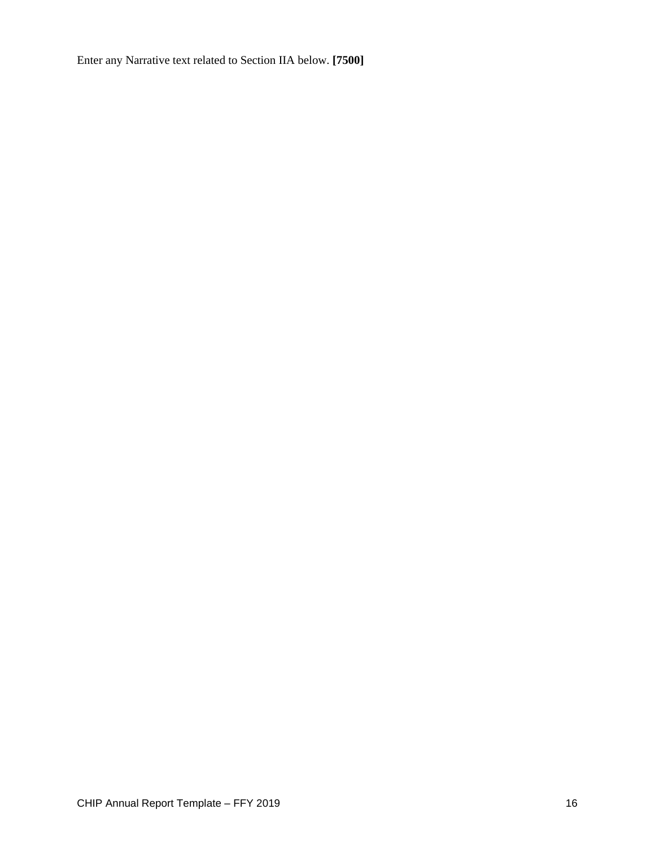Enter any Narrative text related to Section IIA below. **[7500]**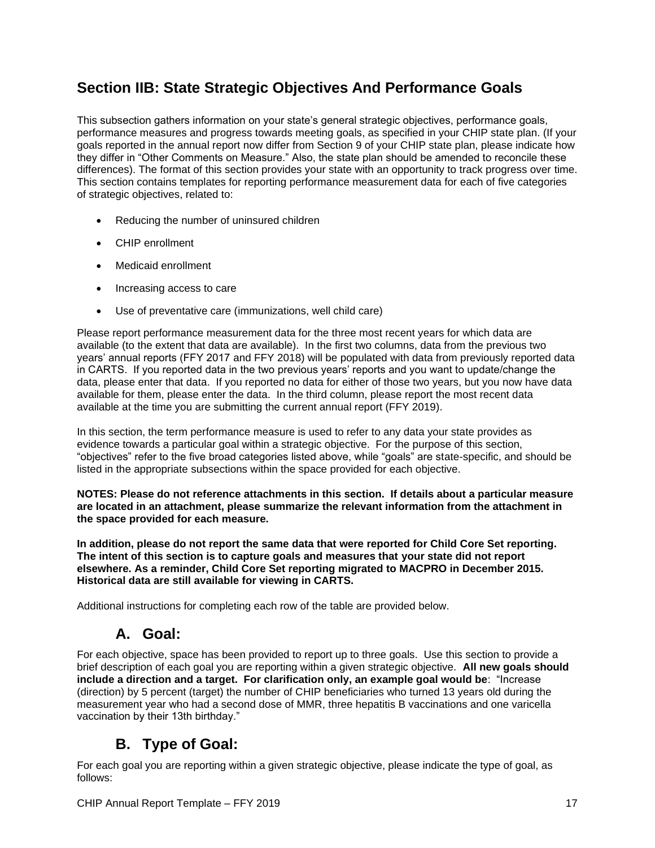# **Section IIB: State Strategic Objectives And Performance Goals**

This subsection gathers information on your state's general strategic objectives, performance goals, performance measures and progress towards meeting goals, as specified in your CHIP state plan. (If your goals reported in the annual report now differ from Section 9 of your CHIP state plan, please indicate how they differ in "Other Comments on Measure." Also, the state plan should be amended to reconcile these differences). The format of this section provides your state with an opportunity to track progress over time. This section contains templates for reporting performance measurement data for each of five categories of strategic objectives, related to:

- Reducing the number of uninsured children
- CHIP enrollment
- Medicaid enrollment
- Increasing access to care
- Use of preventative care (immunizations, well child care)

Please report performance measurement data for the three most recent years for which data are available (to the extent that data are available). In the first two columns, data from the previous two years' annual reports (FFY 2017 and FFY 2018) will be populated with data from previously reported data in CARTS. If you reported data in the two previous years' reports and you want to update/change the data, please enter that data. If you reported no data for either of those two years, but you now have data available for them, please enter the data. In the third column, please report the most recent data available at the time you are submitting the current annual report (FFY 2019).

In this section, the term performance measure is used to refer to any data your state provides as evidence towards a particular goal within a strategic objective. For the purpose of this section, "objectives" refer to the five broad categories listed above, while "goals" are state-specific, and should be listed in the appropriate subsections within the space provided for each objective.

**NOTES: Please do not reference attachments in this section. If details about a particular measure are located in an attachment, please summarize the relevant information from the attachment in the space provided for each measure.**

**In addition, please do not report the same data that were reported for Child Core Set reporting. The intent of this section is to capture goals and measures that your state did not report elsewhere. As a reminder, Child Core Set reporting migrated to MACPRO in December 2015. Historical data are still available for viewing in CARTS.**

Additional instructions for completing each row of the table are provided below.

## **A. Goal:**

For each objective, space has been provided to report up to three goals. Use this section to provide a brief description of each goal you are reporting within a given strategic objective. **All new goals should include a direction and a target. For clarification only, an example goal would be**: "Increase (direction) by 5 percent (target) the number of CHIP beneficiaries who turned 13 years old during the measurement year who had a second dose of MMR, three hepatitis B vaccinations and one varicella vaccination by their 13th birthday."

## **B. Type of Goal:**

For each goal you are reporting within a given strategic objective, please indicate the type of goal, as follows: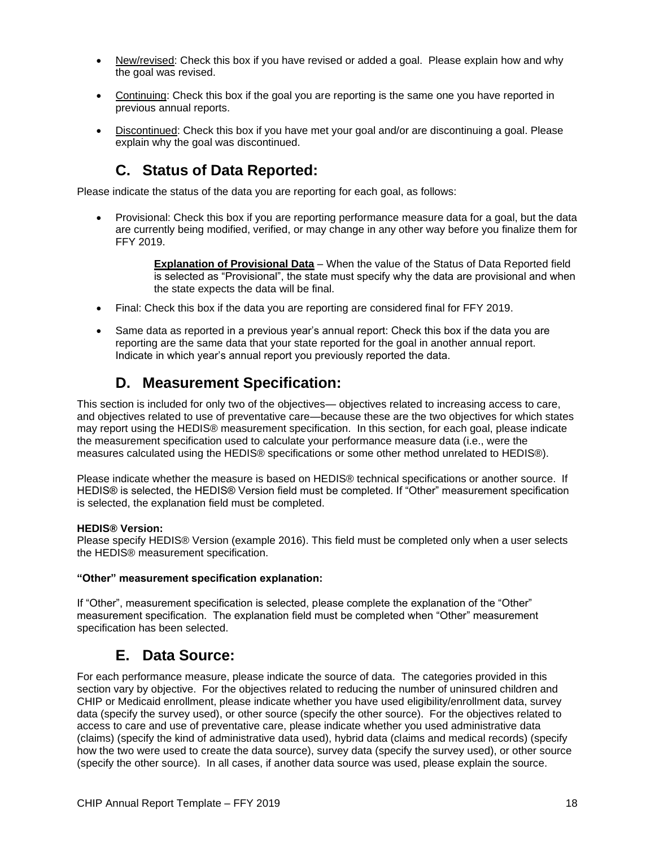- New/revised: Check this box if you have revised or added a goal. Please explain how and why the goal was revised.
- Continuing: Check this box if the goal you are reporting is the same one you have reported in previous annual reports.
- Discontinued: Check this box if you have met your goal and/or are discontinuing a goal. Please explain why the goal was discontinued.

## **C. Status of Data Reported:**

Please indicate the status of the data you are reporting for each goal, as follows:

• Provisional: Check this box if you are reporting performance measure data for a goal, but the data are currently being modified, verified, or may change in any other way before you finalize them for FFY 2019.

> **Explanation of Provisional Data** – When the value of the Status of Data Reported field is selected as "Provisional", the state must specify why the data are provisional and when the state expects the data will be final.

- Final: Check this box if the data you are reporting are considered final for FFY 2019.
- Same data as reported in a previous year's annual report: Check this box if the data you are reporting are the same data that your state reported for the goal in another annual report. Indicate in which year's annual report you previously reported the data.

### **D. Measurement Specification:**

This section is included for only two of the objectives— objectives related to increasing access to care, and objectives related to use of preventative care—because these are the two objectives for which states may report using the HEDIS® measurement specification. In this section, for each goal, please indicate the measurement specification used to calculate your performance measure data (i.e., were the measures calculated using the HEDIS® specifications or some other method unrelated to HEDIS®).

Please indicate whether the measure is based on HEDIS® technical specifications or another source. If HEDIS® is selected, the HEDIS® Version field must be completed. If "Other" measurement specification is selected, the explanation field must be completed.

#### **HEDIS® Version:**

Please specify HEDIS® Version (example 2016). This field must be completed only when a user selects the HEDIS® measurement specification.

#### **"Other" measurement specification explanation:**

If "Other", measurement specification is selected, please complete the explanation of the "Other" measurement specification. The explanation field must be completed when "Other" measurement specification has been selected.

## **E. Data Source:**

For each performance measure, please indicate the source of data. The categories provided in this section vary by objective. For the objectives related to reducing the number of uninsured children and CHIP or Medicaid enrollment, please indicate whether you have used eligibility/enrollment data, survey data (specify the survey used), or other source (specify the other source). For the objectives related to access to care and use of preventative care, please indicate whether you used administrative data (claims) (specify the kind of administrative data used), hybrid data (claims and medical records) (specify how the two were used to create the data source), survey data (specify the survey used), or other source (specify the other source). In all cases, if another data source was used, please explain the source.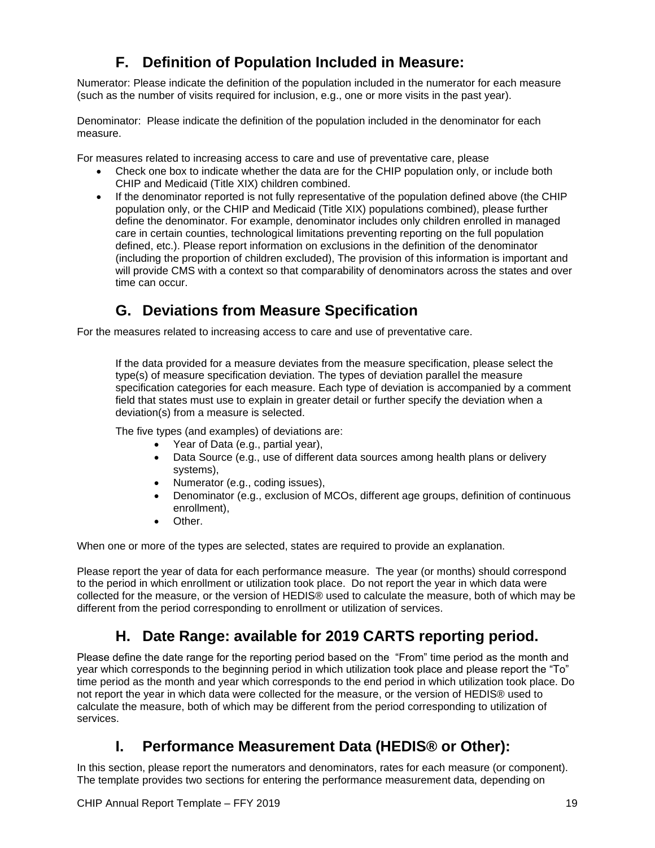# **F. Definition of Population Included in Measure:**

Numerator: Please indicate the definition of the population included in the numerator for each measure (such as the number of visits required for inclusion, e.g., one or more visits in the past year).

Denominator: Please indicate the definition of the population included in the denominator for each measure.

For measures related to increasing access to care and use of preventative care, please

- Check one box to indicate whether the data are for the CHIP population only, or include both CHIP and Medicaid (Title XIX) children combined.
- If the denominator reported is not fully representative of the population defined above (the CHIP population only, or the CHIP and Medicaid (Title XIX) populations combined), please further define the denominator. For example, denominator includes only children enrolled in managed care in certain counties, technological limitations preventing reporting on the full population defined, etc.). Please report information on exclusions in the definition of the denominator (including the proportion of children excluded), The provision of this information is important and will provide CMS with a context so that comparability of denominators across the states and over time can occur.

# **G. Deviations from Measure Specification**

For the measures related to increasing access to care and use of preventative care.

If the data provided for a measure deviates from the measure specification, please select the type(s) of measure specification deviation. The types of deviation parallel the measure specification categories for each measure. Each type of deviation is accompanied by a comment field that states must use to explain in greater detail or further specify the deviation when a deviation(s) from a measure is selected.

The five types (and examples) of deviations are:

- Year of Data (e.g., partial year),
- Data Source (e.g., use of different data sources among health plans or delivery systems),
- Numerator (e.g., coding issues),
- Denominator (e.g., exclusion of MCOs, different age groups, definition of continuous enrollment),
- Other.

When one or more of the types are selected, states are required to provide an explanation.

Please report the year of data for each performance measure. The year (or months) should correspond to the period in which enrollment or utilization took place. Do not report the year in which data were collected for the measure, or the version of HEDIS® used to calculate the measure, both of which may be different from the period corresponding to enrollment or utilization of services.

## **H. Date Range: available for 2019 CARTS reporting period.**

Please define the date range for the reporting period based on the "From" time period as the month and year which corresponds to the beginning period in which utilization took place and please report the "To" time period as the month and year which corresponds to the end period in which utilization took place. Do not report the year in which data were collected for the measure, or the version of HEDIS® used to calculate the measure, both of which may be different from the period corresponding to utilization of services.

## **I. Performance Measurement Data (HEDIS® or Other):**

In this section, please report the numerators and denominators, rates for each measure (or component). The template provides two sections for entering the performance measurement data, depending on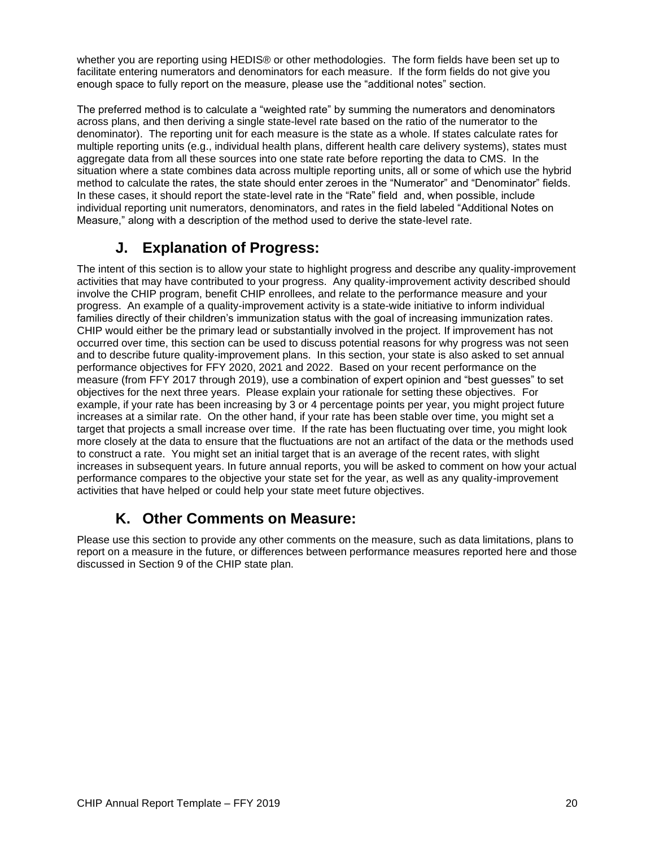whether you are reporting using HEDIS® or other methodologies. The form fields have been set up to facilitate entering numerators and denominators for each measure. If the form fields do not give you enough space to fully report on the measure, please use the "additional notes" section.

The preferred method is to calculate a "weighted rate" by summing the numerators and denominators across plans, and then deriving a single state-level rate based on the ratio of the numerator to the denominator). The reporting unit for each measure is the state as a whole. If states calculate rates for multiple reporting units (e.g., individual health plans, different health care delivery systems), states must aggregate data from all these sources into one state rate before reporting the data to CMS. In the situation where a state combines data across multiple reporting units, all or some of which use the hybrid method to calculate the rates, the state should enter zeroes in the "Numerator" and "Denominator" fields. In these cases, it should report the state-level rate in the "Rate" field and, when possible, include individual reporting unit numerators, denominators, and rates in the field labeled "Additional Notes on Measure," along with a description of the method used to derive the state-level rate.

## **J. Explanation of Progress:**

The intent of this section is to allow your state to highlight progress and describe any quality-improvement activities that may have contributed to your progress. Any quality-improvement activity described should involve the CHIP program, benefit CHIP enrollees, and relate to the performance measure and your progress. An example of a quality-improvement activity is a state-wide initiative to inform individual families directly of their children's immunization status with the goal of increasing immunization rates. CHIP would either be the primary lead or substantially involved in the project. If improvement has not occurred over time, this section can be used to discuss potential reasons for why progress was not seen and to describe future quality-improvement plans. In this section, your state is also asked to set annual performance objectives for FFY 2020, 2021 and 2022. Based on your recent performance on the measure (from FFY 2017 through 2019), use a combination of expert opinion and "best guesses" to set objectives for the next three years. Please explain your rationale for setting these objectives. For example, if your rate has been increasing by 3 or 4 percentage points per year, you might project future increases at a similar rate. On the other hand, if your rate has been stable over time, you might set a target that projects a small increase over time. If the rate has been fluctuating over time, you might look more closely at the data to ensure that the fluctuations are not an artifact of the data or the methods used to construct a rate. You might set an initial target that is an average of the recent rates, with slight increases in subsequent years. In future annual reports, you will be asked to comment on how your actual performance compares to the objective your state set for the year, as well as any quality-improvement activities that have helped or could help your state meet future objectives.

## **K. Other Comments on Measure:**

Please use this section to provide any other comments on the measure, such as data limitations, plans to report on a measure in the future, or differences between performance measures reported here and those discussed in Section 9 of the CHIP state plan.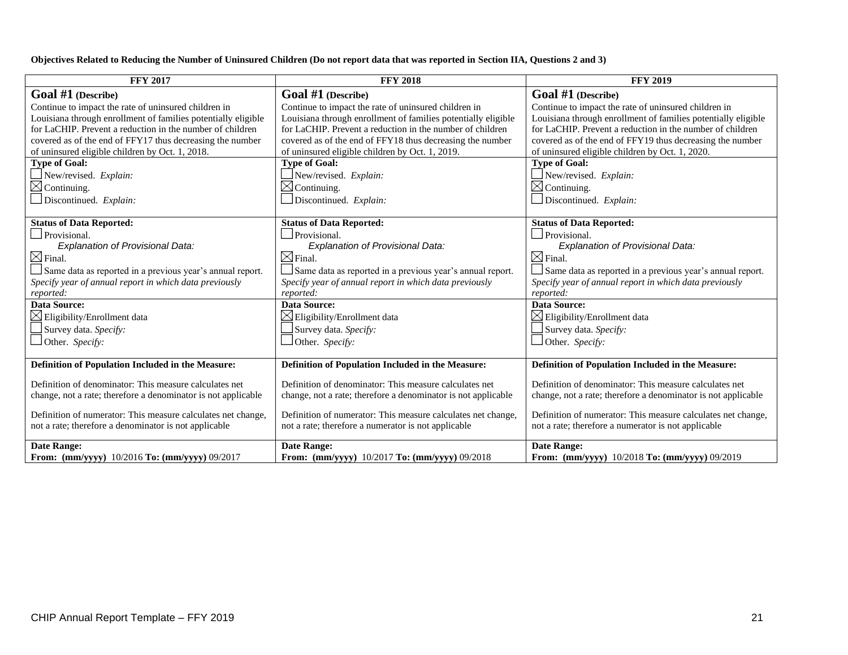#### **Objectives Related to Reducing the Number of Uninsured Children (Do not report data that was reported in Section IIA, Questions 2 and 3)**

| <b>FFY 2017</b>                                               | <b>FFY 2018</b>                                               | <b>FFY 2019</b>                                               |
|---------------------------------------------------------------|---------------------------------------------------------------|---------------------------------------------------------------|
| Goal $#1$ (Describe)                                          | Goal #1 (Describe)                                            | Goal #1 (Describe)                                            |
| Continue to impact the rate of uninsured children in          | Continue to impact the rate of uninsured children in          | Continue to impact the rate of uninsured children in          |
| Louisiana through enrollment of families potentially eligible | Louisiana through enrollment of families potentially eligible | Louisiana through enrollment of families potentially eligible |
| for LaCHIP. Prevent a reduction in the number of children     | for LaCHIP. Prevent a reduction in the number of children     | for LaCHIP. Prevent a reduction in the number of children     |
| covered as of the end of FFY17 thus decreasing the number     | covered as of the end of FFY18 thus decreasing the number     | covered as of the end of FFY19 thus decreasing the number     |
| of uninsured eligible children by Oct. 1, 2018.               | of uninsured eligible children by Oct. 1, 2019.               | of uninsured eligible children by Oct. 1, 2020.               |
| <b>Type of Goal:</b>                                          | <b>Type of Goal:</b>                                          | <b>Type of Goal:</b>                                          |
| New/revised. Explain:                                         | New/revised. Explain:                                         | New/revised. Explain:                                         |
| $\boxtimes$ Continuing.                                       | $\boxtimes$ Continuing.                                       | $\boxtimes$ Continuing.                                       |
| Discontinued. Explain:                                        | Discontinued. Explain:                                        | Discontinued. Explain:                                        |
|                                                               |                                                               |                                                               |
| <b>Status of Data Reported:</b>                               | <b>Status of Data Reported:</b>                               | <b>Status of Data Reported:</b>                               |
| $\Box$ Provisional.                                           | $\Box$ Provisional.                                           | $\Box$ Provisional.                                           |
| Explanation of Provisional Data:                              | Explanation of Provisional Data:                              | Explanation of Provisional Data:                              |
| $\boxtimes$ Final.                                            | $\boxtimes$ Final.                                            | $\boxtimes$ Final.                                            |
| Same data as reported in a previous year's annual report.     | Same data as reported in a previous year's annual report.     | Same data as reported in a previous year's annual report.     |
| Specify year of annual report in which data previously        | Specify year of annual report in which data previously        | Specify year of annual report in which data previously        |
| reported:                                                     | reported:                                                     | reported:                                                     |
| Data Source:                                                  | <b>Data Source:</b>                                           | <b>Data Source:</b>                                           |
| $\boxtimes$ Eligibility/Enrollment data                       | $\boxtimes$ Eligibility/Enrollment data                       | $\boxtimes$ Eligibility/Enrollment data                       |
| Survey data. Specify:                                         | Survey data. Specify:                                         | $\Box$ Survey data. Specify:                                  |
| Other. Specify:                                               | Other. Specify:                                               | Other. Specify:                                               |
|                                                               |                                                               |                                                               |
| Definition of Population Included in the Measure:             | Definition of Population Included in the Measure:             | Definition of Population Included in the Measure:             |
|                                                               |                                                               |                                                               |
| Definition of denominator: This measure calculates net        | Definition of denominator: This measure calculates net        | Definition of denominator: This measure calculates net        |
| change, not a rate; therefore a denominator is not applicable | change, not a rate; therefore a denominator is not applicable | change, not a rate; therefore a denominator is not applicable |
|                                                               |                                                               |                                                               |
| Definition of numerator: This measure calculates net change,  | Definition of numerator: This measure calculates net change,  | Definition of numerator: This measure calculates net change,  |
| not a rate; therefore a denominator is not applicable         | not a rate; therefore a numerator is not applicable           | not a rate; therefore a numerator is not applicable           |
| Date Range:                                                   | <b>Date Range:</b>                                            | <b>Date Range:</b>                                            |
| From: (mm/yyyy) 10/2016 To: (mm/yyyy) 09/2017                 | From: (mm/yyyy) 10/2017 To: (mm/yyyy) 09/2018                 | From: (mm/yyyy) 10/2018 To: (mm/yyyy) 09/2019                 |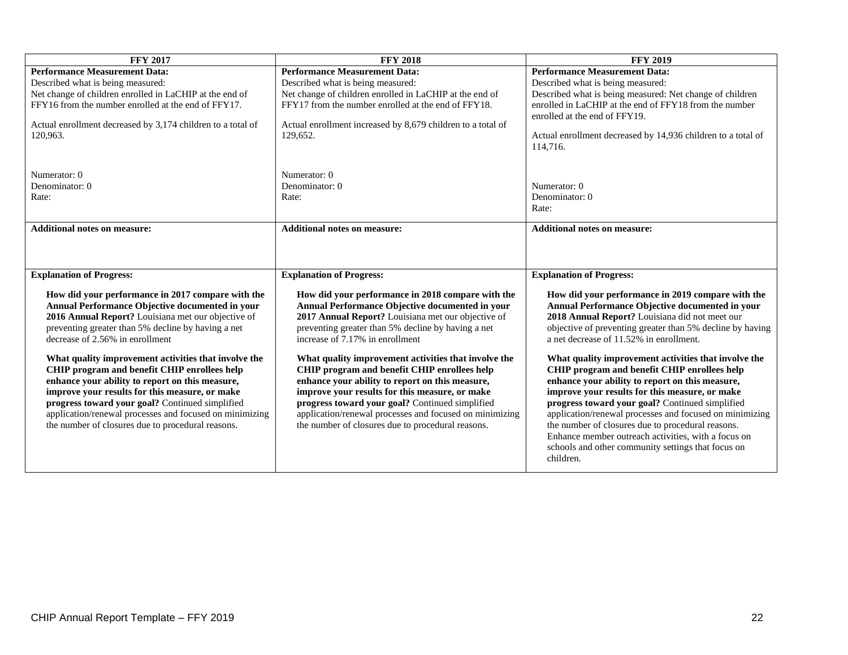| <b>FFY 2017</b>                                                                                      | <b>FFY 2018</b>                                                                                      | <b>FFY 2019</b>                                                                                      |
|------------------------------------------------------------------------------------------------------|------------------------------------------------------------------------------------------------------|------------------------------------------------------------------------------------------------------|
| <b>Performance Measurement Data:</b>                                                                 | <b>Performance Measurement Data:</b>                                                                 | <b>Performance Measurement Data:</b>                                                                 |
| Described what is being measured:                                                                    | Described what is being measured:                                                                    | Described what is being measured:                                                                    |
| Net change of children enrolled in LaCHIP at the end of                                              | Net change of children enrolled in LaCHIP at the end of                                              | Described what is being measured: Net change of children                                             |
| FFY16 from the number enrolled at the end of FFY17.                                                  | FFY17 from the number enrolled at the end of FFY18.                                                  | enrolled in LaCHIP at the end of FFY18 from the number                                               |
|                                                                                                      |                                                                                                      | enrolled at the end of FFY19.                                                                        |
| Actual enrollment decreased by 3,174 children to a total of                                          | Actual enrollment increased by 8,679 children to a total of                                          |                                                                                                      |
| 120,963.                                                                                             | 129,652.                                                                                             | Actual enrollment decreased by 14,936 children to a total of                                         |
|                                                                                                      |                                                                                                      | 114,716.                                                                                             |
|                                                                                                      |                                                                                                      |                                                                                                      |
| Numerator: 0                                                                                         | Numerator: 0                                                                                         |                                                                                                      |
| Denominator: 0                                                                                       | Denominator: 0                                                                                       | Numerator: 0                                                                                         |
| Rate:                                                                                                | Rate:                                                                                                | Denominator: 0                                                                                       |
|                                                                                                      |                                                                                                      | Rate:                                                                                                |
|                                                                                                      |                                                                                                      |                                                                                                      |
| <b>Additional notes on measure:</b>                                                                  | <b>Additional notes on measure:</b>                                                                  | <b>Additional notes on measure:</b>                                                                  |
|                                                                                                      |                                                                                                      |                                                                                                      |
|                                                                                                      |                                                                                                      |                                                                                                      |
|                                                                                                      |                                                                                                      |                                                                                                      |
| <b>Explanation of Progress:</b>                                                                      | <b>Explanation of Progress:</b>                                                                      | <b>Explanation of Progress:</b>                                                                      |
|                                                                                                      |                                                                                                      |                                                                                                      |
| How did your performance in 2017 compare with the<br>Annual Performance Objective documented in your | How did your performance in 2018 compare with the<br>Annual Performance Objective documented in your | How did your performance in 2019 compare with the<br>Annual Performance Objective documented in your |
| 2016 Annual Report? Louisiana met our objective of                                                   | 2017 Annual Report? Louisiana met our objective of                                                   | 2018 Annual Report? Louisiana did not meet our                                                       |
| preventing greater than 5% decline by having a net                                                   | preventing greater than 5% decline by having a net                                                   | objective of preventing greater than 5% decline by having                                            |
| decrease of 2.56% in enrollment                                                                      | increase of 7.17% in enrollment                                                                      | a net decrease of 11.52% in enrollment.                                                              |
|                                                                                                      |                                                                                                      |                                                                                                      |
| What quality improvement activities that involve the                                                 | What quality improvement activities that involve the                                                 | What quality improvement activities that involve the                                                 |
| CHIP program and benefit CHIP enrollees help                                                         | CHIP program and benefit CHIP enrollees help                                                         | CHIP program and benefit CHIP enrollees help                                                         |
| enhance your ability to report on this measure,                                                      | enhance your ability to report on this measure,                                                      | enhance your ability to report on this measure,                                                      |
| improve your results for this measure, or make                                                       | improve your results for this measure, or make                                                       | improve your results for this measure, or make                                                       |
| progress toward your goal? Continued simplified                                                      | progress toward your goal? Continued simplified                                                      | progress toward your goal? Continued simplified                                                      |
| application/renewal processes and focused on minimizing                                              | application/renewal processes and focused on minimizing                                              | application/renewal processes and focused on minimizing                                              |
| the number of closures due to procedural reasons.                                                    | the number of closures due to procedural reasons.                                                    | the number of closures due to procedural reasons.                                                    |
|                                                                                                      |                                                                                                      | Enhance member outreach activities, with a focus on                                                  |
|                                                                                                      |                                                                                                      | schools and other community settings that focus on                                                   |
|                                                                                                      |                                                                                                      | children.                                                                                            |
|                                                                                                      |                                                                                                      |                                                                                                      |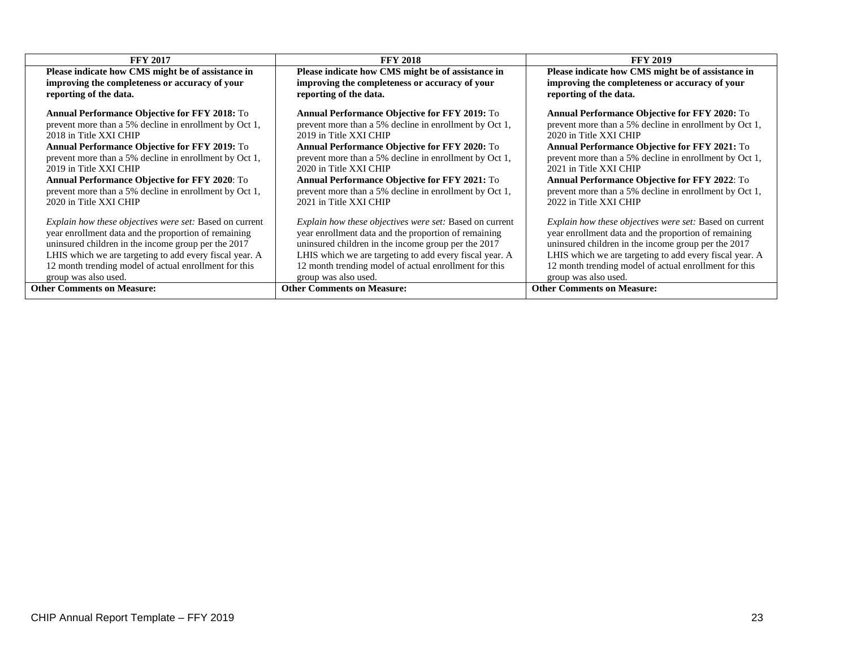| <b>FFY 2017</b>                                                                                     | <b>FFY 2018</b>                                                                                     | <b>FFY 2019</b>                                                                                     |
|-----------------------------------------------------------------------------------------------------|-----------------------------------------------------------------------------------------------------|-----------------------------------------------------------------------------------------------------|
| Please indicate how CMS might be of assistance in<br>improving the completeness or accuracy of your | Please indicate how CMS might be of assistance in<br>improving the completeness or accuracy of your | Please indicate how CMS might be of assistance in<br>improving the completeness or accuracy of your |
| reporting of the data.                                                                              | reporting of the data.                                                                              | reporting of the data.                                                                              |
| <b>Annual Performance Objective for FFY 2018:</b> To                                                | <b>Annual Performance Objective for FFY 2019: To</b>                                                | <b>Annual Performance Objective for FFY 2020: To</b>                                                |
| prevent more than a 5% decline in enrollment by Oct 1,                                              | prevent more than a 5% decline in enrollment by Oct 1,                                              | prevent more than a 5% decline in enrollment by Oct 1,                                              |
| 2018 in Title XXI CHIP                                                                              | 2019 in Title XXI CHIP                                                                              | 2020 in Title XXI CHIP                                                                              |
| <b>Annual Performance Objective for FFY 2019:</b> To                                                | <b>Annual Performance Objective for FFY 2020: To</b>                                                | <b>Annual Performance Objective for FFY 2021:</b> To                                                |
| prevent more than a 5% decline in enrollment by Oct 1,                                              | prevent more than a 5% decline in enrollment by Oct 1,                                              | prevent more than a 5% decline in enrollment by Oct 1,                                              |
| 2019 in Title XXI CHIP                                                                              | 2020 in Title XXI CHIP                                                                              | 2021 in Title XXI CHIP                                                                              |
| <b>Annual Performance Objective for FFY 2020: To</b>                                                | <b>Annual Performance Objective for FFY 2021:</b> To                                                | <b>Annual Performance Objective for FFY 2022: To</b>                                                |
| prevent more than a 5% decline in enrollment by Oct 1,                                              | prevent more than a 5% decline in enrollment by Oct 1,                                              | prevent more than a 5% decline in enrollment by Oct 1,                                              |
| 2020 in Title XXI CHIP                                                                              | 2021 in Title XXI CHIP                                                                              | 2022 in Title XXI CHIP                                                                              |
| <i>Explain how these objectives were set:</i> Based on current                                      | <i>Explain how these objectives were set:</i> Based on current                                      | <i>Explain how these objectives were set:</i> Based on current                                      |
| year enrollment data and the proportion of remaining                                                | year enrollment data and the proportion of remaining                                                | year enrollment data and the proportion of remaining                                                |
| uninsured children in the income group per the 2017                                                 | uninsured children in the income group per the 2017                                                 | uninsured children in the income group per the 2017                                                 |
| LHIS which we are targeting to add every fiscal year. A                                             | LHIS which we are targeting to add every fiscal year. A                                             | LHIS which we are targeting to add every fiscal year. A                                             |
| 12 month trending model of actual enrollment for this                                               | 12 month trending model of actual enrollment for this                                               | 12 month trending model of actual enrollment for this                                               |
| group was also used.                                                                                | group was also used.                                                                                | group was also used.                                                                                |
| <b>Other Comments on Measure:</b>                                                                   | <b>Other Comments on Measure:</b>                                                                   | <b>Other Comments on Measure:</b>                                                                   |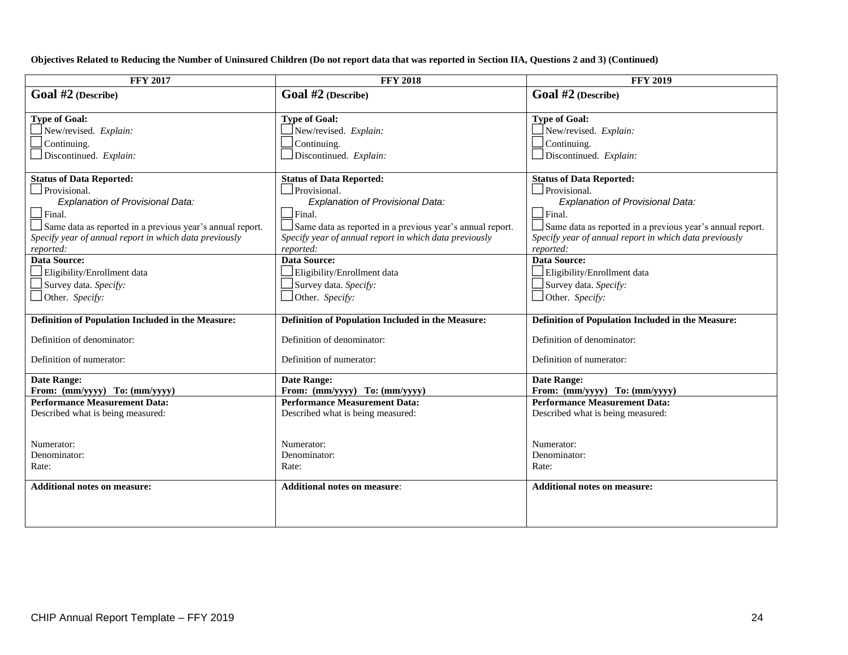**Objectives Related to Reducing the Number of Uninsured Children (Do not report data that was reported in Section IIA, Questions 2 and 3) (Continued)**

| <b>FFY 2017</b>                                           | <b>FFY 2018</b>                                           | <b>FFY 2019</b>                                           |
|-----------------------------------------------------------|-----------------------------------------------------------|-----------------------------------------------------------|
| Goal #2 (Describe)                                        | Goal #2 (Describe)                                        | Goal #2 (Describe)                                        |
|                                                           |                                                           |                                                           |
| <b>Type of Goal:</b>                                      | <b>Type of Goal:</b>                                      | <b>Type of Goal:</b>                                      |
| New/revised. Explain:                                     | New/revised. Explain:                                     | New/revised. Explain:                                     |
| Continuing.                                               | Continuing.                                               | Continuing.                                               |
| Discontinued. Explain:                                    | Discontinued. Explain:                                    | Discontinued. Explain:                                    |
|                                                           |                                                           |                                                           |
| <b>Status of Data Reported:</b>                           | <b>Status of Data Reported:</b>                           | <b>Status of Data Reported:</b>                           |
| Provisional.                                              | Provisional.                                              | Provisional.                                              |
| Explanation of Provisional Data:                          | Explanation of Provisional Data:                          | Explanation of Provisional Data:                          |
| $\Box$ Final.                                             | $\Box$ Final.                                             | $\Box$ Final.                                             |
| Same data as reported in a previous year's annual report. | Same data as reported in a previous year's annual report. | Same data as reported in a previous year's annual report. |
| Specify year of annual report in which data previously    | Specify year of annual report in which data previously    | Specify year of annual report in which data previously    |
| reported:                                                 | reported:                                                 | reported:                                                 |
| <b>Data Source:</b>                                       | <b>Data Source:</b>                                       | <b>Data Source:</b>                                       |
| Eligibility/Enrollment data                               | Eligibility/Enrollment data                               | Eligibility/Enrollment data                               |
| Survey data. Specify:                                     | Survey data. Specify:                                     | Survey data. Specify:                                     |
| $\Box$ Other. Specify:                                    | Other. Specify:                                           | $\Box$ Other. Specify:                                    |
|                                                           |                                                           |                                                           |
| Definition of Population Included in the Measure:         | Definition of Population Included in the Measure:         | Definition of Population Included in the Measure:         |
| Definition of denominator:                                | Definition of denominator:                                | Definition of denominator:                                |
|                                                           |                                                           |                                                           |
| Definition of numerator:                                  | Definition of numerator:                                  | Definition of numerator:                                  |
| <b>Date Range:</b>                                        | <b>Date Range:</b>                                        | <b>Date Range:</b>                                        |
| From: (mm/yyyy) To: (mm/yyyy)                             | From: (mm/yyyy) To: (mm/yyyy)                             | From: (mm/yyyy) To: (mm/yyyy)                             |
| <b>Performance Measurement Data:</b>                      | <b>Performance Measurement Data:</b>                      | <b>Performance Measurement Data:</b>                      |
| Described what is being measured:                         | Described what is being measured:                         | Described what is being measured:                         |
|                                                           |                                                           |                                                           |
|                                                           |                                                           |                                                           |
| Numerator:                                                | Numerator:                                                | Numerator:                                                |
| Denominator:                                              | Denominator:                                              | Denominator:                                              |
| Rate:                                                     | Rate:                                                     | Rate:                                                     |
| <b>Additional notes on measure:</b>                       | <b>Additional notes on measure:</b>                       | <b>Additional notes on measure:</b>                       |
|                                                           |                                                           |                                                           |
|                                                           |                                                           |                                                           |
|                                                           |                                                           |                                                           |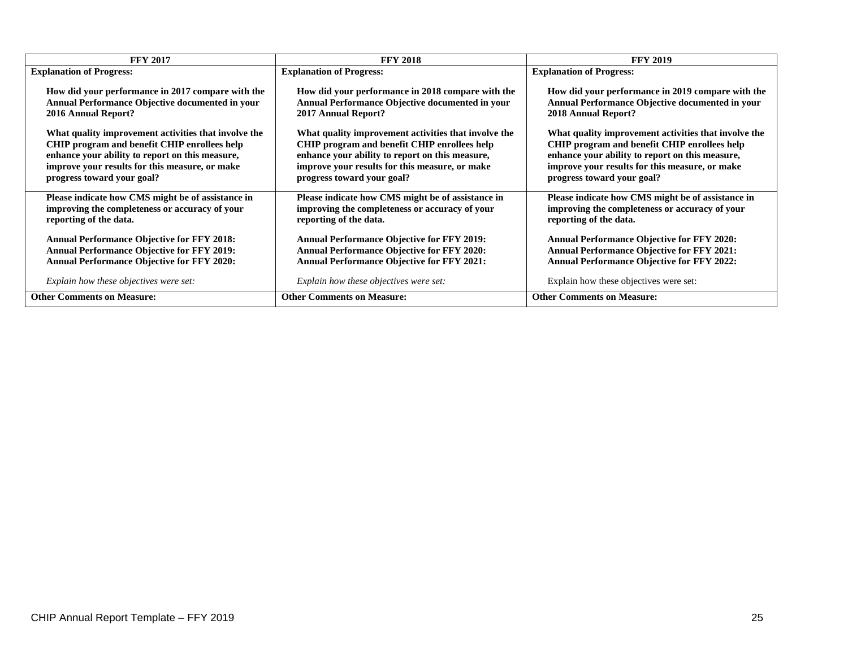| <b>FFY 2017</b>                                      | <b>FFY 2018</b>                                      | <b>FFY 2019</b>                                      |
|------------------------------------------------------|------------------------------------------------------|------------------------------------------------------|
| <b>Explanation of Progress:</b>                      | <b>Explanation of Progress:</b>                      | <b>Explanation of Progress:</b>                      |
| How did your performance in 2017 compare with the    | How did your performance in 2018 compare with the    | How did your performance in 2019 compare with the    |
| Annual Performance Objective documented in your      | Annual Performance Objective documented in your      | Annual Performance Objective documented in your      |
| <b>2016 Annual Report?</b>                           | 2017 Annual Report?                                  | 2018 Annual Report?                                  |
| What quality improvement activities that involve the | What quality improvement activities that involve the | What quality improvement activities that involve the |
| CHIP program and benefit CHIP enrollees help         | CHIP program and benefit CHIP enrollees help         | CHIP program and benefit CHIP enrollees help         |
| enhance your ability to report on this measure,      | enhance your ability to report on this measure,      | enhance your ability to report on this measure,      |
| improve your results for this measure, or make       | improve your results for this measure, or make       | improve your results for this measure, or make       |
| progress toward your goal?                           | progress toward your goal?                           | progress toward your goal?                           |
| Please indicate how CMS might be of assistance in    | Please indicate how CMS might be of assistance in    | Please indicate how CMS might be of assistance in    |
| improving the completeness or accuracy of your       | improving the completeness or accuracy of your       | improving the completeness or accuracy of your       |
| reporting of the data.                               | reporting of the data.                               | reporting of the data.                               |
| <b>Annual Performance Objective for FFY 2018:</b>    | <b>Annual Performance Objective for FFY 2019:</b>    | <b>Annual Performance Objective for FFY 2020:</b>    |
| <b>Annual Performance Objective for FFY 2019:</b>    | <b>Annual Performance Objective for FFY 2020:</b>    | <b>Annual Performance Objective for FFY 2021:</b>    |
| <b>Annual Performance Objective for FFY 2020:</b>    | <b>Annual Performance Objective for FFY 2021:</b>    | <b>Annual Performance Objective for FFY 2022:</b>    |
| Explain how these objectives were set:               | Explain how these objectives were set:               | Explain how these objectives were set:               |
| <b>Other Comments on Measure:</b>                    | <b>Other Comments on Measure:</b>                    | <b>Other Comments on Measure:</b>                    |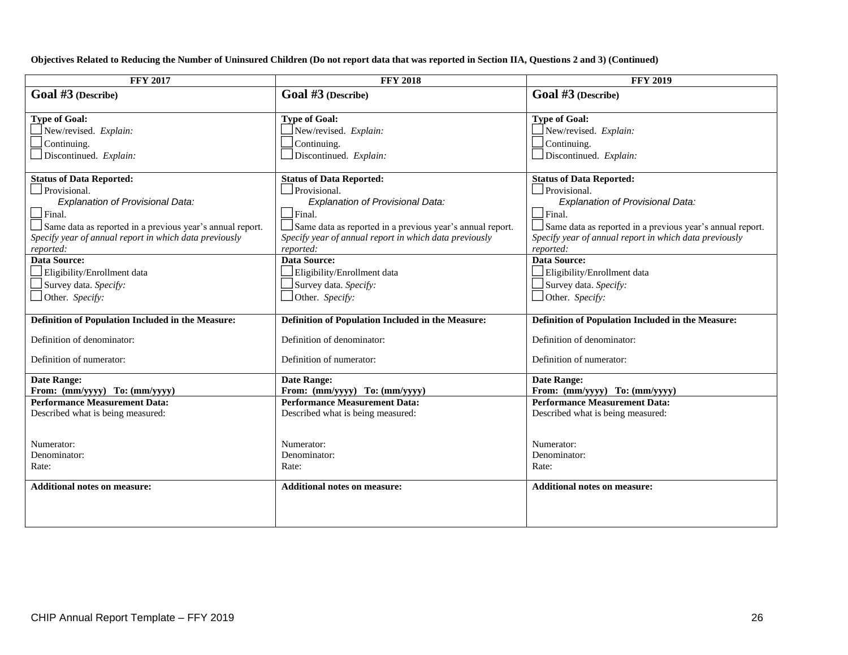**Objectives Related to Reducing the Number of Uninsured Children (Do not report data that was reported in Section IIA, Questions 2 and 3) (Continued)**

| <b>FFY 2017</b>                                           | <b>FFY 2018</b>                                           | <b>FFY 2019</b>                                           |
|-----------------------------------------------------------|-----------------------------------------------------------|-----------------------------------------------------------|
| $Goal$ #3 (Describe)                                      | Goal $#3$ (Describe)                                      | Goal $#3$ (Describe)                                      |
|                                                           |                                                           |                                                           |
| <b>Type of Goal:</b>                                      | <b>Type of Goal:</b>                                      | <b>Type of Goal:</b>                                      |
| New/revised. Explain:                                     | New/revised. Explain:                                     | New/revised. Explain:                                     |
| Continuing.                                               | Continuing.                                               | Continuing.                                               |
| Discontinued. Explain:                                    | Discontinued. Explain:                                    | $\Box$ Discontinued. Explain:                             |
|                                                           |                                                           |                                                           |
| <b>Status of Data Reported:</b>                           | <b>Status of Data Reported:</b>                           | <b>Status of Data Reported:</b>                           |
| Provisional.                                              | Provisional.                                              | $\Box$ Provisional.                                       |
| Explanation of Provisional Data:                          | Explanation of Provisional Data:                          | Explanation of Provisional Data:                          |
| $\Box$ Final.                                             | $\Box$ Final.                                             | $\Box$ Final.                                             |
| Same data as reported in a previous year's annual report. | Same data as reported in a previous year's annual report. | Same data as reported in a previous year's annual report. |
| Specify year of annual report in which data previously    | Specify year of annual report in which data previously    | Specify year of annual report in which data previously    |
| reported:                                                 | reported:                                                 | reported:                                                 |
| <b>Data Source:</b>                                       | <b>Data Source:</b>                                       | <b>Data Source:</b>                                       |
| Eligibility/Enrollment data                               | Eligibility/Enrollment data                               | Eligibility/Enrollment data                               |
| Survey data. Specify:                                     | Survey data. Specify:                                     | Survey data. Specify:                                     |
| $\Box$ Other. Specify:                                    | Other. Specify:                                           | $\Box$ Other. Specify:                                    |
|                                                           |                                                           |                                                           |
| Definition of Population Included in the Measure:         | Definition of Population Included in the Measure:         | Definition of Population Included in the Measure:         |
| Definition of denominator:                                | Definition of denominator:                                | Definition of denominator:                                |
|                                                           |                                                           |                                                           |
| Definition of numerator:                                  | Definition of numerator:                                  | Definition of numerator:                                  |
| <b>Date Range:</b>                                        | <b>Date Range:</b>                                        | <b>Date Range:</b>                                        |
| From: (mm/yyyy) To: (mm/yyyy)                             | From: (mm/yyyy) To: (mm/yyyy)                             | From: (mm/yyyy) To: (mm/yyyy)                             |
| <b>Performance Measurement Data:</b>                      | <b>Performance Measurement Data:</b>                      | <b>Performance Measurement Data:</b>                      |
| Described what is being measured:                         | Described what is being measured:                         | Described what is being measured:                         |
|                                                           |                                                           |                                                           |
|                                                           |                                                           |                                                           |
| Numerator:                                                | Numerator:                                                | Numerator:                                                |
| Denominator:                                              | Denominator:                                              | Denominator:                                              |
| Rate:                                                     | Rate:                                                     | Rate:                                                     |
| <b>Additional notes on measure:</b>                       | <b>Additional notes on measure:</b>                       | <b>Additional notes on measure:</b>                       |
|                                                           |                                                           |                                                           |
|                                                           |                                                           |                                                           |
|                                                           |                                                           |                                                           |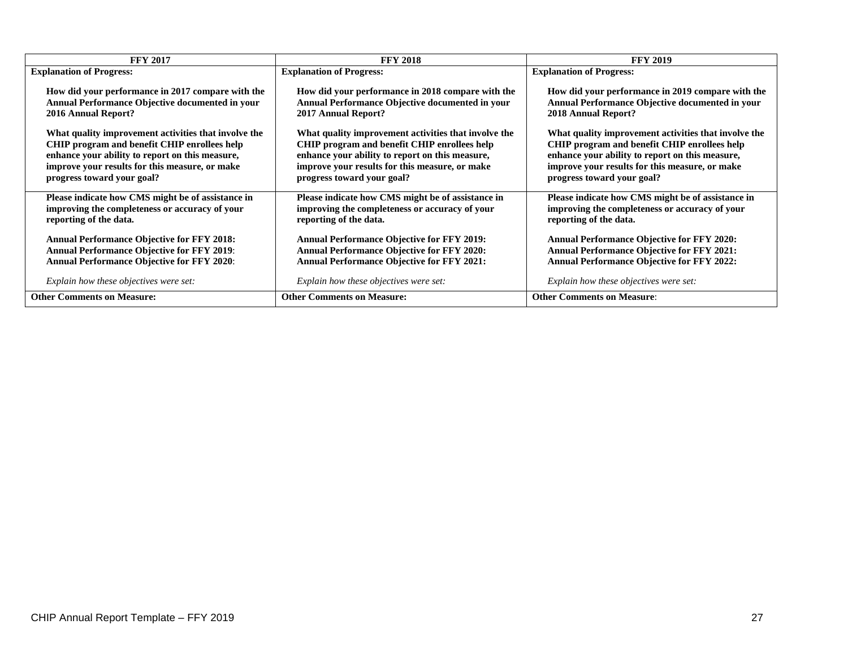| <b>FFY 2017</b>                                      | <b>FFY 2018</b>                                      | <b>FFY 2019</b>                                      |
|------------------------------------------------------|------------------------------------------------------|------------------------------------------------------|
| <b>Explanation of Progress:</b>                      | <b>Explanation of Progress:</b>                      | <b>Explanation of Progress:</b>                      |
| How did your performance in 2017 compare with the    | How did your performance in 2018 compare with the    | How did your performance in 2019 compare with the    |
| Annual Performance Objective documented in your      | Annual Performance Objective documented in your      | Annual Performance Objective documented in your      |
| <b>2016 Annual Report?</b>                           | 2017 Annual Report?                                  | 2018 Annual Report?                                  |
| What quality improvement activities that involve the | What quality improvement activities that involve the | What quality improvement activities that involve the |
| CHIP program and benefit CHIP enrollees help         | CHIP program and benefit CHIP enrollees help         | CHIP program and benefit CHIP enrollees help         |
| enhance your ability to report on this measure,      | enhance your ability to report on this measure,      | enhance your ability to report on this measure,      |
| improve your results for this measure, or make       | improve your results for this measure, or make       | improve your results for this measure, or make       |
| progress toward your goal?                           | progress toward your goal?                           | progress toward your goal?                           |
| Please indicate how CMS might be of assistance in    | Please indicate how CMS might be of assistance in    | Please indicate how CMS might be of assistance in    |
| improving the completeness or accuracy of your       | improving the completeness or accuracy of your       | improving the completeness or accuracy of your       |
| reporting of the data.                               | reporting of the data.                               | reporting of the data.                               |
| <b>Annual Performance Objective for FFY 2018:</b>    | <b>Annual Performance Objective for FFY 2019:</b>    | <b>Annual Performance Objective for FFY 2020:</b>    |
| <b>Annual Performance Objective for FFY 2019:</b>    | <b>Annual Performance Objective for FFY 2020:</b>    | <b>Annual Performance Objective for FFY 2021:</b>    |
| <b>Annual Performance Objective for FFY 2020:</b>    | <b>Annual Performance Objective for FFY 2021:</b>    | <b>Annual Performance Objective for FFY 2022:</b>    |
| Explain how these objectives were set:               | Explain how these objectives were set:               | Explain how these objectives were set:               |
| <b>Other Comments on Measure:</b>                    | <b>Other Comments on Measure:</b>                    | <b>Other Comments on Measure:</b>                    |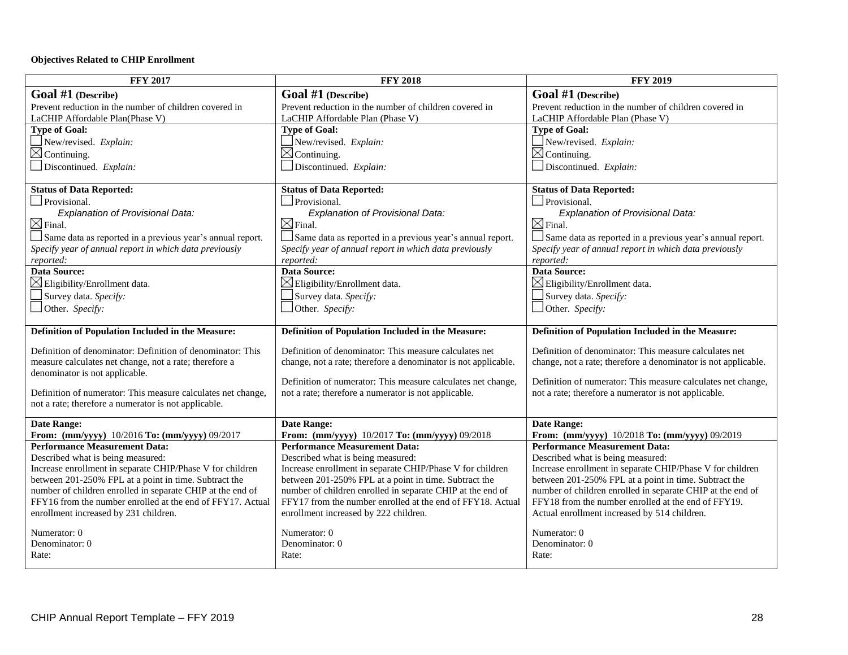#### **Objectives Related to CHIP Enrollment**

| <b>FFY 2017</b>                                                                                                          | <b>FFY 2018</b>                                                                                                          | <b>FFY 2019</b>                                                                                                   |
|--------------------------------------------------------------------------------------------------------------------------|--------------------------------------------------------------------------------------------------------------------------|-------------------------------------------------------------------------------------------------------------------|
| Goal $#1$ (Describe)                                                                                                     | Goal #1 (Describe)                                                                                                       | Goal #1 (Describe)                                                                                                |
| Prevent reduction in the number of children covered in                                                                   | Prevent reduction in the number of children covered in                                                                   | Prevent reduction in the number of children covered in                                                            |
| LaCHIP Affordable Plan(Phase V)                                                                                          | LaCHIP Affordable Plan (Phase V)                                                                                         | LaCHIP Affordable Plan (Phase V)                                                                                  |
| <b>Type of Goal:</b>                                                                                                     | <b>Type of Goal:</b>                                                                                                     | <b>Type of Goal:</b>                                                                                              |
| New/revised. Explain:                                                                                                    | New/revised. Explain:                                                                                                    | New/revised. Explain:                                                                                             |
| $\boxtimes$ Continuing.                                                                                                  | $\boxtimes$ Continuing.                                                                                                  | $\boxtimes$ Continuing.                                                                                           |
| Discontinued. Explain:                                                                                                   | Discontinued. Explain:                                                                                                   | Discontinued. Explain:                                                                                            |
| <b>Status of Data Reported:</b>                                                                                          | <b>Status of Data Reported:</b>                                                                                          | <b>Status of Data Reported:</b>                                                                                   |
| Provisional.                                                                                                             | $\Box$ Provisional.                                                                                                      | Provisional.                                                                                                      |
| Explanation of Provisional Data:                                                                                         | Explanation of Provisional Data:                                                                                         | Explanation of Provisional Data:                                                                                  |
| $\boxtimes$ Final.                                                                                                       | $\boxtimes$ Final.                                                                                                       | $\boxtimes$ Final.                                                                                                |
| Same data as reported in a previous year's annual report.                                                                | Same data as reported in a previous year's annual report.                                                                | Same data as reported in a previous year's annual report.                                                         |
| Specify year of annual report in which data previously                                                                   | Specify year of annual report in which data previously                                                                   | Specify year of annual report in which data previously                                                            |
| reported:                                                                                                                | reported:                                                                                                                | reported:                                                                                                         |
| Data Source:                                                                                                             | <b>Data Source:</b>                                                                                                      | Data Source:                                                                                                      |
| $\boxtimes$ Eligibility/Enrollment data.                                                                                 | $\boxtimes$ Eligibility/Enrollment data.                                                                                 | $\boxtimes$ Eligibility/Enrollment data.                                                                          |
| Survey data. Specify:                                                                                                    | Survey data. Specify:                                                                                                    | Survey data. Specify:                                                                                             |
| Other. Specify:                                                                                                          | Other. Specify:                                                                                                          | Other. Specify:                                                                                                   |
|                                                                                                                          |                                                                                                                          |                                                                                                                   |
| Definition of Population Included in the Measure:                                                                        | Definition of Population Included in the Measure:                                                                        | Definition of Population Included in the Measure:                                                                 |
| Definition of denominator: Definition of denominator: This                                                               | Definition of denominator: This measure calculates net                                                                   | Definition of denominator: This measure calculates net                                                            |
| measure calculates net change, not a rate; therefore a                                                                   | change, not a rate; therefore a denominator is not applicable.                                                           | change, not a rate; therefore a denominator is not applicable.                                                    |
| denominator is not applicable.                                                                                           |                                                                                                                          |                                                                                                                   |
|                                                                                                                          | Definition of numerator: This measure calculates net change,<br>not a rate; therefore a numerator is not applicable.     | Definition of numerator: This measure calculates net change,                                                      |
| Definition of numerator: This measure calculates net change,<br>not a rate; therefore a numerator is not applicable.     |                                                                                                                          | not a rate; therefore a numerator is not applicable.                                                              |
|                                                                                                                          |                                                                                                                          |                                                                                                                   |
| <b>Date Range:</b>                                                                                                       | <b>Date Range:</b>                                                                                                       | <b>Date Range:</b>                                                                                                |
| From: (mm/yyyy) 10/2016 To: (mm/yyyy) 09/2017                                                                            | From: (mm/yyyy) 10/2017 To: (mm/yyyy) 09/2018                                                                            | From: (mm/yyyy) 10/2018 To: (mm/yyyy) 09/2019                                                                     |
| <b>Performance Measurement Data:</b>                                                                                     | <b>Performance Measurement Data:</b>                                                                                     | <b>Performance Measurement Data:</b>                                                                              |
| Described what is being measured:                                                                                        | Described what is being measured:                                                                                        | Described what is being measured:                                                                                 |
| Increase enrollment in separate CHIP/Phase V for children                                                                | Increase enrollment in separate CHIP/Phase V for children                                                                | Increase enrollment in separate CHIP/Phase V for children                                                         |
| between 201-250% FPL at a point in time. Subtract the                                                                    | between 201-250% FPL at a point in time. Subtract the                                                                    | between 201-250% FPL at a point in time. Subtract the                                                             |
| number of children enrolled in separate CHIP at the end of<br>FFY16 from the number enrolled at the end of FFY17. Actual | number of children enrolled in separate CHIP at the end of<br>FFY17 from the number enrolled at the end of FFY18. Actual | number of children enrolled in separate CHIP at the end of<br>FFY18 from the number enrolled at the end of FFY19. |
| enrollment increased by 231 children.                                                                                    | enrollment increased by 222 children.                                                                                    | Actual enrollment increased by 514 children.                                                                      |
|                                                                                                                          |                                                                                                                          |                                                                                                                   |
| Numerator: 0                                                                                                             | Numerator: 0                                                                                                             | Numerator: 0                                                                                                      |
| Denominator: 0                                                                                                           | Denominator: 0                                                                                                           | Denominator: 0                                                                                                    |
| Rate:                                                                                                                    | Rate:                                                                                                                    | Rate:                                                                                                             |
|                                                                                                                          |                                                                                                                          |                                                                                                                   |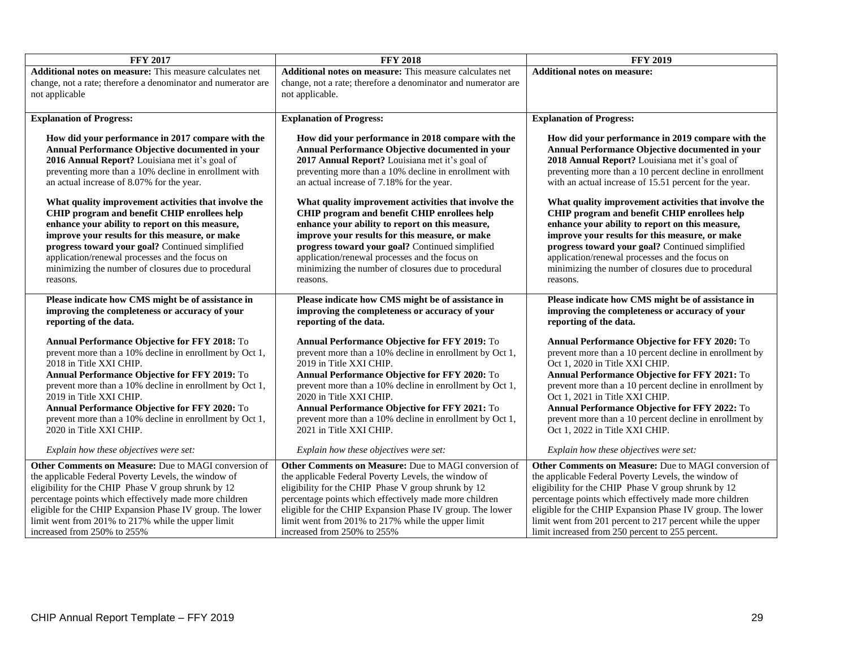| <b>FFY 2017</b>                                                                                                                                                                                                                                                                                                                                                                                                          | <b>FFY 2018</b>                                                                                                                                                                                                                                                                                                                                                                                                          | <b>FFY 2019</b>                                                                                                                                                                                                                                                                                                                                                                                                                        |
|--------------------------------------------------------------------------------------------------------------------------------------------------------------------------------------------------------------------------------------------------------------------------------------------------------------------------------------------------------------------------------------------------------------------------|--------------------------------------------------------------------------------------------------------------------------------------------------------------------------------------------------------------------------------------------------------------------------------------------------------------------------------------------------------------------------------------------------------------------------|----------------------------------------------------------------------------------------------------------------------------------------------------------------------------------------------------------------------------------------------------------------------------------------------------------------------------------------------------------------------------------------------------------------------------------------|
| Additional notes on measure: This measure calculates net                                                                                                                                                                                                                                                                                                                                                                 | Additional notes on measure: This measure calculates net                                                                                                                                                                                                                                                                                                                                                                 | <b>Additional notes on measure:</b>                                                                                                                                                                                                                                                                                                                                                                                                    |
| change, not a rate; therefore a denominator and numerator are                                                                                                                                                                                                                                                                                                                                                            | change, not a rate; therefore a denominator and numerator are                                                                                                                                                                                                                                                                                                                                                            |                                                                                                                                                                                                                                                                                                                                                                                                                                        |
| not applicable                                                                                                                                                                                                                                                                                                                                                                                                           | not applicable.                                                                                                                                                                                                                                                                                                                                                                                                          |                                                                                                                                                                                                                                                                                                                                                                                                                                        |
|                                                                                                                                                                                                                                                                                                                                                                                                                          |                                                                                                                                                                                                                                                                                                                                                                                                                          |                                                                                                                                                                                                                                                                                                                                                                                                                                        |
| <b>Explanation of Progress:</b>                                                                                                                                                                                                                                                                                                                                                                                          | <b>Explanation of Progress:</b>                                                                                                                                                                                                                                                                                                                                                                                          | <b>Explanation of Progress:</b>                                                                                                                                                                                                                                                                                                                                                                                                        |
| How did your performance in 2017 compare with the<br>Annual Performance Objective documented in your<br>2016 Annual Report? Louisiana met it's goal of<br>preventing more than a 10% decline in enrollment with<br>an actual increase of 8.07% for the year.                                                                                                                                                             | How did your performance in 2018 compare with the<br>Annual Performance Objective documented in your<br>2017 Annual Report? Louisiana met it's goal of<br>preventing more than a 10% decline in enrollment with<br>an actual increase of 7.18% for the year.                                                                                                                                                             | How did your performance in 2019 compare with the<br>Annual Performance Objective documented in your<br>2018 Annual Report? Louisiana met it's goal of<br>preventing more than a 10 percent decline in enrollment<br>with an actual increase of 15.51 percent for the year.                                                                                                                                                            |
| What quality improvement activities that involve the<br>CHIP program and benefit CHIP enrollees help<br>enhance your ability to report on this measure,<br>improve your results for this measure, or make<br>progress toward your goal? Continued simplified<br>application/renewal processes and the focus on<br>minimizing the number of closures due to procedural<br>reasons.                                        | What quality improvement activities that involve the<br>CHIP program and benefit CHIP enrollees help<br>enhance your ability to report on this measure,<br>improve your results for this measure, or make<br>progress toward your goal? Continued simplified<br>application/renewal processes and the focus on<br>minimizing the number of closures due to procedural<br>reasons.                                        | What quality improvement activities that involve the<br>CHIP program and benefit CHIP enrollees help<br>enhance your ability to report on this measure,<br>improve your results for this measure, or make<br>progress toward your goal? Continued simplified<br>application/renewal processes and the focus on<br>minimizing the number of closures due to procedural<br>reasons.                                                      |
| Please indicate how CMS might be of assistance in<br>improving the completeness or accuracy of your<br>reporting of the data.                                                                                                                                                                                                                                                                                            | Please indicate how CMS might be of assistance in<br>improving the completeness or accuracy of your<br>reporting of the data.                                                                                                                                                                                                                                                                                            | Please indicate how CMS might be of assistance in<br>improving the completeness or accuracy of your<br>reporting of the data.                                                                                                                                                                                                                                                                                                          |
| <b>Annual Performance Objective for FFY 2018: To</b><br>prevent more than a 10% decline in enrollment by Oct 1,<br>2018 in Title XXI CHIP.<br>Annual Performance Objective for FFY 2019: To<br>prevent more than a 10% decline in enrollment by Oct 1,<br>2019 in Title XXI CHIP.<br>Annual Performance Objective for FFY 2020: To<br>prevent more than a 10% decline in enrollment by Oct 1,<br>2020 in Title XXI CHIP. | <b>Annual Performance Objective for FFY 2019: To</b><br>prevent more than a 10% decline in enrollment by Oct 1,<br>2019 in Title XXI CHIP.<br>Annual Performance Objective for FFY 2020: To<br>prevent more than a 10% decline in enrollment by Oct 1,<br>2020 in Title XXI CHIP.<br>Annual Performance Objective for FFY 2021: To<br>prevent more than a 10% decline in enrollment by Oct 1,<br>2021 in Title XXI CHIP. | Annual Performance Objective for FFY 2020: To<br>prevent more than a 10 percent decline in enrollment by<br>Oct 1, 2020 in Title XXI CHIP.<br>Annual Performance Objective for FFY 2021: To<br>prevent more than a 10 percent decline in enrollment by<br>Oct 1, 2021 in Title XXI CHIP.<br>Annual Performance Objective for FFY 2022: To<br>prevent more than a 10 percent decline in enrollment by<br>Oct 1, 2022 in Title XXI CHIP. |
| Explain how these objectives were set:                                                                                                                                                                                                                                                                                                                                                                                   | Explain how these objectives were set:                                                                                                                                                                                                                                                                                                                                                                                   | Explain how these objectives were set:                                                                                                                                                                                                                                                                                                                                                                                                 |
| Other Comments on Measure: Due to MAGI conversion of<br>the applicable Federal Poverty Levels, the window of<br>eligibility for the CHIP Phase V group shrunk by 12<br>percentage points which effectively made more children<br>eligible for the CHIP Expansion Phase IV group. The lower<br>limit went from 201% to 217% while the upper limit<br>increased from 250% to 255%                                          | Other Comments on Measure: Due to MAGI conversion of<br>the applicable Federal Poverty Levels, the window of<br>eligibility for the CHIP Phase V group shrunk by 12<br>percentage points which effectively made more children<br>eligible for the CHIP Expansion Phase IV group. The lower<br>limit went from 201% to 217% while the upper limit<br>increased from 250% to 255%                                          | Other Comments on Measure: Due to MAGI conversion of<br>the applicable Federal Poverty Levels, the window of<br>eligibility for the CHIP Phase V group shrunk by 12<br>percentage points which effectively made more children<br>eligible for the CHIP Expansion Phase IV group. The lower<br>limit went from 201 percent to 217 percent while the upper<br>limit increased from 250 percent to 255 percent.                           |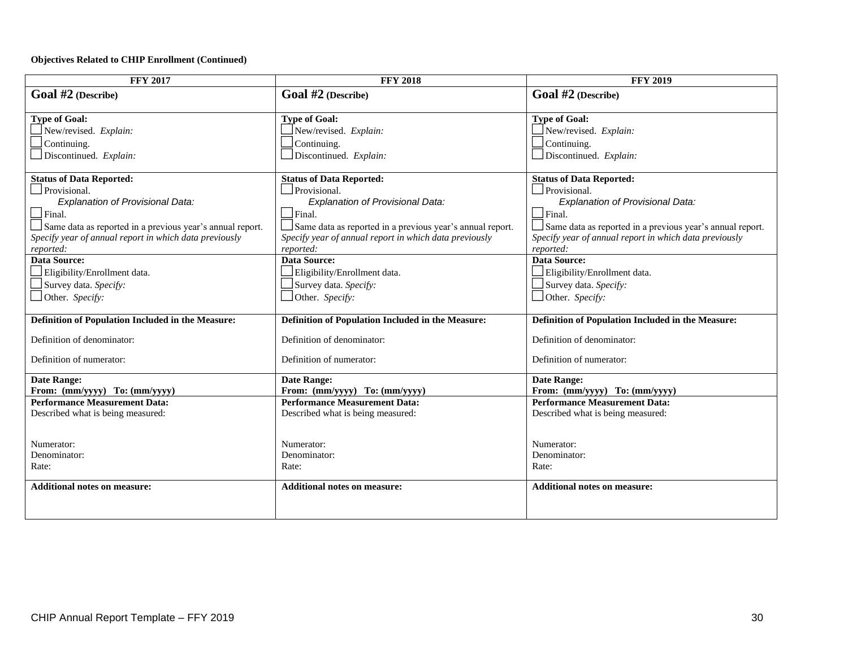#### **Objectives Related to CHIP Enrollment (Continued)**

| <b>FFY 2017</b>                                                       | <b>FFY 2018</b>                                                       | <b>FFY 2019</b>                                                       |
|-----------------------------------------------------------------------|-----------------------------------------------------------------------|-----------------------------------------------------------------------|
| Goal #2 (Describe)                                                    | Goal #2 (Describe)                                                    | Goal #2 (Describe)                                                    |
|                                                                       |                                                                       |                                                                       |
| <b>Type of Goal:</b>                                                  | <b>Type of Goal:</b>                                                  | <b>Type of Goal:</b>                                                  |
| New/revised. Explain:                                                 | New/revised. Explain:                                                 | New/revised. Explain:                                                 |
| Continuing.                                                           | Continuing.                                                           | Continuing.                                                           |
| Discontinued. Explain:                                                | Discontinued. Explain:                                                | Discontinued. Explain:                                                |
| <b>Status of Data Reported:</b>                                       | <b>Status of Data Reported:</b>                                       | <b>Status of Data Reported:</b>                                       |
| Provisional.                                                          | Provisional.                                                          | Provisional.                                                          |
| Explanation of Provisional Data:                                      | Explanation of Provisional Data:                                      | Explanation of Provisional Data:                                      |
| $\Box$ Final.                                                         | Final.                                                                | $\Box$ Final.                                                         |
| Same data as reported in a previous year's annual report.             | Same data as reported in a previous year's annual report.             | Same data as reported in a previous year's annual report.             |
| Specify year of annual report in which data previously                | Specify year of annual report in which data previously                | Specify year of annual report in which data previously                |
| reported:                                                             | reported:                                                             | reported:                                                             |
| <b>Data Source:</b>                                                   | <b>Data Source:</b>                                                   | <b>Data Source:</b>                                                   |
| Eligibility/Enrollment data.                                          | Eligibility/Enrollment data.                                          | Eligibility/Enrollment data.                                          |
| Survey data. Specify:                                                 | Survey data. Specify:                                                 | Survey data. Specify:                                                 |
| $\Box$ Other. Specify:                                                | Other. Specify:                                                       | Other. Specify:                                                       |
|                                                                       |                                                                       |                                                                       |
| Definition of Population Included in the Measure:                     | Definition of Population Included in the Measure:                     | Definition of Population Included in the Measure:                     |
| Definition of denominator:                                            | Definition of denominator:                                            | Definition of denominator:                                            |
| Definition of numerator:                                              | Definition of numerator:                                              | Definition of numerator:                                              |
|                                                                       |                                                                       |                                                                       |
| <b>Date Range:</b>                                                    | <b>Date Range:</b>                                                    | <b>Date Range:</b>                                                    |
| From: (mm/yyyy) To: (mm/yyyy)<br><b>Performance Measurement Data:</b> | From: (mm/yyyy) To: (mm/yyyy)<br><b>Performance Measurement Data:</b> | From: (mm/yyyy) To: (mm/yyyy)<br><b>Performance Measurement Data:</b> |
| Described what is being measured:                                     | Described what is being measured:                                     | Described what is being measured:                                     |
|                                                                       |                                                                       |                                                                       |
|                                                                       |                                                                       |                                                                       |
| Numerator:                                                            | Numerator:                                                            | Numerator:                                                            |
| Denominator:                                                          | Denominator:                                                          | Denominator:                                                          |
| Rate:                                                                 | Rate:                                                                 | Rate:                                                                 |
| <b>Additional notes on measure:</b>                                   | <b>Additional notes on measure:</b>                                   | <b>Additional notes on measure:</b>                                   |
|                                                                       |                                                                       |                                                                       |
|                                                                       |                                                                       |                                                                       |
|                                                                       |                                                                       |                                                                       |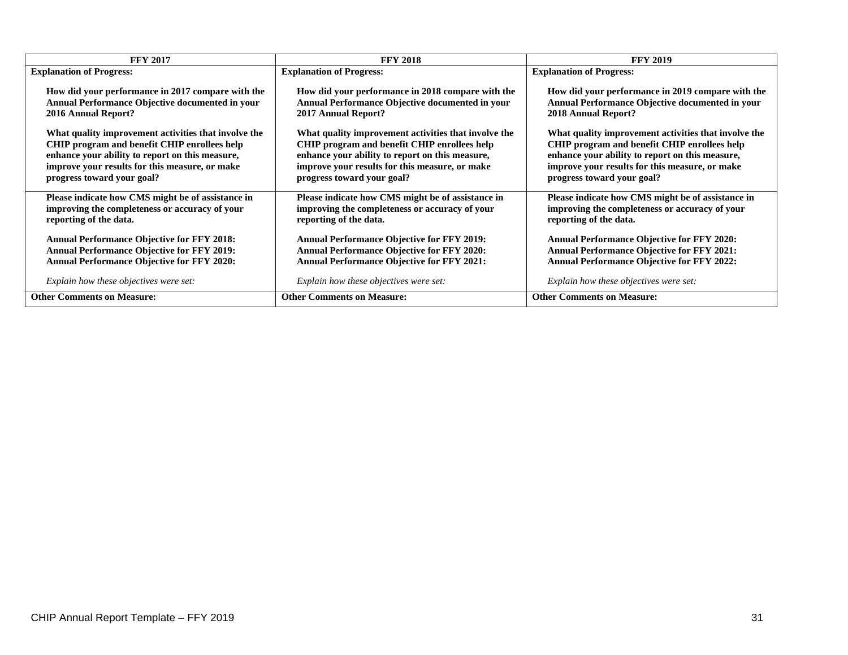| <b>FFY 2017</b>                                      | <b>FFY 2018</b>                                        | <b>FFY 2019</b>                                      |
|------------------------------------------------------|--------------------------------------------------------|------------------------------------------------------|
| <b>Explanation of Progress:</b>                      | <b>Explanation of Progress:</b>                        | <b>Explanation of Progress:</b>                      |
| How did your performance in 2017 compare with the    | How did your performance in 2018 compare with the      | How did your performance in 2019 compare with the    |
| Annual Performance Objective documented in your      | <b>Annual Performance Objective documented in your</b> | Annual Performance Objective documented in your      |
| 2016 Annual Report?                                  | 2017 Annual Report?                                    | 2018 Annual Report?                                  |
| What quality improvement activities that involve the | What quality improvement activities that involve the   | What quality improvement activities that involve the |
| CHIP program and benefit CHIP enrollees help         | CHIP program and benefit CHIP enrollees help           | CHIP program and benefit CHIP enrollees help         |
| enhance your ability to report on this measure,      | enhance your ability to report on this measure,        | enhance your ability to report on this measure,      |
| improve your results for this measure, or make       | improve your results for this measure, or make         | improve your results for this measure, or make       |
| progress toward your goal?                           | progress toward your goal?                             | progress toward your goal?                           |
| Please indicate how CMS might be of assistance in    | Please indicate how CMS might be of assistance in      | Please indicate how CMS might be of assistance in    |
| improving the completeness or accuracy of your       | improving the completeness or accuracy of your         | improving the completeness or accuracy of your       |
| reporting of the data.                               | reporting of the data.                                 | reporting of the data.                               |
| <b>Annual Performance Objective for FFY 2018:</b>    | <b>Annual Performance Objective for FFY 2019:</b>      | <b>Annual Performance Objective for FFY 2020:</b>    |
| <b>Annual Performance Objective for FFY 2019:</b>    | <b>Annual Performance Objective for FFY 2020:</b>      | <b>Annual Performance Objective for FFY 2021:</b>    |
| <b>Annual Performance Objective for FFY 2020:</b>    | <b>Annual Performance Objective for FFY 2021:</b>      | <b>Annual Performance Objective for FFY 2022:</b>    |
| Explain how these objectives were set:               | Explain how these objectives were set:                 | Explain how these objectives were set:               |
| <b>Other Comments on Measure:</b>                    | <b>Other Comments on Measure:</b>                      | <b>Other Comments on Measure:</b>                    |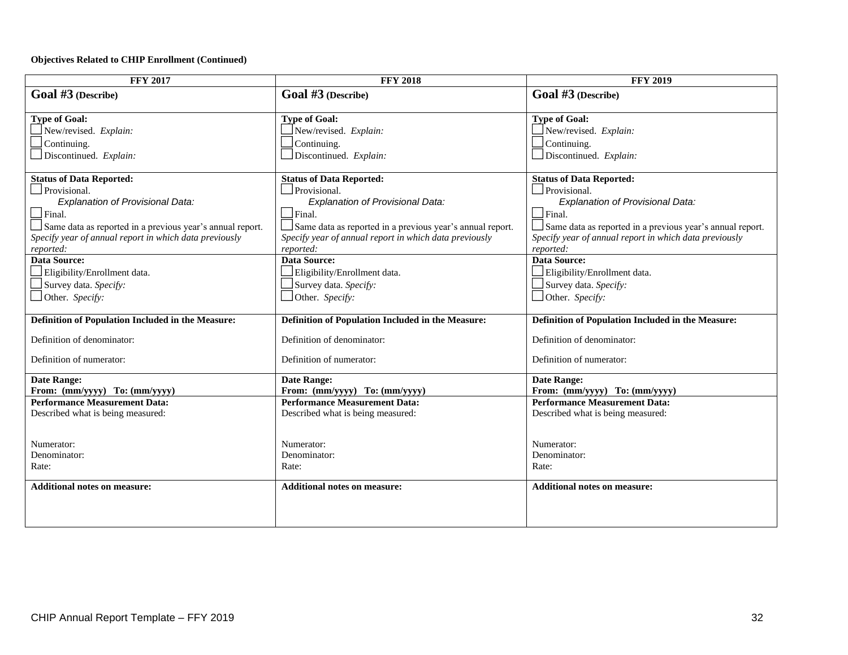#### **Objectives Related to CHIP Enrollment (Continued)**

| <b>FFY 2017</b>                                           | <b>FFY 2018</b>                                           | <b>FFY 2019</b>                                           |
|-----------------------------------------------------------|-----------------------------------------------------------|-----------------------------------------------------------|
| Goal #3 (Describe)                                        | Goal #3 (Describe)                                        | Goal #3 (Describe)                                        |
|                                                           |                                                           |                                                           |
| <b>Type of Goal:</b>                                      | <b>Type of Goal:</b>                                      | <b>Type of Goal:</b>                                      |
| New/revised. Explain:                                     | New/revised. Explain:                                     | New/revised. Explain:                                     |
| Continuing.                                               | Continuing.                                               | Continuing.                                               |
| Discontinued. Explain:                                    | Discontinued. Explain:                                    | Discontinued. Explain:                                    |
| <b>Status of Data Reported:</b>                           | <b>Status of Data Reported:</b>                           | <b>Status of Data Reported:</b>                           |
| Provisional.                                              | Provisional.                                              | Provisional.                                              |
| Explanation of Provisional Data:                          | <b>Explanation of Provisional Data:</b>                   | <b>Explanation of Provisional Data:</b>                   |
| $\Box$ Final.                                             | $\Box$ Final.                                             | $\Box$ Final.                                             |
| Same data as reported in a previous year's annual report. | Same data as reported in a previous year's annual report. | Same data as reported in a previous year's annual report. |
| Specify year of annual report in which data previously    | Specify year of annual report in which data previously    | Specify year of annual report in which data previously    |
| reported:                                                 | reported:                                                 | reported:                                                 |
| <b>Data Source:</b>                                       | <b>Data Source:</b>                                       | <b>Data Source:</b>                                       |
| Eligibility/Enrollment data.                              | Eligibility/Enrollment data.                              | Eligibility/Enrollment data.                              |
| Survey data. Specify:                                     | Survey data. Specify:                                     | Survey data. Specify:                                     |
| Other. Specify:                                           | $\Box$ Other. Specify:                                    | $\Box$ Other. Specify:                                    |
|                                                           |                                                           |                                                           |
| Definition of Population Included in the Measure:         | Definition of Population Included in the Measure:         | Definition of Population Included in the Measure:         |
| Definition of denominator:                                | Definition of denominator:                                | Definition of denominator:                                |
| Definition of numerator:                                  | Definition of numerator:                                  | Definition of numerator:                                  |
| <b>Date Range:</b>                                        | Date Range:                                               | <b>Date Range:</b>                                        |
| From: (mm/yyyy) To: (mm/yyyy)                             | From: (mm/yyyy) To: (mm/yyyy)                             | From: (mm/yyyy) To: (mm/yyyy)                             |
| <b>Performance Measurement Data:</b>                      | <b>Performance Measurement Data:</b>                      | <b>Performance Measurement Data:</b>                      |
| Described what is being measured:                         | Described what is being measured:                         | Described what is being measured:                         |
|                                                           |                                                           |                                                           |
| Numerator:                                                | Numerator:                                                | Numerator:                                                |
| Denominator:                                              | Denominator:                                              | Denominator:                                              |
| Rate:                                                     | Rate:                                                     | Rate:                                                     |
|                                                           |                                                           |                                                           |
| <b>Additional notes on measure:</b>                       | <b>Additional notes on measure:</b>                       | <b>Additional notes on measure:</b>                       |
|                                                           |                                                           |                                                           |
|                                                           |                                                           |                                                           |
|                                                           |                                                           |                                                           |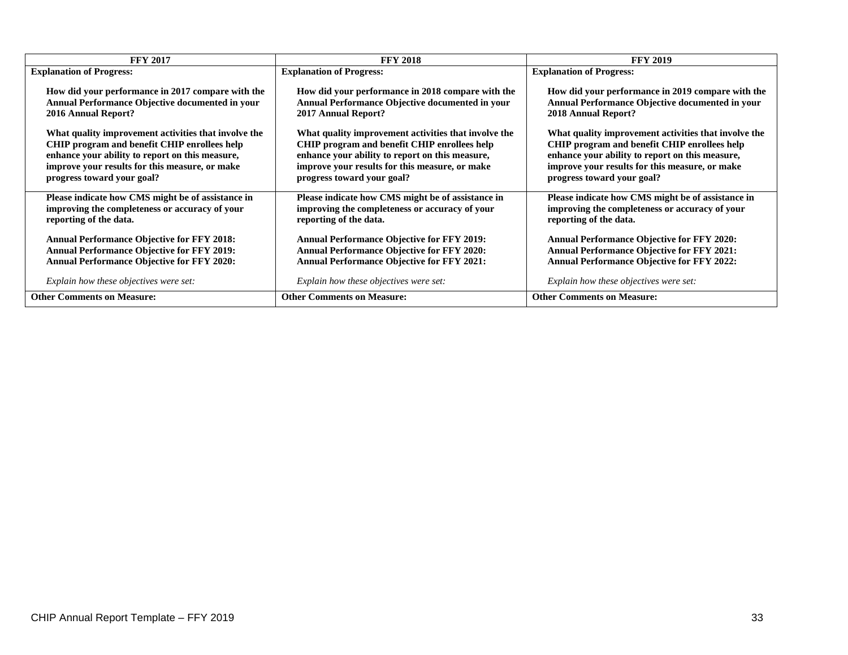| <b>FFY 2017</b>                                      | <b>FFY 2018</b>                                        | <b>FFY 2019</b>                                      |
|------------------------------------------------------|--------------------------------------------------------|------------------------------------------------------|
| <b>Explanation of Progress:</b>                      | <b>Explanation of Progress:</b>                        | <b>Explanation of Progress:</b>                      |
| How did your performance in 2017 compare with the    | How did your performance in 2018 compare with the      | How did your performance in 2019 compare with the    |
| Annual Performance Objective documented in your      | <b>Annual Performance Objective documented in your</b> | Annual Performance Objective documented in your      |
| 2016 Annual Report?                                  | 2017 Annual Report?                                    | 2018 Annual Report?                                  |
| What quality improvement activities that involve the | What quality improvement activities that involve the   | What quality improvement activities that involve the |
| CHIP program and benefit CHIP enrollees help         | CHIP program and benefit CHIP enrollees help           | CHIP program and benefit CHIP enrollees help         |
| enhance your ability to report on this measure,      | enhance your ability to report on this measure,        | enhance your ability to report on this measure,      |
| improve your results for this measure, or make       | improve your results for this measure, or make         | improve your results for this measure, or make       |
| progress toward your goal?                           | progress toward your goal?                             | progress toward your goal?                           |
| Please indicate how CMS might be of assistance in    | Please indicate how CMS might be of assistance in      | Please indicate how CMS might be of assistance in    |
| improving the completeness or accuracy of your       | improving the completeness or accuracy of your         | improving the completeness or accuracy of your       |
| reporting of the data.                               | reporting of the data.                                 | reporting of the data.                               |
| <b>Annual Performance Objective for FFY 2018:</b>    | <b>Annual Performance Objective for FFY 2019:</b>      | <b>Annual Performance Objective for FFY 2020:</b>    |
| <b>Annual Performance Objective for FFY 2019:</b>    | <b>Annual Performance Objective for FFY 2020:</b>      | <b>Annual Performance Objective for FFY 2021:</b>    |
| <b>Annual Performance Objective for FFY 2020:</b>    | <b>Annual Performance Objective for FFY 2021:</b>      | <b>Annual Performance Objective for FFY 2022:</b>    |
| Explain how these objectives were set:               | Explain how these objectives were set:                 | Explain how these objectives were set:               |
| <b>Other Comments on Measure:</b>                    | <b>Other Comments on Measure:</b>                      | <b>Other Comments on Measure:</b>                    |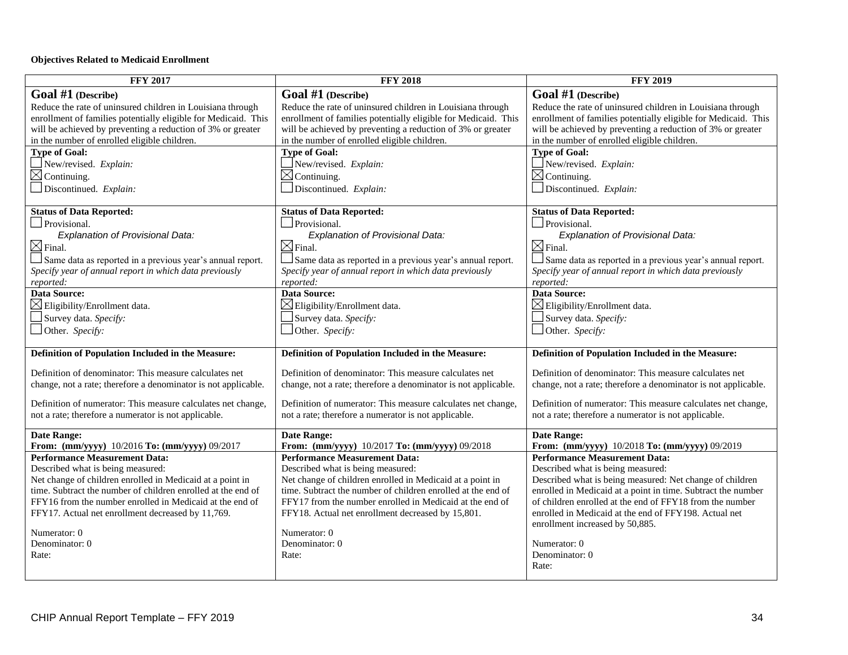#### **Objectives Related to Medicaid Enrollment**

| <b>FFY 2017</b>                                                     | <b>FFY 2018</b>                                                     | <b>FFY 2019</b>                                                     |
|---------------------------------------------------------------------|---------------------------------------------------------------------|---------------------------------------------------------------------|
| Goal #1 (Describe)                                                  | Goal #1 (Describe)                                                  | Goal #1 (Describe)                                                  |
| Reduce the rate of uninsured children in Louisiana through          | Reduce the rate of uninsured children in Louisiana through          | Reduce the rate of uninsured children in Louisiana through          |
| enrollment of families potentially eligible for Medicaid. This      | enrollment of families potentially eligible for Medicaid. This      | enrollment of families potentially eligible for Medicaid. This      |
| will be achieved by preventing a reduction of 3% or greater         | will be achieved by preventing a reduction of 3% or greater         | will be achieved by preventing a reduction of 3% or greater         |
| in the number of enrolled eligible children.                        | in the number of enrolled eligible children.                        | in the number of enrolled eligible children.                        |
| <b>Type of Goal:</b>                                                | <b>Type of Goal:</b>                                                | <b>Type of Goal:</b>                                                |
| New/revised. Explain:                                               | $\Box$ New/revised. Explain:                                        | New/revised. Explain:                                               |
| $\boxtimes$ Continuing.                                             | $\boxtimes$ Continuing.                                             | $\boxtimes$ Continuing.                                             |
| $\Box$ Discontinued. Explain:                                       | Discontinued. Explain:                                              | $\Box$ Discontinued. Explain:                                       |
| <b>Status of Data Reported:</b>                                     | <b>Status of Data Reported:</b>                                     | <b>Status of Data Reported:</b>                                     |
| Provisional.                                                        | Provisional.                                                        | Provisional.                                                        |
| Explanation of Provisional Data:                                    | Explanation of Provisional Data:                                    | Explanation of Provisional Data:                                    |
| $\boxtimes$ Final.                                                  | $\boxtimes$ Final.                                                  | $\boxtimes$ Final.                                                  |
| Same data as reported in a previous year's annual report.           | Same data as reported in a previous year's annual report.           | Same data as reported in a previous year's annual report.           |
| Specify year of annual report in which data previously              | Specify year of annual report in which data previously              | Specify year of annual report in which data previously              |
| reported:                                                           | reported:                                                           | reported:                                                           |
| <b>Data Source:</b>                                                 | <b>Data Source:</b>                                                 | <b>Data Source:</b>                                                 |
| $\boxtimes$ Eligibility/Enrollment data.                            | $\boxtimes$ Eligibility/Enrollment data.                            | $\boxtimes$ Eligibility/Enrollment data.                            |
| Survey data. Specify:                                               | Survey data. Specify:                                               | Survey data. Specify:                                               |
| $\Box$ Other. Specify:                                              | $\Box$ Other. Specify:                                              | $\Box$ Other. Specify:                                              |
| Definition of Population Included in the Measure:                   | Definition of Population Included in the Measure:                   | Definition of Population Included in the Measure:                   |
| Definition of denominator: This measure calculates net              | Definition of denominator: This measure calculates net              | Definition of denominator: This measure calculates net              |
| change, not a rate; therefore a denominator is not applicable.      | change, not a rate; therefore a denominator is not applicable.      | change, not a rate; therefore a denominator is not applicable.      |
|                                                                     |                                                                     |                                                                     |
| Definition of numerator: This measure calculates net change,        | Definition of numerator: This measure calculates net change,        | Definition of numerator: This measure calculates net change,        |
| not a rate; therefore a numerator is not applicable.                | not a rate; therefore a numerator is not applicable.                | not a rate; therefore a numerator is not applicable.                |
| <b>Date Range:</b><br>From: (mm/yyyy) 10/2016 To: (mm/yyyy) 09/2017 | <b>Date Range:</b><br>From: (mm/yyyy) 10/2017 To: (mm/yyyy) 09/2018 | <b>Date Range:</b><br>From: (mm/yyyy) 10/2018 To: (mm/yyyy) 09/2019 |
| <b>Performance Measurement Data:</b>                                | <b>Performance Measurement Data:</b>                                | <b>Performance Measurement Data:</b>                                |
| Described what is being measured:                                   | Described what is being measured:                                   | Described what is being measured:                                   |
| Net change of children enrolled in Medicaid at a point in           | Net change of children enrolled in Medicaid at a point in           | Described what is being measured: Net change of children            |
| time. Subtract the number of children enrolled at the end of        | time. Subtract the number of children enrolled at the end of        | enrolled in Medicaid at a point in time. Subtract the number        |
| FFY16 from the number enrolled in Medicaid at the end of            | FFY17 from the number enrolled in Medicaid at the end of            | of children enrolled at the end of FFY18 from the number            |
| FFY17. Actual net enrollment decreased by 11,769.                   | FFY18. Actual net enrollment decreased by 15,801.                   | enrolled in Medicaid at the end of FFY198. Actual net               |
|                                                                     |                                                                     | enrollment increased by 50,885.                                     |
| Numerator: 0<br>Denominator: 0                                      | Numerator: 0<br>Denominator: 0                                      |                                                                     |
|                                                                     |                                                                     | Numerator: 0<br>Denominator: 0                                      |
| Rate:                                                               | Rate:                                                               | Rate:                                                               |
|                                                                     |                                                                     |                                                                     |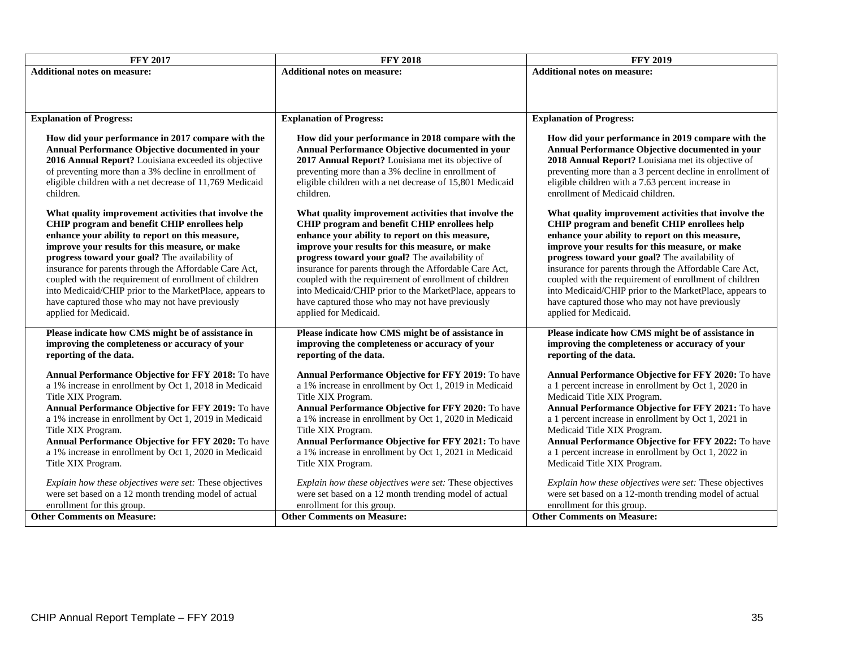| <b>FFY 2017</b>                                                                                                                                                                                                                                                                                                                                                                                                                                                                                                                                                                                                                                                                                                                                                                                                          | <b>FFY 2018</b>                                                                                                                                                                                                                                                                                                                                                                                                                                                                                                                                                                                                                                                                                                                                                                                                     | <b>FFY 2019</b>                                                                                                                                                                                                                                                                                                                                                                                                                                                                                                                                                                                                                                                                                                                                                                                                                            |
|--------------------------------------------------------------------------------------------------------------------------------------------------------------------------------------------------------------------------------------------------------------------------------------------------------------------------------------------------------------------------------------------------------------------------------------------------------------------------------------------------------------------------------------------------------------------------------------------------------------------------------------------------------------------------------------------------------------------------------------------------------------------------------------------------------------------------|---------------------------------------------------------------------------------------------------------------------------------------------------------------------------------------------------------------------------------------------------------------------------------------------------------------------------------------------------------------------------------------------------------------------------------------------------------------------------------------------------------------------------------------------------------------------------------------------------------------------------------------------------------------------------------------------------------------------------------------------------------------------------------------------------------------------|--------------------------------------------------------------------------------------------------------------------------------------------------------------------------------------------------------------------------------------------------------------------------------------------------------------------------------------------------------------------------------------------------------------------------------------------------------------------------------------------------------------------------------------------------------------------------------------------------------------------------------------------------------------------------------------------------------------------------------------------------------------------------------------------------------------------------------------------|
| <b>Additional notes on measure:</b>                                                                                                                                                                                                                                                                                                                                                                                                                                                                                                                                                                                                                                                                                                                                                                                      | <b>Additional notes on measure:</b>                                                                                                                                                                                                                                                                                                                                                                                                                                                                                                                                                                                                                                                                                                                                                                                 | <b>Additional notes on measure:</b>                                                                                                                                                                                                                                                                                                                                                                                                                                                                                                                                                                                                                                                                                                                                                                                                        |
|                                                                                                                                                                                                                                                                                                                                                                                                                                                                                                                                                                                                                                                                                                                                                                                                                          |                                                                                                                                                                                                                                                                                                                                                                                                                                                                                                                                                                                                                                                                                                                                                                                                                     |                                                                                                                                                                                                                                                                                                                                                                                                                                                                                                                                                                                                                                                                                                                                                                                                                                            |
|                                                                                                                                                                                                                                                                                                                                                                                                                                                                                                                                                                                                                                                                                                                                                                                                                          |                                                                                                                                                                                                                                                                                                                                                                                                                                                                                                                                                                                                                                                                                                                                                                                                                     |                                                                                                                                                                                                                                                                                                                                                                                                                                                                                                                                                                                                                                                                                                                                                                                                                                            |
| <b>Explanation of Progress:</b>                                                                                                                                                                                                                                                                                                                                                                                                                                                                                                                                                                                                                                                                                                                                                                                          | <b>Explanation of Progress:</b>                                                                                                                                                                                                                                                                                                                                                                                                                                                                                                                                                                                                                                                                                                                                                                                     | <b>Explanation of Progress:</b>                                                                                                                                                                                                                                                                                                                                                                                                                                                                                                                                                                                                                                                                                                                                                                                                            |
| How did your performance in 2017 compare with the<br>Annual Performance Objective documented in your<br>2016 Annual Report? Louisiana exceeded its objective<br>of preventing more than a 3% decline in enrollment of<br>eligible children with a net decrease of 11,769 Medicaid<br>children.<br>What quality improvement activities that involve the<br>CHIP program and benefit CHIP enrollees help<br>enhance your ability to report on this measure,<br>improve your results for this measure, or make<br>progress toward your goal? The availability of<br>insurance for parents through the Affordable Care Act,<br>coupled with the requirement of enrollment of children<br>into Medicaid/CHIP prior to the MarketPlace, appears to<br>have captured those who may not have previously<br>applied for Medicaid. | How did your performance in 2018 compare with the<br>Annual Performance Objective documented in your<br>2017 Annual Report? Louisiana met its objective of<br>preventing more than a 3% decline in enrollment of<br>eligible children with a net decrease of 15,801 Medicaid<br>children.<br>What quality improvement activities that involve the<br>CHIP program and benefit CHIP enrollees help<br>enhance your ability to report on this measure,<br>improve your results for this measure, or make<br>progress toward your goal? The availability of<br>insurance for parents through the Affordable Care Act,<br>coupled with the requirement of enrollment of children<br>into Medicaid/CHIP prior to the MarketPlace, appears to<br>have captured those who may not have previously<br>applied for Medicaid. | How did your performance in 2019 compare with the<br>Annual Performance Objective documented in your<br>2018 Annual Report? Louisiana met its objective of<br>preventing more than a 3 percent decline in enrollment of<br>eligible children with a 7.63 percent increase in<br>enrollment of Medicaid children.<br>What quality improvement activities that involve the<br>CHIP program and benefit CHIP enrollees help<br>enhance your ability to report on this measure,<br>improve your results for this measure, or make<br>progress toward your goal? The availability of<br>insurance for parents through the Affordable Care Act,<br>coupled with the requirement of enrollment of children<br>into Medicaid/CHIP prior to the MarketPlace, appears to<br>have captured those who may not have previously<br>applied for Medicaid. |
| Please indicate how CMS might be of assistance in<br>improving the completeness or accuracy of your<br>reporting of the data.                                                                                                                                                                                                                                                                                                                                                                                                                                                                                                                                                                                                                                                                                            | Please indicate how CMS might be of assistance in<br>improving the completeness or accuracy of your<br>reporting of the data.                                                                                                                                                                                                                                                                                                                                                                                                                                                                                                                                                                                                                                                                                       | Please indicate how CMS might be of assistance in<br>improving the completeness or accuracy of your<br>reporting of the data.                                                                                                                                                                                                                                                                                                                                                                                                                                                                                                                                                                                                                                                                                                              |
| Annual Performance Objective for FFY 2018: To have<br>a 1% increase in enrollment by Oct 1, 2018 in Medicaid<br>Title XIX Program.<br>Annual Performance Objective for FFY 2019: To have<br>a 1% increase in enrollment by Oct 1, 2019 in Medicaid<br>Title XIX Program.<br>Annual Performance Objective for FFY 2020: To have<br>a 1% increase in enrollment by Oct 1, 2020 in Medicaid<br>Title XIX Program.<br>Explain how these objectives were set: These objectives                                                                                                                                                                                                                                                                                                                                                | Annual Performance Objective for FFY 2019: To have<br>a 1% increase in enrollment by Oct 1, 2019 in Medicaid<br>Title XIX Program.<br>Annual Performance Objective for FFY 2020: To have<br>a 1% increase in enrollment by Oct 1, 2020 in Medicaid<br>Title XIX Program.<br>Annual Performance Objective for FFY 2021: To have<br>a 1% increase in enrollment by Oct 1, 2021 in Medicaid<br>Title XIX Program.<br>Explain how these objectives were set: These objectives                                                                                                                                                                                                                                                                                                                                           | Annual Performance Objective for FFY 2020: To have<br>a 1 percent increase in enrollment by Oct 1, 2020 in<br>Medicaid Title XIX Program.<br>Annual Performance Objective for FFY 2021: To have<br>a 1 percent increase in enrollment by Oct 1, 2021 in<br>Medicaid Title XIX Program.<br>Annual Performance Objective for FFY 2022: To have<br>a 1 percent increase in enrollment by Oct 1, 2022 in<br>Medicaid Title XIX Program.<br>Explain how these objectives were set: These objectives                                                                                                                                                                                                                                                                                                                                             |
| were set based on a 12 month trending model of actual<br>enrollment for this group.                                                                                                                                                                                                                                                                                                                                                                                                                                                                                                                                                                                                                                                                                                                                      | were set based on a 12 month trending model of actual<br>enrollment for this group.                                                                                                                                                                                                                                                                                                                                                                                                                                                                                                                                                                                                                                                                                                                                 | were set based on a 12-month trending model of actual<br>enrollment for this group.                                                                                                                                                                                                                                                                                                                                                                                                                                                                                                                                                                                                                                                                                                                                                        |
| <b>Other Comments on Measure:</b>                                                                                                                                                                                                                                                                                                                                                                                                                                                                                                                                                                                                                                                                                                                                                                                        | <b>Other Comments on Measure:</b>                                                                                                                                                                                                                                                                                                                                                                                                                                                                                                                                                                                                                                                                                                                                                                                   | <b>Other Comments on Measure:</b>                                                                                                                                                                                                                                                                                                                                                                                                                                                                                                                                                                                                                                                                                                                                                                                                          |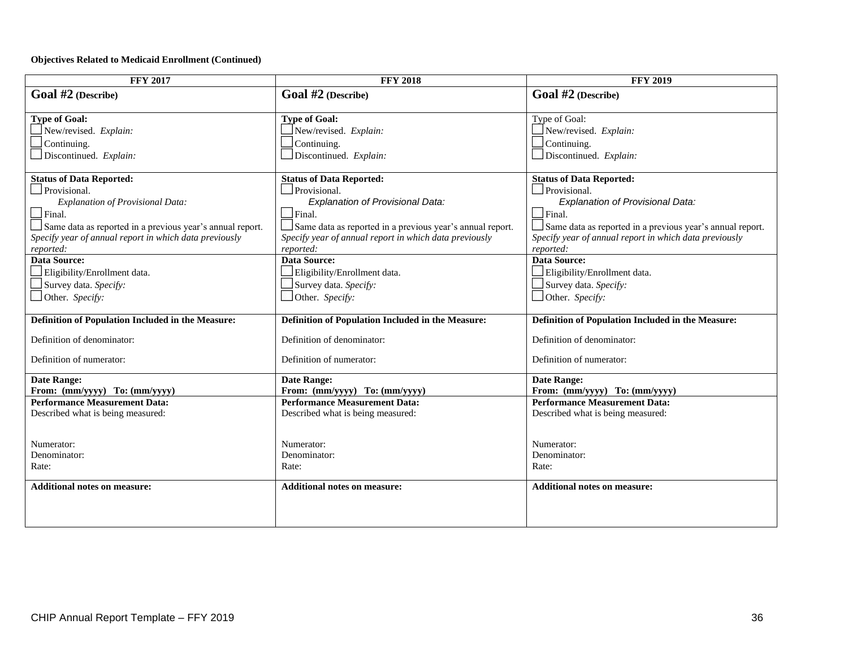#### **Objectives Related to Medicaid Enrollment (Continued)**

| <b>FFY 2017</b>                                           | <b>FFY 2018</b>                                           | <b>FFY 2019</b>                                           |
|-----------------------------------------------------------|-----------------------------------------------------------|-----------------------------------------------------------|
| Goal #2 (Describe)                                        | Goal #2 (Describe)                                        | Goal #2 (Describe)                                        |
|                                                           |                                                           |                                                           |
| <b>Type of Goal:</b>                                      | <b>Type of Goal:</b>                                      | Type of Goal:                                             |
| New/revised. Explain:                                     | New/revised. Explain:                                     | New/revised. Explain:                                     |
| Continuing.                                               | Continuing.                                               | Continuing.                                               |
| Discontinued. Explain:                                    | Discontinued. Explain:                                    | Discontinued. Explain:                                    |
| <b>Status of Data Reported:</b>                           | <b>Status of Data Reported:</b>                           | <b>Status of Data Reported:</b>                           |
| Provisional.                                              | Provisional.                                              | Provisional.                                              |
| Explanation of Provisional Data:                          | Explanation of Provisional Data:                          | Explanation of Provisional Data:                          |
| $\Box$ Final.                                             | $\Box$ Final.                                             | $\Box$ Final.                                             |
| Same data as reported in a previous year's annual report. | Same data as reported in a previous year's annual report. | Same data as reported in a previous year's annual report. |
| Specify year of annual report in which data previously    | Specify year of annual report in which data previously    | Specify year of annual report in which data previously    |
| reported:                                                 | reported:                                                 | reported:                                                 |
| Data Source:                                              | <b>Data Source:</b>                                       | <b>Data Source:</b>                                       |
| Eligibility/Enrollment data.                              | Eligibility/Enrollment data.                              | Eligibility/Enrollment data.                              |
| Survey data. Specify:                                     | Survey data. Specify:                                     | Survey data. Specify:                                     |
| $\Box$ Other. Specify:                                    | Other. Specify:                                           | Other. Specify:                                           |
| Definition of Population Included in the Measure:         | Definition of Population Included in the Measure:         | Definition of Population Included in the Measure:         |
| Definition of denominator:                                | Definition of denominator:                                | Definition of denominator:                                |
|                                                           |                                                           |                                                           |
| Definition of numerator:                                  | Definition of numerator:                                  | Definition of numerator:                                  |
| <b>Date Range:</b>                                        | <b>Date Range:</b>                                        | <b>Date Range:</b>                                        |
| From: (mm/yyyy) To: (mm/yyyy)                             | From: (mm/yyyy) To: (mm/yyyy)                             | From: (mm/yyyy) To: (mm/yyyy)                             |
| <b>Performance Measurement Data:</b>                      | <b>Performance Measurement Data:</b>                      | <b>Performance Measurement Data:</b>                      |
| Described what is being measured:                         | Described what is being measured:                         | Described what is being measured:                         |
|                                                           |                                                           |                                                           |
| Numerator:                                                | Numerator:                                                | Numerator:                                                |
| Denominator:                                              | Denominator:                                              | Denominator:                                              |
| Rate:                                                     | Rate:                                                     | Rate:                                                     |
|                                                           |                                                           |                                                           |
| <b>Additional notes on measure:</b>                       | <b>Additional notes on measure:</b>                       | <b>Additional notes on measure:</b>                       |
|                                                           |                                                           |                                                           |
|                                                           |                                                           |                                                           |
|                                                           |                                                           |                                                           |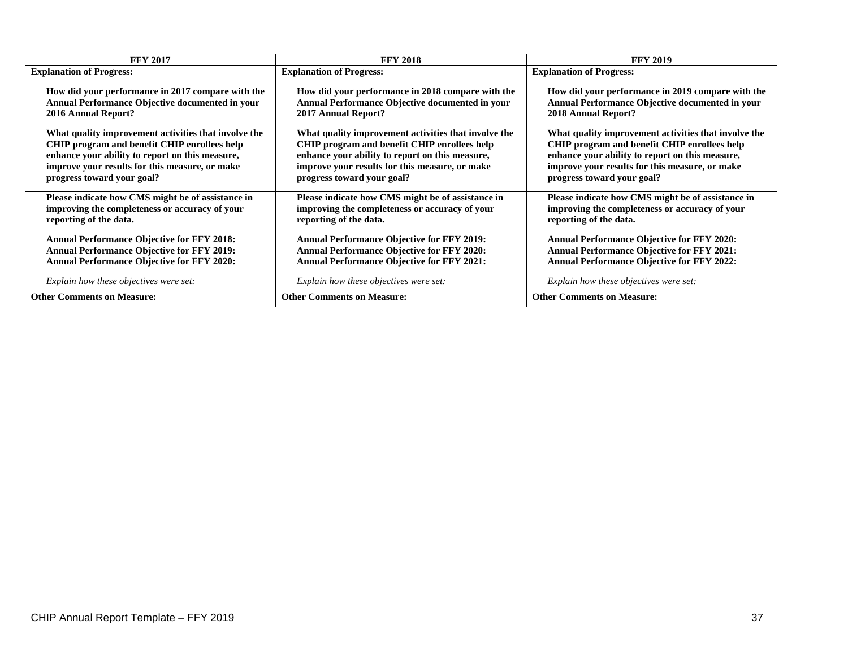| <b>FFY 2017</b>                                      | <b>FFY 2018</b>                                        | <b>FFY 2019</b>                                      |
|------------------------------------------------------|--------------------------------------------------------|------------------------------------------------------|
| <b>Explanation of Progress:</b>                      | <b>Explanation of Progress:</b>                        | <b>Explanation of Progress:</b>                      |
| How did your performance in 2017 compare with the    | How did your performance in 2018 compare with the      | How did your performance in 2019 compare with the    |
| Annual Performance Objective documented in your      | <b>Annual Performance Objective documented in your</b> | Annual Performance Objective documented in your      |
| <b>2016 Annual Report?</b>                           | 2017 Annual Report?                                    | 2018 Annual Report?                                  |
| What quality improvement activities that involve the | What quality improvement activities that involve the   | What quality improvement activities that involve the |
| CHIP program and benefit CHIP enrollees help         | CHIP program and benefit CHIP enrollees help           | CHIP program and benefit CHIP enrollees help         |
| enhance your ability to report on this measure,      | enhance your ability to report on this measure,        | enhance your ability to report on this measure,      |
| improve your results for this measure, or make       | improve your results for this measure, or make         | improve your results for this measure, or make       |
| progress toward your goal?                           | progress toward your goal?                             | progress toward your goal?                           |
| Please indicate how CMS might be of assistance in    | Please indicate how CMS might be of assistance in      | Please indicate how CMS might be of assistance in    |
| improving the completeness or accuracy of your       | improving the completeness or accuracy of your         | improving the completeness or accuracy of your       |
| reporting of the data.                               | reporting of the data.                                 | reporting of the data.                               |
| <b>Annual Performance Objective for FFY 2018:</b>    | <b>Annual Performance Objective for FFY 2019:</b>      | <b>Annual Performance Objective for FFY 2020:</b>    |
| <b>Annual Performance Objective for FFY 2019:</b>    | <b>Annual Performance Objective for FFY 2020:</b>      | <b>Annual Performance Objective for FFY 2021:</b>    |
| <b>Annual Performance Objective for FFY 2020:</b>    | <b>Annual Performance Objective for FFY 2021:</b>      | <b>Annual Performance Objective for FFY 2022:</b>    |
| Explain how these objectives were set:               | Explain how these objectives were set:                 | Explain how these objectives were set:               |
| <b>Other Comments on Measure:</b>                    | <b>Other Comments on Measure:</b>                      | <b>Other Comments on Measure:</b>                    |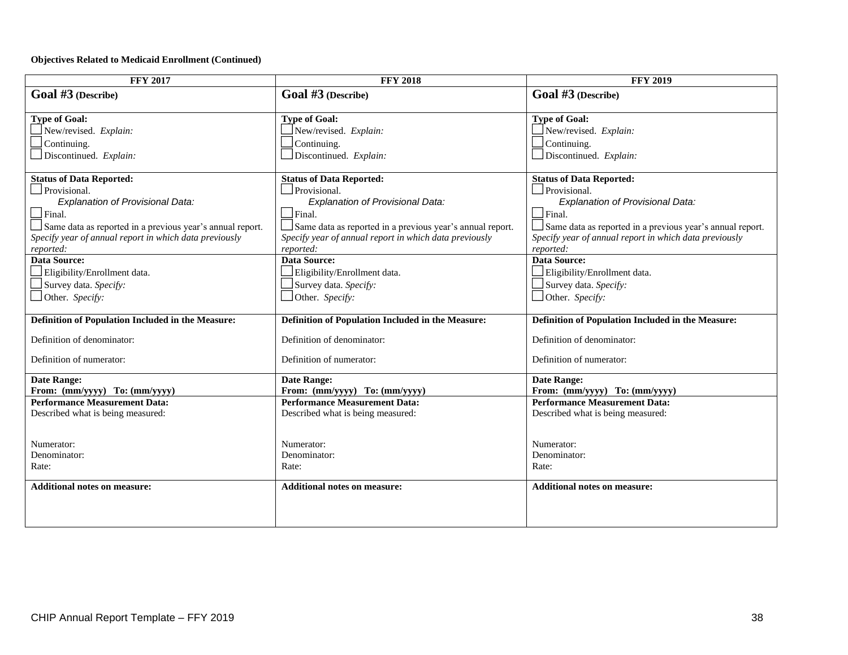#### **Objectives Related to Medicaid Enrollment (Continued)**

| <b>FFY 2017</b>                                           | <b>FFY 2018</b>                                           | <b>FFY 2019</b>                                           |
|-----------------------------------------------------------|-----------------------------------------------------------|-----------------------------------------------------------|
| Goal #3 (Describe)                                        | Goal #3 (Describe)                                        | Goal #3 (Describe)                                        |
|                                                           |                                                           |                                                           |
| <b>Type of Goal:</b>                                      | <b>Type of Goal:</b>                                      | <b>Type of Goal:</b>                                      |
| New/revised. Explain:                                     | New/revised. Explain:                                     | New/revised. Explain:                                     |
| Continuing.                                               | Continuing.                                               | Continuing.                                               |
| Discontinued. Explain:                                    | Discontinued. Explain:                                    | $\Box$ Discontinued. Explain:                             |
| <b>Status of Data Reported:</b>                           | <b>Status of Data Reported:</b>                           | <b>Status of Data Reported:</b>                           |
| Provisional.                                              | Provisional.                                              | Provisional.                                              |
| Explanation of Provisional Data:                          | Explanation of Provisional Data:                          | Explanation of Provisional Data:                          |
| $\Box$ Final.                                             | $\Box$ Final.                                             | $\Box$ Final.                                             |
| Same data as reported in a previous year's annual report. | Same data as reported in a previous year's annual report. | Same data as reported in a previous year's annual report. |
| Specify year of annual report in which data previously    | Specify year of annual report in which data previously    | Specify year of annual report in which data previously    |
| reported:                                                 | reported:                                                 | reported:                                                 |
| Data Source:                                              | <b>Data Source:</b>                                       | <b>Data Source:</b>                                       |
| Eligibility/Enrollment data.                              | Eligibility/Enrollment data.                              | Eligibility/Enrollment data.                              |
| Survey data. Specify:                                     | Survey data. Specify:                                     | $\Box$ Survey data. Specify:                              |
| $\Box$ Other. Specify:                                    | $\Box$ Other. Specify:                                    | $\Box$ Other. Specify:                                    |
| Definition of Population Included in the Measure:         | Definition of Population Included in the Measure:         | Definition of Population Included in the Measure:         |
| Definition of denominator:                                | Definition of denominator:                                | Definition of denominator:                                |
| Definition of numerator:                                  | Definition of numerator:                                  | Definition of numerator:                                  |
| <b>Date Range:</b>                                        | <b>Date Range:</b>                                        | <b>Date Range:</b>                                        |
| From: (mm/yyyy) To: (mm/yyyy)                             | From: (mm/yyyy) To: (mm/yyyy)                             | From: (mm/yyyy) To: (mm/yyyy)                             |
| <b>Performance Measurement Data:</b>                      | <b>Performance Measurement Data:</b>                      | <b>Performance Measurement Data:</b>                      |
| Described what is being measured:                         | Described what is being measured:                         | Described what is being measured:                         |
|                                                           |                                                           |                                                           |
| Numerator:                                                | Numerator:                                                | Numerator:                                                |
| Denominator:                                              | Denominator:                                              | Denominator:                                              |
| Rate:                                                     | Rate:                                                     | Rate:                                                     |
|                                                           |                                                           |                                                           |
| <b>Additional notes on measure:</b>                       | <b>Additional notes on measure:</b>                       | <b>Additional notes on measure:</b>                       |
|                                                           |                                                           |                                                           |
|                                                           |                                                           |                                                           |
|                                                           |                                                           |                                                           |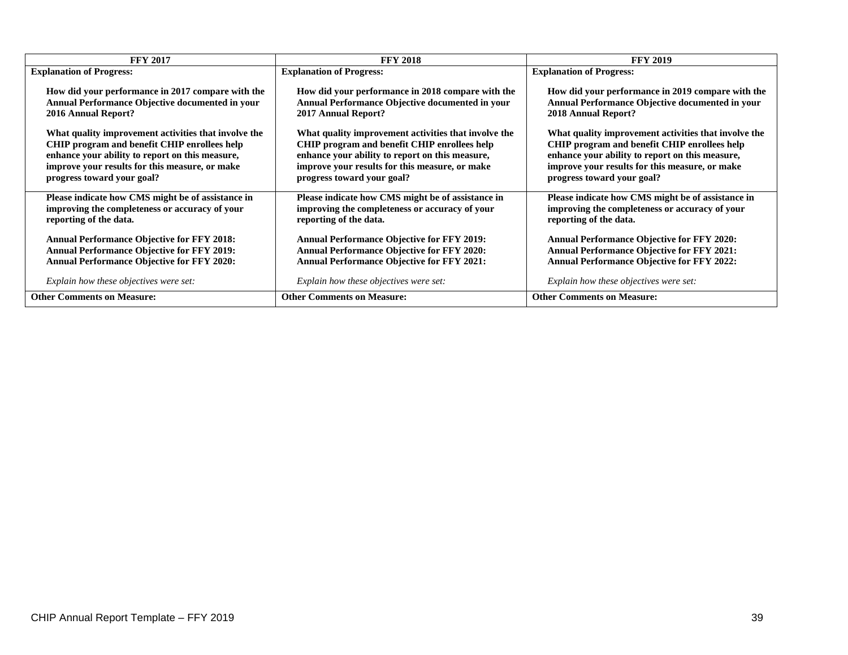| <b>FFY 2017</b>                                      | <b>FFY 2018</b>                                        | <b>FFY 2019</b>                                      |
|------------------------------------------------------|--------------------------------------------------------|------------------------------------------------------|
| <b>Explanation of Progress:</b>                      | <b>Explanation of Progress:</b>                        | <b>Explanation of Progress:</b>                      |
| How did your performance in 2017 compare with the    | How did your performance in 2018 compare with the      | How did your performance in 2019 compare with the    |
| Annual Performance Objective documented in your      | <b>Annual Performance Objective documented in your</b> | Annual Performance Objective documented in your      |
| <b>2016 Annual Report?</b>                           | 2017 Annual Report?                                    | 2018 Annual Report?                                  |
| What quality improvement activities that involve the | What quality improvement activities that involve the   | What quality improvement activities that involve the |
| CHIP program and benefit CHIP enrollees help         | CHIP program and benefit CHIP enrollees help           | CHIP program and benefit CHIP enrollees help         |
| enhance your ability to report on this measure,      | enhance your ability to report on this measure,        | enhance your ability to report on this measure,      |
| improve your results for this measure, or make       | improve your results for this measure, or make         | improve your results for this measure, or make       |
| progress toward your goal?                           | progress toward your goal?                             | progress toward your goal?                           |
| Please indicate how CMS might be of assistance in    | Please indicate how CMS might be of assistance in      | Please indicate how CMS might be of assistance in    |
| improving the completeness or accuracy of your       | improving the completeness or accuracy of your         | improving the completeness or accuracy of your       |
| reporting of the data.                               | reporting of the data.                                 | reporting of the data.                               |
| <b>Annual Performance Objective for FFY 2018:</b>    | <b>Annual Performance Objective for FFY 2019:</b>      | <b>Annual Performance Objective for FFY 2020:</b>    |
| <b>Annual Performance Objective for FFY 2019:</b>    | <b>Annual Performance Objective for FFY 2020:</b>      | <b>Annual Performance Objective for FFY 2021:</b>    |
| <b>Annual Performance Objective for FFY 2020:</b>    | <b>Annual Performance Objective for FFY 2021:</b>      | <b>Annual Performance Objective for FFY 2022:</b>    |
| Explain how these objectives were set:               | Explain how these objectives were set:                 | Explain how these objectives were set:               |
| <b>Other Comments on Measure:</b>                    | <b>Other Comments on Measure:</b>                      | <b>Other Comments on Measure:</b>                    |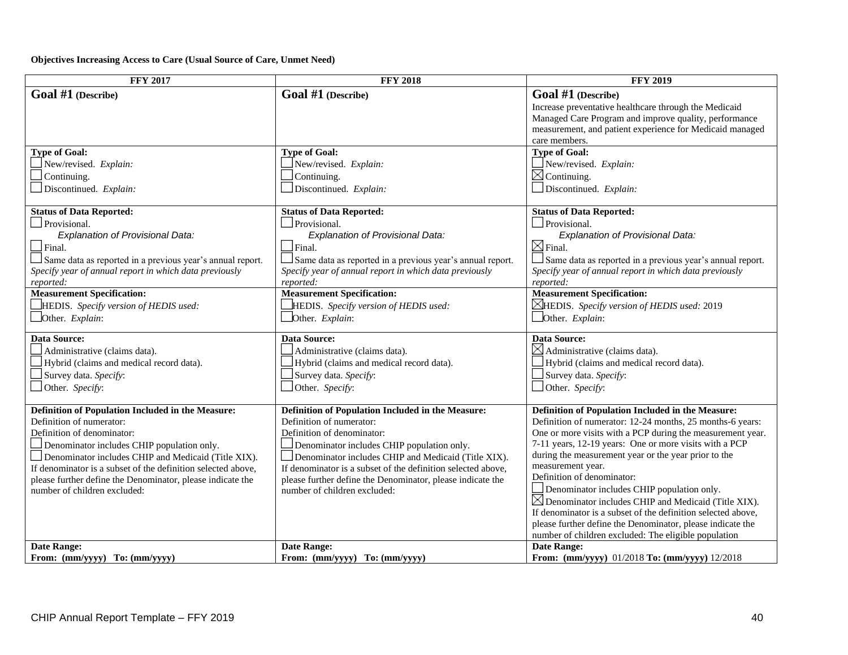**Objectives Increasing Access to Care (Usual Source of Care, Unmet Need)**

| <b>FFY 2017</b>                                              | <b>FFY 2018</b>                                                  | <b>FFY 2019</b>                                                 |
|--------------------------------------------------------------|------------------------------------------------------------------|-----------------------------------------------------------------|
| Goal #1 (Describe)                                           | Goal #1 (Describe)                                               | Goal #1 (Describe)                                              |
|                                                              |                                                                  | Increase preventative healthcare through the Medicaid           |
|                                                              |                                                                  | Managed Care Program and improve quality, performance           |
|                                                              |                                                                  | measurement, and patient experience for Medicaid managed        |
|                                                              |                                                                  | care members.                                                   |
| <b>Type of Goal:</b>                                         | <b>Type of Goal:</b>                                             | <b>Type of Goal:</b>                                            |
| $\Box$ New/revised. Explain:                                 | New/revised. Explain:                                            | New/revised. Explain:                                           |
| Continuing.                                                  | Continuing.                                                      | $\boxtimes$ Continuing.                                         |
| Discontinued. Explain:                                       | $\Box$ Discontinued. Explain:                                    | Discontinued. Explain:                                          |
|                                                              |                                                                  |                                                                 |
| <b>Status of Data Reported:</b>                              | <b>Status of Data Reported:</b>                                  | <b>Status of Data Reported:</b>                                 |
| Provisional.                                                 | $\Box$ Provisional.                                              | Provisional.                                                    |
| Explanation of Provisional Data:                             | <b>Explanation of Provisional Data:</b>                          | <b>Explanation of Provisional Data:</b>                         |
| $\Box$ Final.                                                | $\Box$ Final.                                                    | $\boxtimes$ Final                                               |
| Same data as reported in a previous year's annual report.    | $\Box$ Same data as reported in a previous year's annual report. | Same data as reported in a previous year's annual report.       |
| Specify year of annual report in which data previously       | Specify year of annual report in which data previously           | Specify year of annual report in which data previously          |
| reported:                                                    | reported:                                                        | reported:                                                       |
| <b>Measurement Specification:</b>                            | <b>Measurement Specification:</b>                                | <b>Measurement Specification:</b>                               |
| HEDIS. Specify version of HEDIS used:                        | HEDIS. Specify version of HEDIS used:                            | $\triangle$ HEDIS. Specify version of HEDIS used: 2019          |
| Other. Explain:                                              | Other. Explain:                                                  | $\Box$ Other. <i>Explain</i> :                                  |
| <b>Data Source:</b>                                          | <b>Data Source:</b>                                              | <b>Data Source:</b>                                             |
| Administrative (claims data).                                | Administrative (claims data).                                    | $\boxtimes$ Administrative (claims data).                       |
| Hybrid (claims and medical record data).                     | Hybrid (claims and medical record data).                         | Hybrid (claims and medical record data).                        |
| Survey data. Specify:                                        | Survey data. Specify:                                            | $\Box$ Survey data. Specify:                                    |
|                                                              |                                                                  |                                                                 |
| Other. Specify:                                              | Other. Specify:                                                  | $\Box$ Other. Specify:                                          |
| Definition of Population Included in the Measure:            | Definition of Population Included in the Measure:                | Definition of Population Included in the Measure:               |
| Definition of numerator:                                     | Definition of numerator:                                         | Definition of numerator: 12-24 months, 25 months-6 years:       |
| Definition of denominator:                                   | Definition of denominator:                                       | One or more visits with a PCP during the measurement year.      |
| Denominator includes CHIP population only.                   | Denominator includes CHIP population only.                       | 7-11 years, 12-19 years: One or more visits with a PCP          |
| Denominator includes CHIP and Medicaid (Title XIX).          | Denominator includes CHIP and Medicaid (Title XIX).              | during the measurement year or the year prior to the            |
| If denominator is a subset of the definition selected above, | If denominator is a subset of the definition selected above,     | measurement year.                                               |
| please further define the Denominator, please indicate the   | please further define the Denominator, please indicate the       | Definition of denominator:                                      |
| number of children excluded:                                 | number of children excluded:                                     | Denominator includes CHIP population only.                      |
|                                                              |                                                                  | $\boxtimes$ Denominator includes CHIP and Medicaid (Title XIX). |
|                                                              |                                                                  | If denominator is a subset of the definition selected above,    |
|                                                              |                                                                  | please further define the Denominator, please indicate the      |
|                                                              |                                                                  | number of children excluded: The eligible population            |
| <b>Date Range:</b>                                           | <b>Date Range:</b>                                               | <b>Date Range:</b>                                              |
| From: $(mm/yyy)$ To: $(mm/yyy)$                              | From: (mm/yyyy) To: (mm/yyyy)                                    | From: (mm/yyyy) 01/2018 To: (mm/yyyy) 12/2018                   |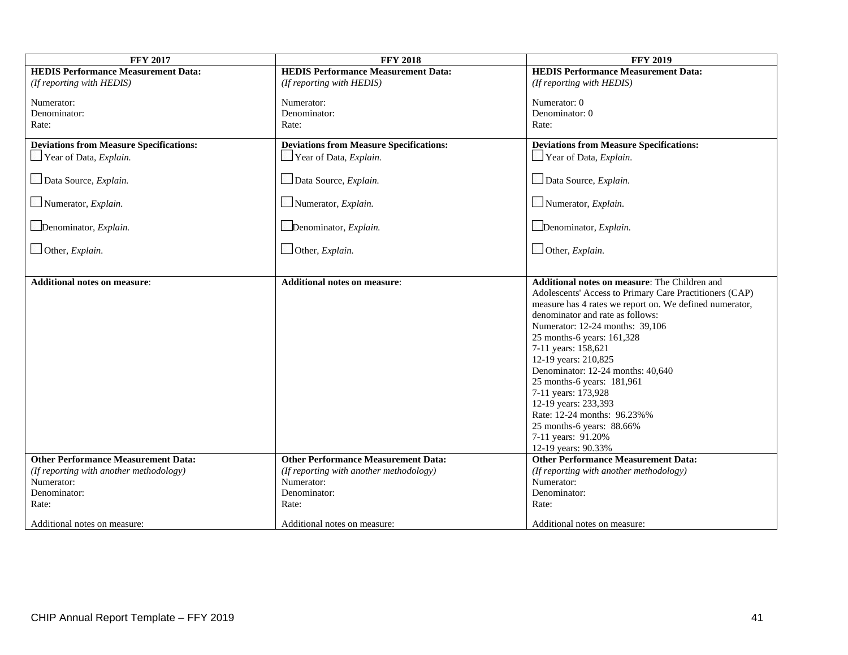| <b>FFY 2017</b>                                | <b>FFY 2018</b>                                | <b>FFY 2019</b>                                         |
|------------------------------------------------|------------------------------------------------|---------------------------------------------------------|
| <b>HEDIS Performance Measurement Data:</b>     | <b>HEDIS Performance Measurement Data:</b>     | <b>HEDIS Performance Measurement Data:</b>              |
| (If reporting with HEDIS)                      | (If reporting with HEDIS)                      | (If reporting with HEDIS)                               |
| Numerator:                                     | Numerator:                                     | Numerator: 0                                            |
| Denominator:                                   | Denominator:                                   | Denominator: 0                                          |
| Rate:                                          | Rate:                                          | Rate:                                                   |
|                                                |                                                |                                                         |
| <b>Deviations from Measure Specifications:</b> | <b>Deviations from Measure Specifications:</b> | <b>Deviations from Measure Specifications:</b>          |
| $\Box$ Year of Data, <i>Explain</i> .          | $\Box$ Year of Data, <i>Explain</i> .          | $\Box$ Year of Data, <i>Explain</i> .                   |
| Data Source, Explain.                          | Data Source, Explain.                          | Data Source, Explain.                                   |
| $\Box$ Numerator, <i>Explain</i> .             | $\Box$ Numerator, <i>Explain</i> .             | $\Box$ Numerator, <i>Explain</i> .                      |
| Denominator, Explain.                          | Denominator, Explain.                          | Denominator, Explain.                                   |
| $\Box$ Other, Explain.                         | Other, Explain.                                | Other, Explain.                                         |
| <b>Additional notes on measure:</b>            | <b>Additional notes on measure:</b>            | Additional notes on measure: The Children and           |
|                                                |                                                | Adolescents' Access to Primary Care Practitioners (CAP) |
|                                                |                                                | measure has 4 rates we report on. We defined numerator, |
|                                                |                                                | denominator and rate as follows:                        |
|                                                |                                                | Numerator: 12-24 months: 39,106                         |
|                                                |                                                | 25 months-6 years: 161,328                              |
|                                                |                                                | 7-11 years: 158,621                                     |
|                                                |                                                | 12-19 years: 210,825                                    |
|                                                |                                                | Denominator: 12-24 months: 40,640                       |
|                                                |                                                | 25 months-6 years: 181,961                              |
|                                                |                                                | 7-11 years: 173,928                                     |
|                                                |                                                | 12-19 years: 233,393                                    |
|                                                |                                                | Rate: 12-24 months: 96.23%%                             |
|                                                |                                                | 25 months-6 years: 88.66%                               |
|                                                |                                                | 7-11 years: 91.20%                                      |
|                                                |                                                | 12-19 years: 90.33%                                     |
| <b>Other Performance Measurement Data:</b>     | <b>Other Performance Measurement Data:</b>     | <b>Other Performance Measurement Data:</b>              |
| (If reporting with another methodology)        | (If reporting with another methodology)        | (If reporting with another methodology)                 |
| Numerator:                                     | Numerator:                                     | Numerator:                                              |
| Denominator:                                   | Denominator:                                   | Denominator:                                            |
| Rate:                                          | Rate:                                          | Rate:                                                   |
| Additional notes on measure:                   | Additional notes on measure:                   | Additional notes on measure:                            |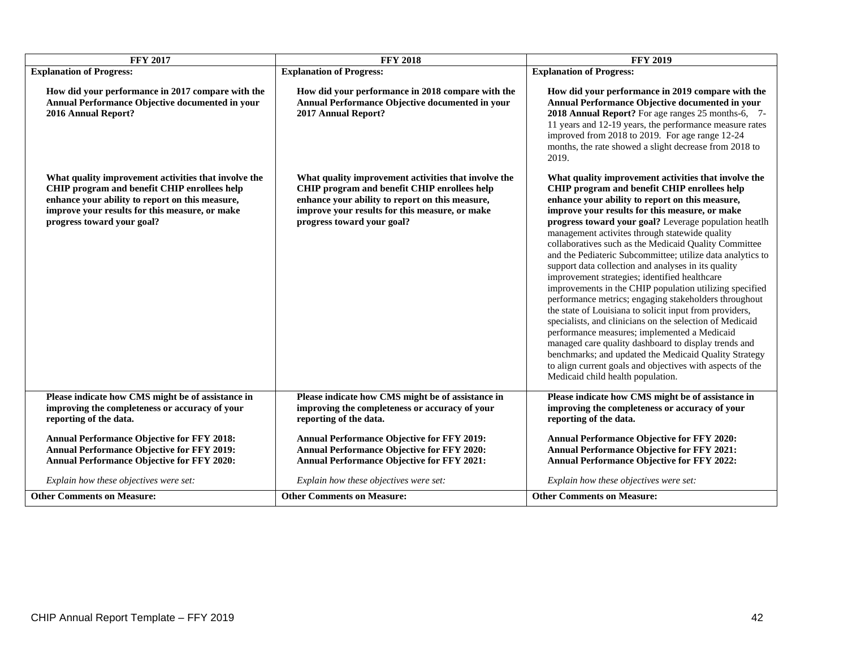| <b>FFY 2017</b>                                                                                                                                                                                                                         | <b>FFY 2018</b>                                                                                                                                                                                                                         | <b>FFY 2019</b>                                                                                                                                                                                                                                                                                                                                                                                                                                                                                                                                                                                                                                                                                                                                                                                                                                                                                                                                                                                                                                                   |
|-----------------------------------------------------------------------------------------------------------------------------------------------------------------------------------------------------------------------------------------|-----------------------------------------------------------------------------------------------------------------------------------------------------------------------------------------------------------------------------------------|-------------------------------------------------------------------------------------------------------------------------------------------------------------------------------------------------------------------------------------------------------------------------------------------------------------------------------------------------------------------------------------------------------------------------------------------------------------------------------------------------------------------------------------------------------------------------------------------------------------------------------------------------------------------------------------------------------------------------------------------------------------------------------------------------------------------------------------------------------------------------------------------------------------------------------------------------------------------------------------------------------------------------------------------------------------------|
| <b>Explanation of Progress:</b>                                                                                                                                                                                                         | <b>Explanation of Progress:</b>                                                                                                                                                                                                         | <b>Explanation of Progress:</b>                                                                                                                                                                                                                                                                                                                                                                                                                                                                                                                                                                                                                                                                                                                                                                                                                                                                                                                                                                                                                                   |
| How did your performance in 2017 compare with the<br>Annual Performance Objective documented in your<br>2016 Annual Report?                                                                                                             | How did your performance in 2018 compare with the<br>Annual Performance Objective documented in your<br>2017 Annual Report?                                                                                                             | How did your performance in 2019 compare with the<br>Annual Performance Objective documented in your<br>2018 Annual Report? For age ranges 25 months-6, 7-<br>11 years and 12-19 years, the performance measure rates<br>improved from 2018 to 2019. For age range 12-24<br>months, the rate showed a slight decrease from 2018 to<br>2019.                                                                                                                                                                                                                                                                                                                                                                                                                                                                                                                                                                                                                                                                                                                       |
| What quality improvement activities that involve the<br>CHIP program and benefit CHIP enrollees help<br>enhance your ability to report on this measure,<br>improve your results for this measure, or make<br>progress toward your goal? | What quality improvement activities that involve the<br>CHIP program and benefit CHIP enrollees help<br>enhance your ability to report on this measure,<br>improve your results for this measure, or make<br>progress toward your goal? | What quality improvement activities that involve the<br>CHIP program and benefit CHIP enrollees help<br>enhance your ability to report on this measure,<br>improve your results for this measure, or make<br>progress toward your goal? Leverage population heatlh<br>management activites through statewide quality<br>collaboratives such as the Medicaid Quality Committee<br>and the Pediateric Subcommittee; utilize data analytics to<br>support data collection and analyses in its quality<br>improvement strategies; identified healthcare<br>improvements in the CHIP population utilizing specified<br>performance metrics; engaging stakeholders throughout<br>the state of Louisiana to solicit input from providers,<br>specialists, and clinicians on the selection of Medicaid<br>performance measures; implemented a Medicaid<br>managed care quality dashboard to display trends and<br>benchmarks; and updated the Medicaid Quality Strategy<br>to align current goals and objectives with aspects of the<br>Medicaid child health population. |
| Please indicate how CMS might be of assistance in<br>improving the completeness or accuracy of your<br>reporting of the data.                                                                                                           | Please indicate how CMS might be of assistance in<br>improving the completeness or accuracy of your<br>reporting of the data.                                                                                                           | Please indicate how CMS might be of assistance in<br>improving the completeness or accuracy of your<br>reporting of the data.                                                                                                                                                                                                                                                                                                                                                                                                                                                                                                                                                                                                                                                                                                                                                                                                                                                                                                                                     |
| <b>Annual Performance Objective for FFY 2018:</b><br><b>Annual Performance Objective for FFY 2019:</b><br>Annual Performance Objective for FFY 2020:                                                                                    | <b>Annual Performance Objective for FFY 2019:</b><br><b>Annual Performance Objective for FFY 2020:</b><br><b>Annual Performance Objective for FFY 2021:</b>                                                                             | <b>Annual Performance Objective for FFY 2020:</b><br><b>Annual Performance Objective for FFY 2021:</b><br><b>Annual Performance Objective for FFY 2022:</b>                                                                                                                                                                                                                                                                                                                                                                                                                                                                                                                                                                                                                                                                                                                                                                                                                                                                                                       |
| Explain how these objectives were set:                                                                                                                                                                                                  | Explain how these objectives were set:                                                                                                                                                                                                  | Explain how these objectives were set:                                                                                                                                                                                                                                                                                                                                                                                                                                                                                                                                                                                                                                                                                                                                                                                                                                                                                                                                                                                                                            |
| <b>Other Comments on Measure:</b>                                                                                                                                                                                                       | <b>Other Comments on Measure:</b>                                                                                                                                                                                                       | <b>Other Comments on Measure:</b>                                                                                                                                                                                                                                                                                                                                                                                                                                                                                                                                                                                                                                                                                                                                                                                                                                                                                                                                                                                                                                 |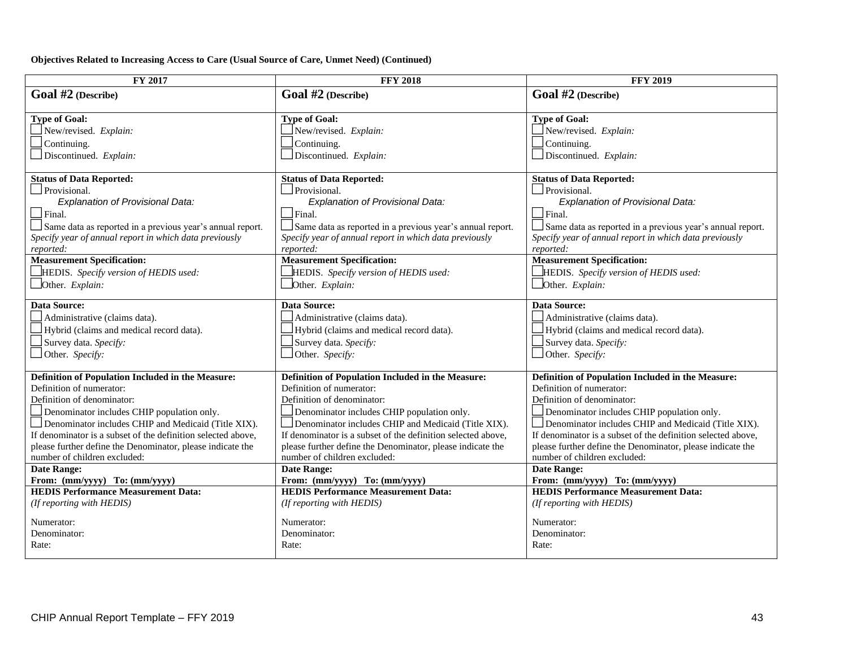**Objectives Related to Increasing Access to Care (Usual Source of Care, Unmet Need) (Continued)**

| FY 2017                                                      | <b>FFY 2018</b>                                              | <b>FFY 2019</b>                                              |
|--------------------------------------------------------------|--------------------------------------------------------------|--------------------------------------------------------------|
| Goal #2 (Describe)                                           | Goal #2 (Describe)                                           | Goal #2 (Describe)                                           |
| <b>Type of Goal:</b>                                         | <b>Type of Goal:</b>                                         | <b>Type of Goal:</b>                                         |
| New/revised. Explain:                                        | New/revised. Explain:                                        | New/revised. Explain:                                        |
| Continuing.                                                  | Continuing.                                                  | Continuing.                                                  |
| Discontinued. Explain:                                       | Discontinued. Explain:                                       | Discontinued. Explain:                                       |
| <b>Status of Data Reported:</b>                              | <b>Status of Data Reported:</b>                              | <b>Status of Data Reported:</b>                              |
| Provisional.                                                 | Provisional.                                                 | $\Box$ Provisional.                                          |
| Explanation of Provisional Data:                             | Explanation of Provisional Data:                             | Explanation of Provisional Data:                             |
| $\Box$ Final.                                                | $\Box$ Final.                                                | $\Box$ Final.                                                |
| Same data as reported in a previous year's annual report.    | Same data as reported in a previous year's annual report.    | Same data as reported in a previous year's annual report.    |
| Specify year of annual report in which data previously       | Specify year of annual report in which data previously       | Specify year of annual report in which data previously       |
| reported:                                                    | reported:                                                    | reported:                                                    |
| <b>Measurement Specification:</b>                            | <b>Measurement Specification:</b>                            | <b>Measurement Specification:</b>                            |
| $\Box$ HEDIS. Specify version of HEDIS used:                 | HEDIS. Specify version of HEDIS used:                        | HEDIS. Specify version of HEDIS used:                        |
| Other. Explain:                                              | Other. Explain:                                              | Other. Explain:                                              |
| <b>Data Source:</b>                                          | <b>Data Source:</b>                                          | <b>Data Source:</b>                                          |
| Administrative (claims data).                                | Administrative (claims data).                                | Administrative (claims data).                                |
| Hybrid (claims and medical record data).                     | Hybrid (claims and medical record data).                     | Hybrid (claims and medical record data).                     |
| Survey data. Specify:                                        | Survey data. Specify:                                        | Survey data. Specify:                                        |
| Other. Specify:                                              | Other. Specify:                                              | $\Box$ Other. Specify:                                       |
| Definition of Population Included in the Measure:            | Definition of Population Included in the Measure:            | Definition of Population Included in the Measure:            |
| Definition of numerator:                                     | Definition of numerator:                                     | Definition of numerator:                                     |
| Definition of denominator:                                   | Definition of denominator:                                   | Definition of denominator:                                   |
| Denominator includes CHIP population only.                   | Denominator includes CHIP population only.                   | Denominator includes CHIP population only.                   |
| Denominator includes CHIP and Medicaid (Title XIX).          | Denominator includes CHIP and Medicaid (Title XIX).          | Denominator includes CHIP and Medicaid (Title XIX).          |
| If denominator is a subset of the definition selected above, | If denominator is a subset of the definition selected above, | If denominator is a subset of the definition selected above, |
| please further define the Denominator, please indicate the   | please further define the Denominator, please indicate the   | please further define the Denominator, please indicate the   |
| number of children excluded:                                 | number of children excluded:                                 | number of children excluded:                                 |
| <b>Date Range:</b>                                           | Date Range:                                                  | <b>Date Range:</b>                                           |
| From: (mm/yyyy) To: (mm/yyyy)                                | From: (mm/yyyy) To: (mm/yyyy)                                | From: (mm/yyyy) To: (mm/yyyy)                                |
| <b>HEDIS Performance Measurement Data:</b>                   | <b>HEDIS Performance Measurement Data:</b>                   | <b>HEDIS Performance Measurement Data:</b>                   |
| (If reporting with HEDIS)                                    | (If reporting with HEDIS)                                    | (If reporting with HEDIS)                                    |
| Numerator:                                                   | Numerator:                                                   | Numerator:                                                   |
| Denominator:                                                 | Denominator:                                                 | Denominator:                                                 |
| Rate:                                                        | Rate:                                                        | Rate:                                                        |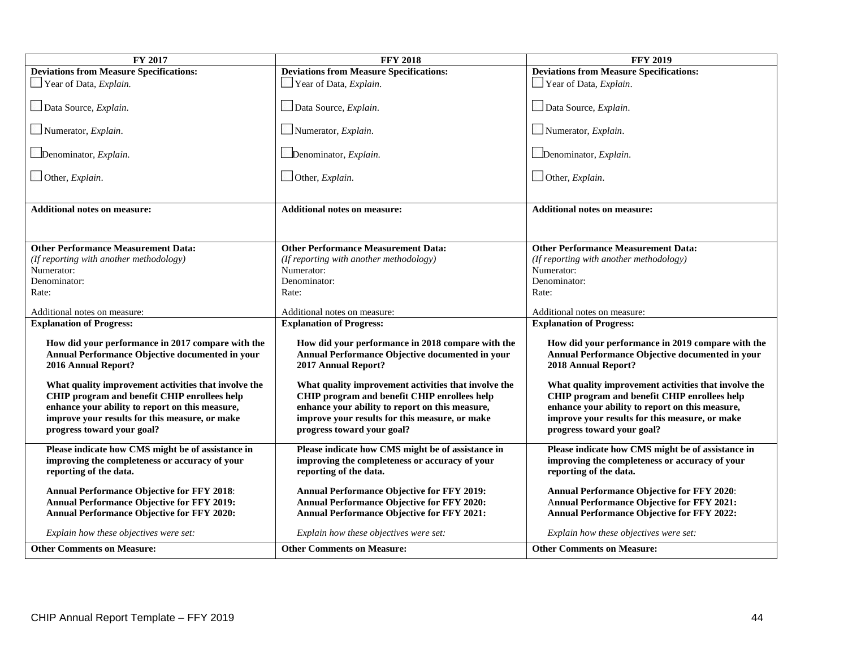| <b>FY 2017</b>                                                               | <b>FFY 2018</b>                                                              | <b>FFY 2019</b>                                                              |
|------------------------------------------------------------------------------|------------------------------------------------------------------------------|------------------------------------------------------------------------------|
| <b>Deviations from Measure Specifications:</b>                               | <b>Deviations from Measure Specifications:</b>                               | <b>Deviations from Measure Specifications:</b>                               |
| Year of Data, Explain.                                                       | $\Box$ Year of Data, <i>Explain</i> .                                        | $\Box$ Year of Data, <i>Explain</i> .                                        |
| Data Source, Explain.                                                        | Data Source, Explain.                                                        | Data Source, Explain.                                                        |
| $\Box$ Numerator, <i>Explain</i> .                                           | Numerator, $Explain$ .                                                       | Numerator, $Explain$ .                                                       |
|                                                                              |                                                                              |                                                                              |
| Denominator, Explain.                                                        | $\Box$ Denominator, <i>Explain</i> .                                         | Denominator, Explain.                                                        |
| $\Box$ Other, <i>Explain</i> .                                               | $\Box$ Other, <i>Explain</i> .                                               | $\Box$ Other, <i>Explain</i> .                                               |
|                                                                              |                                                                              |                                                                              |
| <b>Additional notes on measure:</b>                                          | <b>Additional notes on measure:</b>                                          | <b>Additional notes on measure:</b>                                          |
|                                                                              |                                                                              |                                                                              |
|                                                                              |                                                                              |                                                                              |
| <b>Other Performance Measurement Data:</b>                                   | <b>Other Performance Measurement Data:</b>                                   | <b>Other Performance Measurement Data:</b>                                   |
| (If reporting with another methodology)                                      | (If reporting with another methodology)                                      | (If reporting with another methodology)                                      |
| Numerator:                                                                   | Numerator:                                                                   | Numerator:                                                                   |
| Denominator:                                                                 | Denominator:                                                                 | Denominator:                                                                 |
| Rate:                                                                        | Rate:                                                                        | Rate:                                                                        |
|                                                                              |                                                                              |                                                                              |
| Additional notes on measure:                                                 | Additional notes on measure:                                                 | Additional notes on measure:                                                 |
| <b>Explanation of Progress:</b>                                              | <b>Explanation of Progress:</b>                                              | <b>Explanation of Progress:</b>                                              |
| How did your performance in 2017 compare with the                            | How did your performance in 2018 compare with the                            | How did your performance in 2019 compare with the                            |
| Annual Performance Objective documented in your                              | Annual Performance Objective documented in your                              | Annual Performance Objective documented in your                              |
| 2016 Annual Report?                                                          | 2017 Annual Report?                                                          | 2018 Annual Report?                                                          |
|                                                                              |                                                                              |                                                                              |
| What quality improvement activities that involve the                         | What quality improvement activities that involve the                         | What quality improvement activities that involve the                         |
| CHIP program and benefit CHIP enrollees help                                 | CHIP program and benefit CHIP enrollees help                                 | CHIP program and benefit CHIP enrollees help                                 |
| enhance your ability to report on this measure,                              | enhance your ability to report on this measure,                              | enhance your ability to report on this measure,                              |
| improve your results for this measure, or make<br>progress toward your goal? | improve your results for this measure, or make<br>progress toward your goal? | improve your results for this measure, or make<br>progress toward your goal? |
|                                                                              |                                                                              |                                                                              |
| Please indicate how CMS might be of assistance in                            | Please indicate how CMS might be of assistance in                            | Please indicate how CMS might be of assistance in                            |
| improving the completeness or accuracy of your                               | improving the completeness or accuracy of your                               | improving the completeness or accuracy of your                               |
| reporting of the data.                                                       | reporting of the data.                                                       | reporting of the data.                                                       |
| <b>Annual Performance Objective for FFY 2018:</b>                            | <b>Annual Performance Objective for FFY 2019:</b>                            | <b>Annual Performance Objective for FFY 2020:</b>                            |
| <b>Annual Performance Objective for FFY 2019:</b>                            | Annual Performance Objective for FFY 2020:                                   | Annual Performance Objective for FFY 2021:                                   |
| <b>Annual Performance Objective for FFY 2020:</b>                            | <b>Annual Performance Objective for FFY 2021:</b>                            | Annual Performance Objective for FFY 2022:                                   |
|                                                                              |                                                                              |                                                                              |
| Explain how these objectives were set:                                       | Explain how these objectives were set:                                       | Explain how these objectives were set:                                       |
| <b>Other Comments on Measure:</b>                                            | <b>Other Comments on Measure:</b>                                            | <b>Other Comments on Measure:</b>                                            |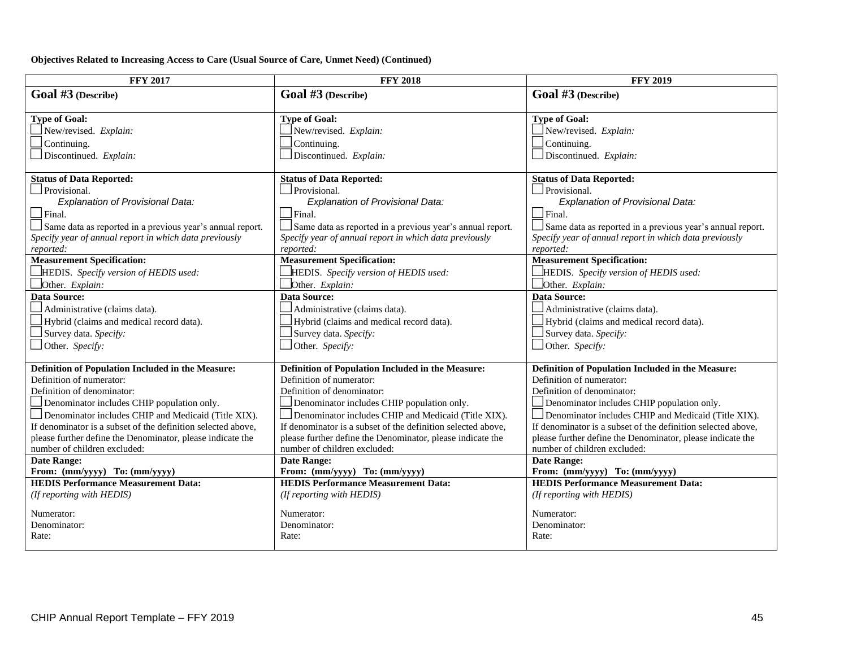#### **Objectives Related to Increasing Access to Care (Usual Source of Care, Unmet Need) (Continued)**

| Goal #3 (Describe)<br>Goal #3 (Describe)<br>Goal #3 (Describe)<br><b>Type of Goal:</b><br><b>Type of Goal:</b><br><b>Type of Goal:</b><br>New/revised. Explain:<br>New/revised. Explain:<br>New/revised. Explain:<br>Continuing.<br>Continuing.<br>$\Box$ Continuing.<br>Discontinued. Explain:<br>Discontinued. Explain:<br>$\Box$ Discontinued. Explain: |
|------------------------------------------------------------------------------------------------------------------------------------------------------------------------------------------------------------------------------------------------------------------------------------------------------------------------------------------------------------|
|                                                                                                                                                                                                                                                                                                                                                            |
|                                                                                                                                                                                                                                                                                                                                                            |
|                                                                                                                                                                                                                                                                                                                                                            |
|                                                                                                                                                                                                                                                                                                                                                            |
|                                                                                                                                                                                                                                                                                                                                                            |
|                                                                                                                                                                                                                                                                                                                                                            |
|                                                                                                                                                                                                                                                                                                                                                            |
| <b>Status of Data Reported:</b><br><b>Status of Data Reported:</b><br><b>Status of Data Reported:</b>                                                                                                                                                                                                                                                      |
| Provisional.<br>Provisional.<br>Provisional.                                                                                                                                                                                                                                                                                                               |
| Explanation of Provisional Data:<br>Explanation of Provisional Data:<br>Explanation of Provisional Data:<br>$\Box$ Final.<br>$\Box$ Final.<br>$\Box$ Final.                                                                                                                                                                                                |
|                                                                                                                                                                                                                                                                                                                                                            |
| Same data as reported in a previous year's annual report.<br>Same data as reported in a previous year's annual report.<br>Same data as reported in a previous year's annual report.                                                                                                                                                                        |
| Specify year of annual report in which data previously<br>Specify year of annual report in which data previously<br>Specify year of annual report in which data previously<br>reported:<br>reported:<br>reported:                                                                                                                                          |
| <b>Measurement Specification:</b><br><b>Measurement Specification:</b><br><b>Measurement Specification:</b>                                                                                                                                                                                                                                                |
| HEDIS. Specify version of HEDIS used:<br>HEDIS. Specify version of HEDIS used:<br>HEDIS. Specify version of HEDIS used:                                                                                                                                                                                                                                    |
| Other. Explain:<br>Other. Explain:<br>Other. Explain:                                                                                                                                                                                                                                                                                                      |
| <b>Data Source:</b><br><b>Data Source:</b><br><b>Data Source:</b>                                                                                                                                                                                                                                                                                          |
| Administrative (claims data).<br>Administrative (claims data).<br>Administrative (claims data).                                                                                                                                                                                                                                                            |
| Hybrid (claims and medical record data).<br>Hybrid (claims and medical record data).<br>Hybrid (claims and medical record data).                                                                                                                                                                                                                           |
| Survey data. Specify:<br>Survey data. Specify:<br>Survey data. Specify:                                                                                                                                                                                                                                                                                    |
| Other. Specify:<br>Other. Specify:<br>Other. Specify:                                                                                                                                                                                                                                                                                                      |
|                                                                                                                                                                                                                                                                                                                                                            |
| Definition of Population Included in the Measure:<br>Definition of Population Included in the Measure:<br>Definition of Population Included in the Measure:                                                                                                                                                                                                |
| Definition of numerator:<br>Definition of numerator:<br>Definition of numerator:                                                                                                                                                                                                                                                                           |
| Definition of denominator:<br>Definition of denominator:<br>Definition of denominator:                                                                                                                                                                                                                                                                     |
| Denominator includes CHIP population only.<br>Denominator includes CHIP population only.<br>Denominator includes CHIP population only.                                                                                                                                                                                                                     |
| Denominator includes CHIP and Medicaid (Title XIX).<br>Denominator includes CHIP and Medicaid (Title XIX).<br>Denominator includes CHIP and Medicaid (Title XIX).                                                                                                                                                                                          |
| If denominator is a subset of the definition selected above,<br>If denominator is a subset of the definition selected above,<br>If denominator is a subset of the definition selected above,                                                                                                                                                               |
| please further define the Denominator, please indicate the<br>please further define the Denominator, please indicate the<br>please further define the Denominator, please indicate the                                                                                                                                                                     |
| number of children excluded:<br>number of children excluded:<br>number of children excluded:                                                                                                                                                                                                                                                               |
| <b>Date Range:</b><br><b>Date Range:</b><br><b>Date Range:</b>                                                                                                                                                                                                                                                                                             |
| From: (mm/yyyy) To: (mm/yyyy)<br>From: (mm/yyyy) To: (mm/yyyy)<br>From: (mm/yyyy) To: (mm/yyyy)<br><b>HEDIS Performance Measurement Data:</b><br><b>HEDIS Performance Measurement Data:</b><br><b>HEDIS Performance Measurement Data:</b>                                                                                                                  |
| (If reporting with HEDIS)<br>(If reporting with HEDIS)<br>(If reporting with HEDIS)                                                                                                                                                                                                                                                                        |
|                                                                                                                                                                                                                                                                                                                                                            |
| Numerator:<br>Numerator:<br>Numerator:                                                                                                                                                                                                                                                                                                                     |
| Denominator:<br>Denominator:<br>Denominator:                                                                                                                                                                                                                                                                                                               |
| Rate:<br>Rate:<br>Rate:                                                                                                                                                                                                                                                                                                                                    |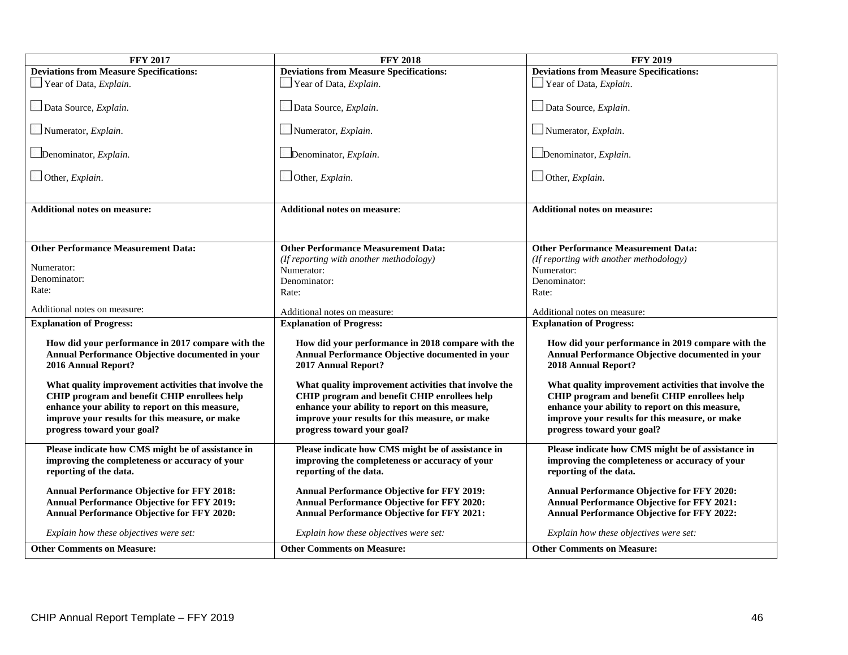| <b>FFY 2017</b>                                                                                                             | <b>FFY 2018</b>                                                                                                             | <b>FFY 2019</b>                                                                                                             |
|-----------------------------------------------------------------------------------------------------------------------------|-----------------------------------------------------------------------------------------------------------------------------|-----------------------------------------------------------------------------------------------------------------------------|
| <b>Deviations from Measure Specifications:</b>                                                                              | <b>Deviations from Measure Specifications:</b>                                                                              | <b>Deviations from Measure Specifications:</b>                                                                              |
| $\Box$ Year of Data, <i>Explain</i> .                                                                                       | Year of Data, Explain.                                                                                                      | $\Box$ Year of Data, <i>Explain</i> .                                                                                       |
| Data Source, Explain.                                                                                                       | Data Source, Explain.                                                                                                       | Data Source, Explain.                                                                                                       |
| $\Box$ Numerator, <i>Explain</i> .                                                                                          | $\Box$ Numerator, <i>Explain</i> .                                                                                          | $\Box$ Numerator, <i>Explain</i> .                                                                                          |
| $\Box$ Denominator, <i>Explain</i> .                                                                                        | Denominator, Explain.                                                                                                       | Denominator, Explain.                                                                                                       |
| $\Box$ Other, <i>Explain</i> .                                                                                              | $\Box$ Other, <i>Explain</i> .                                                                                              | $\Box$ Other, <i>Explain</i> .                                                                                              |
| <b>Additional notes on measure:</b>                                                                                         | <b>Additional notes on measure:</b>                                                                                         | <b>Additional notes on measure:</b>                                                                                         |
|                                                                                                                             |                                                                                                                             |                                                                                                                             |
| <b>Other Performance Measurement Data:</b>                                                                                  | <b>Other Performance Measurement Data:</b>                                                                                  | <b>Other Performance Measurement Data:</b>                                                                                  |
| Numerator:                                                                                                                  | (If reporting with another methodology)                                                                                     | (If reporting with another methodology)                                                                                     |
| Denominator:                                                                                                                | Numerator:                                                                                                                  | Numerator:                                                                                                                  |
| Rate:                                                                                                                       | Denominator:                                                                                                                | Denominator:                                                                                                                |
|                                                                                                                             | Rate:                                                                                                                       | Rate:                                                                                                                       |
| Additional notes on measure:                                                                                                | Additional notes on measure:                                                                                                | Additional notes on measure:                                                                                                |
| <b>Explanation of Progress:</b>                                                                                             | <b>Explanation of Progress:</b>                                                                                             | <b>Explanation of Progress:</b>                                                                                             |
| How did your performance in 2017 compare with the<br>Annual Performance Objective documented in your<br>2016 Annual Report? | How did your performance in 2018 compare with the<br>Annual Performance Objective documented in your<br>2017 Annual Report? | How did your performance in 2019 compare with the<br>Annual Performance Objective documented in your<br>2018 Annual Report? |
| What quality improvement activities that involve the                                                                        | What quality improvement activities that involve the                                                                        | What quality improvement activities that involve the                                                                        |
| CHIP program and benefit CHIP enrollees help                                                                                | CHIP program and benefit CHIP enrollees help                                                                                | CHIP program and benefit CHIP enrollees help                                                                                |
| enhance your ability to report on this measure,                                                                             | enhance your ability to report on this measure,                                                                             | enhance your ability to report on this measure,                                                                             |
| improve your results for this measure, or make<br>progress toward your goal?                                                | improve your results for this measure, or make<br>progress toward your goal?                                                | improve your results for this measure, or make<br>progress toward your goal?                                                |
| Please indicate how CMS might be of assistance in                                                                           | Please indicate how CMS might be of assistance in                                                                           | Please indicate how CMS might be of assistance in                                                                           |
| improving the completeness or accuracy of your<br>reporting of the data.                                                    | improving the completeness or accuracy of your<br>reporting of the data.                                                    | improving the completeness or accuracy of your<br>reporting of the data.                                                    |
|                                                                                                                             |                                                                                                                             |                                                                                                                             |
| <b>Annual Performance Objective for FFY 2018:</b><br><b>Annual Performance Objective for FFY 2019:</b>                      | <b>Annual Performance Objective for FFY 2019:</b><br><b>Annual Performance Objective for FFY 2020:</b>                      | <b>Annual Performance Objective for FFY 2020:</b><br><b>Annual Performance Objective for FFY 2021:</b>                      |
| <b>Annual Performance Objective for FFY 2020:</b>                                                                           | <b>Annual Performance Objective for FFY 2021:</b>                                                                           | Annual Performance Objective for FFY 2022:                                                                                  |
| Explain how these objectives were set:                                                                                      | Explain how these objectives were set:                                                                                      | Explain how these objectives were set:                                                                                      |
| <b>Other Comments on Measure:</b>                                                                                           | <b>Other Comments on Measure:</b>                                                                                           | <b>Other Comments on Measure:</b>                                                                                           |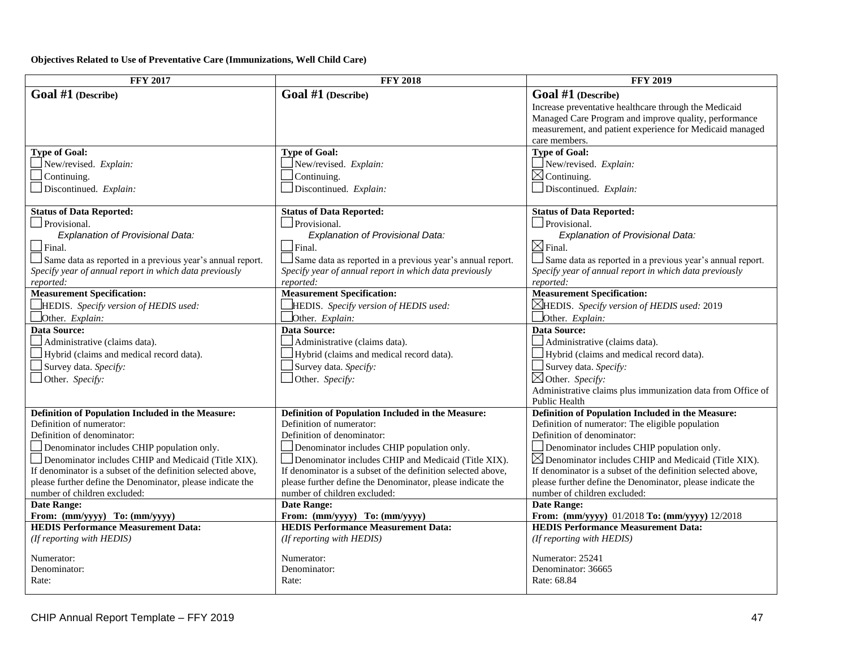### **Objectives Related to Use of Preventative Care (Immunizations, Well Child Care)**

| <b>FFY 2017</b>                                                                                                            | <b>FFY 2018</b>                                                                                                            | <b>FFY 2019</b>                                                                                                            |
|----------------------------------------------------------------------------------------------------------------------------|----------------------------------------------------------------------------------------------------------------------------|----------------------------------------------------------------------------------------------------------------------------|
| Goal #1 (Describe)                                                                                                         | Goal #1 (Describe)                                                                                                         | Goal #1 (Describe)                                                                                                         |
|                                                                                                                            |                                                                                                                            | Increase preventative healthcare through the Medicaid                                                                      |
|                                                                                                                            |                                                                                                                            | Managed Care Program and improve quality, performance                                                                      |
|                                                                                                                            |                                                                                                                            | measurement, and patient experience for Medicaid managed                                                                   |
|                                                                                                                            |                                                                                                                            | care members.                                                                                                              |
| <b>Type of Goal:</b>                                                                                                       | <b>Type of Goal:</b>                                                                                                       | <b>Type of Goal:</b>                                                                                                       |
| New/revised. Explain:                                                                                                      | New/revised. Explain:                                                                                                      | New/revised. Explain:                                                                                                      |
| $\Box$ Continuing.                                                                                                         | Continuing.                                                                                                                | $\boxtimes$ Continuing.                                                                                                    |
| Discontinued. Explain:                                                                                                     | $\Box$ Discontinued. Explain:                                                                                              | Discontinued. Explain:                                                                                                     |
| <b>Status of Data Reported:</b>                                                                                            | <b>Status of Data Reported:</b>                                                                                            | <b>Status of Data Reported:</b>                                                                                            |
| Provisional.                                                                                                               | Provisional.                                                                                                               | Provisional.                                                                                                               |
| Explanation of Provisional Data:                                                                                           | Explanation of Provisional Data:                                                                                           | <b>Explanation of Provisional Data:</b>                                                                                    |
| $\Box$ Final.                                                                                                              | $\Box$ Final.                                                                                                              | $\boxtimes$ Final.                                                                                                         |
| Same data as reported in a previous year's annual report.                                                                  | $\Box$ Same data as reported in a previous year's annual report.                                                           | Same data as reported in a previous year's annual report.                                                                  |
| Specify year of annual report in which data previously                                                                     | Specify year of annual report in which data previously                                                                     | Specify year of annual report in which data previously                                                                     |
| reported:                                                                                                                  | reported:                                                                                                                  | reported:                                                                                                                  |
| <b>Measurement Specification:</b>                                                                                          | <b>Measurement Specification:</b>                                                                                          | <b>Measurement Specification:</b>                                                                                          |
| HEDIS. Specify version of HEDIS used:                                                                                      | HEDIS. Specify version of HEDIS used:                                                                                      | <b>EHEDIS.</b> Specify version of HEDIS used: 2019                                                                         |
| Other. Explain:                                                                                                            | Other. Explain:                                                                                                            | Other. Explain:                                                                                                            |
| <b>Data Source:</b>                                                                                                        | Data Source:                                                                                                               | <b>Data Source:</b>                                                                                                        |
| Administrative (claims data).                                                                                              | Administrative (claims data).                                                                                              | Administrative (claims data).                                                                                              |
| Hybrid (claims and medical record data).                                                                                   | Hybrid (claims and medical record data).                                                                                   | Hybrid (claims and medical record data).                                                                                   |
| Survey data. Specify:                                                                                                      | Survey data. Specify:                                                                                                      | Survey data. Specify:                                                                                                      |
| Other. Specify:                                                                                                            | Other. Specify:                                                                                                            | $\boxtimes$ Other. Specify:                                                                                                |
|                                                                                                                            |                                                                                                                            | Administrative claims plus immunization data from Office of                                                                |
|                                                                                                                            |                                                                                                                            | Public Health                                                                                                              |
| Definition of Population Included in the Measure:                                                                          | Definition of Population Included in the Measure:                                                                          | Definition of Population Included in the Measure:                                                                          |
| Definition of numerator:                                                                                                   | Definition of numerator:                                                                                                   | Definition of numerator: The eligible population                                                                           |
| Definition of denominator:                                                                                                 | Definition of denominator:                                                                                                 | Definition of denominator:                                                                                                 |
| $\Box$ Denominator includes CHIP population only.                                                                          | Denominator includes CHIP population only.                                                                                 | Denominator includes CHIP population only.                                                                                 |
| $\Box$ Denominator includes CHIP and Medicaid (Title XIX).                                                                 | $\Box$ Denominator includes CHIP and Medicaid (Title XIX).                                                                 | $\boxtimes$ Denominator includes CHIP and Medicaid (Title XIX).                                                            |
| If denominator is a subset of the definition selected above,<br>please further define the Denominator, please indicate the | If denominator is a subset of the definition selected above,<br>please further define the Denominator, please indicate the | If denominator is a subset of the definition selected above,<br>please further define the Denominator, please indicate the |
| number of children excluded:                                                                                               | number of children excluded:                                                                                               | number of children excluded:                                                                                               |
| <b>Date Range:</b>                                                                                                         | <b>Date Range:</b>                                                                                                         | <b>Date Range:</b>                                                                                                         |
| From: (mm/yyyy) To: (mm/yyyy)                                                                                              | From: (mm/yyyy) To: (mm/yyyy)                                                                                              | From: (mm/yyyy) 01/2018 To: (mm/yyyy) 12/2018                                                                              |
| <b>HEDIS Performance Measurement Data:</b>                                                                                 | <b>HEDIS Performance Measurement Data:</b>                                                                                 | <b>HEDIS Performance Measurement Data:</b>                                                                                 |
| (If reporting with HEDIS)                                                                                                  | (If reporting with HEDIS)                                                                                                  | (If reporting with HEDIS)                                                                                                  |
|                                                                                                                            |                                                                                                                            |                                                                                                                            |
| Numerator:                                                                                                                 | Numerator:                                                                                                                 | Numerator: 25241                                                                                                           |
| Denominator:                                                                                                               | Denominator:                                                                                                               | Denominator: 36665                                                                                                         |
| Rate:                                                                                                                      | Rate:                                                                                                                      | Rate: 68.84                                                                                                                |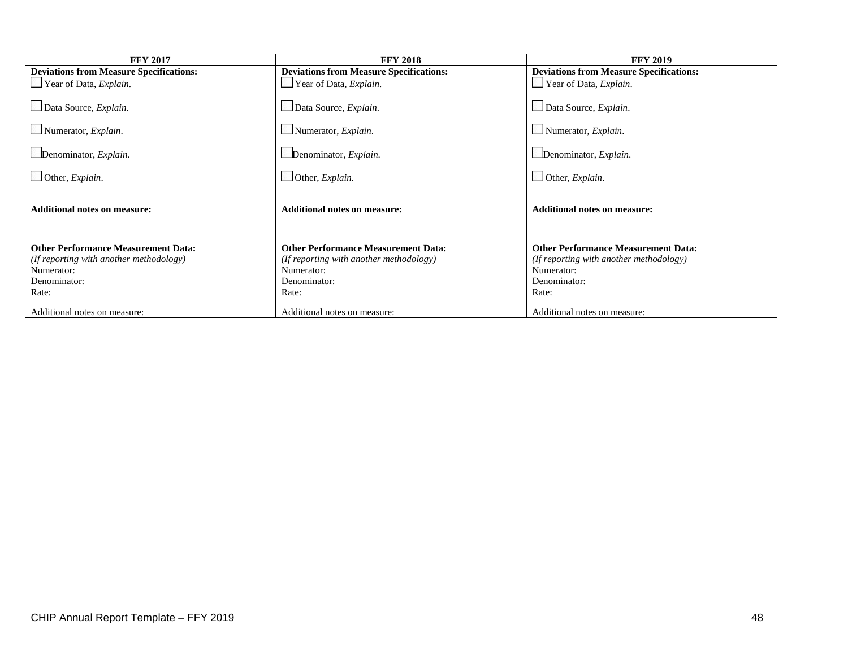| <b>FFY 2017</b>                                | <b>FFY 2018</b>                                | <b>FFY 2019</b>                                |
|------------------------------------------------|------------------------------------------------|------------------------------------------------|
| <b>Deviations from Measure Specifications:</b> | <b>Deviations from Measure Specifications:</b> | <b>Deviations from Measure Specifications:</b> |
| $\Box$ Year of Data, <i>Explain</i> .          | Year of Data, Explain.                         | Year of Data, <i>Explain</i> .                 |
| Data Source, Explain.                          | Data Source, Explain.                          | Data Source, Explain.                          |
| $\Box$ Numerator, <i>Explain</i> .             | Numerator, Explain.                            | Numerator, $Explain$ .                         |
| Denominator, Explain.                          | Denominator, Explain.                          | Denominator, Explain.                          |
| $\Box$ Other, <i>Explain</i> .                 | $\Box$ Other, <i>Explain</i> .                 | $\Box$ Other, <i>Explain</i> .                 |
|                                                |                                                |                                                |
| <b>Additional notes on measure:</b>            | <b>Additional notes on measure:</b>            | <b>Additional notes on measure:</b>            |
|                                                |                                                |                                                |
| <b>Other Performance Measurement Data:</b>     | <b>Other Performance Measurement Data:</b>     | <b>Other Performance Measurement Data:</b>     |
| (If reporting with another methodology)        | (If reporting with another methodology)        | (If reporting with another methodology)        |
| Numerator:                                     | Numerator:                                     | Numerator:                                     |
| Denominator:                                   | Denominator:                                   | Denominator:                                   |
| Rate:                                          | Rate:                                          | Rate:                                          |
| Additional notes on measure:                   | Additional notes on measure:                   | Additional notes on measure:                   |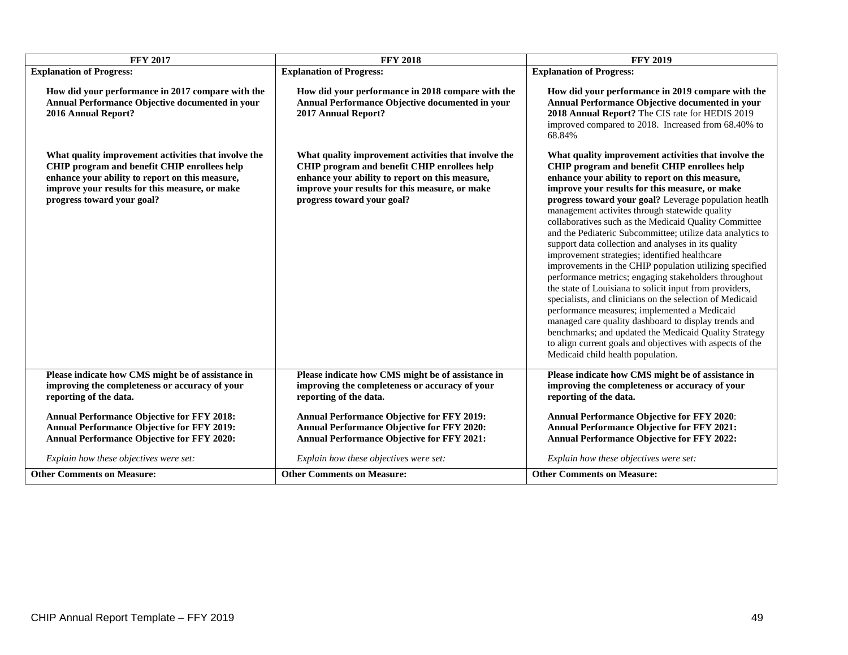| <b>FFY 2017</b>                                                                                                                                                                                                                         | <b>FFY 2018</b>                                                                                                                                                                                                                         | <b>FFY 2019</b>                                                                                                                                                                                                                                                                                                                                                                                                                                                                                                                                                                                                                                                                                                                                                                                                                                                                                                                                                                                                                                                   |  |  |  |
|-----------------------------------------------------------------------------------------------------------------------------------------------------------------------------------------------------------------------------------------|-----------------------------------------------------------------------------------------------------------------------------------------------------------------------------------------------------------------------------------------|-------------------------------------------------------------------------------------------------------------------------------------------------------------------------------------------------------------------------------------------------------------------------------------------------------------------------------------------------------------------------------------------------------------------------------------------------------------------------------------------------------------------------------------------------------------------------------------------------------------------------------------------------------------------------------------------------------------------------------------------------------------------------------------------------------------------------------------------------------------------------------------------------------------------------------------------------------------------------------------------------------------------------------------------------------------------|--|--|--|
| <b>Explanation of Progress:</b>                                                                                                                                                                                                         | <b>Explanation of Progress:</b>                                                                                                                                                                                                         | <b>Explanation of Progress:</b>                                                                                                                                                                                                                                                                                                                                                                                                                                                                                                                                                                                                                                                                                                                                                                                                                                                                                                                                                                                                                                   |  |  |  |
| How did your performance in 2017 compare with the<br>Annual Performance Objective documented in your<br>2016 Annual Report?                                                                                                             | How did your performance in 2018 compare with the<br>Annual Performance Objective documented in your<br>2017 Annual Report?                                                                                                             | How did your performance in 2019 compare with the<br>Annual Performance Objective documented in your<br>2018 Annual Report? The CIS rate for HEDIS 2019<br>improved compared to 2018. Increased from 68.40% to<br>68.84%                                                                                                                                                                                                                                                                                                                                                                                                                                                                                                                                                                                                                                                                                                                                                                                                                                          |  |  |  |
| What quality improvement activities that involve the<br>CHIP program and benefit CHIP enrollees help<br>enhance your ability to report on this measure,<br>improve your results for this measure, or make<br>progress toward your goal? | What quality improvement activities that involve the<br>CHIP program and benefit CHIP enrollees help<br>enhance your ability to report on this measure,<br>improve your results for this measure, or make<br>progress toward your goal? | What quality improvement activities that involve the<br>CHIP program and benefit CHIP enrollees help<br>enhance your ability to report on this measure,<br>improve your results for this measure, or make<br>progress toward your goal? Leverage population heatlh<br>management activites through statewide quality<br>collaboratives such as the Medicaid Quality Committee<br>and the Pediateric Subcommittee; utilize data analytics to<br>support data collection and analyses in its quality<br>improvement strategies; identified healthcare<br>improvements in the CHIP population utilizing specified<br>performance metrics; engaging stakeholders throughout<br>the state of Louisiana to solicit input from providers,<br>specialists, and clinicians on the selection of Medicaid<br>performance measures; implemented a Medicaid<br>managed care quality dashboard to display trends and<br>benchmarks; and updated the Medicaid Quality Strategy<br>to align current goals and objectives with aspects of the<br>Medicaid child health population. |  |  |  |
| Please indicate how CMS might be of assistance in<br>improving the completeness or accuracy of your<br>reporting of the data.                                                                                                           | Please indicate how CMS might be of assistance in<br>improving the completeness or accuracy of your<br>reporting of the data.                                                                                                           | Please indicate how CMS might be of assistance in<br>improving the completeness or accuracy of your<br>reporting of the data.                                                                                                                                                                                                                                                                                                                                                                                                                                                                                                                                                                                                                                                                                                                                                                                                                                                                                                                                     |  |  |  |
| <b>Annual Performance Objective for FFY 2018:</b><br><b>Annual Performance Objective for FFY 2019:</b><br><b>Annual Performance Objective for FFY 2020:</b>                                                                             | <b>Annual Performance Objective for FFY 2019:</b><br><b>Annual Performance Objective for FFY 2020:</b><br><b>Annual Performance Objective for FFY 2021:</b>                                                                             | <b>Annual Performance Objective for FFY 2020:</b><br><b>Annual Performance Objective for FFY 2021:</b><br><b>Annual Performance Objective for FFY 2022:</b>                                                                                                                                                                                                                                                                                                                                                                                                                                                                                                                                                                                                                                                                                                                                                                                                                                                                                                       |  |  |  |
| Explain how these objectives were set:                                                                                                                                                                                                  | Explain how these objectives were set:                                                                                                                                                                                                  | Explain how these objectives were set:                                                                                                                                                                                                                                                                                                                                                                                                                                                                                                                                                                                                                                                                                                                                                                                                                                                                                                                                                                                                                            |  |  |  |
| <b>Other Comments on Measure:</b>                                                                                                                                                                                                       | <b>Other Comments on Measure:</b>                                                                                                                                                                                                       | <b>Other Comments on Measure:</b>                                                                                                                                                                                                                                                                                                                                                                                                                                                                                                                                                                                                                                                                                                                                                                                                                                                                                                                                                                                                                                 |  |  |  |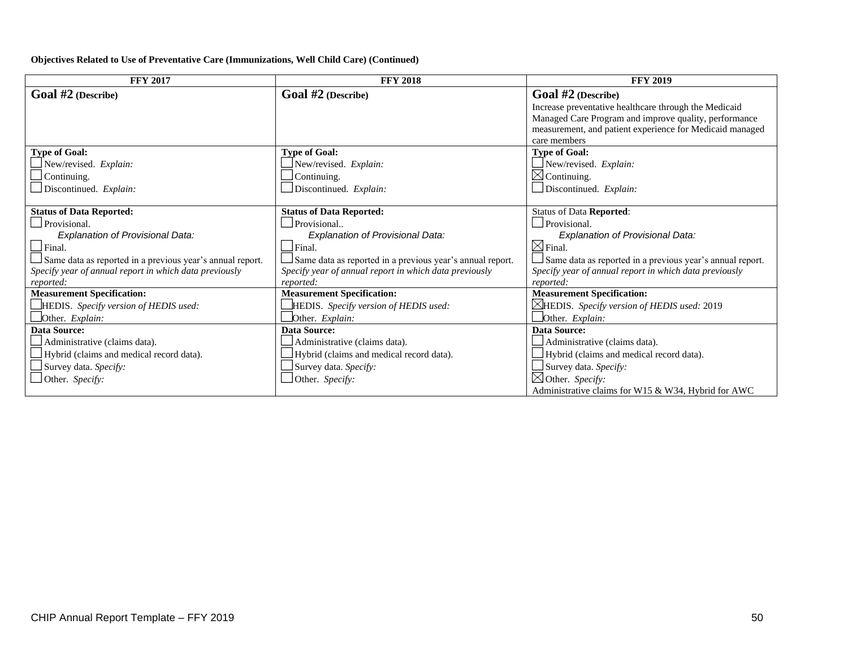#### **Objectives Related to Use of Preventative Care (Immunizations, Well Child Care) (Continued)**

| <b>FFY 2017</b>                                           | <b>FFY 2018</b>                                           | <b>FFY 2019</b>                                           |
|-----------------------------------------------------------|-----------------------------------------------------------|-----------------------------------------------------------|
| <b>Goal #2</b> (Describe)                                 | <b>Goal</b> $#2$ (Describe)                               | Goal #2 (Describe)                                        |
|                                                           |                                                           | Increase preventative healthcare through the Medicaid     |
|                                                           |                                                           | Managed Care Program and improve quality, performance     |
|                                                           |                                                           | measurement, and patient experience for Medicaid managed  |
| <b>Type of Goal:</b>                                      | <b>Type of Goal:</b>                                      | care members                                              |
|                                                           |                                                           | <b>Type of Goal:</b>                                      |
| New/revised. Explain:                                     | New/revised. Explain:                                     | $\Box$ New/revised. Explain:<br>$\boxtimes$ Continuing.   |
| $\Box$ Continuing.                                        | Continuing.                                               |                                                           |
| $\Box$ Discontinued. Explain:                             | Discontinued. Explain:                                    | Discontinued. Explain:                                    |
| <b>Status of Data Reported:</b>                           | <b>Status of Data Reported:</b>                           | <b>Status of Data Reported:</b>                           |
| Provisional.                                              | Provisional                                               | $\Box$ Provisional.                                       |
| <b>Explanation of Provisional Data:</b>                   | Explanation of Provisional Data:                          | Explanation of Provisional Data:                          |
| $\Box$ Final.                                             | Final.                                                    | $\boxtimes$ Final.                                        |
| Same data as reported in a previous year's annual report. | Same data as reported in a previous year's annual report. | Same data as reported in a previous year's annual report. |
| Specify year of annual report in which data previously    | Specify year of annual report in which data previously    | Specify year of annual report in which data previously    |
| reported:                                                 | reported:                                                 | reported:                                                 |
| <b>Measurement Specification:</b>                         | <b>Measurement Specification:</b>                         | <b>Measurement Specification:</b>                         |
| HEDIS. Specify version of HEDIS used:                     | HEDIS. Specify version of HEDIS used:                     | $\boxtimes$ HEDIS. Specify version of HEDIS used: 2019    |
| Other. Explain:                                           | Other. Explain:                                           | Other. Explain:                                           |
| <b>Data Source:</b>                                       | <b>Data Source:</b>                                       | <b>Data Source:</b>                                       |
| Administrative (claims data).                             | Administrative (claims data).                             | Administrative (claims data).                             |
| Hybrid (claims and medical record data).                  | Hybrid (claims and medical record data).                  | Hybrid (claims and medical record data).                  |
| Survey data. Specify:                                     | Survey data. Specify:                                     | Survey data. Specify:                                     |
| Other. Specify:                                           | Other. Specify:                                           | $\boxtimes$ Other. Specify:                               |
|                                                           |                                                           | Administrative claims for W15 & W34, Hybrid for AWC       |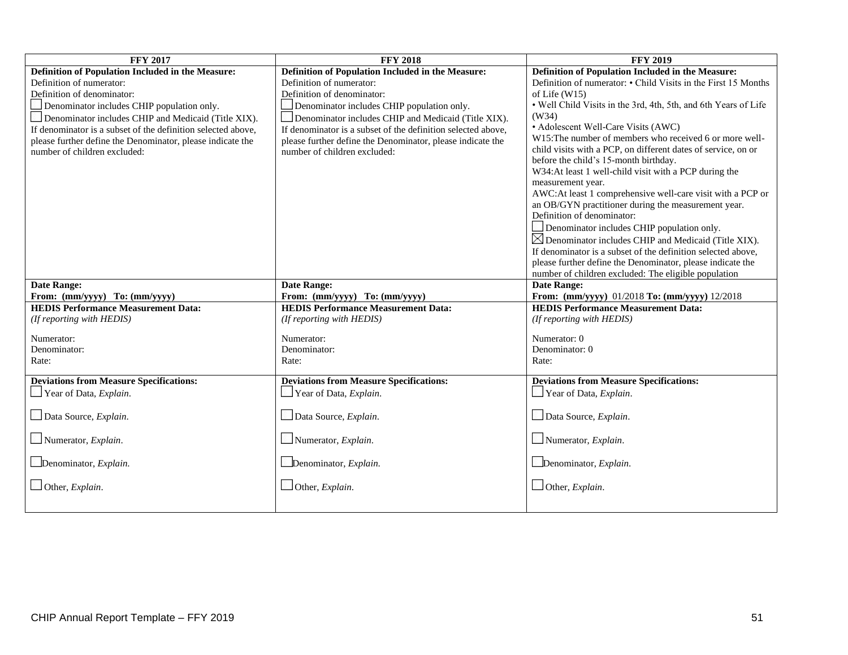| <b>FFY 2017</b>                                              | <b>FFY 2018</b>                                              | <b>FFY 2019</b>                                                 |  |  |  |
|--------------------------------------------------------------|--------------------------------------------------------------|-----------------------------------------------------------------|--|--|--|
| Definition of Population Included in the Measure:            | Definition of Population Included in the Measure:            | Definition of Population Included in the Measure:               |  |  |  |
| Definition of numerator:                                     | Definition of numerator:                                     | Definition of numerator: • Child Visits in the First 15 Months  |  |  |  |
| Definition of denominator:                                   | Definition of denominator:                                   | of Life $(W15)$                                                 |  |  |  |
| Denominator includes CHIP population only.                   | Denominator includes CHIP population only.                   | • Well Child Visits in the 3rd, 4th, 5th, and 6th Years of Life |  |  |  |
| Denominator includes CHIP and Medicaid (Title XIX).          | Denominator includes CHIP and Medicaid (Title XIX).          | (W34)                                                           |  |  |  |
| If denominator is a subset of the definition selected above, | If denominator is a subset of the definition selected above, | • Adolescent Well-Care Visits (AWC)                             |  |  |  |
| please further define the Denominator, please indicate the   | please further define the Denominator, please indicate the   | W15: The number of members who received 6 or more well-         |  |  |  |
| number of children excluded:                                 | number of children excluded:                                 | child visits with a PCP, on different dates of service, on or   |  |  |  |
|                                                              |                                                              | before the child's 15-month birthday.                           |  |  |  |
|                                                              |                                                              | W34:At least 1 well-child visit with a PCP during the           |  |  |  |
|                                                              |                                                              | measurement year.                                               |  |  |  |
|                                                              |                                                              | AWC:At least 1 comprehensive well-care visit with a PCP or      |  |  |  |
|                                                              |                                                              | an OB/GYN practitioner during the measurement year.             |  |  |  |
|                                                              |                                                              | Definition of denominator:                                      |  |  |  |
|                                                              |                                                              | Denominator includes CHIP population only.                      |  |  |  |
|                                                              |                                                              | $\boxtimes$ Denominator includes CHIP and Medicaid (Title XIX). |  |  |  |
|                                                              |                                                              | If denominator is a subset of the definition selected above,    |  |  |  |
|                                                              |                                                              | please further define the Denominator, please indicate the      |  |  |  |
|                                                              |                                                              | number of children excluded: The eligible population            |  |  |  |
| <b>Date Range:</b>                                           | <b>Date Range:</b>                                           | <b>Date Range:</b>                                              |  |  |  |
| From: (mm/yyyy) To: (mm/yyyy)                                | From: (mm/yyyy) To: (mm/yyyy)                                | From: (mm/yyyy) 01/2018 To: (mm/yyyy) 12/2018                   |  |  |  |
| <b>HEDIS Performance Measurement Data:</b>                   | <b>HEDIS Performance Measurement Data:</b>                   | <b>HEDIS Performance Measurement Data:</b>                      |  |  |  |
| (If reporting with HEDIS)                                    | (If reporting with HEDIS)                                    | (If reporting with HEDIS)                                       |  |  |  |
| Numerator:                                                   | Numerator:                                                   | Numerator: 0                                                    |  |  |  |
| Denominator:                                                 | Denominator:                                                 | Denominator: 0                                                  |  |  |  |
| Rate:                                                        | Rate:                                                        | Rate:                                                           |  |  |  |
|                                                              |                                                              |                                                                 |  |  |  |
| <b>Deviations from Measure Specifications:</b>               | <b>Deviations from Measure Specifications:</b>               | <b>Deviations from Measure Specifications:</b>                  |  |  |  |
| Year of Data, Explain.                                       | Year of Data, Explain.                                       | Year of Data, Explain.                                          |  |  |  |
|                                                              |                                                              |                                                                 |  |  |  |
| Data Source, Explain.                                        | Data Source, Explain.                                        | Data Source, Explain.                                           |  |  |  |
| $\Box$ Numerator, <i>Explain</i> .                           | $\Box$ Numerator, <i>Explain</i> .                           | $\Box$ Numerator, <i>Explain</i> .                              |  |  |  |
|                                                              |                                                              |                                                                 |  |  |  |
| $\Box$ Denominator, <i>Explain</i> .                         | Denominator, Explain.                                        | $\Box$ Denominator, <i>Explain</i> .                            |  |  |  |
|                                                              |                                                              |                                                                 |  |  |  |
| Other, Explain.                                              | Other, Explain.                                              | Other, Explain.                                                 |  |  |  |
|                                                              |                                                              |                                                                 |  |  |  |
|                                                              |                                                              |                                                                 |  |  |  |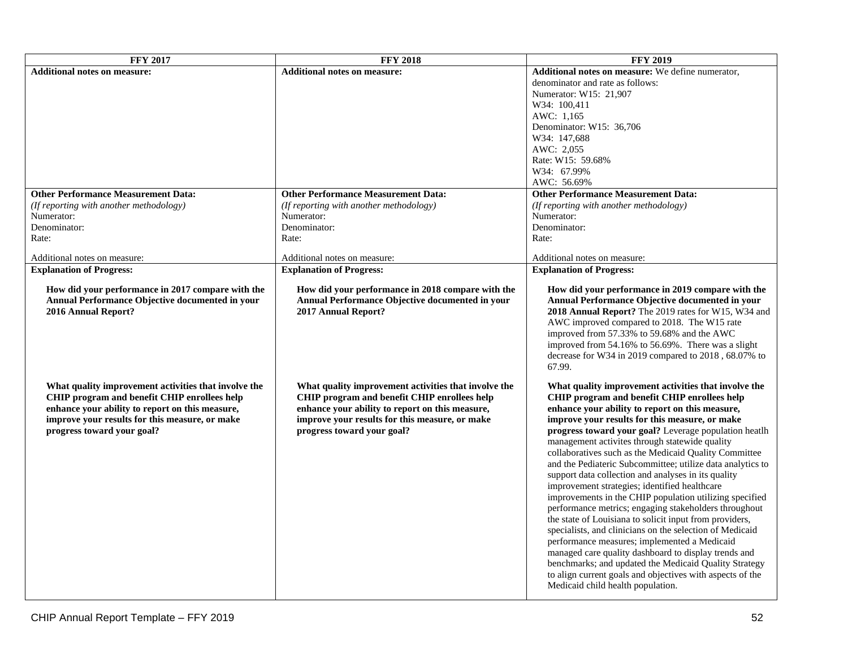| <b>FFY 2017</b>                                                                                                                                                                                                                         | <b>FFY 2018</b>                                                                                                                                                                                                                         | <b>FFY 2019</b>                                                                                                                                                                                                                                                                                                                                                                                                                                                                                                                                                                                                                                                                                                                                                                                                                                                                                                                                                                                                                                                  |
|-----------------------------------------------------------------------------------------------------------------------------------------------------------------------------------------------------------------------------------------|-----------------------------------------------------------------------------------------------------------------------------------------------------------------------------------------------------------------------------------------|------------------------------------------------------------------------------------------------------------------------------------------------------------------------------------------------------------------------------------------------------------------------------------------------------------------------------------------------------------------------------------------------------------------------------------------------------------------------------------------------------------------------------------------------------------------------------------------------------------------------------------------------------------------------------------------------------------------------------------------------------------------------------------------------------------------------------------------------------------------------------------------------------------------------------------------------------------------------------------------------------------------------------------------------------------------|
| <b>Additional notes on measure:</b>                                                                                                                                                                                                     | <b>Additional notes on measure:</b>                                                                                                                                                                                                     | Additional notes on measure: We define numerator,                                                                                                                                                                                                                                                                                                                                                                                                                                                                                                                                                                                                                                                                                                                                                                                                                                                                                                                                                                                                                |
|                                                                                                                                                                                                                                         |                                                                                                                                                                                                                                         | denominator and rate as follows:                                                                                                                                                                                                                                                                                                                                                                                                                                                                                                                                                                                                                                                                                                                                                                                                                                                                                                                                                                                                                                 |
|                                                                                                                                                                                                                                         |                                                                                                                                                                                                                                         | Numerator: W15: 21,907                                                                                                                                                                                                                                                                                                                                                                                                                                                                                                                                                                                                                                                                                                                                                                                                                                                                                                                                                                                                                                           |
|                                                                                                                                                                                                                                         |                                                                                                                                                                                                                                         | W34: 100,411                                                                                                                                                                                                                                                                                                                                                                                                                                                                                                                                                                                                                                                                                                                                                                                                                                                                                                                                                                                                                                                     |
|                                                                                                                                                                                                                                         |                                                                                                                                                                                                                                         | AWC: 1,165                                                                                                                                                                                                                                                                                                                                                                                                                                                                                                                                                                                                                                                                                                                                                                                                                                                                                                                                                                                                                                                       |
|                                                                                                                                                                                                                                         |                                                                                                                                                                                                                                         | Denominator: W15: 36,706                                                                                                                                                                                                                                                                                                                                                                                                                                                                                                                                                                                                                                                                                                                                                                                                                                                                                                                                                                                                                                         |
|                                                                                                                                                                                                                                         |                                                                                                                                                                                                                                         | W34: 147,688                                                                                                                                                                                                                                                                                                                                                                                                                                                                                                                                                                                                                                                                                                                                                                                                                                                                                                                                                                                                                                                     |
|                                                                                                                                                                                                                                         |                                                                                                                                                                                                                                         | AWC: 2,055                                                                                                                                                                                                                                                                                                                                                                                                                                                                                                                                                                                                                                                                                                                                                                                                                                                                                                                                                                                                                                                       |
|                                                                                                                                                                                                                                         |                                                                                                                                                                                                                                         | Rate: W15: 59.68%                                                                                                                                                                                                                                                                                                                                                                                                                                                                                                                                                                                                                                                                                                                                                                                                                                                                                                                                                                                                                                                |
|                                                                                                                                                                                                                                         |                                                                                                                                                                                                                                         | W34: 67.99%                                                                                                                                                                                                                                                                                                                                                                                                                                                                                                                                                                                                                                                                                                                                                                                                                                                                                                                                                                                                                                                      |
|                                                                                                                                                                                                                                         |                                                                                                                                                                                                                                         | AWC: 56.69%                                                                                                                                                                                                                                                                                                                                                                                                                                                                                                                                                                                                                                                                                                                                                                                                                                                                                                                                                                                                                                                      |
| <b>Other Performance Measurement Data:</b>                                                                                                                                                                                              | <b>Other Performance Measurement Data:</b>                                                                                                                                                                                              | <b>Other Performance Measurement Data:</b>                                                                                                                                                                                                                                                                                                                                                                                                                                                                                                                                                                                                                                                                                                                                                                                                                                                                                                                                                                                                                       |
| (If reporting with another methodology)                                                                                                                                                                                                 | (If reporting with another methodology)                                                                                                                                                                                                 | (If reporting with another methodology)                                                                                                                                                                                                                                                                                                                                                                                                                                                                                                                                                                                                                                                                                                                                                                                                                                                                                                                                                                                                                          |
| Numerator:                                                                                                                                                                                                                              | Numerator:                                                                                                                                                                                                                              | Numerator:                                                                                                                                                                                                                                                                                                                                                                                                                                                                                                                                                                                                                                                                                                                                                                                                                                                                                                                                                                                                                                                       |
| Denominator:                                                                                                                                                                                                                            | Denominator:                                                                                                                                                                                                                            | Denominator:                                                                                                                                                                                                                                                                                                                                                                                                                                                                                                                                                                                                                                                                                                                                                                                                                                                                                                                                                                                                                                                     |
| Rate:                                                                                                                                                                                                                                   | Rate:                                                                                                                                                                                                                                   | Rate:                                                                                                                                                                                                                                                                                                                                                                                                                                                                                                                                                                                                                                                                                                                                                                                                                                                                                                                                                                                                                                                            |
|                                                                                                                                                                                                                                         |                                                                                                                                                                                                                                         |                                                                                                                                                                                                                                                                                                                                                                                                                                                                                                                                                                                                                                                                                                                                                                                                                                                                                                                                                                                                                                                                  |
| Additional notes on measure:                                                                                                                                                                                                            | Additional notes on measure:                                                                                                                                                                                                            | Additional notes on measure:                                                                                                                                                                                                                                                                                                                                                                                                                                                                                                                                                                                                                                                                                                                                                                                                                                                                                                                                                                                                                                     |
| <b>Explanation of Progress:</b>                                                                                                                                                                                                         | <b>Explanation of Progress:</b>                                                                                                                                                                                                         | <b>Explanation of Progress:</b>                                                                                                                                                                                                                                                                                                                                                                                                                                                                                                                                                                                                                                                                                                                                                                                                                                                                                                                                                                                                                                  |
| How did your performance in 2017 compare with the<br>Annual Performance Objective documented in your<br>2016 Annual Report?                                                                                                             | How did your performance in 2018 compare with the<br>Annual Performance Objective documented in your<br>2017 Annual Report?                                                                                                             | How did your performance in 2019 compare with the<br>Annual Performance Objective documented in your<br><b>2018 Annual Report?</b> The 2019 rates for W15, W34 and<br>AWC improved compared to 2018. The W15 rate<br>improved from 57.33% to 59.68% and the AWC<br>improved from 54.16% to 56.69%. There was a slight<br>decrease for W34 in 2019 compared to 2018, 68.07% to<br>67.99.                                                                                                                                                                                                                                                                                                                                                                                                                                                                                                                                                                                                                                                                          |
| What quality improvement activities that involve the<br>CHIP program and benefit CHIP enrollees help<br>enhance your ability to report on this measure,<br>improve your results for this measure, or make<br>progress toward your goal? | What quality improvement activities that involve the<br>CHIP program and benefit CHIP enrollees help<br>enhance your ability to report on this measure,<br>improve your results for this measure, or make<br>progress toward your goal? | What quality improvement activities that involve the<br>CHIP program and benefit CHIP enrollees help<br>enhance your ability to report on this measure,<br>improve your results for this measure, or make<br>progress toward your goal? Leverage population heath<br>management activites through statewide quality<br>collaboratives such as the Medicaid Quality Committee<br>and the Pediateric Subcommittee; utilize data analytics to<br>support data collection and analyses in its quality<br>improvement strategies; identified healthcare<br>improvements in the CHIP population utilizing specified<br>performance metrics; engaging stakeholders throughout<br>the state of Louisiana to solicit input from providers,<br>specialists, and clinicians on the selection of Medicaid<br>performance measures; implemented a Medicaid<br>managed care quality dashboard to display trends and<br>benchmarks; and updated the Medicaid Quality Strategy<br>to align current goals and objectives with aspects of the<br>Medicaid child health population. |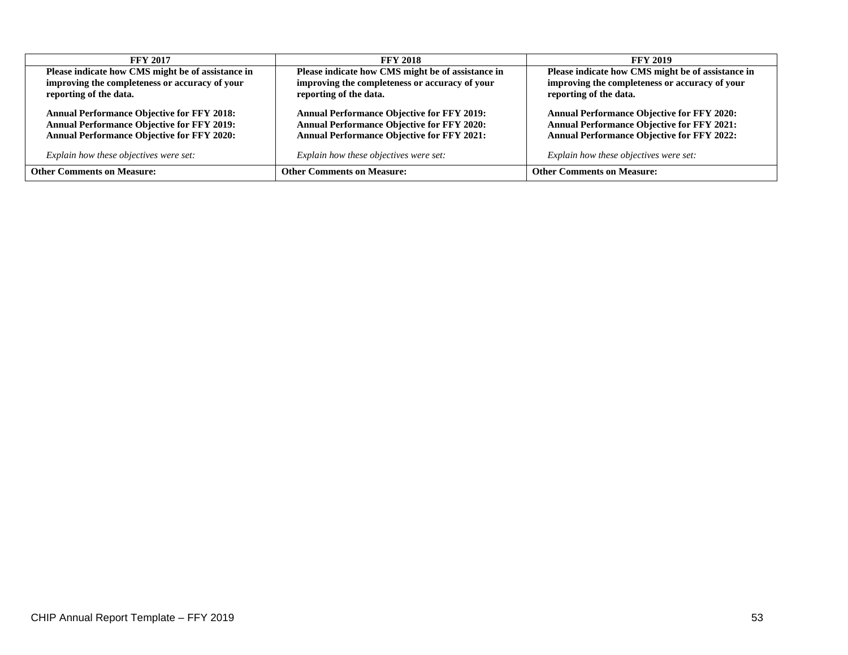| <b>FFY 2017</b>                                   | <b>FFY 2018</b>                                   | <b>FFY 2019</b>                                   |  |  |  |
|---------------------------------------------------|---------------------------------------------------|---------------------------------------------------|--|--|--|
| Please indicate how CMS might be of assistance in | Please indicate how CMS might be of assistance in | Please indicate how CMS might be of assistance in |  |  |  |
| improving the completeness or accuracy of your    | improving the completeness or accuracy of your    | improving the completeness or accuracy of your    |  |  |  |
| reporting of the data.                            | reporting of the data.                            | reporting of the data.                            |  |  |  |
| <b>Annual Performance Objective for FFY 2018:</b> | <b>Annual Performance Objective for FFY 2019:</b> | <b>Annual Performance Objective for FFY 2020:</b> |  |  |  |
| <b>Annual Performance Objective for FFY 2019:</b> | <b>Annual Performance Objective for FFY 2020:</b> | <b>Annual Performance Objective for FFY 2021:</b> |  |  |  |
| <b>Annual Performance Objective for FFY 2020:</b> | <b>Annual Performance Objective for FFY 2021:</b> | <b>Annual Performance Objective for FFY 2022:</b> |  |  |  |
| Explain how these objectives were set:            | Explain how these objectives were set:            | Explain how these objectives were set:            |  |  |  |
| <b>Other Comments on Measure:</b>                 | <b>Other Comments on Measure:</b>                 | <b>Other Comments on Measure:</b>                 |  |  |  |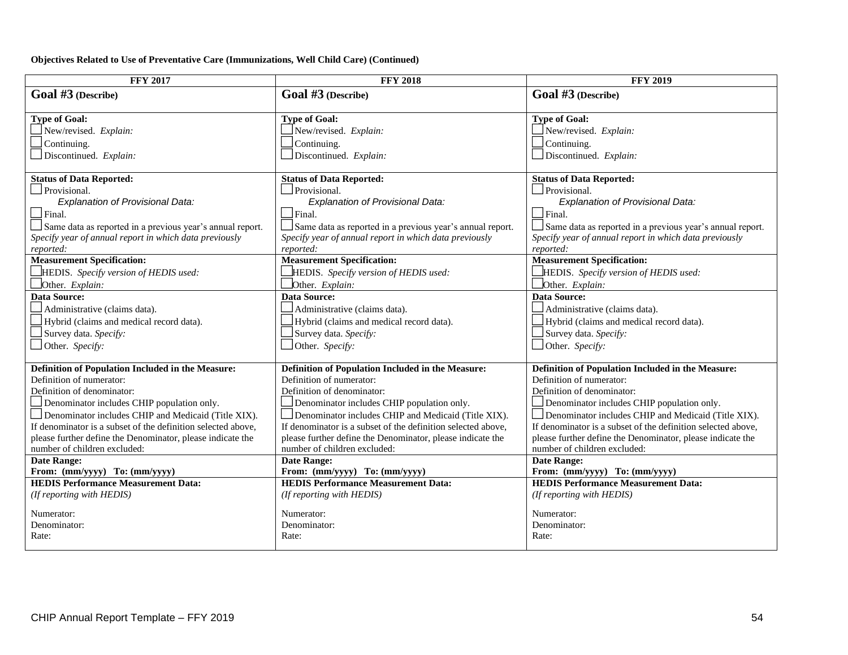### **Objectives Related to Use of Preventative Care (Immunizations, Well Child Care) (Continued)**

| <b>FFY 2017</b>                                                                                                     | <b>FFY 2018</b>                                                                                                     | <b>FFY 2019</b>                                                                                                     |  |  |  |
|---------------------------------------------------------------------------------------------------------------------|---------------------------------------------------------------------------------------------------------------------|---------------------------------------------------------------------------------------------------------------------|--|--|--|
| Goal #3 (Describe)                                                                                                  | Goal #3 (Describe)                                                                                                  | Goal #3 (Describe)                                                                                                  |  |  |  |
|                                                                                                                     |                                                                                                                     |                                                                                                                     |  |  |  |
| <b>Type of Goal:</b>                                                                                                | <b>Type of Goal:</b>                                                                                                | <b>Type of Goal:</b>                                                                                                |  |  |  |
| New/revised. Explain:                                                                                               | New/revised. Explain:                                                                                               | New/revised. Explain:                                                                                               |  |  |  |
| Continuing.                                                                                                         | Continuing.                                                                                                         | Continuing.                                                                                                         |  |  |  |
| $\Box$ Discontinued. Explain:                                                                                       | $\Box$ Discontinued. Explain:                                                                                       | $\Box$ Discontinued. Explain:                                                                                       |  |  |  |
|                                                                                                                     |                                                                                                                     |                                                                                                                     |  |  |  |
| <b>Status of Data Reported:</b><br>Provisional.                                                                     | <b>Status of Data Reported:</b><br>Provisional.                                                                     | <b>Status of Data Reported:</b><br>Provisional.                                                                     |  |  |  |
| Explanation of Provisional Data:                                                                                    | <b>Explanation of Provisional Data:</b>                                                                             | <b>Explanation of Provisional Data:</b>                                                                             |  |  |  |
| $\Box$ Final.                                                                                                       | $\Box$ Final.                                                                                                       | $\Box$ Final.                                                                                                       |  |  |  |
|                                                                                                                     |                                                                                                                     |                                                                                                                     |  |  |  |
| Same data as reported in a previous year's annual report.<br>Specify year of annual report in which data previously | Same data as reported in a previous year's annual report.<br>Specify year of annual report in which data previously | Same data as reported in a previous year's annual report.<br>Specify year of annual report in which data previously |  |  |  |
| reported:                                                                                                           | reported:                                                                                                           | reported:                                                                                                           |  |  |  |
| <b>Measurement Specification:</b>                                                                                   | <b>Measurement Specification:</b>                                                                                   | <b>Measurement Specification:</b>                                                                                   |  |  |  |
| HEDIS. Specify version of HEDIS used:                                                                               | HEDIS. Specify version of HEDIS used:                                                                               | HEDIS. Specify version of HEDIS used:                                                                               |  |  |  |
| Other. Explain:                                                                                                     | Other. Explain:                                                                                                     | Other. Explain:                                                                                                     |  |  |  |
| Data Source:                                                                                                        | <b>Data Source:</b>                                                                                                 | <b>Data Source:</b>                                                                                                 |  |  |  |
| Administrative (claims data).                                                                                       | Administrative (claims data).                                                                                       | Administrative (claims data).                                                                                       |  |  |  |
| Hybrid (claims and medical record data).                                                                            | Hybrid (claims and medical record data).                                                                            | Hybrid (claims and medical record data).                                                                            |  |  |  |
| Survey data. Specify:                                                                                               | Survey data. Specify:                                                                                               | Survey data. Specify:                                                                                               |  |  |  |
| Other. Specify:                                                                                                     | Other. Specify:                                                                                                     | Other. Specify:                                                                                                     |  |  |  |
|                                                                                                                     |                                                                                                                     |                                                                                                                     |  |  |  |
| Definition of Population Included in the Measure:                                                                   | Definition of Population Included in the Measure:                                                                   | Definition of Population Included in the Measure:                                                                   |  |  |  |
| Definition of numerator:                                                                                            | Definition of numerator:                                                                                            | Definition of numerator:                                                                                            |  |  |  |
| Definition of denominator:                                                                                          | Definition of denominator:                                                                                          | Definition of denominator:                                                                                          |  |  |  |
| Denominator includes CHIP population only.                                                                          | Denominator includes CHIP population only.                                                                          | Denominator includes CHIP population only.                                                                          |  |  |  |
| Denominator includes CHIP and Medicaid (Title XIX).                                                                 | Denominator includes CHIP and Medicaid (Title XIX).                                                                 | Denominator includes CHIP and Medicaid (Title XIX).                                                                 |  |  |  |
| If denominator is a subset of the definition selected above,                                                        | If denominator is a subset of the definition selected above,                                                        | If denominator is a subset of the definition selected above,                                                        |  |  |  |
| please further define the Denominator, please indicate the                                                          | please further define the Denominator, please indicate the                                                          | please further define the Denominator, please indicate the                                                          |  |  |  |
| number of children excluded:                                                                                        | number of children excluded:                                                                                        | number of children excluded:                                                                                        |  |  |  |
| <b>Date Range:</b>                                                                                                  | <b>Date Range:</b>                                                                                                  | Date Range:                                                                                                         |  |  |  |
| From: (mm/yyyy) To: (mm/yyyy)                                                                                       | From: (mm/yyyy) To: (mm/yyyy)                                                                                       | From: (mm/yyyy) To: (mm/yyyy)                                                                                       |  |  |  |
| <b>HEDIS Performance Measurement Data:</b>                                                                          | <b>HEDIS Performance Measurement Data:</b>                                                                          | <b>HEDIS Performance Measurement Data:</b>                                                                          |  |  |  |
| (If reporting with HEDIS)                                                                                           | (If reporting with HEDIS)                                                                                           | (If reporting with HEDIS)                                                                                           |  |  |  |
| Numerator:                                                                                                          | Numerator:                                                                                                          | Numerator:                                                                                                          |  |  |  |
| Denominator:                                                                                                        | Denominator:                                                                                                        | Denominator:                                                                                                        |  |  |  |
| Rate:                                                                                                               | Rate:                                                                                                               | Rate:                                                                                                               |  |  |  |
|                                                                                                                     |                                                                                                                     |                                                                                                                     |  |  |  |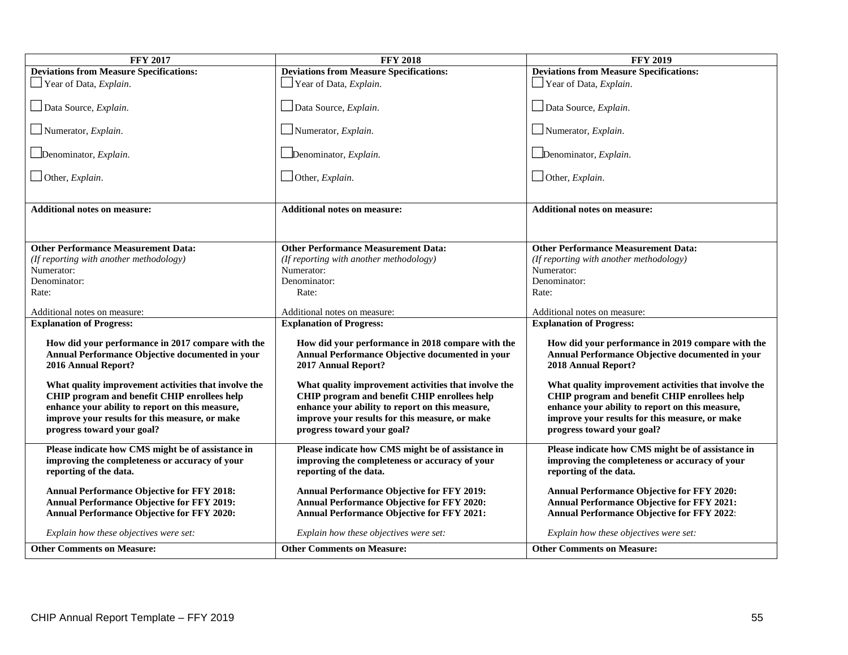| <b>FFY 2017</b>                                                                                                             | <b>FFY 2018</b>                                                                                                             | <b>FFY 2019</b>                                                                                                             |  |  |  |
|-----------------------------------------------------------------------------------------------------------------------------|-----------------------------------------------------------------------------------------------------------------------------|-----------------------------------------------------------------------------------------------------------------------------|--|--|--|
| <b>Deviations from Measure Specifications:</b>                                                                              | <b>Deviations from Measure Specifications:</b>                                                                              | <b>Deviations from Measure Specifications:</b>                                                                              |  |  |  |
| $\Box$ Year of Data, <i>Explain</i> .                                                                                       | $\Box$ Year of Data, <i>Explain</i> .                                                                                       | $\Box$ Year of Data, <i>Explain</i> .                                                                                       |  |  |  |
| Data Source, Explain.                                                                                                       | Data Source, Explain.                                                                                                       | Data Source, Explain.                                                                                                       |  |  |  |
| $\Box$ Numerator, <i>Explain</i> .                                                                                          | Numerator, $Explain$ .                                                                                                      | Numerator, $Explain$ .                                                                                                      |  |  |  |
| Denominator, Explain.                                                                                                       | $\Box$ Denominator, <i>Explain</i> .                                                                                        | Denominator, Explain.                                                                                                       |  |  |  |
| $\Box$ Other, <i>Explain</i> .                                                                                              | $\Box$ Other, <i>Explain</i> .                                                                                              | $\Box$ Other, <i>Explain</i> .                                                                                              |  |  |  |
| <b>Additional notes on measure:</b>                                                                                         | <b>Additional notes on measure:</b>                                                                                         | <b>Additional notes on measure:</b>                                                                                         |  |  |  |
|                                                                                                                             |                                                                                                                             |                                                                                                                             |  |  |  |
| <b>Other Performance Measurement Data:</b>                                                                                  | <b>Other Performance Measurement Data:</b>                                                                                  | <b>Other Performance Measurement Data:</b>                                                                                  |  |  |  |
| (If reporting with another methodology)                                                                                     | (If reporting with another methodology)                                                                                     | (If reporting with another methodology)                                                                                     |  |  |  |
| Numerator:                                                                                                                  | Numerator:                                                                                                                  | Numerator:                                                                                                                  |  |  |  |
| Denominator:                                                                                                                | Denominator:                                                                                                                | Denominator:                                                                                                                |  |  |  |
| Rate:                                                                                                                       | Rate:                                                                                                                       | Rate:                                                                                                                       |  |  |  |
| Additional notes on measure:                                                                                                | Additional notes on measure:                                                                                                | Additional notes on measure:                                                                                                |  |  |  |
| <b>Explanation of Progress:</b>                                                                                             | <b>Explanation of Progress:</b>                                                                                             | <b>Explanation of Progress:</b>                                                                                             |  |  |  |
|                                                                                                                             |                                                                                                                             |                                                                                                                             |  |  |  |
| How did your performance in 2017 compare with the<br>Annual Performance Objective documented in your<br>2016 Annual Report? | How did your performance in 2018 compare with the<br>Annual Performance Objective documented in your<br>2017 Annual Report? | How did your performance in 2019 compare with the<br>Annual Performance Objective documented in your<br>2018 Annual Report? |  |  |  |
| What quality improvement activities that involve the                                                                        | What quality improvement activities that involve the                                                                        | What quality improvement activities that involve the                                                                        |  |  |  |
| CHIP program and benefit CHIP enrollees help                                                                                | CHIP program and benefit CHIP enrollees help                                                                                | CHIP program and benefit CHIP enrollees help                                                                                |  |  |  |
| enhance your ability to report on this measure,                                                                             | enhance your ability to report on this measure,                                                                             | enhance your ability to report on this measure,                                                                             |  |  |  |
| improve your results for this measure, or make                                                                              | improve your results for this measure, or make                                                                              | improve your results for this measure, or make                                                                              |  |  |  |
| progress toward your goal?                                                                                                  | progress toward your goal?                                                                                                  | progress toward your goal?                                                                                                  |  |  |  |
| Please indicate how CMS might be of assistance in                                                                           | Please indicate how CMS might be of assistance in                                                                           | Please indicate how CMS might be of assistance in                                                                           |  |  |  |
| improving the completeness or accuracy of your                                                                              | improving the completeness or accuracy of your                                                                              | improving the completeness or accuracy of your                                                                              |  |  |  |
| reporting of the data.                                                                                                      | reporting of the data.                                                                                                      | reporting of the data.                                                                                                      |  |  |  |
| <b>Annual Performance Objective for FFY 2018:</b>                                                                           | <b>Annual Performance Objective for FFY 2019:</b>                                                                           | <b>Annual Performance Objective for FFY 2020:</b>                                                                           |  |  |  |
| <b>Annual Performance Objective for FFY 2019:</b>                                                                           | Annual Performance Objective for FFY 2020:                                                                                  | <b>Annual Performance Objective for FFY 2021:</b>                                                                           |  |  |  |
| <b>Annual Performance Objective for FFY 2020:</b>                                                                           | <b>Annual Performance Objective for FFY 2021:</b>                                                                           | <b>Annual Performance Objective for FFY 2022:</b>                                                                           |  |  |  |
| Explain how these objectives were set:                                                                                      | Explain how these objectives were set:                                                                                      | Explain how these objectives were set:                                                                                      |  |  |  |
| <b>Other Comments on Measure:</b>                                                                                           | <b>Other Comments on Measure:</b>                                                                                           | <b>Other Comments on Measure:</b>                                                                                           |  |  |  |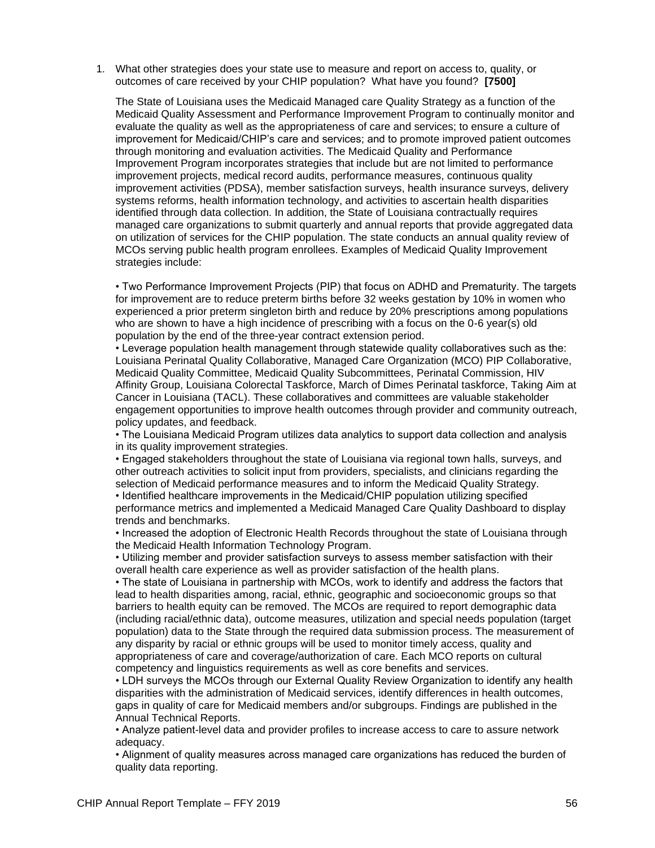1. What other strategies does your state use to measure and report on access to, quality, or outcomes of care received by your CHIP population? What have you found? **[7500]**

The State of Louisiana uses the Medicaid Managed care Quality Strategy as a function of the Medicaid Quality Assessment and Performance Improvement Program to continually monitor and evaluate the quality as well as the appropriateness of care and services; to ensure a culture of improvement for Medicaid/CHIP's care and services; and to promote improved patient outcomes through monitoring and evaluation activities. The Medicaid Quality and Performance Improvement Program incorporates strategies that include but are not limited to performance improvement projects, medical record audits, performance measures, continuous quality improvement activities (PDSA), member satisfaction surveys, health insurance surveys, delivery systems reforms, health information technology, and activities to ascertain health disparities identified through data collection. In addition, the State of Louisiana contractually requires managed care organizations to submit quarterly and annual reports that provide aggregated data on utilization of services for the CHIP population. The state conducts an annual quality review of MCOs serving public health program enrollees. Examples of Medicaid Quality Improvement strategies include:

• Two Performance Improvement Projects (PIP) that focus on ADHD and Prematurity. The targets for improvement are to reduce preterm births before 32 weeks gestation by 10% in women who experienced a prior preterm singleton birth and reduce by 20% prescriptions among populations who are shown to have a high incidence of prescribing with a focus on the 0-6 year(s) old population by the end of the three-year contract extension period.

• Leverage population health management through statewide quality collaboratives such as the: Louisiana Perinatal Quality Collaborative, Managed Care Organization (MCO) PIP Collaborative, Medicaid Quality Committee, Medicaid Quality Subcommittees, Perinatal Commission, HIV Affinity Group, Louisiana Colorectal Taskforce, March of Dimes Perinatal taskforce, Taking Aim at Cancer in Louisiana (TACL). These collaboratives and committees are valuable stakeholder engagement opportunities to improve health outcomes through provider and community outreach, policy updates, and feedback.

• The Louisiana Medicaid Program utilizes data analytics to support data collection and analysis in its quality improvement strategies.

• Engaged stakeholders throughout the state of Louisiana via regional town halls, surveys, and other outreach activities to solicit input from providers, specialists, and clinicians regarding the selection of Medicaid performance measures and to inform the Medicaid Quality Strategy. • Identified healthcare improvements in the Medicaid/CHIP population utilizing specified

performance metrics and implemented a Medicaid Managed Care Quality Dashboard to display trends and benchmarks.

• Increased the adoption of Electronic Health Records throughout the state of Louisiana through the Medicaid Health Information Technology Program.

• Utilizing member and provider satisfaction surveys to assess member satisfaction with their overall health care experience as well as provider satisfaction of the health plans.

• The state of Louisiana in partnership with MCOs, work to identify and address the factors that lead to health disparities among, racial, ethnic, geographic and socioeconomic groups so that barriers to health equity can be removed. The MCOs are required to report demographic data (including racial/ethnic data), outcome measures, utilization and special needs population (target population) data to the State through the required data submission process. The measurement of any disparity by racial or ethnic groups will be used to monitor timely access, quality and appropriateness of care and coverage/authorization of care. Each MCO reports on cultural competency and linguistics requirements as well as core benefits and services.

• LDH surveys the MCOs through our External Quality Review Organization to identify any health disparities with the administration of Medicaid services, identify differences in health outcomes, gaps in quality of care for Medicaid members and/or subgroups. Findings are published in the Annual Technical Reports.

• Analyze patient-level data and provider profiles to increase access to care to assure network adequacy.

• Alignment of quality measures across managed care organizations has reduced the burden of quality data reporting.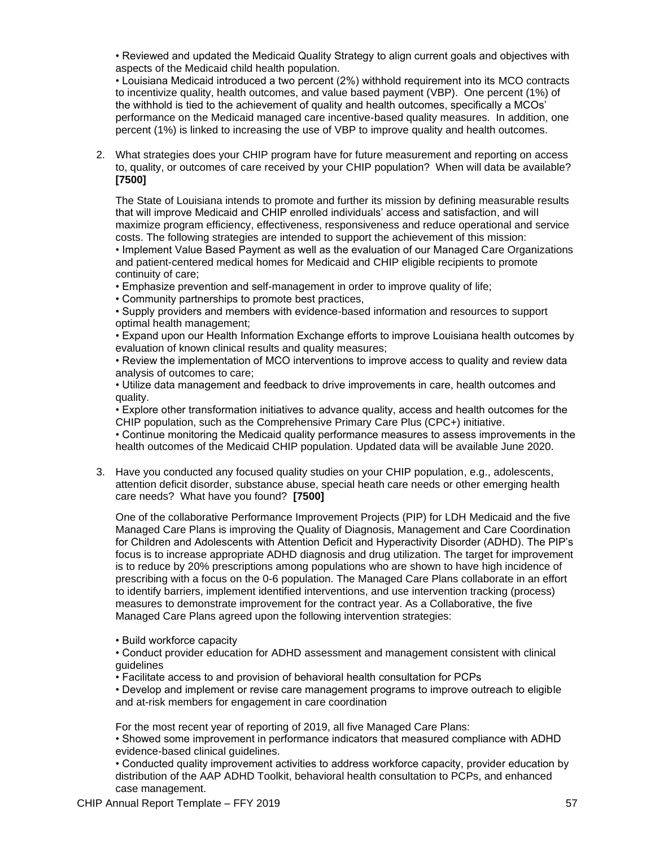• Reviewed and updated the Medicaid Quality Strategy to align current goals and objectives with aspects of the Medicaid child health population.

• Louisiana Medicaid introduced a two percent (2%) withhold requirement into its MCO contracts to incentivize quality, health outcomes, and value based payment (VBP). One percent (1%) of the withhold is tied to the achievement of quality and health outcomes, specifically a MCOs' performance on the Medicaid managed care incentive-based quality measures. In addition, one percent (1%) is linked to increasing the use of VBP to improve quality and health outcomes.

2. What strategies does your CHIP program have for future measurement and reporting on access to, quality, or outcomes of care received by your CHIP population? When will data be available? **[7500]**

The State of Louisiana intends to promote and further its mission by defining measurable results that will improve Medicaid and CHIP enrolled individuals' access and satisfaction, and will maximize program efficiency, effectiveness, responsiveness and reduce operational and service costs. The following strategies are intended to support the achievement of this mission:

• Implement Value Based Payment as well as the evaluation of our Managed Care Organizations and patient-centered medical homes for Medicaid and CHIP eligible recipients to promote continuity of care;

- Emphasize prevention and self-management in order to improve quality of life;
- Community partnerships to promote best practices,

• Supply providers and members with evidence-based information and resources to support optimal health management;

• Expand upon our Health Information Exchange efforts to improve Louisiana health outcomes by evaluation of known clinical results and quality measures;

• Review the implementation of MCO interventions to improve access to quality and review data analysis of outcomes to care;

• Utilize data management and feedback to drive improvements in care, health outcomes and quality.

• Explore other transformation initiatives to advance quality, access and health outcomes for the CHIP population, such as the Comprehensive Primary Care Plus (CPC+) initiative.

• Continue monitoring the Medicaid quality performance measures to assess improvements in the health outcomes of the Medicaid CHIP population. Updated data will be available June 2020.

3. Have you conducted any focused quality studies on your CHIP population, e.g., adolescents, attention deficit disorder, substance abuse, special heath care needs or other emerging health care needs? What have you found? **[7500]**

One of the collaborative Performance Improvement Projects (PIP) for LDH Medicaid and the five Managed Care Plans is improving the Quality of Diagnosis, Management and Care Coordination for Children and Adolescents with Attention Deficit and Hyperactivity Disorder (ADHD). The PIP's focus is to increase appropriate ADHD diagnosis and drug utilization. The target for improvement is to reduce by 20% prescriptions among populations who are shown to have high incidence of prescribing with a focus on the 0-6 population. The Managed Care Plans collaborate in an effort to identify barriers, implement identified interventions, and use intervention tracking (process) measures to demonstrate improvement for the contract year. As a Collaborative, the five Managed Care Plans agreed upon the following intervention strategies:

• Build workforce capacity

• Conduct provider education for ADHD assessment and management consistent with clinical guidelines

• Facilitate access to and provision of behavioral health consultation for PCPs

• Develop and implement or revise care management programs to improve outreach to eligible and at-risk members for engagement in care coordination

For the most recent year of reporting of 2019, all five Managed Care Plans:

• Showed some improvement in performance indicators that measured compliance with ADHD evidence-based clinical guidelines.

• Conducted quality improvement activities to address workforce capacity, provider education by distribution of the AAP ADHD Toolkit, behavioral health consultation to PCPs, and enhanced case management.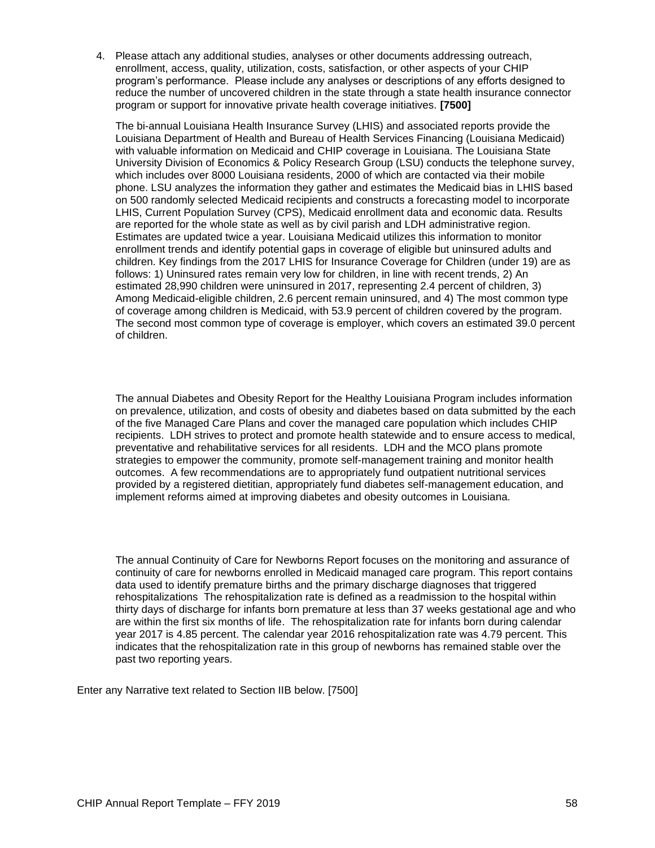4. Please attach any additional studies, analyses or other documents addressing outreach, enrollment, access, quality, utilization, costs, satisfaction, or other aspects of your CHIP program's performance. Please include any analyses or descriptions of any efforts designed to reduce the number of uncovered children in the state through a state health insurance connector program or support for innovative private health coverage initiatives. **[7500]**

The bi-annual Louisiana Health Insurance Survey (LHIS) and associated reports provide the Louisiana Department of Health and Bureau of Health Services Financing (Louisiana Medicaid) with valuable information on Medicaid and CHIP coverage in Louisiana. The Louisiana State University Division of Economics & Policy Research Group (LSU) conducts the telephone survey, which includes over 8000 Louisiana residents, 2000 of which are contacted via their mobile phone. LSU analyzes the information they gather and estimates the Medicaid bias in LHIS based on 500 randomly selected Medicaid recipients and constructs a forecasting model to incorporate LHIS, Current Population Survey (CPS), Medicaid enrollment data and economic data. Results are reported for the whole state as well as by civil parish and LDH administrative region. Estimates are updated twice a year. Louisiana Medicaid utilizes this information to monitor enrollment trends and identify potential gaps in coverage of eligible but uninsured adults and children. Key findings from the 2017 LHIS for Insurance Coverage for Children (under 19) are as follows: 1) Uninsured rates remain very low for children, in line with recent trends, 2) An estimated 28,990 children were uninsured in 2017, representing 2.4 percent of children, 3) Among Medicaid-eligible children, 2.6 percent remain uninsured, and 4) The most common type of coverage among children is Medicaid, with 53.9 percent of children covered by the program. The second most common type of coverage is employer, which covers an estimated 39.0 percent of children.

The annual Diabetes and Obesity Report for the Healthy Louisiana Program includes information on prevalence, utilization, and costs of obesity and diabetes based on data submitted by the each of the five Managed Care Plans and cover the managed care population which includes CHIP recipients. LDH strives to protect and promote health statewide and to ensure access to medical, preventative and rehabilitative services for all residents. LDH and the MCO plans promote strategies to empower the community, promote self-management training and monitor health outcomes. A few recommendations are to appropriately fund outpatient nutritional services provided by a registered dietitian, appropriately fund diabetes self-management education, and implement reforms aimed at improving diabetes and obesity outcomes in Louisiana.

The annual Continuity of Care for Newborns Report focuses on the monitoring and assurance of continuity of care for newborns enrolled in Medicaid managed care program. This report contains data used to identify premature births and the primary discharge diagnoses that triggered rehospitalizations The rehospitalization rate is defined as a readmission to the hospital within thirty days of discharge for infants born premature at less than 37 weeks gestational age and who are within the first six months of life. The rehospitalization rate for infants born during calendar year 2017 is 4.85 percent. The calendar year 2016 rehospitalization rate was 4.79 percent. This indicates that the rehospitalization rate in this group of newborns has remained stable over the past two reporting years.

Enter any Narrative text related to Section IIB below. [7500]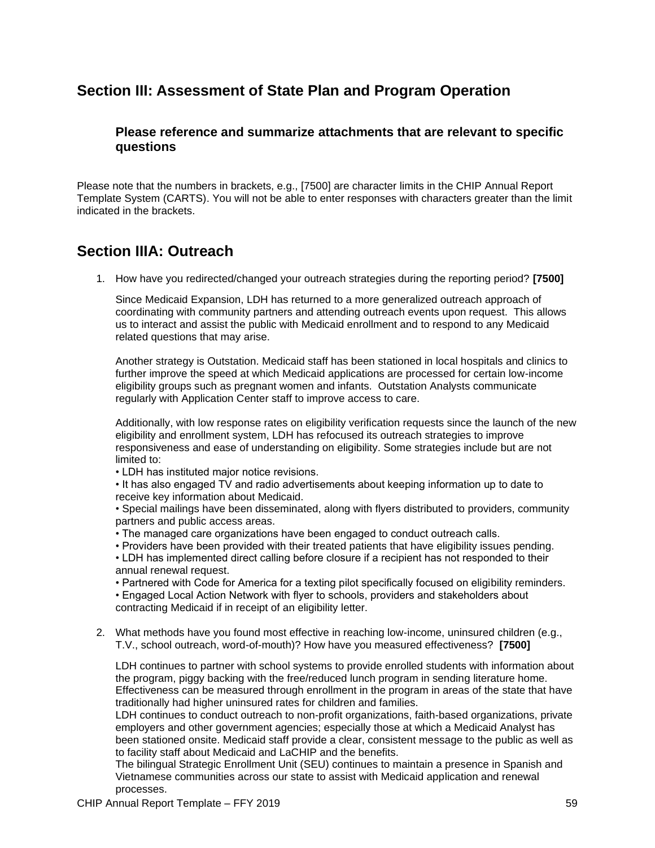# **Section III: Assessment of State Plan and Program Operation**

### **Please reference and summarize attachments that are relevant to specific questions**

Please note that the numbers in brackets, e.g., [7500] are character limits in the CHIP Annual Report Template System (CARTS). You will not be able to enter responses with characters greater than the limit indicated in the brackets.

## **Section IIIA: Outreach**

1. How have you redirected/changed your outreach strategies during the reporting period? **[7500]**

Since Medicaid Expansion, LDH has returned to a more generalized outreach approach of coordinating with community partners and attending outreach events upon request. This allows us to interact and assist the public with Medicaid enrollment and to respond to any Medicaid related questions that may arise.

Another strategy is Outstation. Medicaid staff has been stationed in local hospitals and clinics to further improve the speed at which Medicaid applications are processed for certain low-income eligibility groups such as pregnant women and infants. Outstation Analysts communicate regularly with Application Center staff to improve access to care.

Additionally, with low response rates on eligibility verification requests since the launch of the new eligibility and enrollment system, LDH has refocused its outreach strategies to improve responsiveness and ease of understanding on eligibility. Some strategies include but are not limited to:

• LDH has instituted major notice revisions.

• It has also engaged TV and radio advertisements about keeping information up to date to receive key information about Medicaid.

• Special mailings have been disseminated, along with flyers distributed to providers, community partners and public access areas.

- The managed care organizations have been engaged to conduct outreach calls.
- Providers have been provided with their treated patients that have eligibility issues pending.

• LDH has implemented direct calling before closure if a recipient has not responded to their annual renewal request.

• Partnered with Code for America for a texting pilot specifically focused on eligibility reminders.

• Engaged Local Action Network with flyer to schools, providers and stakeholders about contracting Medicaid if in receipt of an eligibility letter.

2. What methods have you found most effective in reaching low-income, uninsured children (e.g., T.V., school outreach, word-of-mouth)? How have you measured effectiveness? **[7500]**

LDH continues to partner with school systems to provide enrolled students with information about the program, piggy backing with the free/reduced lunch program in sending literature home. Effectiveness can be measured through enrollment in the program in areas of the state that have traditionally had higher uninsured rates for children and families.

LDH continues to conduct outreach to non-profit organizations, faith-based organizations, private employers and other government agencies; especially those at which a Medicaid Analyst has been stationed onsite. Medicaid staff provide a clear, consistent message to the public as well as to facility staff about Medicaid and LaCHIP and the benefits.

The bilingual Strategic Enrollment Unit (SEU) continues to maintain a presence in Spanish and Vietnamese communities across our state to assist with Medicaid application and renewal processes.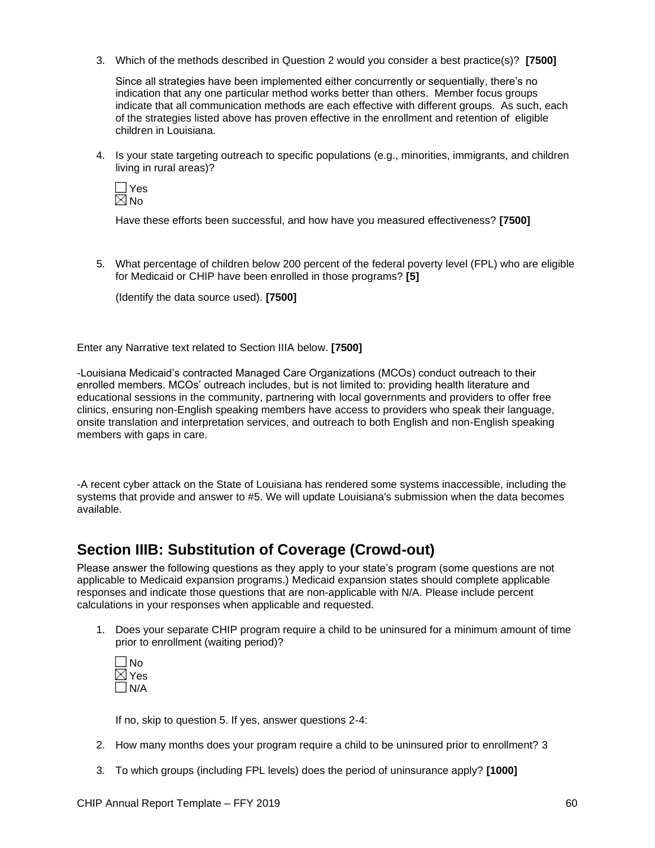3. Which of the methods described in Question 2 would you consider a best practice(s)? **[7500]**

Since all strategies have been implemented either concurrently or sequentially, there's no indication that any one particular method works better than others. Member focus groups indicate that all communication methods are each effective with different groups. As such, each of the strategies listed above has proven effective in the enrollment and retention of eligible children in Louisiana.

4. Is your state targeting outreach to specific populations (e.g., minorities, immigrants, and children living in rural areas)?

**T**Yes  $\boxtimes$  No

Have these efforts been successful, and how have you measured effectiveness? **[7500]**

5. What percentage of children below 200 percent of the federal poverty level (FPL) who are eligible for Medicaid or CHIP have been enrolled in those programs? **[5]**

(Identify the data source used). **[7500]**

Enter any Narrative text related to Section IIIA below. **[7500]**

-Louisiana Medicaid's contracted Managed Care Organizations (MCOs) conduct outreach to their enrolled members. MCOs' outreach includes, but is not limited to: providing health literature and educational sessions in the community, partnering with local governments and providers to offer free clinics, ensuring non-English speaking members have access to providers who speak their language, onsite translation and interpretation services, and outreach to both English and non-English speaking members with gaps in care.

-A recent cyber attack on the State of Louisiana has rendered some systems inaccessible, including the systems that provide and answer to #5. We will update Louisiana's submission when the data becomes available.

# **Section IIIB: Substitution of Coverage (Crowd-out)**

Please answer the following questions as they apply to your state's program (some questions are not applicable to Medicaid expansion programs.) Medicaid expansion states should complete applicable responses and indicate those questions that are non-applicable with N/A. Please include percent calculations in your responses when applicable and requested.

1. Does your separate CHIP program require a child to be uninsured for a minimum amount of time prior to enrollment (waiting period)?



If no, skip to question 5. If yes, answer questions 2-4:

- 2. How many months does your program require a child to be uninsured prior to enrollment? 3
- 3. To which groups (including FPL levels) does the period of uninsurance apply? **[1000]**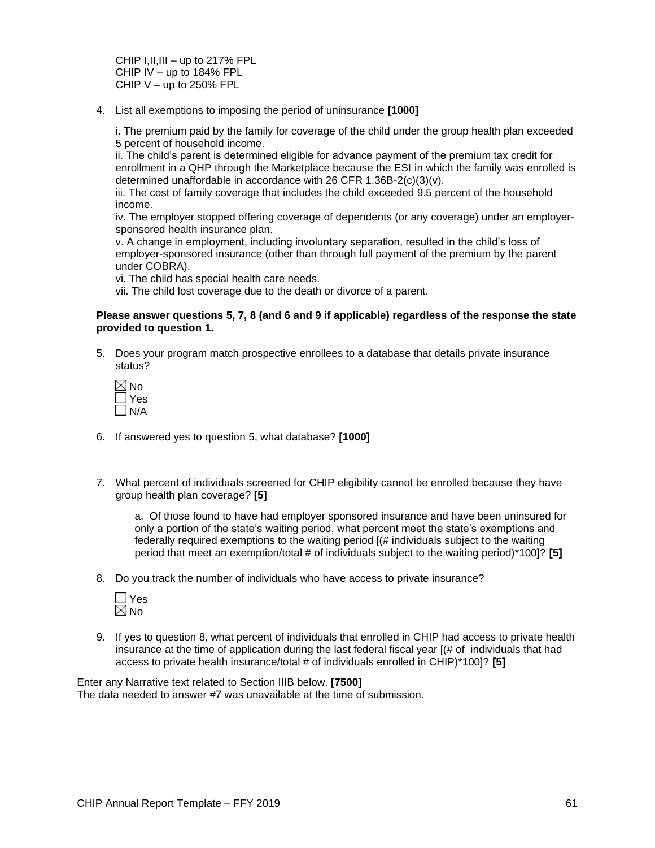CHIP I,II,III – up to 217% FPL CHIP IV – up to 184% FPL CHIP  $V -$ up to 250% FPL

4. List all exemptions to imposing the period of uninsurance **[1000]**

i. The premium paid by the family for coverage of the child under the group health plan exceeded 5 percent of household income.

ii. The child's parent is determined eligible for advance payment of the premium tax credit for enrollment in a QHP through the Marketplace because the ESI in which the family was enrolled is determined unaffordable in accordance with 26 CFR 1.36B-2(c)(3)(v).

iii. The cost of family coverage that includes the child exceeded 9.5 percent of the household income.

iv. The employer stopped offering coverage of dependents (or any coverage) under an employersponsored health insurance plan.

v. A change in employment, including involuntary separation, resulted in the child's loss of employer-sponsored insurance (other than through full payment of the premium by the parent under COBRA).

vi. The child has special health care needs.

vii. The child lost coverage due to the death or divorce of a parent.

#### **Please answer questions 5, 7, 8 (and 6 and 9 if applicable) regardless of the response the state provided to question 1.**

5. Does your program match prospective enrollees to a database that details private insurance status?

| ◁ | N           |
|---|-------------|
|   | ۷<br>s<br>F |
|   | N/A         |

- 6. If answered yes to question 5, what database? **[1000]**
- 7. What percent of individuals screened for CHIP eligibility cannot be enrolled because they have group health plan coverage? **[5]**

a. Of those found to have had employer sponsored insurance and have been uninsured for only a portion of the state's waiting period, what percent meet the state's exemptions and federally required exemptions to the waiting period [(# individuals subject to the waiting period that meet an exemption/total # of individuals subject to the waiting period)\*100]? **[5]**

8. Do you track the number of individuals who have access to private insurance?



9. If yes to question 8, what percent of individuals that enrolled in CHIP had access to private health insurance at the time of application during the last federal fiscal year [(# of individuals that had access to private health insurance/total # of individuals enrolled in CHIP)\*100]? **[5]**

Enter any Narrative text related to Section IIIB below. **[7500]** The data needed to answer #7 was unavailable at the time of submission.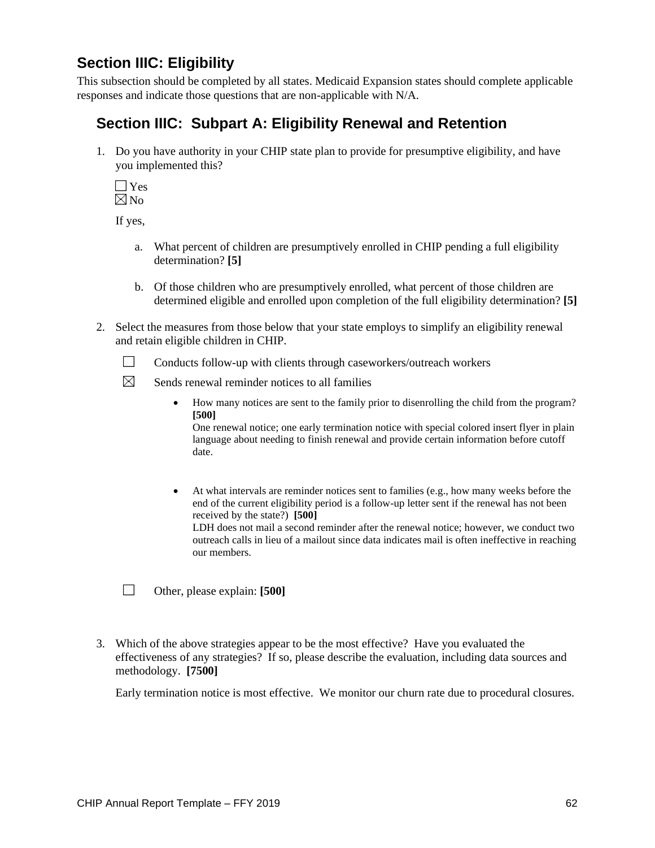# **Section IIIC: Eligibility**

This subsection should be completed by all states. Medicaid Expansion states should complete applicable responses and indicate those questions that are non-applicable with N/A.

# **Section IIIC: Subpart A: Eligibility Renewal and Retention**

1. Do you have authority in your CHIP state plan to provide for presumptive eligibility, and have you implemented this?

**T**Yes  $\boxtimes$  No

If yes,

- a. What percent of children are presumptively enrolled in CHIP pending a full eligibility determination? **[5]**
- b. Of those children who are presumptively enrolled, what percent of those children are determined eligible and enrolled upon completion of the full eligibility determination? **[5]**
- 2. Select the measures from those below that your state employs to simplify an eligibility renewal and retain eligible children in CHIP.
	- 왔는 Conducts follow-up with clients through caseworkers/outreach workers
	- $\times$ Sends renewal reminder notices to all families
		- How many notices are sent to the family prior to disenrolling the child from the program? **[500]**

One renewal notice; one early termination notice with special colored insert flyer in plain language about needing to finish renewal and provide certain information before cutoff date.

• At what intervals are reminder notices sent to families (e.g., how many weeks before the end of the current eligibility period is a follow-up letter sent if the renewal has not been received by the state?) **[500]** LDH does not mail a second reminder after the renewal notice; however, we conduct two outreach calls in lieu of a mailout since data indicates mail is often ineffective in reaching our members.

 $\mathbb{R}^n$  . Other, please explain: **[500]**

3. Which of the above strategies appear to be the most effective? Have you evaluated the effectiveness of any strategies? If so, please describe the evaluation, including data sources and methodology. **[7500]**

Early termination notice is most effective. We monitor our churn rate due to procedural closures.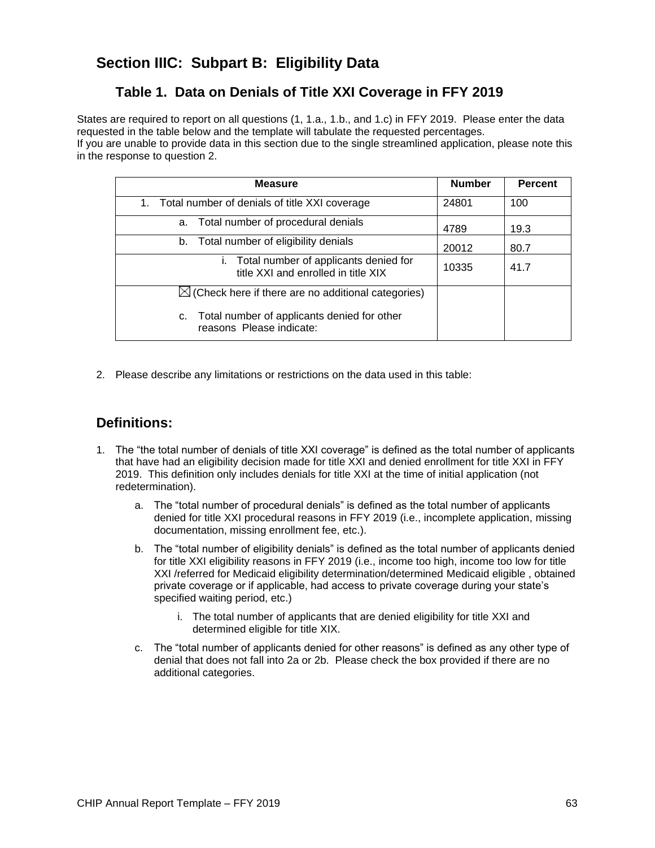# **Section IIIC: Subpart B: Eligibility Data**

## **Table 1. Data on Denials of Title XXI Coverage in FFY 2019**

States are required to report on all questions (1, 1.a., 1.b., and 1.c) in FFY 2019. Please enter the data requested in the table below and the template will tabulate the requested percentages. If you are unable to provide data in this section due to the single streamlined application, please note this

in the response to question 2.

| <b>Measure</b>                                                                  | <b>Number</b> | <b>Percent</b> |
|---------------------------------------------------------------------------------|---------------|----------------|
| Total number of denials of title XXI coverage<br>1.                             | 24801         | 100            |
| a. Total number of procedural denials                                           | 4789          | 19.3           |
| b. Total number of eligibility denials                                          | 20012         | 80.7           |
| i. Total number of applicants denied for<br>title XXI and enrolled in title XIX | 10335         | 41.7           |
| $\boxtimes$ (Check here if there are no additional categories)                  |               |                |
| Total number of applicants denied for other<br>c.<br>reasons Please indicate:   |               |                |

2. Please describe any limitations or restrictions on the data used in this table:

## **Definitions:**

- 1. The "the total number of denials of title XXI coverage" is defined as the total number of applicants that have had an eligibility decision made for title XXI and denied enrollment for title XXI in FFY 2019. This definition only includes denials for title XXI at the time of initial application (not redetermination).
	- a. The "total number of procedural denials" is defined as the total number of applicants denied for title XXI procedural reasons in FFY 2019 (i.e., incomplete application, missing documentation, missing enrollment fee, etc.).
	- b. The "total number of eligibility denials" is defined as the total number of applicants denied for title XXI eligibility reasons in FFY 2019 (i.e., income too high, income too low for title XXI /referred for Medicaid eligibility determination/determined Medicaid eligible , obtained private coverage or if applicable, had access to private coverage during your state's specified waiting period, etc.)
		- i. The total number of applicants that are denied eligibility for title XXI and determined eligible for title XIX.
	- c. The "total number of applicants denied for other reasons" is defined as any other type of denial that does not fall into 2a or 2b. Please check the box provided if there are no additional categories.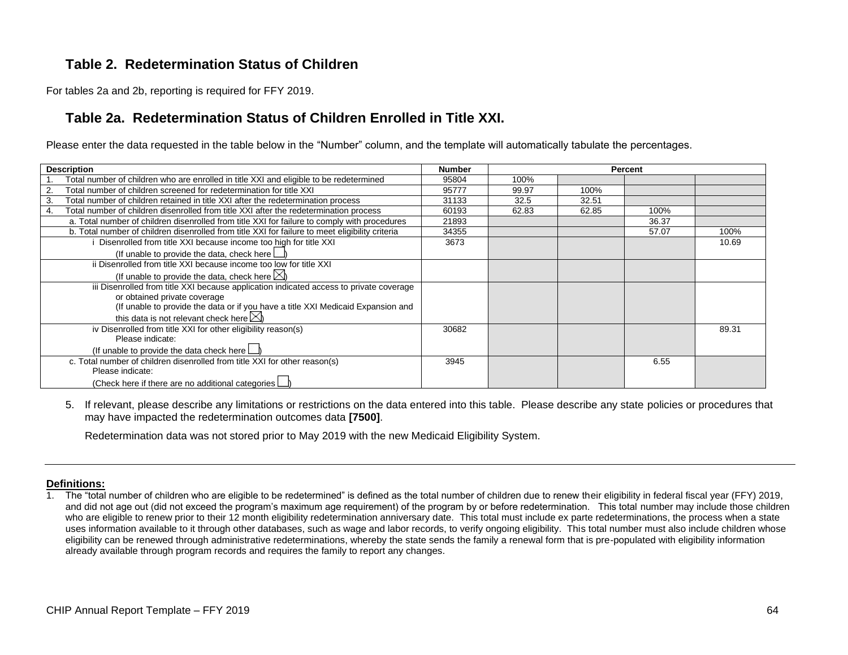### **Table 2. Redetermination Status of Children**

For tables 2a and 2b, reporting is required for FFY 2019.

### **Table 2a. Redetermination Status of Children Enrolled in Title XXI.**

Please enter the data requested in the table below in the "Number" column, and the template will automatically tabulate the percentages.

| <b>Description</b>                                                                              | <b>Number</b> |       |       | Percent |       |
|-------------------------------------------------------------------------------------------------|---------------|-------|-------|---------|-------|
| Total number of children who are enrolled in title XXI and eligible to be redetermined          | 95804         | 100%  |       |         |       |
| Total number of children screened for redetermination for title XXI                             | 95777         | 99.97 | 100%  |         |       |
| Total number of children retained in title XXI after the redetermination process<br>3.          | 31133         | 32.5  | 32.51 |         |       |
| Total number of children disenrolled from title XXI after the redetermination process<br>4.     | 60193         | 62.83 | 62.85 | 100%    |       |
| a. Total number of children disenrolled from title XXI for failure to comply with procedures    | 21893         |       |       | 36.37   |       |
| b. Total number of children disenrolled from title XXI for failure to meet eligibility criteria | 34355         |       |       | 57.07   | 100%  |
| Disenrolled from title XXI because income too high for title XXI                                | 3673          |       |       |         | 10.69 |
| (If unable to provide the data, check here $\lfloor$                                            |               |       |       |         |       |
| ii Disenrolled from title XXI because income too low for title XXI                              |               |       |       |         |       |
| (If unable to provide the data, check here $\boxtimes$ )                                        |               |       |       |         |       |
| iii Disenrolled from title XXI because application indicated access to private coverage         |               |       |       |         |       |
| or obtained private coverage                                                                    |               |       |       |         |       |
| (If unable to provide the data or if you have a title XXI Medicaid Expansion and                |               |       |       |         |       |
| this data is not relevant check here $\boxtimes$                                                |               |       |       |         |       |
| iv Disenrolled from title XXI for other eligibility reason(s)                                   | 30682         |       |       |         | 89.31 |
| Please indicate:                                                                                |               |       |       |         |       |
| (If unable to provide the data check here $\Box$                                                |               |       |       |         |       |
| c. Total number of children disenrolled from title XXI for other reason(s)                      | 3945          |       |       | 6.55    |       |
| Please indicate:                                                                                |               |       |       |         |       |
| (Check here if there are no additional categories                                               |               |       |       |         |       |

5. If relevant, please describe any limitations or restrictions on the data entered into this table. Please describe any state policies or procedures that may have impacted the redetermination outcomes data **[7500]**.

Redetermination data was not stored prior to May 2019 with the new Medicaid Eligibility System.

#### **Definitions:**

1. The "total number of children who are eligible to be redetermined" is defined as the total number of children due to renew their eligibility in federal fiscal year (FFY) 2019, and did not age out (did not exceed the program's maximum age requirement) of the program by or before redetermination. This total number may include those children who are eligible to renew prior to their 12 month eligibility redetermination anniversary date. This total must include ex parte redeterminations, the process when a state uses information available to it through other databases, such as wage and labor records, to verify ongoing eligibility. This total number must also include children whose eligibility can be renewed through administrative redeterminations, whereby the state sends the family a renewal form that is pre-populated with eligibility information already available through program records and requires the family to report any changes.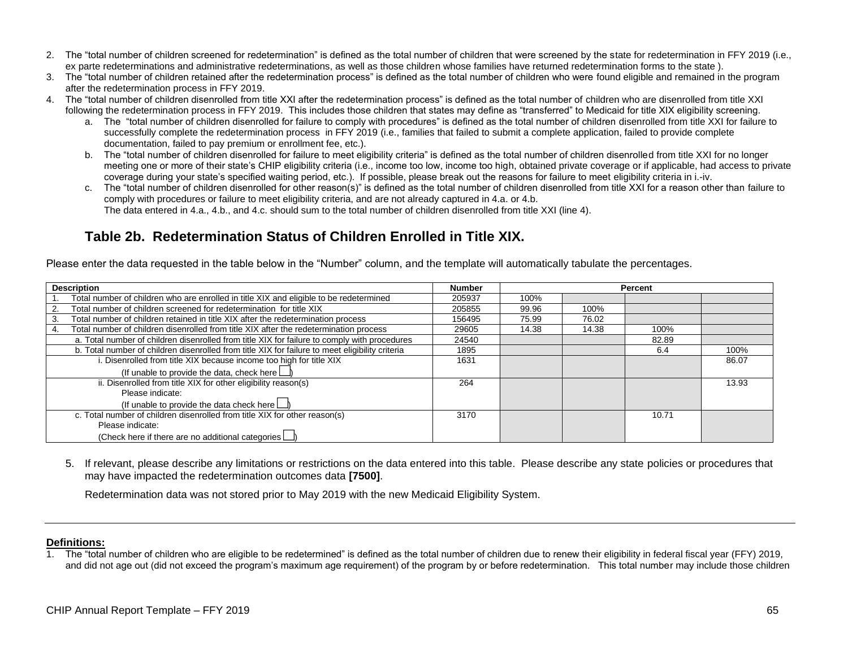- 2. The "total number of children screened for redetermination" is defined as the total number of children that were screened by the state for redetermination in FFY 2019 (i.e., ex parte redeterminations and administrative redeterminations, as well as those children whose families have returned redetermination forms to the state).
- 3. The "total number of children retained after the redetermination process" is defined as the total number of children who were found eligible and remained in the program after the redetermination process in FFY 2019.
- 4. The "total number of children disenrolled from title XXI after the redetermination process" is defined as the total number of children who are disenrolled from title XXI following the redetermination process in FFY 2019. This includes those children that states may define as "transferred" to Medicaid for title XIX eligibility screening.
	- a. The "total number of children disenrolled for failure to comply with procedures" is defined as the total number of children disenrolled from title XXI for failure to successfully complete the redetermination process in FFY 2019 (i.e., families that failed to submit a complete application, failed to provide complete documentation, failed to pay premium or enrollment fee, etc.).
	- b. The "total number of children disenrolled for failure to meet eligibility criteria" is defined as the total number of children disenrolled from title XXI for no longer meeting one or more of their state's CHIP eligibility criteria (i.e., income too low, income too high, obtained private coverage or if applicable, had access to private coverage during your state's specified waiting period, etc.). If possible, please break out the reasons for failure to meet eligibility criteria in i.-iv.
	- c. The "total number of children disenrolled for other reason(s)" is defined as the total number of children disenrolled from title XXI for a reason other than failure to comply with procedures or failure to meet eligibility criteria, and are not already captured in 4.a. or 4.b. The data entered in 4.a., 4.b., and 4.c. should sum to the total number of children disenrolled from title XXI (line 4).

## **Table 2b. Redetermination Status of Children Enrolled in Title XIX.**

Please enter the data requested in the table below in the "Number" column, and the template will automatically tabulate the percentages.

| <b>Description</b>                                                                              |        |       |       | Percent |       |
|-------------------------------------------------------------------------------------------------|--------|-------|-------|---------|-------|
| Total number of children who are enrolled in title XIX and eligible to be redetermined          | 205937 | 100%  |       |         |       |
| Total number of children screened for redetermination for title XIX                             | 205855 | 99.96 | 100%  |         |       |
| Total number of children retained in title XIX after the redetermination process<br>3.          | 156495 | 75.99 | 76.02 |         |       |
| Total number of children disenrolled from title XIX after the redetermination process<br>4.     | 29605  | 14.38 | 14.38 | 100%    |       |
| a. Total number of children disenrolled from title XIX for failure to comply with procedures    | 24540  |       |       | 82.89   |       |
| b. Total number of children disenrolled from title XIX for failure to meet eligibility criteria |        |       |       | 6.4     | 100%  |
| . Disenrolled from title XIX because income too high for title XIX                              |        |       |       |         | 86.07 |
| (If unable to provide the data, check here $\Box$                                               |        |       |       |         |       |
| ii. Disenrolled from title XIX for other eligibility reason(s)                                  | 264    |       |       |         | 13.93 |
| Please indicate:                                                                                |        |       |       |         |       |
| (If unable to provide the data check here                                                       |        |       |       |         |       |
| c. Total number of children disenrolled from title XIX for other reason(s)                      |        |       |       | 10.71   |       |
| Please indicate:                                                                                |        |       |       |         |       |
| (Check here if there are no additional categories $\Box$                                        |        |       |       |         |       |

5. If relevant, please describe any limitations or restrictions on the data entered into this table. Please describe any state policies or procedures that may have impacted the redetermination outcomes data **[7500]**.

Redetermination data was not stored prior to May 2019 with the new Medicaid Eligibility System.

#### **Definitions:**

1. The "total number of children who are eligible to be redetermined" is defined as the total number of children due to renew their eligibility in federal fiscal year (FFY) 2019, and did not age out (did not exceed the program's maximum age requirement) of the program by or before redetermination. This total number may include those children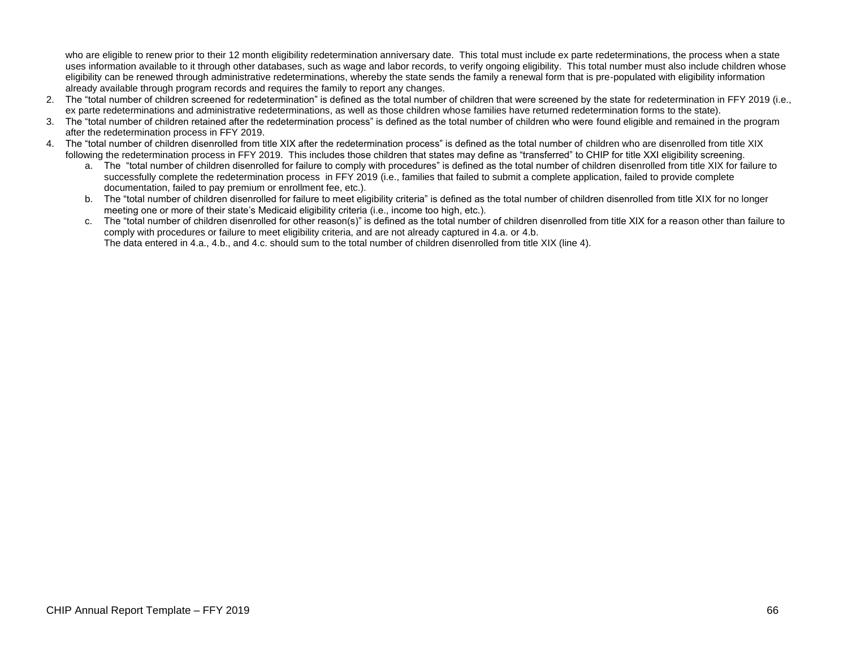who are eligible to renew prior to their 12 month eligibility redetermination anniversary date. This total must include ex parte redeterminations, the process when a state uses information available to it through other databases, such as wage and labor records, to verify ongoing eligibility. This total number must also include children whose eligibility can be renewed through administrative redeterminations, whereby the state sends the family a renewal form that is pre-populated with eligibility information already available through program records and requires the family to report any changes.

- 2. The "total number of children screened for redetermination" is defined as the total number of children that were screened by the state for redetermination in FFY 2019 (i.e., ex parte redeterminations and administrative redeterminations, as well as those children whose families have returned redetermination forms to the state).
- 3. The "total number of children retained after the redetermination process" is defined as the total number of children who were found eligible and remained in the program after the redetermination process in FFY 2019.
- 4. The "total number of children disenrolled from title XIX after the redetermination process" is defined as the total number of children who are disenrolled from title XIX following the redetermination process in FFY 2019. This includes those children that states may define as "transferred" to CHIP for title XXI eligibility screening.
	- a. The "total number of children disenrolled for failure to comply with procedures" is defined as the total number of children disenrolled from title XIX for failure to successfully complete the redetermination process in FFY 2019 (i.e., families that failed to submit a complete application, failed to provide complete documentation, failed to pay premium or enrollment fee, etc.).
	- b. The "total number of children disenrolled for failure to meet eligibility criteria" is defined as the total number of children disenrolled from title XIX for no longer meeting one or more of their state's Medicaid eligibility criteria (i.e., income too high, etc.).
	- c. The "total number of children disenrolled for other reason(s)" is defined as the total number of children disenrolled from title XIX for a reason other than failure to comply with procedures or failure to meet eligibility criteria, and are not already captured in 4.a. or 4.b. The data entered in 4.a., 4.b., and 4.c. should sum to the total number of children disenrolled from title XIX (line 4).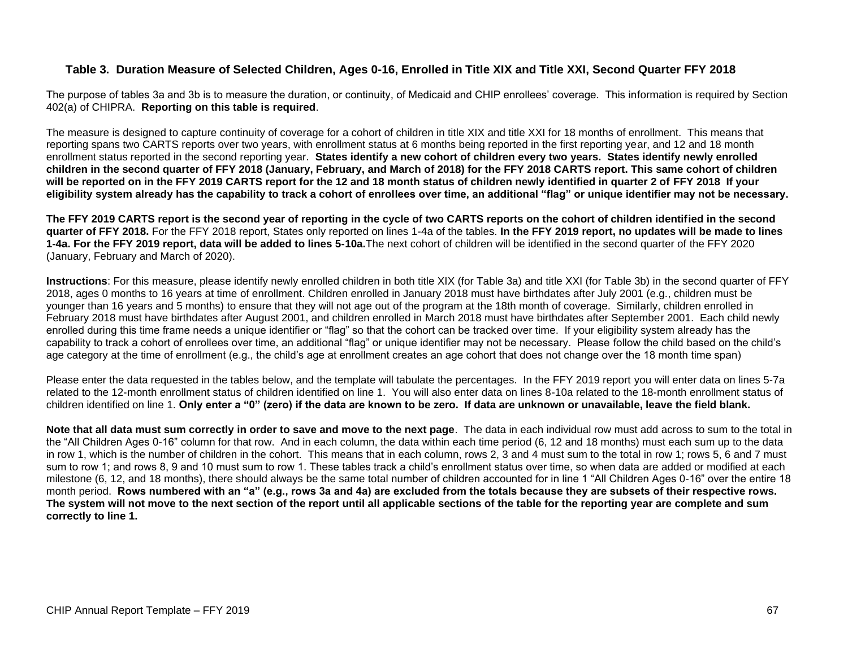### **Table 3. Duration Measure of Selected Children, Ages 0-16, Enrolled in Title XIX and Title XXI, Second Quarter FFY 2018**

The purpose of tables 3a and 3b is to measure the duration, or continuity, of Medicaid and CHIP enrollees' coverage. This information is required by Section 402(a) of CHIPRA. **Reporting on this table is required**.

The measure is designed to capture continuity of coverage for a cohort of children in title XIX and title XXI for 18 months of enrollment. This means that reporting spans two CARTS reports over two years, with enrollment status at 6 months being reported in the first reporting year, and 12 and 18 month enrollment status reported in the second reporting year. **States identify a new cohort of children every two years. States identify newly enrolled children in the second quarter of FFY 2018 (January, February, and March of 2018) for the FFY 2018 CARTS report. This same cohort of children will be reported on in the FFY 2019 CARTS report for the 12 and 18 month status of children newly identified in quarter 2 of FFY 2018 If your eligibility system already has the capability to track a cohort of enrollees over time, an additional "flag" or unique identifier may not be necessary.**

**The FFY 2019 CARTS report is the second year of reporting in the cycle of two CARTS reports on the cohort of children identified in the second quarter of FFY 2018.** For the FFY 2018 report, States only reported on lines 1-4a of the tables. **In the FFY 2019 report, no updates will be made to lines 1-4a. For the FFY 2019 report, data will be added to lines 5-10a.**The next cohort of children will be identified in the second quarter of the FFY 2020 (January, February and March of 2020).

**Instructions**: For this measure, please identify newly enrolled children in both title XIX (for Table 3a) and title XXI (for Table 3b) in the second quarter of FFY 2018, ages 0 months to 16 years at time of enrollment. Children enrolled in January 2018 must have birthdates after July 2001 (e.g., children must be younger than 16 years and 5 months) to ensure that they will not age out of the program at the 18th month of coverage. Similarly, children enrolled in February 2018 must have birthdates after August 2001, and children enrolled in March 2018 must have birthdates after September 2001. Each child newly enrolled during this time frame needs a unique identifier or "flag" so that the cohort can be tracked over time. If your eligibility system already has the capability to track a cohort of enrollees over time, an additional "flag" or unique identifier may not be necessary. Please follow the child based on the child's age category at the time of enrollment (e.g., the child's age at enrollment creates an age cohort that does not change over the 18 month time span)

Please enter the data requested in the tables below, and the template will tabulate the percentages. In the FFY 2019 report you will enter data on lines 5-7a related to the 12-month enrollment status of children identified on line 1. You will also enter data on lines 8-10a related to the 18-month enrollment status of children identified on line 1. **Only enter a "0" (zero) if the data are known to be zero. If data are unknown or unavailable, leave the field blank.**

**Note that all data must sum correctly in order to save and move to the next page**. The data in each individual row must add across to sum to the total in the "All Children Ages 0-16" column for that row. And in each column, the data within each time period (6, 12 and 18 months) must each sum up to the data in row 1, which is the number of children in the cohort. This means that in each column, rows 2, 3 and 4 must sum to the total in row 1; rows 5, 6 and 7 must sum to row 1; and rows 8, 9 and 10 must sum to row 1. These tables track a child's enrollment status over time, so when data are added or modified at each milestone (6, 12, and 18 months), there should always be the same total number of children accounted for in line 1 "All Children Ages 0-16" over the entire 18 month period. **Rows numbered with an "a" (e.g., rows 3a and 4a) are excluded from the totals because they are subsets of their respective rows. The system will not move to the next section of the report until all applicable sections of the table for the reporting year are complete and sum correctly to line 1.**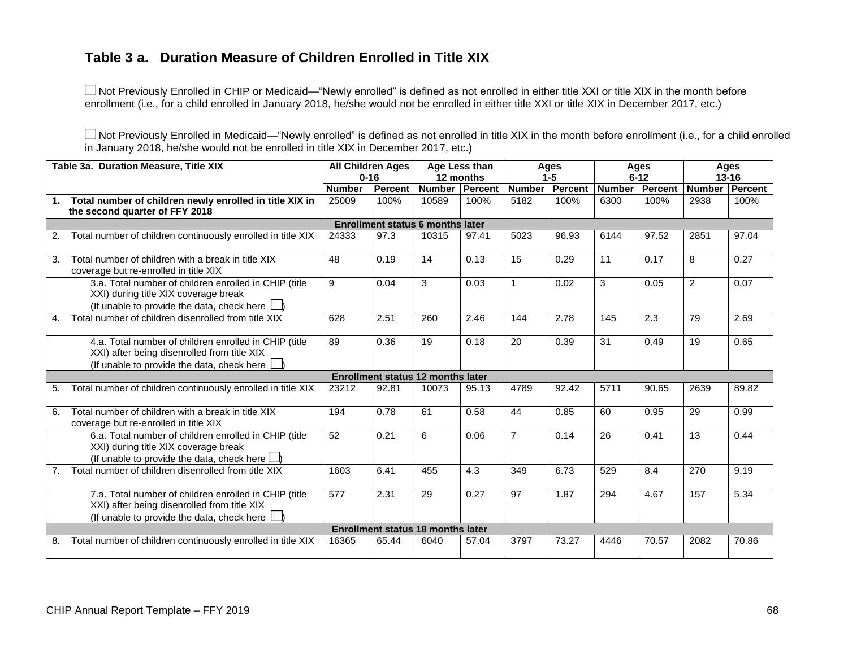# **Table 3 a. Duration Measure of Children Enrolled in Title XIX**

■ Not Previously Enrolled in CHIP or Medicaid—"Newly enrolled" is defined as not enrolled in either title XXI or title XIX in the month before enrollment (i.e., for a child enrolled in January 2018, he/she would not be enrolled in either title XXI or title XIX in December 2017, etc.)

■ Not Previously Enrolled in Medicaid—"Newly enrolled" is defined as not enrolled in title XIX in the month before enrollment (i.e., for a child enrolled in January 2018, he/she would not be enrolled in title XIX in December 2017, etc.)

|                | Table 3a. Duration Measure, Title XIX                                                                                                                       | <b>All Children Ages</b> |                                          |               | Age Less than |                | Ages    |               | Ages     |                | Ages    |
|----------------|-------------------------------------------------------------------------------------------------------------------------------------------------------------|--------------------------|------------------------------------------|---------------|---------------|----------------|---------|---------------|----------|----------------|---------|
|                |                                                                                                                                                             | $0 - 16$                 |                                          |               | 12 months     |                | $1 - 5$ |               | $6 - 12$ | $13 - 16$      |         |
|                |                                                                                                                                                             | <b>Number</b>            | Percent                                  | <b>Number</b> | Percent       | <b>Number</b>  | Percent | <b>Number</b> | Percent  | <b>Number</b>  | Percent |
|                | Total number of children newly enrolled in title XIX in                                                                                                     | 25009                    | 100%                                     | 10589         | 100%          | 5182           | 100%    | 6300          | 100%     | 2938           | 100%    |
|                | the second quarter of FFY 2018                                                                                                                              |                          |                                          |               |               |                |         |               |          |                |         |
|                |                                                                                                                                                             |                          | <b>Enrollment status 6 months later</b>  |               |               |                |         |               |          |                |         |
| 2.             | Total number of children continuously enrolled in title XIX                                                                                                 | 24333                    | 97.3                                     | 10315         | 97.41         | 5023           | 96.93   | 6144          | 97.52    | 2851           | 97.04   |
| 3.             | Total number of children with a break in title XIX<br>coverage but re-enrolled in title XIX                                                                 | 48                       | 0.19                                     | 14            | 0.13          | 15             | 0.29    | 11            | 0.17     | 8              | 0.27    |
|                | 3.a. Total number of children enrolled in CHIP (title<br>XXI) during title XIX coverage break<br>(If unable to provide the data, check here $\Box$ )        | 9                        | 0.04                                     | 3             | 0.03          | $\mathbf{1}$   | 0.02    | 3             | 0.05     | $\overline{2}$ | 0.07    |
| 4.             | Total number of children disenrolled from title XIX                                                                                                         | 628                      | 2.51                                     | 260           | 2.46          | 144            | 2.78    | 145           | 2.3      | 79             | 2.69    |
|                | 4.a. Total number of children enrolled in CHIP (title<br>XXI) after being disenrolled from title XIX<br>(If unable to provide the data, check here          | 89                       | 0.36                                     | 19            | 0.18          | 20             | 0.39    | 31            | 0.49     | 19             | 0.65    |
|                |                                                                                                                                                             |                          | <b>Enrollment status 12 months later</b> |               |               |                |         |               |          |                |         |
| 5.             | Total number of children continuously enrolled in title XIX                                                                                                 | 23212                    | 92.81                                    | 10073         | 95.13         | 4789           | 92.42   | 5711          | 90.65    | 2639           | 89.82   |
| 6.             | Total number of children with a break in title XIX<br>coverage but re-enrolled in title XIX                                                                 | 194                      | 0.78                                     | 61            | 0.58          | 44             | 0.85    | 60            | 0.95     | 29             | 0.99    |
|                | 6.a. Total number of children enrolled in CHIP (title<br>XXI) during title XIX coverage break<br>(If unable to provide the data, check here $\Box$ )        | 52                       | 0.21                                     | 6             | 0.06          | $\overline{7}$ | 0.14    | 26            | 0.41     | 13             | 0.44    |
| 7 <sub>1</sub> | Total number of children disenrolled from title XIX                                                                                                         | 1603                     | 6.41                                     | 455           | 4.3           | 349            | 6.73    | 529           | 8.4      | 270            | 9.19    |
|                | 7.a. Total number of children enrolled in CHIP (title<br>XXI) after being disenrolled from title XIX<br>(If unable to provide the data, check here $\Box$ ) | 577                      | 2.31                                     | 29            | 0.27          | 97             | 1.87    | 294           | 4.67     | 157            | 5.34    |
|                |                                                                                                                                                             |                          | <b>Enrollment status 18 months later</b> |               |               |                |         |               |          |                |         |
| 8.             | Total number of children continuously enrolled in title XIX                                                                                                 | 16365                    | 65.44                                    | 6040          | 57.04         | 3797           | 73.27   | 4446          | 70.57    | 2082           | 70.86   |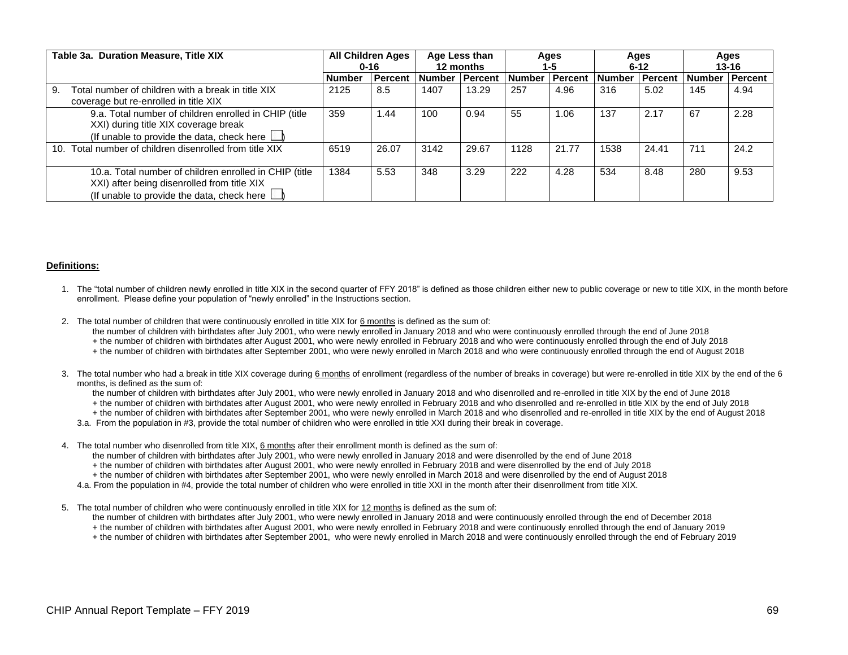| Table 3a. Duration Measure, Title XIX                                                                                                                      | <b>All Children Ages</b><br>$0 - 16$ |                | Age Less than<br>12 months |         | Ages<br>1-5 |                | Ages<br>$6 - 12$ |                | Ages<br>$13 - 16$ |                |
|------------------------------------------------------------------------------------------------------------------------------------------------------------|--------------------------------------|----------------|----------------------------|---------|-------------|----------------|------------------|----------------|-------------------|----------------|
|                                                                                                                                                            | <b>Number</b>                        | <b>Percent</b> | <b>Number</b>              | Percent | l Number    | <b>Percent</b> | <b>Number</b>    | <b>Percent</b> | <b>Number</b>     | <b>Percent</b> |
| Total number of children with a break in title XIX<br>9.<br>coverage but re-enrolled in title XIX                                                          | 2125                                 | 8.5            | 1407                       | 13.29   | 257         | 4.96           | 316              | 5.02           | 145               | 4.94           |
| 9.a. Total number of children enrolled in CHIP (title<br>XXI) during title XIX coverage break<br>(If unable to provide the data, check here $\Box$ )       | 359                                  | 1.44           | 100                        | 0.94    | 55          | 1.06           | 137              | 2.17           | 67                | 2.28           |
| 10. Total number of children disenrolled from title XIX                                                                                                    | 6519                                 | 26.07          | 3142                       | 29.67   | 1128        | 21.77          | 1538             | 24.41          | 711               | 24.2           |
| 10.a. Total number of children enrolled in CHIP (title<br>XXI) after being disenrolled from title XIX<br>(If unable to provide the data, check here $\Box$ | 1384                                 | 5.53           | 348                        | 3.29    | 222         | 4.28           | 534              | 8.48           | 280               | 9.53           |

#### **Definitions:**

- 1. The "total number of children newly enrolled in title XIX in the second quarter of FFY 2018" is defined as those children either new to public coverage or new to title XIX, in the month before enrollment. Please define your population of "newly enrolled" in the Instructions section.
- 2. The total number of children that were continuously enrolled in title XIX for 6 months is defined as the sum of:
	- the number of children with birthdates after July 2001, who were newly enrolled in January 2018 and who were continuously enrolled through the end of June 2018
	- + the number of children with birthdates after August 2001, who were newly enrolled in February 2018 and who were continuously enrolled through the end of July 2018
	- + the number of children with birthdates after September 2001, who were newly enrolled in March 2018 and who were continuously enrolled through the end of August 2018
- 3. The total number who had a break in title XIX coverage during 6 months of enrollment (regardless of the number of breaks in coverage) but were re-enrolled in title XIX by the end of the 6 months, is defined as the sum of:
	- the number of children with birthdates after July 2001, who were newly enrolled in January 2018 and who disenrolled and re-enrolled in title XIX by the end of June 2018
	- + the number of children with birthdates after August 2001, who were newly enrolled in February 2018 and who disenrolled and re-enrolled in title XIX by the end of July 2018
	- + the number of children with birthdates after September 2001, who were newly enrolled in March 2018 and who disenrolled and re-enrolled in title XIX by the end of August 2018
	- 3.a. From the population in #3, provide the total number of children who were enrolled in title XXI during their break in coverage.
- 4. The total number who disenrolled from title XIX, 6 months after their enrollment month is defined as the sum of:
	- the number of children with birthdates after July 2001, who were newly enrolled in January 2018 and were disenrolled by the end of June 2018
	- + the number of children with birthdates after August 2001, who were newly enrolled in February 2018 and were disenrolled by the end of July 2018
	- + the number of children with birthdates after September 2001, who were newly enrolled in March 2018 and were disenrolled by the end of August 2018
	- 4.a. From the population in #4, provide the total number of children who were enrolled in title XXI in the month after their disenrollment from title XIX.
- 5. The total number of children who were continuously enrolled in title XIX for 12 months is defined as the sum of:
	- the number of children with birthdates after July 2001, who were newly enrolled in January 2018 and were continuously enrolled through the end of December 2018
	- + the number of children with birthdates after August 2001, who were newly enrolled in February 2018 and were continuously enrolled through the end of January 2019
	- + the number of children with birthdates after September 2001, who were newly enrolled in March 2018 and were continuously enrolled through the end of February 2019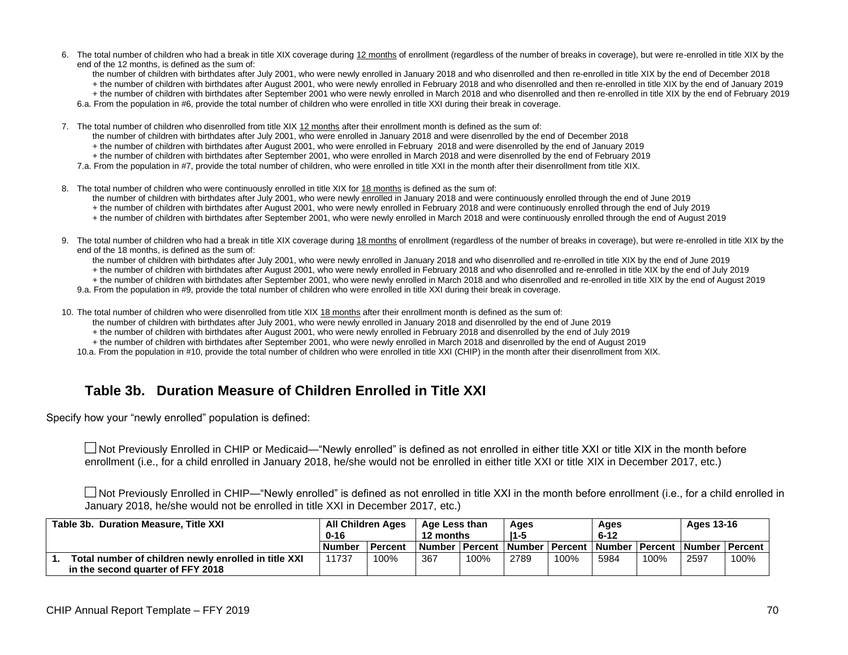- 6. The total number of children who had a break in title XIX coverage during 12 months of enrollment (regardless of the number of breaks in coverage), but were re-enrolled in title XIX by the end of the 12 months, is defined as the sum of:
	- the number of children with birthdates after July 2001, who were newly enrolled in January 2018 and who disenrolled and then re-enrolled in title XIX by the end of December 2018
	- + the number of children with birthdates after August 2001, who were newly enrolled in February 2018 and who disenrolled and then re-enrolled in title XIX by the end of January 2019

+ the number of children with birthdates after September 2001 who were newly enrolled in March 2018 and who disenrolled and then re-enrolled in title XIX by the end of February 2019

6.a. From the population in #6, provide the total number of children who were enrolled in title XXI during their break in coverage.

7. The total number of children who disenrolled from title XIX 12 months after their enrollment month is defined as the sum of:

the number of children with birthdates after July 2001, who were enrolled in January 2018 and were disenrolled by the end of December 2018

+ the number of children with birthdates after August 2001, who were enrolled in February 2018 and were disenrolled by the end of January 2019

+ the number of children with birthdates after September 2001, who were enrolled in March 2018 and were disenrolled by the end of February 2019

7.a. From the population in #7, provide the total number of children, who were enrolled in title XXI in the month after their disenrollment from title XIX.

8. The total number of children who were continuously enrolled in title XIX for 18 months is defined as the sum of:

the number of children with birthdates after July 2001, who were newly enrolled in January 2018 and were continuously enrolled through the end of June 2019

- + the number of children with birthdates after August 2001, who were newly enrolled in February 2018 and were continuously enrolled through the end of July 2019
- + the number of children with birthdates after September 2001, who were newly enrolled in March 2018 and were continuously enrolled through the end of August 2019
- 9. The total number of children who had a break in title XIX coverage during 18 months of enrollment (regardless of the number of breaks in coverage), but were re-enrolled in title XIX by the end of the 18 months, is defined as the sum of:
	- the number of children with birthdates after July 2001, who were newly enrolled in January 2018 and who disenrolled and re-enrolled in title XIX by the end of June 2019
	- + the number of children with birthdates after August 2001, who were newly enrolled in February 2018 and who disenrolled and re-enrolled in title XIX by the end of July 2019
	- + the number of children with birthdates after September 2001, who were newly enrolled in March 2018 and who disenrolled and re-enrolled in title XIX by the end of August 2019
	- 9.a. From the population in #9, provide the total number of children who were enrolled in title XXI during their break in coverage.

10. The total number of children who were disenrolled from title XIX 18 months after their enrollment month is defined as the sum of:

- the number of children with birthdates after July 2001, who were newly enrolled in January 2018 and disenrolled by the end of June 2019
- + the number of children with birthdates after August 2001, who were newly enrolled in February 2018 and disenrolled by the end of July 2019
- + the number of children with birthdates after September 2001, who were newly enrolled in March 2018 and disenrolled by the end of August 2019

10.a. From the population in #10, provide the total number of children who were enrolled in title XXI (CHIP) in the month after their disenrollment from XIX.

### **Table 3b. Duration Measure of Children Enrolled in Title XXI**

Specify how your "newly enrolled" population is defined:

Not Previously Enrolled in CHIP or Medicaid—"Newly enrolled" is defined as not enrolled in either title XXI or title XIX in the month before enrollment (i.e., for a child enrolled in January 2018, he/she would not be enrolled in either title XXI or title XIX in December 2017, etc.)

■ Not Previously Enrolled in CHIP—"Newly enrolled" is defined as not enrolled in title XXI in the month before enrollment (i.e., for a child enrolled in January 2018, he/she would not be enrolled in title XXI in December 2017, etc.)

| Table 3b. Duration Measure, Title XXI                | <b>All Children Ages</b><br>$0 - 16$ |         | Age Less than<br>12 months |      | Ages<br>$11 - 5$ |      | Ages<br>$6 - 12$ |                                                                        | Ages 13-16 |      |
|------------------------------------------------------|--------------------------------------|---------|----------------------------|------|------------------|------|------------------|------------------------------------------------------------------------|------------|------|
|                                                      | <b>Number</b>                        | Percent |                            |      |                  |      |                  | ⊺Number ∣ Percent ⊺Number ⊺Percent ⊺Number ∣ Percent ⊺Number ⊺Percent_ |            |      |
| Total number of children newly enrolled in title XXI | 11737                                | 100%    | 367                        | 100% | 2789             | 100% | 5984             | 100%                                                                   | 2597       | 100% |
| in the second quarter of FFY 2018                    |                                      |         |                            |      |                  |      |                  |                                                                        |            |      |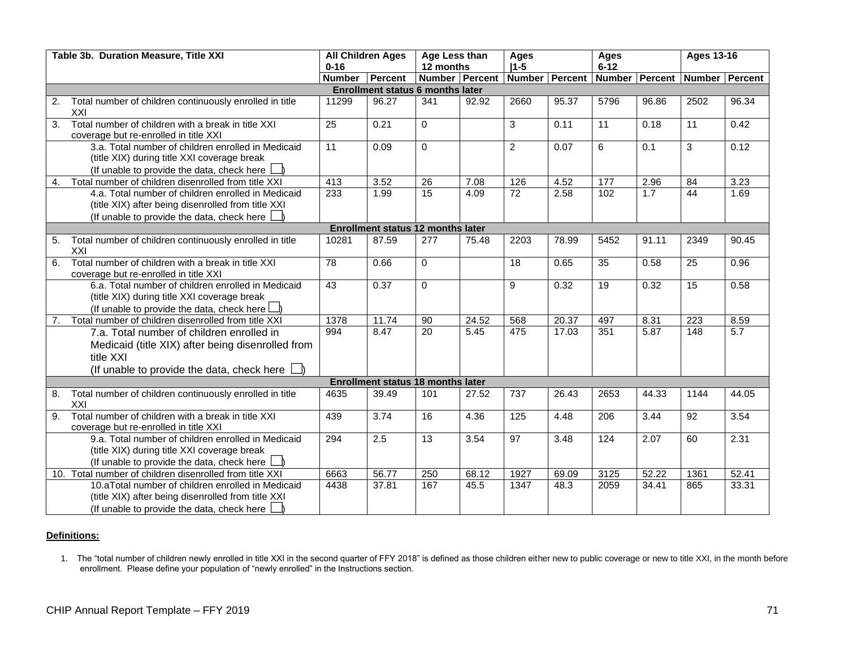|    | Table 3b. Duration Measure, Title XXI                                                                                                                              | <b>All Children Ages</b><br>$0 - 16$ |                                          | Age Less than<br>12 months |       | <b>Ages</b><br>$ 1-5 $ |                | <b>Ages</b><br>$6 - 12$ |                  | <b>Ages 13-16</b> |       |
|----|--------------------------------------------------------------------------------------------------------------------------------------------------------------------|--------------------------------------|------------------------------------------|----------------------------|-------|------------------------|----------------|-------------------------|------------------|-------------------|-------|
|    |                                                                                                                                                                    | <b>Number</b>                        | Percent                                  | Number Percent             |       |                        | Number Percent |                         | Number Percent   | Number Percent    |       |
|    |                                                                                                                                                                    |                                      | <b>Enrollment status 6 months later</b>  |                            |       |                        |                |                         |                  |                   |       |
| 2. | Total number of children continuously enrolled in title<br>XXI                                                                                                     | 11299                                | 96.27                                    | 341                        | 92.92 | 2660                   | 95.37          | 5796                    | 96.86            | 2502              | 96.34 |
| 3. | Total number of children with a break in title XXI<br>coverage but re-enrolled in title XXI                                                                        | 25                                   | 0.21                                     | $\mathbf 0$                |       | 3                      | 0.11           | 11                      | 0.18             | 11                | 0.42  |
|    | 3.a. Total number of children enrolled in Medicaid<br>(title XIX) during title XXI coverage break<br>(If unable to provide the data, check here                    | 11                                   | 0.09                                     | $\mathbf 0$                |       | $\overline{2}$         | 0.07           | 6                       | $\overline{0.1}$ | 3                 | 0.12  |
| 4. | Total number of children disenrolled from title XXI                                                                                                                | 413                                  | 3.52                                     | 26                         | 7.08  | 126                    | 4.52           | 177                     | 2.96             | 84                | 3.23  |
|    | 4.a. Total number of children enrolled in Medicaid<br>(title XIX) after being disenrolled from title XXI<br>(If unable to provide the data, check here $\lfloor$   | 233                                  | 1.99                                     | 15                         | 4.09  | 72                     | 2.58           | 102                     | 1.7              | 44                | 1.69  |
|    |                                                                                                                                                                    |                                      | <b>Enrollment status 12 months later</b> |                            |       |                        |                |                         |                  |                   |       |
| 5. | Total number of children continuously enrolled in title<br>XXI                                                                                                     | 10281                                | 87.59                                    | 277                        | 75.48 | 2203                   | 78.99          | 5452                    | 91.11            | 2349              | 90.45 |
| 6. | Total number of children with a break in title XXI<br>coverage but re-enrolled in title XXI                                                                        | 78                                   | 0.66                                     | $\mathbf 0$                |       | 18                     | 0.65           | $\overline{35}$         | 0.58             | 25                | 0.96  |
|    | 6.a. Total number of children enrolled in Medicaid<br>(title XIX) during title XXI coverage break<br>(If unable to provide the data, check here L                  | 43                                   | 0.37                                     | $\mathbf 0$                |       | 9                      | 0.32           | 19                      | 0.32             | 15                | 0.58  |
| 7. | Total number of children disenrolled from title XXI                                                                                                                | 1378                                 | 11.74                                    | 90                         | 24.52 | 568                    | 20.37          | 497                     | 8.31             | 223               | 8.59  |
|    | 7.a. Total number of children enrolled in<br>Medicaid (title XIX) after being disenrolled from<br>title XXI<br>(If unable to provide the data, check here $\Box$ ) | 994                                  | 8.47                                     | $\overline{20}$            | 5.45  | 475                    | 17.03          | 351                     | 5.87             | 148               | 5.7   |
|    | <b>Enrollment status 18 months later</b>                                                                                                                           |                                      |                                          |                            |       |                        |                |                         |                  |                   |       |
| 8. | Total number of children continuously enrolled in title<br>XXI                                                                                                     | 4635                                 | 39.49                                    | 101                        | 27.52 | 737                    | 26.43          | 2653                    | 44.33            | 1144              | 44.05 |
| 9. | Total number of children with a break in title XXI<br>coverage but re-enrolled in title XXI                                                                        | 439                                  | 3.74                                     | 16                         | 4.36  | 125                    | 4.48           | 206                     | 3.44             | 92                | 3.54  |
|    | 9.a. Total number of children enrolled in Medicaid<br>(title XIX) during title XXI coverage break<br>(If unable to provide the data, check here                    | 294                                  | 2.5                                      | 13                         | 3.54  | 97                     | 3.48           | 124                     | 2.07             | 60                | 2.31  |
|    | 10. Total number of children disenrolled from title XXI                                                                                                            | 6663                                 | 56.77                                    | 250                        | 68.12 | 1927                   | 69.09          | 3125                    | 52.22            | 1361              | 52.41 |
|    | 10.aTotal number of children enrolled in Medicaid<br>(title XIX) after being disenrolled from title XXI<br>(If unable to provide the data, check here $\lfloor$    | 4438                                 | 37.81                                    | 167                        | 45.5  | 1347                   | 48.3           | 2059                    | 34.41            | 865               | 33.31 |

### **Definitions:**

1. The "total number of children newly enrolled in title XXI in the second quarter of FFY 2018" is defined as those children either new to public coverage or new to title XXI, in the month before enrollment. Please define your population of "newly enrolled" in the Instructions section.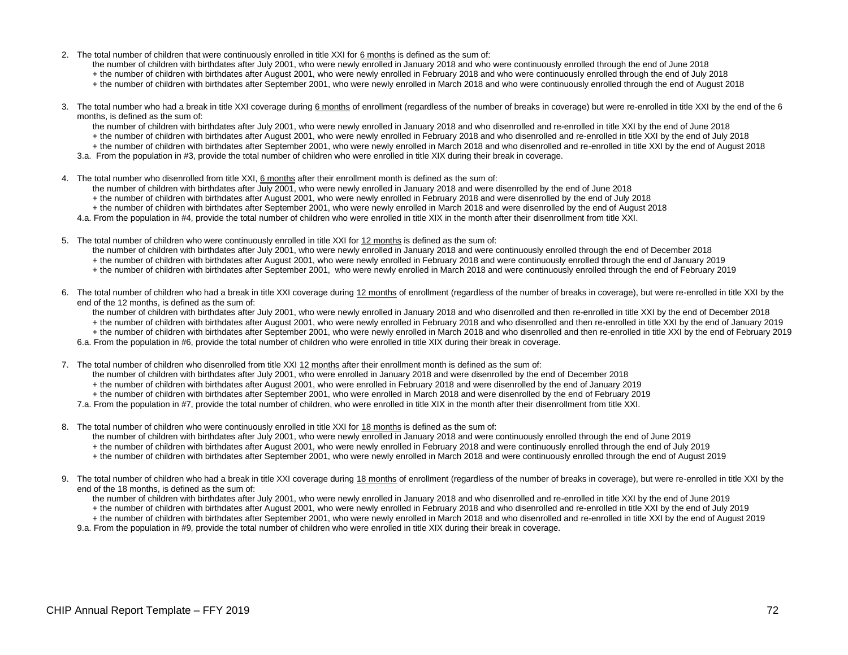2. The total number of children that were continuously enrolled in title XXI for 6 months is defined as the sum of:

the number of children with birthdates after July 2001, who were newly enrolled in January 2018 and who were continuously enrolled through the end of June 2018

- + the number of children with birthdates after August 2001, who were newly enrolled in February 2018 and who were continuously enrolled through the end of July 2018
- + the number of children with birthdates after September 2001, who were newly enrolled in March 2018 and who were continuously enrolled through the end of August 2018
- 3. The total number who had a break in title XXI coverage during 6 months of enrollment (regardless of the number of breaks in coverage) but were re-enrolled in title XXI by the end of the 6 months, is defined as the sum of:
	- the number of children with birthdates after July 2001, who were newly enrolled in January 2018 and who disenrolled and re-enrolled in title XXI by the end of June 2018
	- + the number of children with birthdates after August 2001, who were newly enrolled in February 2018 and who disenrolled and re-enrolled in title XXI by the end of July 2018
	- + the number of children with birthdates after September 2001, who were newly enrolled in March 2018 and who disenrolled and re-enrolled in title XXI by the end of August 2018
	- 3.a. From the population in #3, provide the total number of children who were enrolled in title XIX during their break in coverage.
- 4. The total number who disenrolled from title XXI, 6 months after their enrollment month is defined as the sum of:
	- the number of children with birthdates after July 2001, who were newly enrolled in January 2018 and were disenrolled by the end of June 2018
	- + the number of children with birthdates after August 2001, who were newly enrolled in February 2018 and were disenrolled by the end of July 2018
	- + the number of children with birthdates after September 2001, who were newly enrolled in March 2018 and were disenrolled by the end of August 2018
	- 4.a. From the population in #4, provide the total number of children who were enrolled in title XIX in the month after their disenrollment from title XXI.
- 5. The total number of children who were continuously enrolled in title XXI for 12 months is defined as the sum of:
	- the number of children with birthdates after July 2001, who were newly enrolled in January 2018 and were continuously enrolled through the end of December 2018
	- + the number of children with birthdates after August 2001, who were newly enrolled in February 2018 and were continuously enrolled through the end of January 2019
	- + the number of children with birthdates after September 2001, who were newly enrolled in March 2018 and were continuously enrolled through the end of February 2019
- 6. The total number of children who had a break in title XXI coverage during 12 months of enrollment (regardless of the number of breaks in coverage), but were re-enrolled in title XXI by the end of the 12 months, is defined as the sum of:

the number of children with birthdates after July 2001, who were newly enrolled in January 2018 and who disenrolled and then re-enrolled in title XXI by the end of December 2018

- + the number of children with birthdates after August 2001, who were newly enrolled in February 2018 and who disenrolled and then re-enrolled in title XXI by the end of January 2019
- + the number of children with birthdates after September 2001, who were newly enrolled in March 2018 and who disenrolled and then re-enrolled in title XXI by the end of February 2019 6.a. From the population in #6, provide the total number of children who were enrolled in title XIX during their break in coverage.
- 
- 7. The total number of children who disenrolled from title XXI 12 months after their enrollment month is defined as the sum of:
	- the number of children with birthdates after July 2001, who were enrolled in January 2018 and were disenrolled by the end of December 2018
	- + the number of children with birthdates after August 2001, who were enrolled in February 2018 and were disenrolled by the end of January 2019
	- + the number of children with birthdates after September 2001, who were enrolled in March 2018 and were disenrolled by the end of February 2019
	- 7.a. From the population in #7, provide the total number of children, who were enrolled in title XIX in the month after their disenrollment from title XXI.
- 8. The total number of children who were continuously enrolled in title XXI for 18 months is defined as the sum of:
	- the number of children with birthdates after July 2001, who were newly enrolled in January 2018 and were continuously enrolled through the end of June 2019
	- + the number of children with birthdates after August 2001, who were newly enrolled in February 2018 and were continuously enrolled through the end of July 2019
	- + the number of children with birthdates after September 2001, who were newly enrolled in March 2018 and were continuously enrolled through the end of August 2019
- 9. The total number of children who had a break in title XXI coverage during 18 months of enrollment (regardless of the number of breaks in coverage), but were re-enrolled in title XXI by the end of the 18 months, is defined as the sum of:
	- the number of children with birthdates after July 2001, who were newly enrolled in January 2018 and who disenrolled and re-enrolled in title XXI by the end of June 2019
	- + the number of children with birthdates after August 2001, who were newly enrolled in February 2018 and who disenrolled and re-enrolled in title XXI by the end of July 2019
	- + the number of children with birthdates after September 2001, who were newly enrolled in March 2018 and who disenrolled and re-enrolled in title XXI by the end of August 2019
	- 9.a. From the population in #9, provide the total number of children who were enrolled in title XIX during their break in coverage.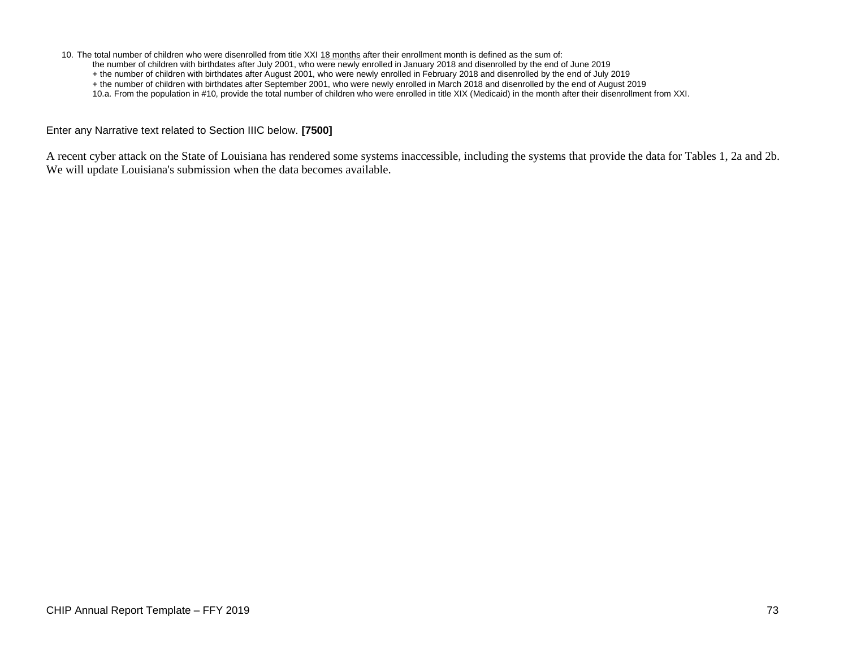10. The total number of children who were disenrolled from title XXI 18 months after their enrollment month is defined as the sum of:

- the number of children with birthdates after July 2001, who were newly enrolled in January 2018 and disenrolled by the end of June 2019
- + the number of children with birthdates after August 2001, who were newly enrolled in February 2018 and disenrolled by the end of July 2019
- + the number of children with birthdates after September 2001, who were newly enrolled in March 2018 and disenrolled by the end of August 2019
- 10.a. From the population in #10, provide the total number of children who were enrolled in title XIX (Medicaid) in the month after their disenrollment from XXI.

Enter any Narrative text related to Section IIIC below. **[7500]**

A recent cyber attack on the State of Louisiana has rendered some systems inaccessible, including the systems that provide the data for Tables 1, 2a and 2b. We will update Louisiana's submission when the data becomes available.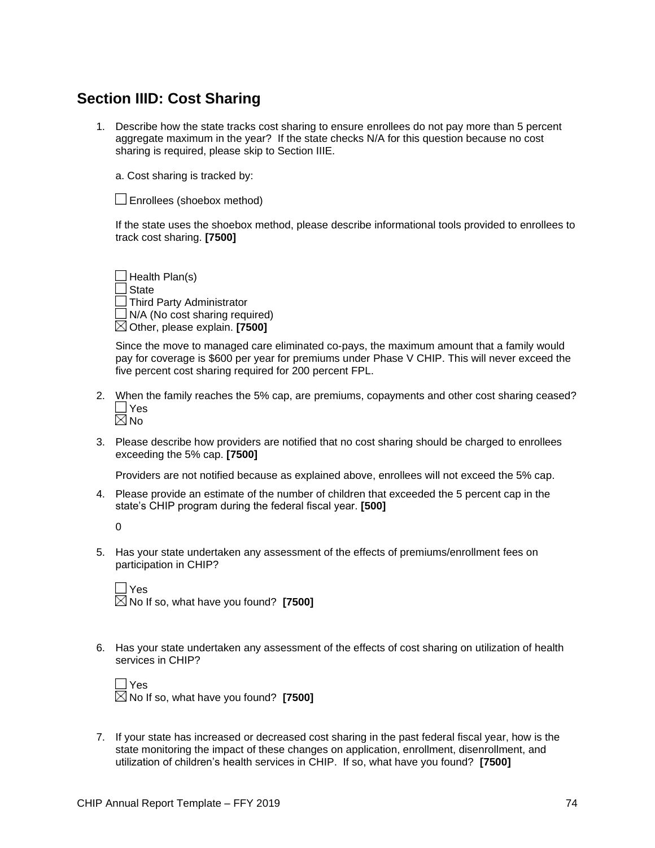## **Section IIID: Cost Sharing**

1. Describe how the state tracks cost sharing to ensure enrollees do not pay more than 5 percent aggregate maximum in the year? If the state checks N/A for this question because no cost sharing is required, please skip to Section IIIE.

a. Cost sharing is tracked by:

Enrollees (shoebox method)

If the state uses the shoebox method, please describe informational tools provided to enrollees to track cost sharing. **[7500]**

 $\Box$  Health Plan(s) State Third Party Administrator  $\Box$  N/A (No cost sharing required) Other, please explain. **[7500]**

Since the move to managed care eliminated co-pays, the maximum amount that a family would pay for coverage is \$600 per year for premiums under Phase V CHIP. This will never exceed the five percent cost sharing required for 200 percent FPL.

- 2. When the family reaches the 5% cap, are premiums, copayments and other cost sharing ceased? **Yes**  $\boxtimes$ No
- 3. Please describe how providers are notified that no cost sharing should be charged to enrollees exceeding the 5% cap. **[7500]**

Providers are not notified because as explained above, enrollees will not exceed the 5% cap.

4. Please provide an estimate of the number of children that exceeded the 5 percent cap in the state's CHIP program during the federal fiscal year. **[500]**

 $\Omega$ 

5. Has your state undertaken any assessment of the effects of premiums/enrollment fees on participation in CHIP?

| <b>Nes</b>                                                  |  |
|-------------------------------------------------------------|--|
| $\boxtimes$ No If so, what have you found? $\,$ [7500] $\,$ |  |

6. Has your state undertaken any assessment of the effects of cost sharing on utilization of health services in CHIP?

| $\Box$ Yes                                        |  |
|---------------------------------------------------|--|
| $\boxtimes$ No If so, what have you found? [7500] |  |

7. If your state has increased or decreased cost sharing in the past federal fiscal year, how is the state monitoring the impact of these changes on application, enrollment, disenrollment, and utilization of children's health services in CHIP. If so, what have you found? **[7500]**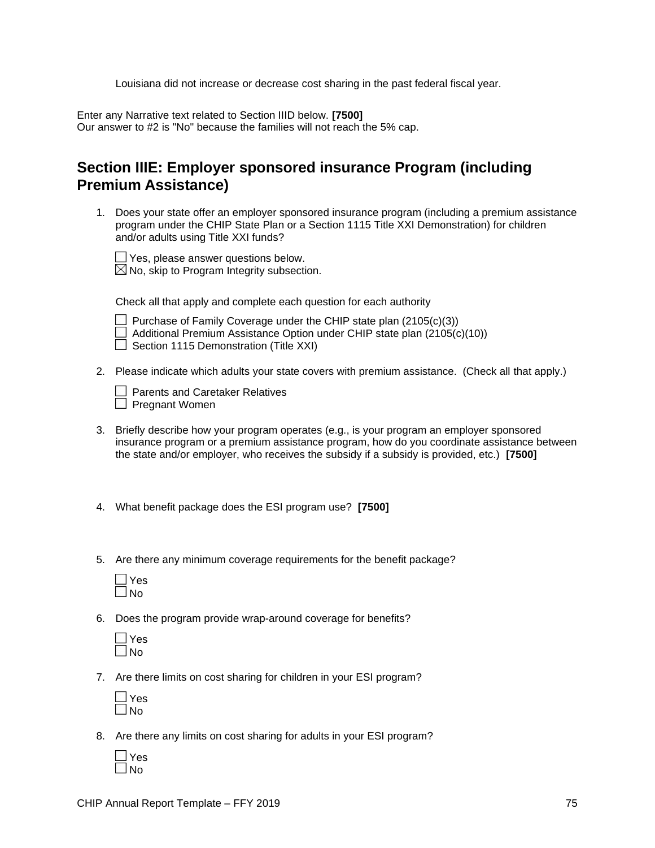Louisiana did not increase or decrease cost sharing in the past federal fiscal year.

Enter any Narrative text related to Section IIID below. **[7500]** Our answer to #2 is "No" because the families will not reach the 5% cap.

## **Section IIIE: Employer sponsored insurance Program (including Premium Assistance)**

1. Does your state offer an employer sponsored insurance program (including a premium assistance program under the CHIP State Plan or a Section 1115 Title XXI Demonstration) for children and/or adults using Title XXI funds?

Yes, please answer questions below.

 $\boxtimes$  No, skip to Program Integrity subsection.

Check all that apply and complete each question for each authority

| ۱ı          |
|-------------|
| ſ<br>Π<br>ω |
|             |

chase of Family Coverage under the CHIP state plan  $(2105(c)(3))$ ditional Premium Assistance Option under CHIP state plan (2105(c)(10))  $\Box$  Section 1115 Demonstration (Title XXI)

2. Please indicate which adults your state covers with premium assistance. (Check all that apply.)

| Parents and Caretaker Relatives |
|---------------------------------|
| Pregnant Women                  |

- 3. Briefly describe how your program operates (e.g., is your program an employer sponsored insurance program or a premium assistance program, how do you coordinate assistance between the state and/or employer, who receives the subsidy if a subsidy is provided, etc.) **[7500]**
- 4. What benefit package does the ESI program use? **[7500]**
- 5. Are there any minimum coverage requirements for the benefit package?

6. Does the program provide wrap-around coverage for benefits?

7. Are there limits on cost sharing for children in your ESI program?

| ÷<br>١ |
|--------|
|        |

8. Are there any limits on cost sharing for adults in your ESI program?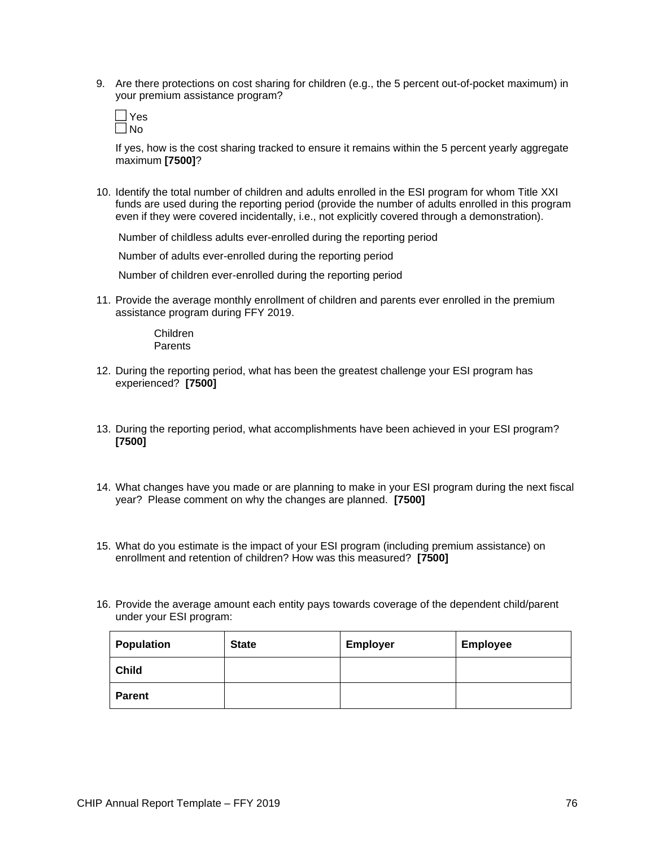9. Are there protections on cost sharing for children (e.g., the 5 percent out-of-pocket maximum) in your premium assistance program?



If yes, how is the cost sharing tracked to ensure it remains within the 5 percent yearly aggregate maximum **[7500]**?

10. Identify the total number of children and adults enrolled in the ESI program for whom Title XXI funds are used during the reporting period (provide the number of adults enrolled in this program even if they were covered incidentally, i.e., not explicitly covered through a demonstration).

Number of childless adults ever-enrolled during the reporting period

Number of adults ever-enrolled during the reporting period

Number of children ever-enrolled during the reporting period

11. Provide the average monthly enrollment of children and parents ever enrolled in the premium assistance program during FFY 2019.

> Children **Parents**

- 12. During the reporting period, what has been the greatest challenge your ESI program has experienced? **[7500]**
- 13. During the reporting period, what accomplishments have been achieved in your ESI program? **[7500]**
- 14. What changes have you made or are planning to make in your ESI program during the next fiscal year? Please comment on why the changes are planned. **[7500]**
- 15. What do you estimate is the impact of your ESI program (including premium assistance) on enrollment and retention of children? How was this measured? **[7500]**
- 16. Provide the average amount each entity pays towards coverage of the dependent child/parent under your ESI program:

| <b>Population</b> | <b>State</b> | <b>Employer</b> | <b>Employee</b> |
|-------------------|--------------|-----------------|-----------------|
| <b>Child</b>      |              |                 |                 |
| <b>Parent</b>     |              |                 |                 |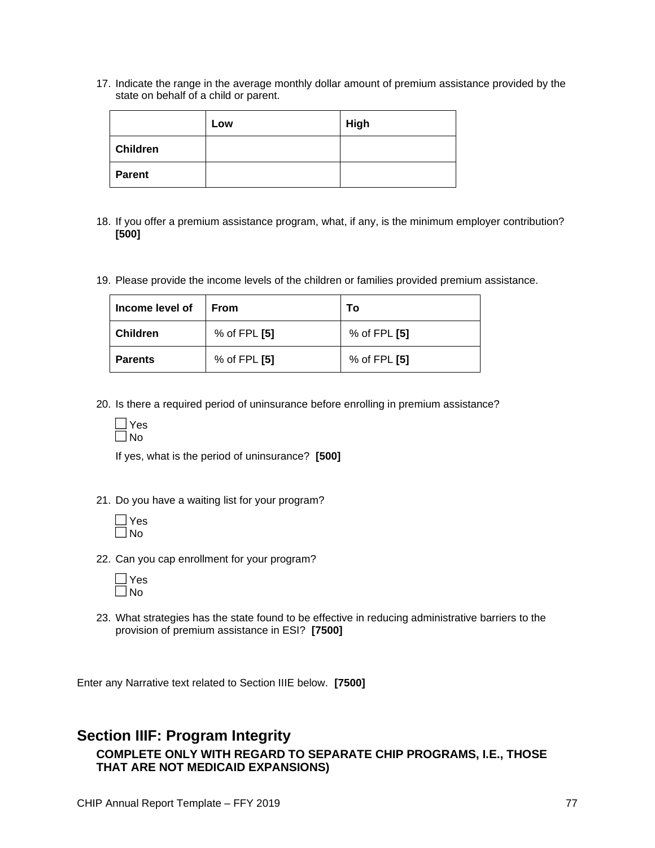17. Indicate the range in the average monthly dollar amount of premium assistance provided by the state on behalf of a child or parent.

|                 | Low | <b>High</b> |
|-----------------|-----|-------------|
| <b>Children</b> |     |             |
| <b>Parent</b>   |     |             |

- 18. If you offer a premium assistance program, what, if any, is the minimum employer contribution? **[500]**
- 19. Please provide the income levels of the children or families provided premium assistance.

| Income level of | <b>From</b>      | Т٥           |
|-----------------|------------------|--------------|
| <b>Children</b> | $%$ of FPL $[5]$ | % of FPL [5] |
| <b>Parents</b>  | $%$ of FPL $[5]$ | % of FPL [5] |

20. Is there a required period of uninsurance before enrolling in premium assistance?

| c<br>s<br>٢. |
|--------------|
| I<br>г.      |

If yes, what is the period of uninsurance? **[500]**

21. Do you have a waiting list for your program?

22. Can you cap enrollment for your program?

23. What strategies has the state found to be effective in reducing administrative barriers to the provision of premium assistance in ESI? **[7500]**

Enter any Narrative text related to Section IIIE below. **[7500]**

### **Section IIIF: Program Integrity COMPLETE ONLY WITH REGARD TO SEPARATE CHIP PROGRAMS, I.E., THOSE THAT ARE NOT MEDICAID EXPANSIONS)**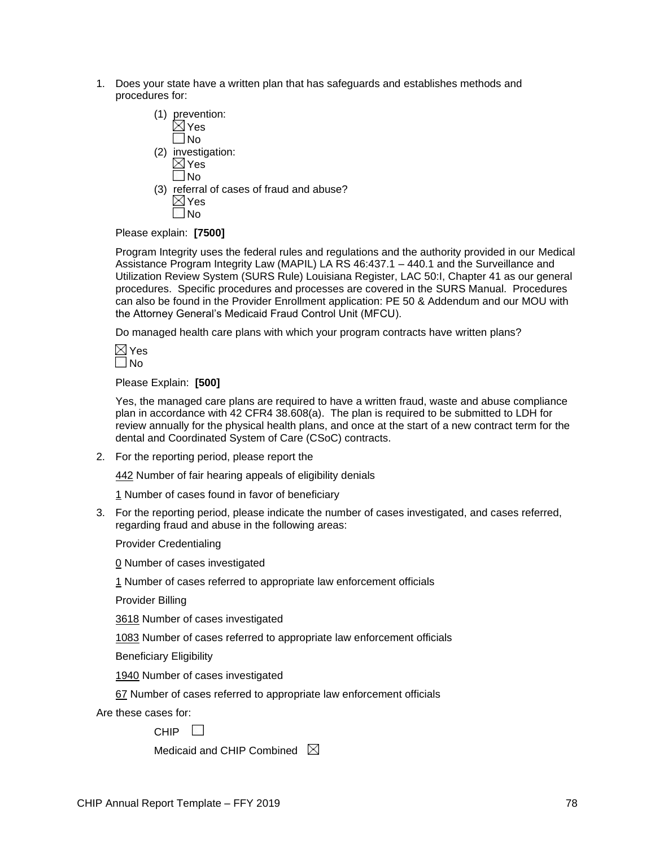- 1. Does your state have a written plan that has safeguards and establishes methods and procedures for:
	- (1) prevention:  $\boxtimes$  Yes No
	- (2) investigation:  $\boxtimes$  Yes
	- $\square$  No (3) referral of cases of fraud and abuse?  $\boxtimes$  Yes No

Please explain: **[7500]**

Program Integrity uses the federal rules and regulations and the authority provided in our Medical Assistance Program Integrity Law (MAPIL) LA RS 46:437.1 – 440.1 and the Surveillance and Utilization Review System (SURS Rule) Louisiana Register, LAC 50:I, Chapter 41 as our general procedures. Specific procedures and processes are covered in the SURS Manual. Procedures can also be found in the Provider Enrollment application: PE 50 & Addendum and our MOU with the Attorney General's Medicaid Fraud Control Unit (MFCU).

Do managed health care plans with which your program contracts have written plans?

Please Explain: **[500]**

Yes, the managed care plans are required to have a written fraud, waste and abuse compliance plan in accordance with 42 CFR4 38.608(a). The plan is required to be submitted to LDH for review annually for the physical health plans, and once at the start of a new contract term for the dental and Coordinated System of Care (CSoC) contracts.

2. For the reporting period, please report the

442 Number of fair hearing appeals of eligibility denials

1 Number of cases found in favor of beneficiary

3. For the reporting period, please indicate the number of cases investigated, and cases referred, regarding fraud and abuse in the following areas:

Provider Credentialing

0 Number of cases investigated

1 Number of cases referred to appropriate law enforcement officials

Provider Billing

3618 Number of cases investigated

1083 Number of cases referred to appropriate law enforcement officials

Beneficiary Eligibility

1940 Number of cases investigated

67 Number of cases referred to appropriate law enforcement officials

Are these cases for:

CHIP<sup>I</sup>

Medicaid and CHIP Combined  $\boxtimes$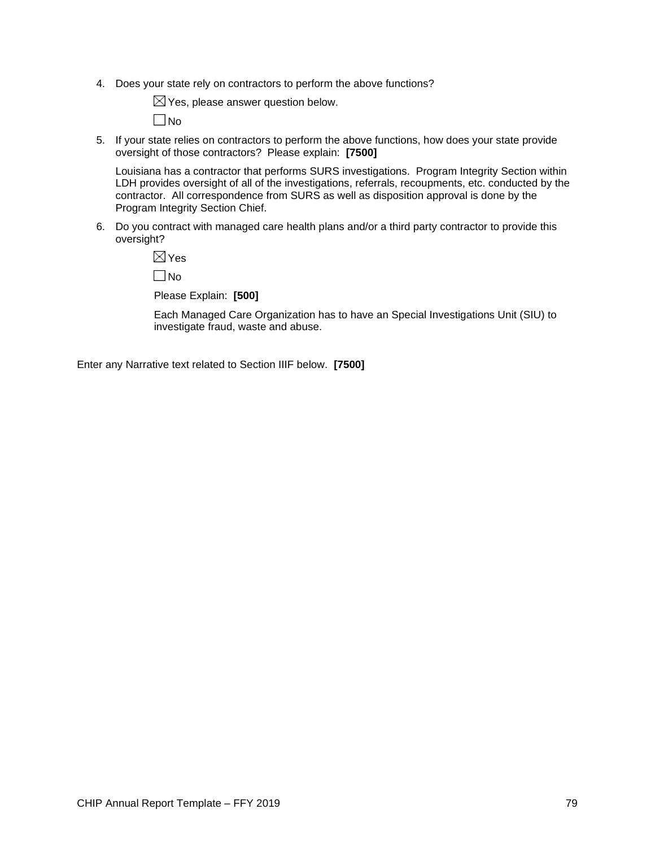4. Does your state rely on contractors to perform the above functions?

 $\boxtimes$  Yes, please answer question below.

No

5. If your state relies on contractors to perform the above functions, how does your state provide oversight of those contractors? Please explain: **[7500]**

Louisiana has a contractor that performs SURS investigations. Program Integrity Section within LDH provides oversight of all of the investigations, referrals, recoupments, etc. conducted by the contractor. All correspondence from SURS as well as disposition approval is done by the Program Integrity Section Chief.

6. Do you contract with managed care health plans and/or a third party contractor to provide this oversight?

 $\boxtimes$  Yes

No

Please Explain: **[500]**

Each Managed Care Organization has to have an Special Investigations Unit (SIU) to investigate fraud, waste and abuse.

Enter any Narrative text related to Section IIIF below. **[7500]**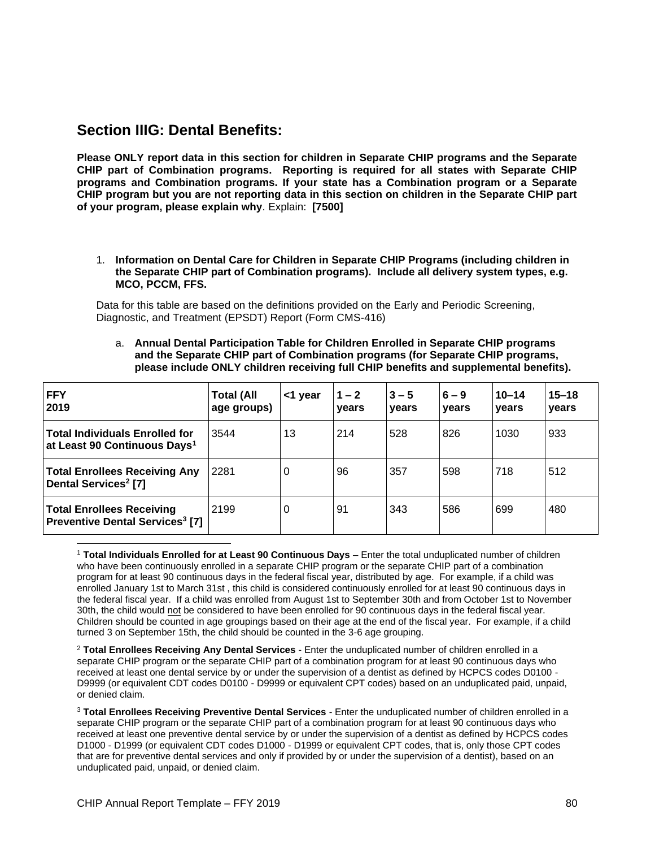### **Section IIIG: Dental Benefits:**

**Please ONLY report data in this section for children in Separate CHIP programs and the Separate CHIP part of Combination programs. Reporting is required for all states with Separate CHIP programs and Combination programs. If your state has a Combination program or a Separate CHIP program but you are not reporting data in this section on children in the Separate CHIP part of your program, please explain why**. Explain: **[7500]**

#### 1. **Information on Dental Care for Children in Separate CHIP Programs (including children in the Separate CHIP part of Combination programs). Include all delivery system types, e.g. MCO, PCCM, FFS.**

Data for this table are based on the definitions provided on the Early and Periodic Screening, Diagnostic, and Treatment (EPSDT) Report (Form CMS-416)

a. **Annual Dental Participation Table for Children Enrolled in Separate CHIP programs and the Separate CHIP part of Combination programs (for Separate CHIP programs, please include ONLY children receiving full CHIP benefits and supplemental benefits).**

| <b>FFY</b><br>2019                                                                    | <b>Total (All</b><br>age groups) | <1 year | $1 - 2$<br>years | $3 - 5$<br>vears | $6 - 9$<br>vears | $10 - 14$<br>vears | $15 - 18$<br>vears |
|---------------------------------------------------------------------------------------|----------------------------------|---------|------------------|------------------|------------------|--------------------|--------------------|
| <b>Total Individuals Enrolled for</b><br>at Least 90 Continuous Days <sup>1</sup>     | 3544                             | 13      | 214              | 528              | 826              | 1030               | 933                |
| <b>Total Enrollees Receiving Any</b><br><b>Dental Services<sup>2</sup></b> [7]        | 2281                             | 0       | 96               | 357              | 598              | 718                | 512                |
| <b>Total Enrollees Receiving</b><br><b>Preventive Dental Services<sup>3</sup> [7]</b> | 2199                             | 0       | 91               | 343              | 586              | 699                | 480                |

<sup>1</sup> **Total Individuals Enrolled for at Least 90 Continuous Days** – Enter the total unduplicated number of children who have been continuously enrolled in a separate CHIP program or the separate CHIP part of a combination program for at least 90 continuous days in the federal fiscal year, distributed by age. For example, if a child was enrolled January 1st to March 31st , this child is considered continuously enrolled for at least 90 continuous days in the federal fiscal year. If a child was enrolled from August 1st to September 30th and from October 1st to November 30th, the child would not be considered to have been enrolled for 90 continuous days in the federal fiscal year. Children should be counted in age groupings based on their age at the end of the fiscal year. For example, if a child turned 3 on September 15th, the child should be counted in the 3-6 age grouping.

<sup>2</sup> **Total Enrollees Receiving Any Dental Services** - Enter the unduplicated number of children enrolled in a separate CHIP program or the separate CHIP part of a combination program for at least 90 continuous days who received at least one dental service by or under the supervision of a dentist as defined by HCPCS codes D0100 - D9999 (or equivalent CDT codes D0100 - D9999 or equivalent CPT codes) based on an unduplicated paid, unpaid, or denied claim.

<sup>3</sup> **Total Enrollees Receiving Preventive Dental Services** - Enter the unduplicated number of children enrolled in a separate CHIP program or the separate CHIP part of a combination program for at least 90 continuous days who received at least one preventive dental service by or under the supervision of a dentist as defined by HCPCS codes D1000 - D1999 (or equivalent CDT codes D1000 - D1999 or equivalent CPT codes, that is, only those CPT codes that are for preventive dental services and only if provided by or under the supervision of a dentist), based on an unduplicated paid, unpaid, or denied claim.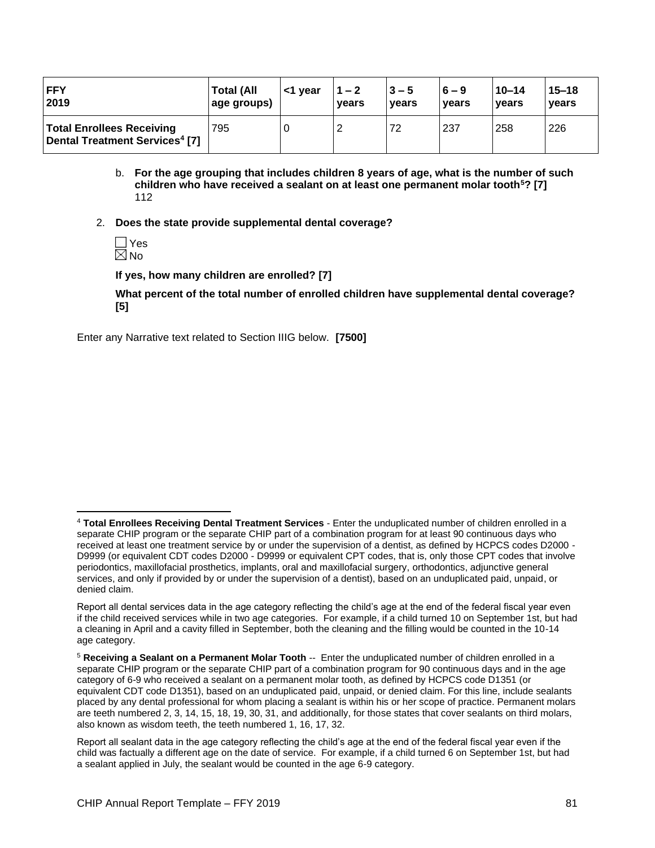| <b>IFFY</b>                                                                    | <b>Total (All</b> | <1 year | $1 - 2$ | $3 - 5$ | $6 - 9$ | $10 - 14$ | $15 - 18$ |
|--------------------------------------------------------------------------------|-------------------|---------|---------|---------|---------|-----------|-----------|
| 2019                                                                           | age groups)       |         | vears   | vears   | vears   | vears     | vears     |
| <b>Total Enrollees Receiving</b><br>Dental Treatment Services <sup>4</sup> [7] | 795               |         |         | 72      | 237     | 258       | 226       |

- b. **For the age grouping that includes children 8 years of age, what is the number of such children who have received a sealant on at least one permanent molar tooth<sup>5</sup>? [7]** 112
- 2. **Does the state provide supplemental dental coverage?**
	- Yes No.

**If yes, how many children are enrolled? [7]**

**What percent of the total number of enrolled children have supplemental dental coverage? [5]**

Enter any Narrative text related to Section IIIG below. **[7500]**

<sup>4</sup> **Total Enrollees Receiving Dental Treatment Services** - Enter the unduplicated number of children enrolled in a separate CHIP program or the separate CHIP part of a combination program for at least 90 continuous days who received at least one treatment service by or under the supervision of a dentist, as defined by HCPCS codes D2000 - D9999 (or equivalent CDT codes D2000 - D9999 or equivalent CPT codes, that is, only those CPT codes that involve periodontics, maxillofacial prosthetics, implants, oral and maxillofacial surgery, orthodontics, adjunctive general services, and only if provided by or under the supervision of a dentist), based on an unduplicated paid, unpaid, or denied claim.

Report all dental services data in the age category reflecting the child's age at the end of the federal fiscal year even if the child received services while in two age categories. For example, if a child turned 10 on September 1st, but had a cleaning in April and a cavity filled in September, both the cleaning and the filling would be counted in the 10-14 age category.

<sup>5</sup> **Receiving a Sealant on a Permanent Molar Tooth** -- Enter the unduplicated number of children enrolled in a separate CHIP program or the separate CHIP part of a combination program for 90 continuous days and in the age category of 6-9 who received a sealant on a permanent molar tooth, as defined by HCPCS code D1351 (or equivalent CDT code D1351), based on an unduplicated paid, unpaid, or denied claim. For this line, include sealants placed by any dental professional for whom placing a sealant is within his or her scope of practice. Permanent molars are teeth numbered 2, 3, 14, 15, 18, 19, 30, 31, and additionally, for those states that cover sealants on third molars, also known as wisdom teeth, the teeth numbered 1, 16, 17, 32.

Report all sealant data in the age category reflecting the child's age at the end of the federal fiscal year even if the child was factually a different age on the date of service. For example, if a child turned 6 on September 1st, but had a sealant applied in July, the sealant would be counted in the age 6-9 category.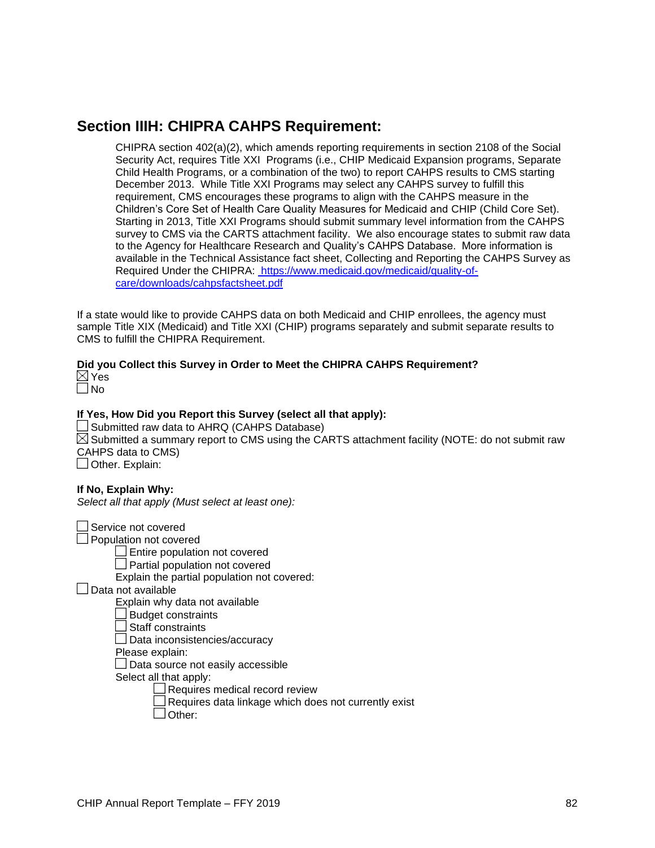### **Section IIIH: CHIPRA CAHPS Requirement:**

CHIPRA section 402(a)(2), which amends reporting requirements in section 2108 of the Social Security Act, requires Title XXI Programs (i.e., CHIP Medicaid Expansion programs, Separate Child Health Programs, or a combination of the two) to report CAHPS results to CMS starting December 2013. While Title XXI Programs may select any CAHPS survey to fulfill this requirement, CMS encourages these programs to align with the CAHPS measure in the Children's Core Set of Health Care Quality Measures for Medicaid and CHIP (Child Core Set). Starting in 2013, Title XXI Programs should submit summary level information from the CAHPS survey to CMS via the CARTS attachment facility. We also encourage states to submit raw data to the Agency for Healthcare Research and Quality's CAHPS Database. More information is available in the Technical Assistance fact sheet, Collecting and Reporting the CAHPS Survey as Required Under the CHIPRA: [https://www.medicaid.gov/medicaid/quality-of](https://www.medicaid.gov/medicaid/quality-of-care/downloads/cahpsfactsheet.pdf)[care/downloads/cahpsfactsheet.pdf](https://www.medicaid.gov/medicaid/quality-of-care/downloads/cahpsfactsheet.pdf)

If a state would like to provide CAHPS data on both Medicaid and CHIP enrollees, the agency must sample Title XIX (Medicaid) and Title XXI (CHIP) programs separately and submit separate results to CMS to fulfill the CHIPRA Requirement.

#### **Did you Collect this Survey in Order to Meet the CHIPRA CAHPS Requirement?**

| $\sim$<br>í |
|-------------|
|             |

#### **If Yes, How Did you Report this Survey (select all that apply):**

 $\Box$  Submitted raw data to AHRQ (CAHPS Database)  $\boxtimes$  Submitted a summary report to CMS using the CARTS attachment facility (NOTE: do not submit raw CAHPS data to CMS) Other. Explain:

#### **If No, Explain Why:**

*Select all that apply (Must select at least one):*

Service not covered

Population not covered

**Entire population not covered** 

**Partial population not covered** 

Explain the partial population not covered:

Data not available

Explain why data not available

Budget constraints

Staff constraints

Data inconsistencies/accuracy

Please explain:

Data source not easily accessible

Select all that apply:

Requires medical record review

Requires data linkage which does not currently exist

Other: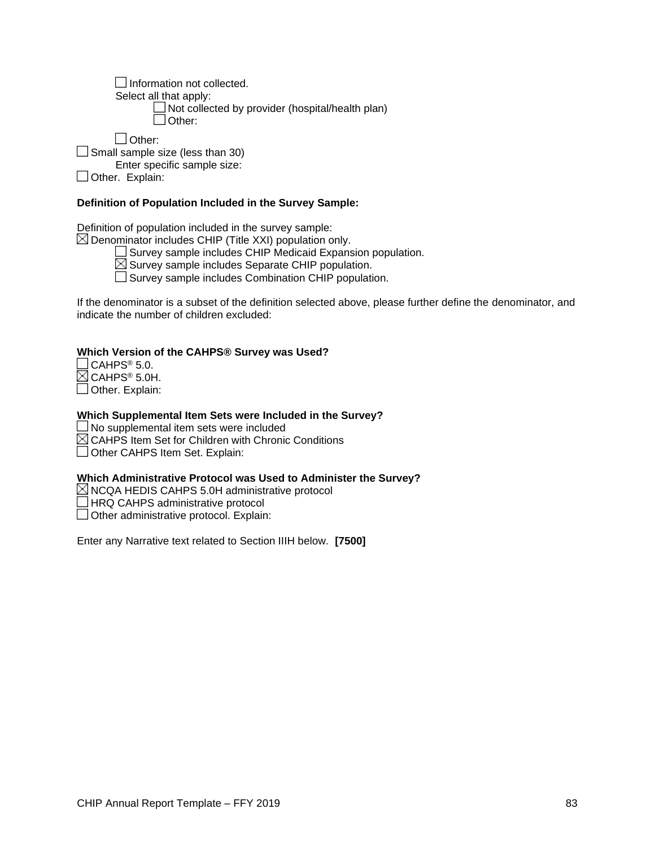Information not collected. Select all that apply: Not collected by provider (hospital/health plan) Other:

Other:

Small sample size (less than 30)

Enter specific sample size:

Other. Explain:

### **Definition of Population Included in the Survey Sample:**

Definition of population included in the survey sample:

 $\boxtimes$  Denominator includes CHIP (Title XXI) population only.

 $\Box$  Survey sample includes CHIP Medicaid Expansion population.

 $\boxtimes$  Survey sample includes Separate CHIP population.

Survey sample includes Combination CHIP population.

If the denominator is a subset of the definition selected above, please further define the denominator, and indicate the number of children excluded:

#### **Which Version of the CAHPS® Survey was Used?**

 $\Box$  CAHPS® 5.0.  $\boxtimes$  CAHPS® 5.0H. Other. Explain:

#### **Which Supplemental Item Sets were Included in the Survey?**

 $\Box$  No supplemental item sets were included

 $\boxtimes$  CAHPS Item Set for Children with Chronic Conditions

Other CAHPS Item Set. Explain:

#### **Which Administrative Protocol was Used to Administer the Survey?**

 $\boxtimes$  NCQA HEDIS CAHPS 5.0H administrative protocol

HRQ CAHPS administrative protocol

Other administrative protocol. Explain:

Enter any Narrative text related to Section IIIH below. **[7500]**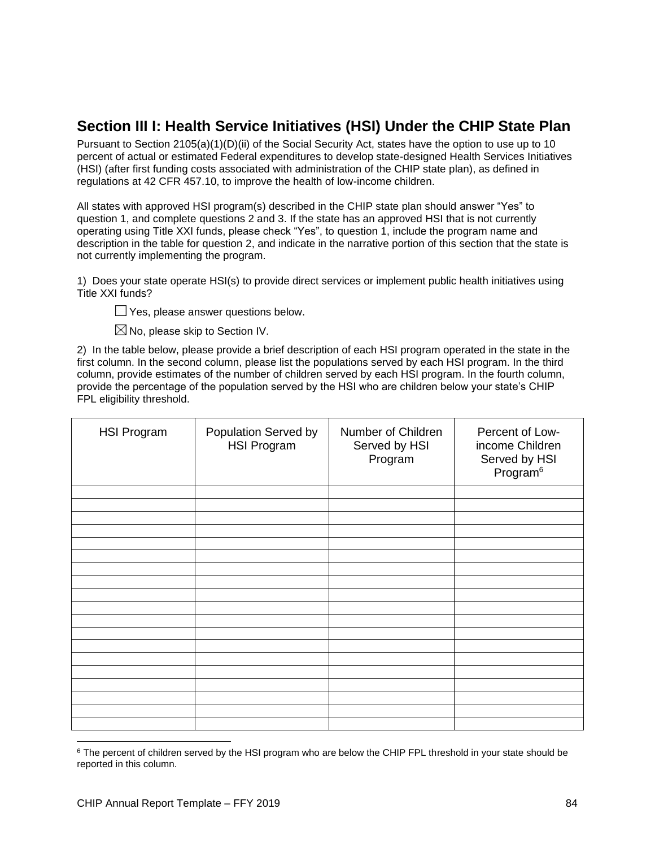## **Section III I: Health Service Initiatives (HSI) Under the CHIP State Plan**

Pursuant to Section 2105(a)(1)(D)(ii) of the Social Security Act, states have the option to use up to 10 percent of actual or estimated Federal expenditures to develop state-designed Health Services Initiatives (HSI) (after first funding costs associated with administration of the CHIP state plan), as defined in regulations at 42 CFR 457.10, to improve the health of low-income children.

All states with approved HSI program(s) described in the CHIP state plan should answer "Yes" to question 1, and complete questions 2 and 3. If the state has an approved HSI that is not currently operating using Title XXI funds, please check "Yes", to question 1, include the program name and description in the table for question 2, and indicate in the narrative portion of this section that the state is not currently implementing the program.

1) Does your state operate HSI(s) to provide direct services or implement public health initiatives using Title XXI funds?

**The Yes, please answer questions below.** 

 $\boxtimes$  No, please skip to Section IV.

2) In the table below, please provide a brief description of each HSI program operated in the state in the first column. In the second column, please list the populations served by each HSI program. In the third column, provide estimates of the number of children served by each HSI program. In the fourth column, provide the percentage of the population served by the HSI who are children below your state's CHIP FPL eligibility threshold.

| <b>HSI Program</b> | Population Served by<br><b>HSI Program</b> | Number of Children<br>Served by HSI<br>Program | Percent of Low-<br>income Children<br>Served by HSI<br>Program <sup>6</sup> |
|--------------------|--------------------------------------------|------------------------------------------------|-----------------------------------------------------------------------------|
|                    |                                            |                                                |                                                                             |
|                    |                                            |                                                |                                                                             |
|                    |                                            |                                                |                                                                             |
|                    |                                            |                                                |                                                                             |
|                    |                                            |                                                |                                                                             |
|                    |                                            |                                                |                                                                             |
|                    |                                            |                                                |                                                                             |
|                    |                                            |                                                |                                                                             |
|                    |                                            |                                                |                                                                             |
|                    |                                            |                                                |                                                                             |
|                    |                                            |                                                |                                                                             |
|                    |                                            |                                                |                                                                             |
|                    |                                            |                                                |                                                                             |
|                    |                                            |                                                |                                                                             |
|                    |                                            |                                                |                                                                             |
|                    |                                            |                                                |                                                                             |
|                    |                                            |                                                |                                                                             |
|                    |                                            |                                                |                                                                             |

<sup>&</sup>lt;sup>6</sup> The percent of children served by the HSI program who are below the CHIP FPL threshold in your state should be reported in this column.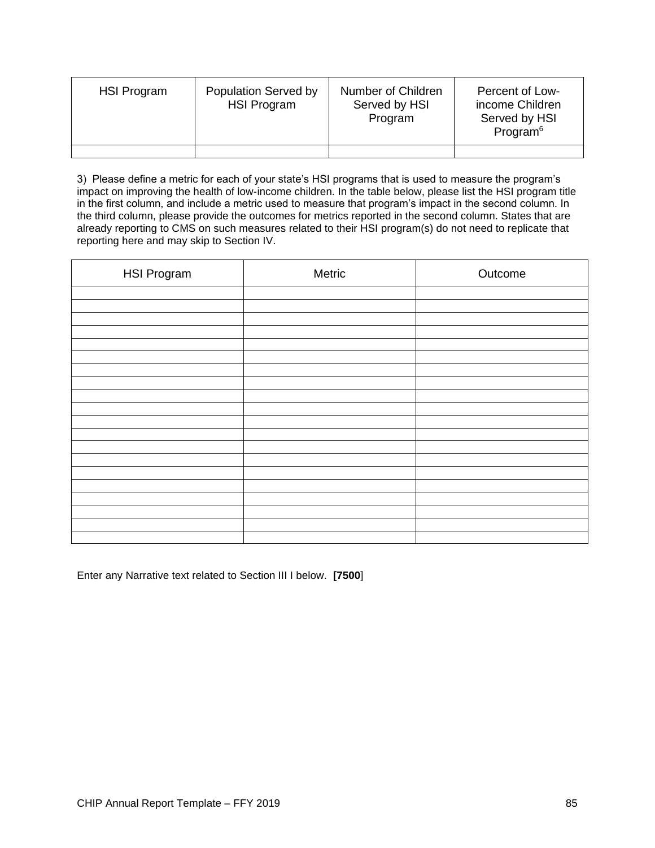| HSI Program | Population Served by<br><b>HSI Program</b> | Number of Children<br>Served by HSI<br>Program | Percent of Low-<br>income Children<br>Served by HSI<br>Program <sup>6</sup> |
|-------------|--------------------------------------------|------------------------------------------------|-----------------------------------------------------------------------------|
|             |                                            |                                                |                                                                             |

3) Please define a metric for each of your state's HSI programs that is used to measure the program's impact on improving the health of low-income children. In the table below, please list the HSI program title in the first column, and include a metric used to measure that program's impact in the second column. In the third column, please provide the outcomes for metrics reported in the second column. States that are already reporting to CMS on such measures related to their HSI program(s) do not need to replicate that reporting here and may skip to Section IV.

| <b>HSI Program</b> | Metric | Outcome |
|--------------------|--------|---------|
|                    |        |         |
|                    |        |         |
|                    |        |         |
|                    |        |         |
|                    |        |         |
|                    |        |         |
|                    |        |         |
|                    |        |         |
|                    |        |         |
|                    |        |         |
|                    |        |         |
|                    |        |         |
|                    |        |         |
|                    |        |         |
|                    |        |         |
|                    |        |         |
|                    |        |         |
|                    |        |         |
|                    |        |         |
|                    |        |         |

Enter any Narrative text related to Section III I below. **[7500**]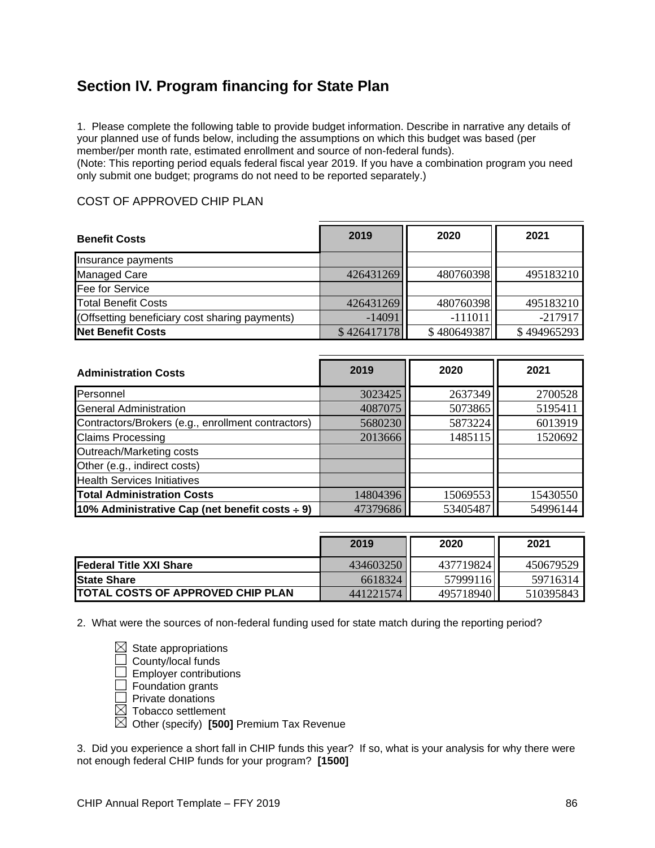# **Section IV. Program financing for State Plan**

1. Please complete the following table to provide budget information. Describe in narrative any details of your planned use of funds below, including the assumptions on which this budget was based (per member/per month rate, estimated enrollment and source of non-federal funds).

(Note: This reporting period equals federal fiscal year 2019. If you have a combination program you need only submit one budget; programs do not need to be reported separately.)

### COST OF APPROVED CHIP PLAN

| <b>Benefit Costs</b>                           | 2019        | 2020        | 2021        |
|------------------------------------------------|-------------|-------------|-------------|
| Insurance payments                             |             |             |             |
| <b>Managed Care</b>                            | 426431269   | 480760398   | 495183210   |
| Fee for Service                                |             |             |             |
| <b>Total Benefit Costs</b>                     | 426431269   | 480760398   | 495183210   |
| (Offsetting beneficiary cost sharing payments) | $-14091$    | $-11101$    | $-217917$   |
| <b>Net Benefit Costs</b>                       | \$426417178 | \$480649387 | \$494965293 |

| <b>Administration Costs</b>                         | 2019     | 2020     | 2021     |
|-----------------------------------------------------|----------|----------|----------|
| Personnel                                           | 3023425  | 2637349  | 2700528  |
| <b>General Administration</b>                       | 4087075  | 5073865  | 5195411  |
| Contractors/Brokers (e.g., enrollment contractors)  | 5680230  | 5873224  | 6013919  |
| <b>Claims Processing</b>                            | 2013666  | 1485115  | 1520692  |
| Outreach/Marketing costs                            |          |          |          |
| Other (e.g., indirect costs)                        |          |          |          |
| <b>Health Services Initiatives</b>                  |          |          |          |
| <b>Total Administration Costs</b>                   | 14804396 | 15069553 | 15430550 |
| 10% Administrative Cap (net benefit costs $\div$ 9) | 47379686 | 53405487 | 54996144 |

|                                           | 2019      | 2020      | 2021      |
|-------------------------------------------|-----------|-----------|-----------|
| <b>Federal Title XXI Share</b>            | 434603250 | 437719824 | 450679529 |
| <b>IState Share</b>                       | 6618324   | 57999116  | 59716314  |
| <b>ITOTAL COSTS OF APPROVED CHIP PLAN</b> | 441221574 | 495718940 | 510395843 |

2. What were the sources of non-federal funding used for state match during the reporting period?

 $\boxtimes$  State appropriations County/local funds  $\Box$  Employer contributions **Foundation grants Private donations**  $\boxtimes$  Tobacco settlement Other (specify) **[500]** Premium Tax Revenue

3. Did you experience a short fall in CHIP funds this year? If so, what is your analysis for why there were not enough federal CHIP funds for your program? **[1500]**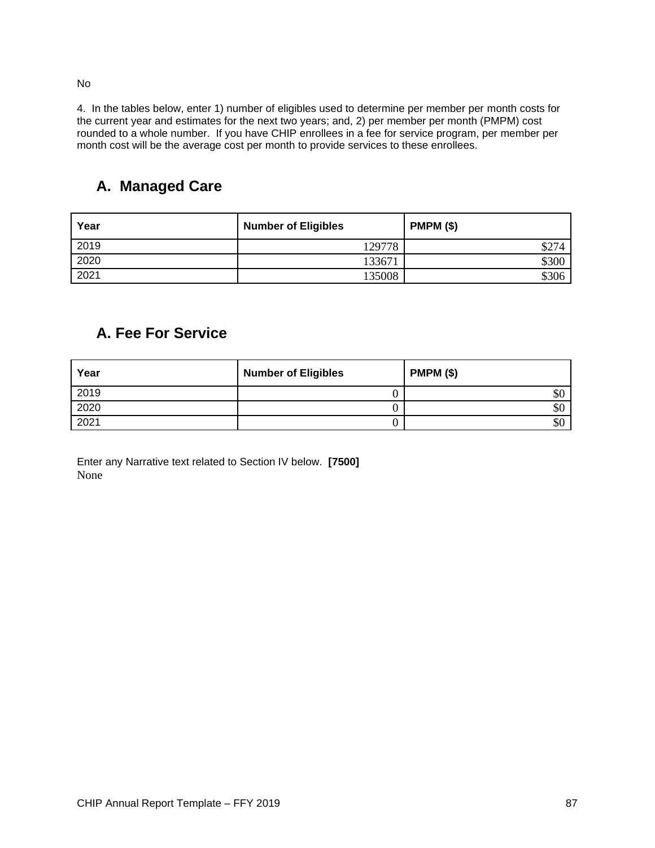No

4. In the tables below, enter 1) number of eligibles used to determine per member per month costs for the current year and estimates for the next two years; and, 2) per member per month (PMPM) cost rounded to a whole number. If you have CHIP enrollees in a fee for service program, per member per month cost will be the average cost per month to provide services to these enrollees.

# **A. Managed Care**

| Year | <b>Number of Eligibles</b> | <b>PMPM (\$)</b> |
|------|----------------------------|------------------|
| 2019 | 129778                     |                  |
| 2020 | 133671                     | \$300            |
| 2021 | 135008                     | \$306            |

### **A. Fee For Service**

| Year | <b>Number of Eligibles</b> | <b>PMPM (\$)</b> |
|------|----------------------------|------------------|
| 2019 |                            | \$0              |
| 2020 |                            | \$0              |
| 2021 |                            | \$0              |

Enter any Narrative text related to Section IV below. **[7500]** None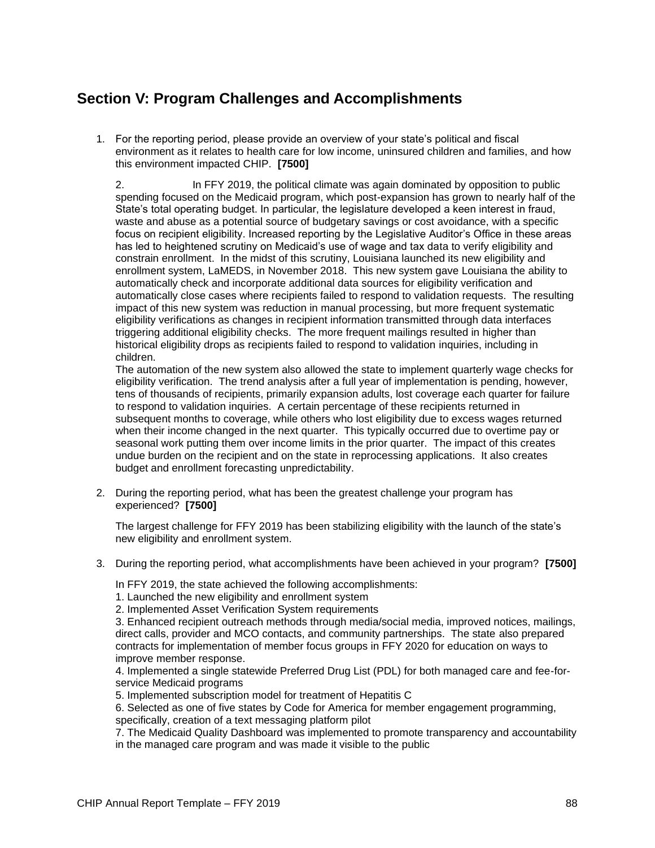# **Section V: Program Challenges and Accomplishments**

1. For the reporting period, please provide an overview of your state's political and fiscal environment as it relates to health care for low income, uninsured children and families, and how this environment impacted CHIP. **[7500]**

2. In FFY 2019, the political climate was again dominated by opposition to public spending focused on the Medicaid program, which post-expansion has grown to nearly half of the State's total operating budget. In particular, the legislature developed a keen interest in fraud, waste and abuse as a potential source of budgetary savings or cost avoidance, with a specific focus on recipient eligibility. Increased reporting by the Legislative Auditor's Office in these areas has led to heightened scrutiny on Medicaid's use of wage and tax data to verify eligibility and constrain enrollment. In the midst of this scrutiny, Louisiana launched its new eligibility and enrollment system, LaMEDS, in November 2018. This new system gave Louisiana the ability to automatically check and incorporate additional data sources for eligibility verification and automatically close cases where recipients failed to respond to validation requests. The resulting impact of this new system was reduction in manual processing, but more frequent systematic eligibility verifications as changes in recipient information transmitted through data interfaces triggering additional eligibility checks. The more frequent mailings resulted in higher than historical eligibility drops as recipients failed to respond to validation inquiries, including in children.

The automation of the new system also allowed the state to implement quarterly wage checks for eligibility verification. The trend analysis after a full year of implementation is pending, however, tens of thousands of recipients, primarily expansion adults, lost coverage each quarter for failure to respond to validation inquiries. A certain percentage of these recipients returned in subsequent months to coverage, while others who lost eligibility due to excess wages returned when their income changed in the next quarter. This typically occurred due to overtime pay or seasonal work putting them over income limits in the prior quarter. The impact of this creates undue burden on the recipient and on the state in reprocessing applications. It also creates budget and enrollment forecasting unpredictability.

2. During the reporting period, what has been the greatest challenge your program has experienced? **[7500]**

The largest challenge for FFY 2019 has been stabilizing eligibility with the launch of the state's new eligibility and enrollment system.

3. During the reporting period, what accomplishments have been achieved in your program? **[7500]**

In FFY 2019, the state achieved the following accomplishments:

- 1. Launched the new eligibility and enrollment system
- 2. Implemented Asset Verification System requirements

3. Enhanced recipient outreach methods through media/social media, improved notices, mailings, direct calls, provider and MCO contacts, and community partnerships. The state also prepared contracts for implementation of member focus groups in FFY 2020 for education on ways to improve member response.

4. Implemented a single statewide Preferred Drug List (PDL) for both managed care and fee-forservice Medicaid programs

5. Implemented subscription model for treatment of Hepatitis C

6. Selected as one of five states by Code for America for member engagement programming, specifically, creation of a text messaging platform pilot

7. The Medicaid Quality Dashboard was implemented to promote transparency and accountability in the managed care program and was made it visible to the public